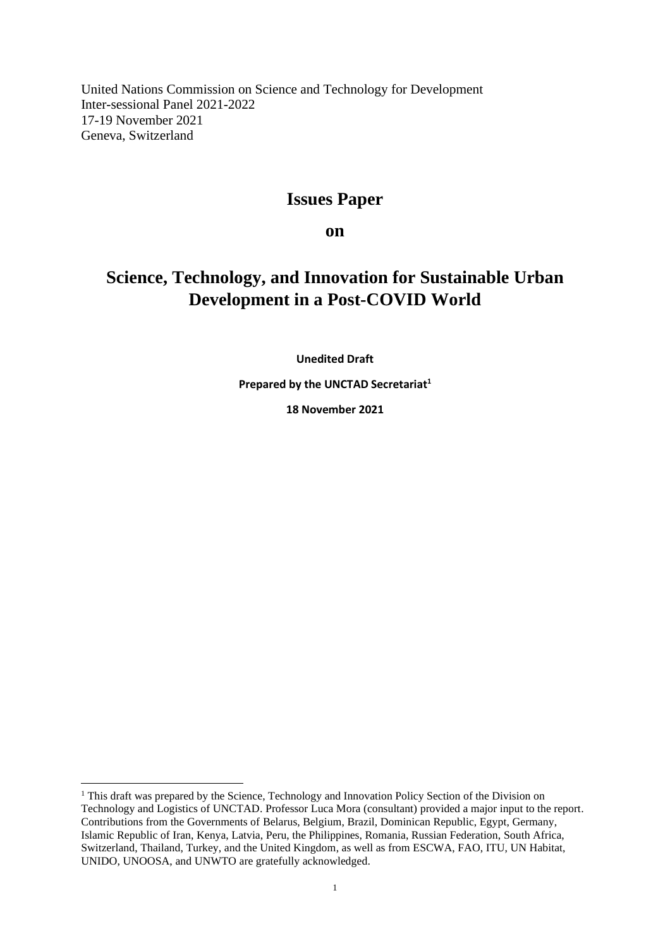United Nations Commission on Science and Technology for Development Inter-sessional Panel 2021-2022 17-19 November 2021 Geneva, Switzerland

# **Issues Paper**

**on**

# **Science, Technology, and Innovation for Sustainable Urban Development in a Post-COVID World**

**Unedited Draft**

**Prepared by the UNCTAD Secretariat<sup>1</sup>**

**18 November 2021**

<sup>&</sup>lt;sup>1</sup> This draft was prepared by the Science, Technology and Innovation Policy Section of the Division on Technology and Logistics of UNCTAD. Professor Luca Mora (consultant) provided a major input to the report. Contributions from the Governments of Belarus, Belgium, Brazil, Dominican Republic, Egypt, Germany, Islamic Republic of Iran, Kenya, Latvia, Peru, the Philippines, Romania, Russian Federation, South Africa, Switzerland, Thailand, Turkey, and the United Kingdom, as well as from ESCWA, FAO, ITU, UN Habitat, UNIDO, UNOOSA, and UNWTO are gratefully acknowledged.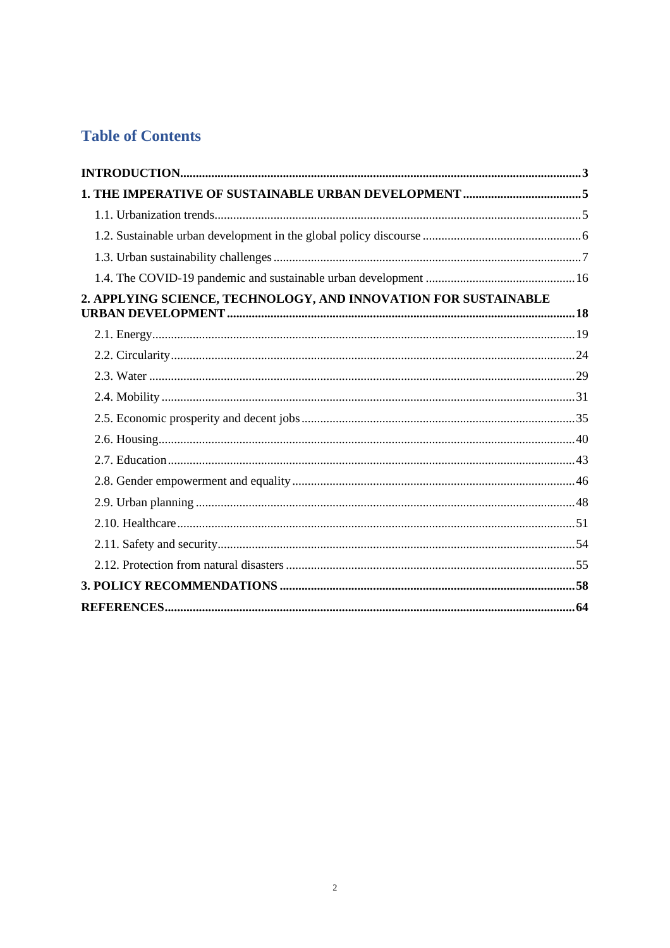# **Table of Contents**

| 2. APPLYING SCIENCE, TECHNOLOGY, AND INNOVATION FOR SUSTAINABLE |  |
|-----------------------------------------------------------------|--|
|                                                                 |  |
|                                                                 |  |
|                                                                 |  |
|                                                                 |  |
|                                                                 |  |
|                                                                 |  |
|                                                                 |  |
|                                                                 |  |
|                                                                 |  |
|                                                                 |  |
|                                                                 |  |
|                                                                 |  |
|                                                                 |  |
|                                                                 |  |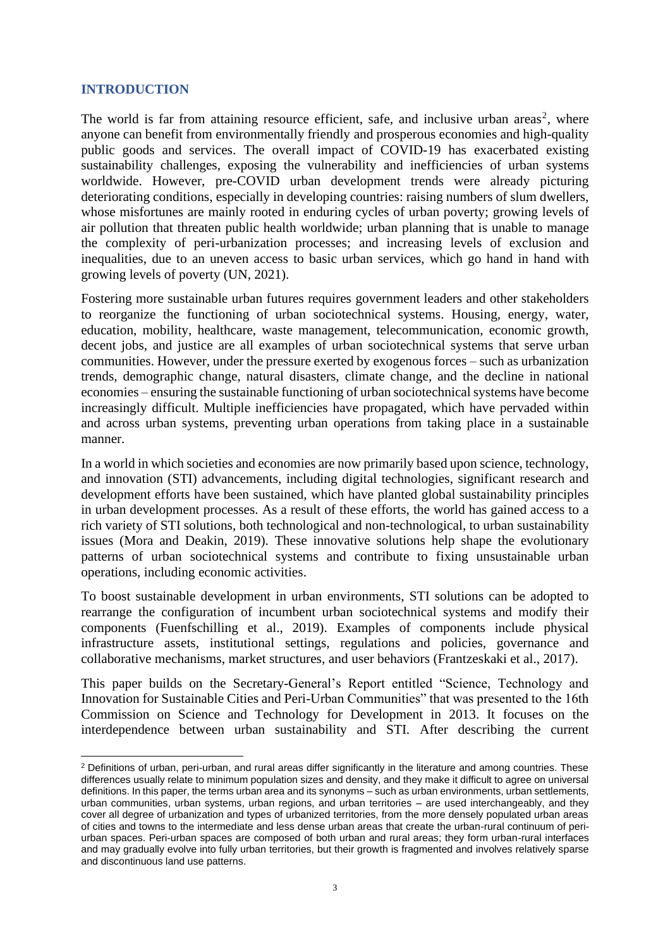## <span id="page-2-0"></span>**INTRODUCTION**

The world is far from attaining resource efficient, safe, and inclusive urban areas<sup>2</sup>, where anyone can benefit from environmentally friendly and prosperous economies and high-quality public goods and services. The overall impact of COVID-19 has exacerbated existing sustainability challenges, exposing the vulnerability and inefficiencies of urban systems worldwide. However, pre-COVID urban development trends were already picturing deteriorating conditions, especially in developing countries: raising numbers of slum dwellers, whose misfortunes are mainly rooted in enduring cycles of urban poverty; growing levels of air pollution that threaten public health worldwide; urban planning that is unable to manage the complexity of peri-urbanization processes; and increasing levels of exclusion and inequalities, due to an uneven access to basic urban services, which go hand in hand with growing levels of poverty (UN, 2021).

Fostering more sustainable urban futures requires government leaders and other stakeholders to reorganize the functioning of urban sociotechnical systems. Housing, energy, water, education, mobility, healthcare, waste management, telecommunication, economic growth, decent jobs, and justice are all examples of urban sociotechnical systems that serve urban communities. However, under the pressure exerted by exogenous forces – such as urbanization trends, demographic change, natural disasters, climate change, and the decline in national economies – ensuring the sustainable functioning of urban sociotechnical systems have become increasingly difficult. Multiple inefficiencies have propagated, which have pervaded within and across urban systems, preventing urban operations from taking place in a sustainable manner.

In a world in which societies and economies are now primarily based upon science, technology, and innovation (STI) advancements, including digital technologies, significant research and development efforts have been sustained, which have planted global sustainability principles in urban development processes. As a result of these efforts, the world has gained access to a rich variety of STI solutions, both technological and non-technological, to urban sustainability issues (Mora and Deakin, 2019). These innovative solutions help shape the evolutionary patterns of urban sociotechnical systems and contribute to fixing unsustainable urban operations, including economic activities.

To boost sustainable development in urban environments, STI solutions can be adopted to rearrange the configuration of incumbent urban sociotechnical systems and modify their components (Fuenfschilling et al., 2019). Examples of components include physical infrastructure assets, institutional settings, regulations and policies, governance and collaborative mechanisms, market structures, and user behaviors (Frantzeskaki et al., 2017).

This paper builds on the Secretary-General's Report entitled "Science, Technology and Innovation for Sustainable Cities and Peri-Urban Communities" that was presented to the 16th Commission on Science and Technology for Development in 2013. It focuses on the interdependence between urban sustainability and STI. After describing the current

<sup>&</sup>lt;sup>2</sup> Definitions of urban, peri-urban, and rural areas differ significantly in the literature and among countries. These differences usually relate to minimum population sizes and density, and they make it difficult to agree on universal definitions. In this paper, the terms urban area and its synonyms – such as urban environments, urban settlements, urban communities, urban systems, urban regions, and urban territories – are used interchangeably, and they cover all degree of urbanization and types of urbanized territories, from the more densely populated urban areas of cities and towns to the intermediate and less dense urban areas that create the urban-rural continuum of periurban spaces. Peri-urban spaces are composed of both urban and rural areas; they form urban-rural interfaces and may gradually evolve into fully urban territories, but their growth is fragmented and involves relatively sparse and discontinuous land use patterns.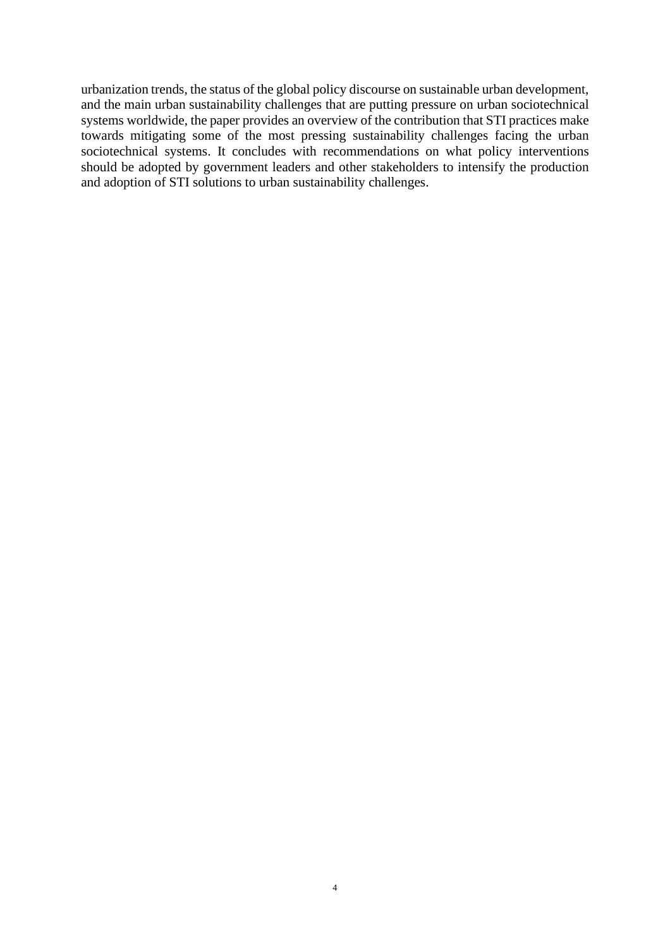urbanization trends, the status of the global policy discourse on sustainable urban development, and the main urban sustainability challenges that are putting pressure on urban sociotechnical systems worldwide, the paper provides an overview of the contribution that STI practices make towards mitigating some of the most pressing sustainability challenges facing the urban sociotechnical systems. It concludes with recommendations on what policy interventions should be adopted by government leaders and other stakeholders to intensify the production and adoption of STI solutions to urban sustainability challenges.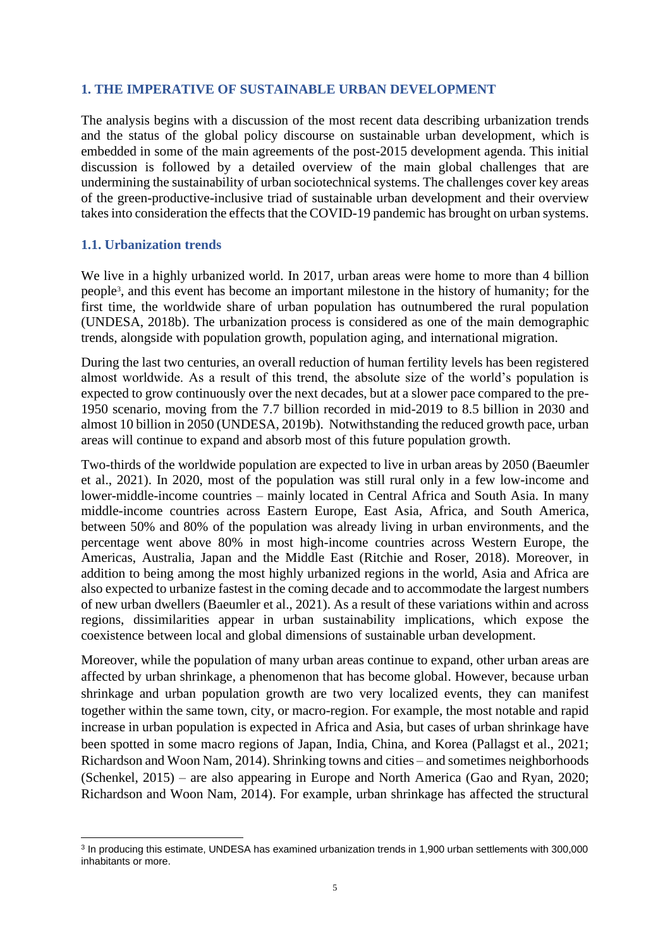# <span id="page-4-0"></span>**1. THE IMPERATIVE OF SUSTAINABLE URBAN DEVELOPMENT**

The analysis begins with a discussion of the most recent data describing urbanization trends and the status of the global policy discourse on sustainable urban development, which is embedded in some of the main agreements of the post-2015 development agenda. This initial discussion is followed by a detailed overview of the main global challenges that are undermining the sustainability of urban sociotechnical systems. The challenges cover key areas of the green-productive-inclusive triad of sustainable urban development and their overview takes into consideration the effects that the COVID-19 pandemic has brought on urban systems.

# <span id="page-4-1"></span>**1.1. Urbanization trends**

We live in a highly urbanized world. In 2017, urban areas were home to more than 4 billion people<sup>3</sup> , and this event has become an important milestone in the history of humanity; for the first time, the worldwide share of urban population has outnumbered the rural population (UNDESA, 2018b). The urbanization process is considered as one of the main demographic trends, alongside with population growth, population aging, and international migration.

During the last two centuries, an overall reduction of human fertility levels has been registered almost worldwide. As a result of this trend, the absolute size of the world's population is expected to grow continuously over the next decades, but at a slower pace compared to the pre-1950 scenario, moving from the 7.7 billion recorded in mid-2019 to 8.5 billion in 2030 and almost 10 billion in 2050 (UNDESA, 2019b). Notwithstanding the reduced growth pace, urban areas will continue to expand and absorb most of this future population growth.

Two-thirds of the worldwide population are expected to live in urban areas by 2050 (Baeumler et al., 2021). In 2020, most of the population was still rural only in a few low-income and lower-middle-income countries – mainly located in Central Africa and South Asia. In many middle-income countries across Eastern Europe, East Asia, Africa, and South America, between 50% and 80% of the population was already living in urban environments, and the percentage went above 80% in most high-income countries across Western Europe, the Americas, Australia, Japan and the Middle East (Ritchie and Roser, 2018). Moreover, in addition to being among the most highly urbanized regions in the world, Asia and Africa are also expected to urbanize fastest in the coming decade and to accommodate the largest numbers of new urban dwellers (Baeumler et al., 2021). As a result of these variations within and across regions, dissimilarities appear in urban sustainability implications, which expose the coexistence between local and global dimensions of sustainable urban development.

Moreover, while the population of many urban areas continue to expand, other urban areas are affected by urban shrinkage, a phenomenon that has become global. However, because urban shrinkage and urban population growth are two very localized events, they can manifest together within the same town, city, or macro-region. For example, the most notable and rapid increase in urban population is expected in Africa and Asia, but cases of urban shrinkage have been spotted in some macro regions of Japan, India, China, and Korea (Pallagst et al., 2021; Richardson and Woon Nam, 2014). Shrinking towns and cities – and sometimes neighborhoods (Schenkel, 2015) – are also appearing in Europe and North America (Gao and Ryan, 2020; Richardson and Woon Nam, 2014). For example, urban shrinkage has affected the structural

<sup>3</sup> In producing this estimate, UNDESA has examined urbanization trends in 1,900 urban settlements with 300,000 inhabitants or more.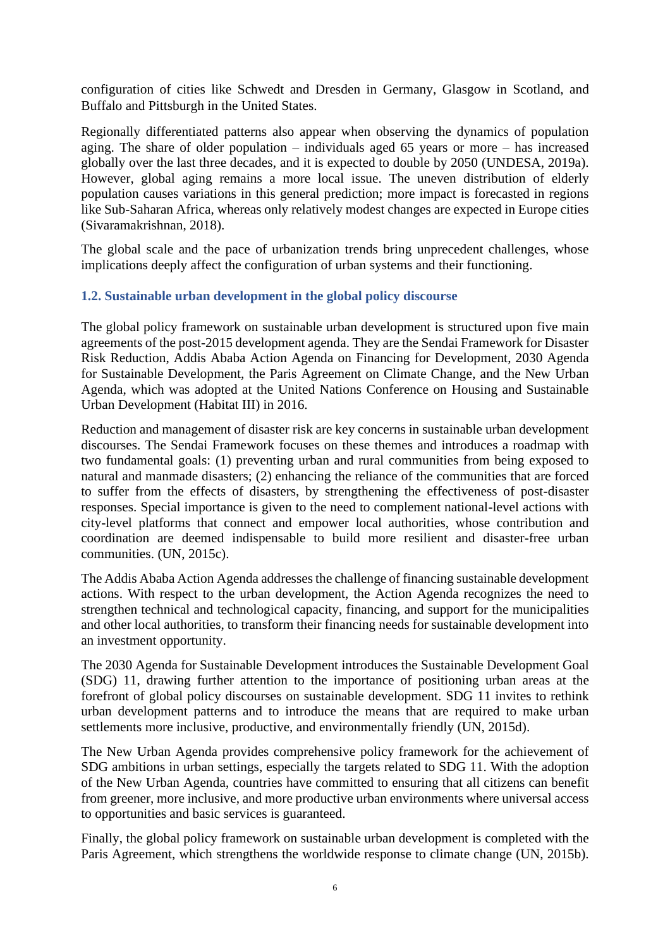configuration of cities like Schwedt and Dresden in Germany, Glasgow in Scotland, and Buffalo and Pittsburgh in the United States.

Regionally differentiated patterns also appear when observing the dynamics of population aging. The share of older population – individuals aged 65 years or more – has increased globally over the last three decades, and it is expected to double by 2050 (UNDESA, 2019a). However, global aging remains a more local issue. The uneven distribution of elderly population causes variations in this general prediction; more impact is forecasted in regions like Sub-Saharan Africa, whereas only relatively modest changes are expected in Europe cities (Sivaramakrishnan, 2018).

The global scale and the pace of urbanization trends bring unprecedent challenges, whose implications deeply affect the configuration of urban systems and their functioning.

# <span id="page-5-0"></span>**1.2. Sustainable urban development in the global policy discourse**

The global policy framework on sustainable urban development is structured upon five main agreements of the post-2015 development agenda. They are the Sendai Framework for Disaster Risk Reduction, Addis Ababa Action Agenda on Financing for Development, 2030 Agenda for Sustainable Development, the Paris Agreement on Climate Change, and the New Urban Agenda, which was adopted at the United Nations Conference on Housing and Sustainable Urban Development (Habitat III) in 2016.

Reduction and management of disaster risk are key concerns in sustainable urban development discourses. The Sendai Framework focuses on these themes and introduces a roadmap with two fundamental goals: (1) preventing urban and rural communities from being exposed to natural and manmade disasters; (2) enhancing the reliance of the communities that are forced to suffer from the effects of disasters, by strengthening the effectiveness of post-disaster responses. Special importance is given to the need to complement national-level actions with city-level platforms that connect and empower local authorities, whose contribution and coordination are deemed indispensable to build more resilient and disaster-free urban communities. (UN, 2015c).

The Addis Ababa Action Agenda addresses the challenge of financing sustainable development actions. With respect to the urban development, the Action Agenda recognizes the need to strengthen technical and technological capacity, financing, and support for the municipalities and other local authorities, to transform their financing needs for sustainable development into an investment opportunity.

The 2030 Agenda for Sustainable Development introduces the Sustainable Development Goal (SDG) 11, drawing further attention to the importance of positioning urban areas at the forefront of global policy discourses on sustainable development. SDG 11 invites to rethink urban development patterns and to introduce the means that are required to make urban settlements more inclusive, productive, and environmentally friendly (UN, 2015d).

The New Urban Agenda provides comprehensive policy framework for the achievement of SDG ambitions in urban settings, especially the targets related to SDG 11. With the adoption of the New Urban Agenda, countries have committed to ensuring that all citizens can benefit from greener, more inclusive, and more productive urban environments where universal access to opportunities and basic services is guaranteed.

Finally, the global policy framework on sustainable urban development is completed with the Paris Agreement, which strengthens the worldwide response to climate change (UN, 2015b).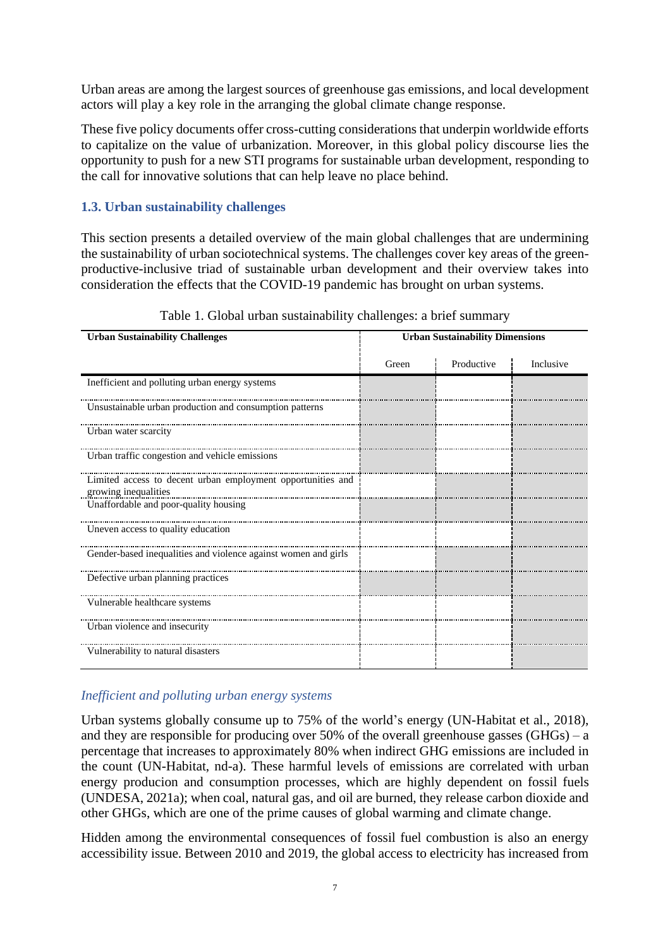Urban areas are among the largest sources of greenhouse gas emissions, and local development actors will play a key role in the arranging the global climate change response.

These five policy documents offer cross-cutting considerations that underpin worldwide efforts to capitalize on the value of urbanization. Moreover, in this global policy discourse lies the opportunity to push for a new STI programs for sustainable urban development, responding to the call for innovative solutions that can help leave no place behind.

# <span id="page-6-0"></span>**1.3. Urban sustainability challenges**

This section presents a detailed overview of the main global challenges that are undermining the sustainability of urban sociotechnical systems. The challenges cover key areas of the greenproductive-inclusive triad of sustainable urban development and their overview takes into consideration the effects that the COVID-19 pandemic has brought on urban systems.

| <b>Urban Sustainability Challenges</b>                                              | <b>Urban Sustainability Dimensions</b> |            |           |
|-------------------------------------------------------------------------------------|----------------------------------------|------------|-----------|
|                                                                                     | Green                                  | Productive | Inclusive |
| Inefficient and polluting urban energy systems                                      |                                        |            |           |
| Unsustainable urban production and consumption patterns                             |                                        |            |           |
| Urban water scarcity                                                                |                                        |            |           |
| Urban traffic congestion and vehicle emissions                                      |                                        |            |           |
| Limited access to decent urban employment opportunities and<br>growing inequalities |                                        |            |           |
| Unaffordable and poor-quality housing                                               |                                        |            |           |
| Uneven access to quality education                                                  |                                        |            |           |
| Gender-based inequalities and violence against women and girls                      |                                        |            |           |
| Defective urban planning practices                                                  |                                        |            |           |
| Vulnerable healthcare systems                                                       |                                        |            |           |
| Urban violence and insecurity                                                       |                                        |            |           |
| Vulnerability to natural disasters                                                  |                                        |            |           |

Table 1. Global urban sustainability challenges: a brief summary

# *Inefficient and polluting urban energy systems*

Urban systems globally consume up to 75% of the world's energy (UN-Habitat et al., 2018), and they are responsible for producing over 50% of the overall greenhouse gasses  $(GHGs) - a$ percentage that increases to approximately 80% when indirect GHG emissions are included in the count (UN-Habitat, nd-a). These harmful levels of emissions are correlated with urban energy producion and consumption processes, which are highly dependent on fossil fuels (UNDESA, 2021a); when coal, natural gas, and oil are burned, they release carbon dioxide and other GHGs, which are one of the prime causes of global warming and climate change.

Hidden among the environmental consequences of fossil fuel combustion is also an energy accessibility issue. Between 2010 and 2019, the global access to electricity has increased from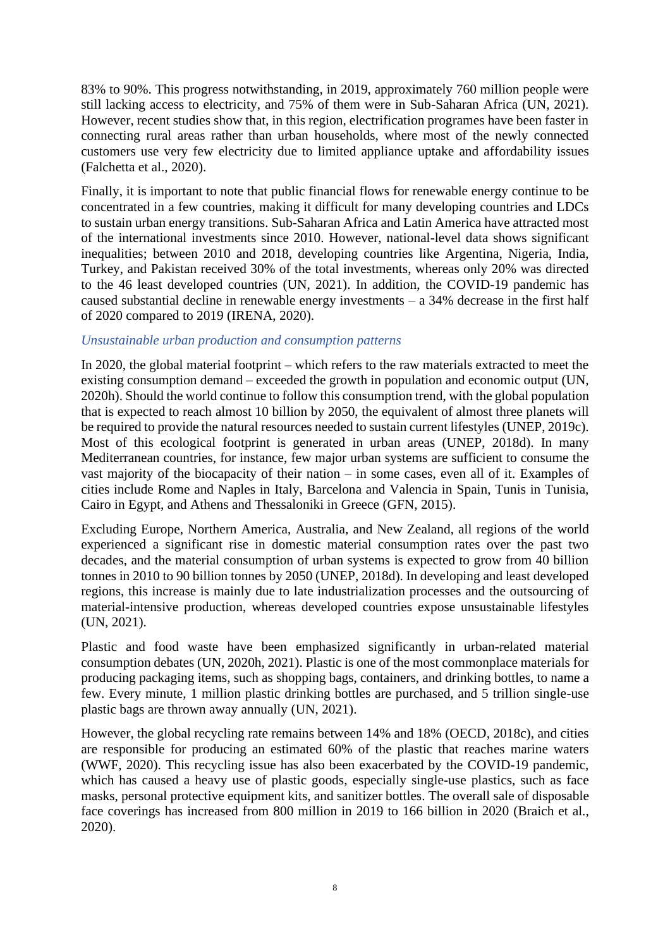83% to 90%. This progress notwithstanding, in 2019, approximately 760 million people were still lacking access to electricity, and 75% of them were in Sub-Saharan Africa (UN, 2021). However, recent studies show that, in this region, electrification programes have been faster in connecting rural areas rather than urban households, where most of the newly connected customers use very few electricity due to limited appliance uptake and affordability issues (Falchetta et al., 2020).

Finally, it is important to note that public financial flows for renewable energy continue to be concentrated in a few countries, making it difficult for many developing countries and LDCs to sustain urban energy transitions. Sub-Saharan Africa and Latin America have attracted most of the international investments since 2010. However, national-level data shows significant inequalities; between 2010 and 2018, developing countries like Argentina, Nigeria, India, Turkey, and Pakistan received 30% of the total investments, whereas only 20% was directed to the 46 least developed countries (UN, 2021). In addition, the COVID-19 pandemic has caused substantial decline in renewable energy investments – a 34% decrease in the first half of 2020 compared to 2019 (IRENA, 2020).

#### *Unsustainable urban production and consumption patterns*

In 2020, the global material footprint – which refers to the raw materials extracted to meet the existing consumption demand – exceeded the growth in population and economic output (UN, 2020h). Should the world continue to follow this consumption trend, with the global population that is expected to reach almost 10 billion by 2050, the equivalent of almost three planets will be required to provide the natural resources needed to sustain current lifestyles (UNEP, 2019c). Most of this ecological footprint is generated in urban areas (UNEP, 2018d). In many Mediterranean countries, for instance, few major urban systems are sufficient to consume the vast majority of the biocapacity of their nation – in some cases, even all of it. Examples of cities include Rome and Naples in Italy, Barcelona and Valencia in Spain, Tunis in Tunisia, Cairo in Egypt, and Athens and Thessaloniki in Greece (GFN, 2015).

Excluding Europe, Northern America, Australia, and New Zealand, all regions of the world experienced a significant rise in domestic material consumption rates over the past two decades, and the material consumption of urban systems is expected to grow from 40 billion tonnes in 2010 to 90 billion tonnes by 2050 (UNEP, 2018d). In developing and least developed regions, this increase is mainly due to late industrialization processes and the outsourcing of material-intensive production, whereas developed countries expose unsustainable lifestyles (UN, 2021).

Plastic and food waste have been emphasized significantly in urban-related material consumption debates (UN, 2020h, 2021). Plastic is one of the most commonplace materials for producing packaging items, such as shopping bags, containers, and drinking bottles, to name a few. Every minute, 1 million plastic drinking bottles are purchased, and 5 trillion single-use plastic bags are thrown away annually (UN, 2021).

However, the global recycling rate remains between 14% and 18% (OECD, 2018c), and cities are responsible for producing an estimated 60% of the plastic that reaches marine waters (WWF, 2020). This recycling issue has also been exacerbated by the COVID-19 pandemic, which has caused a heavy use of plastic goods, especially single-use plastics, such as face masks, personal protective equipment kits, and sanitizer bottles. The overall sale of disposable face coverings has increased from 800 million in 2019 to 166 billion in 2020 (Braich et al., 2020).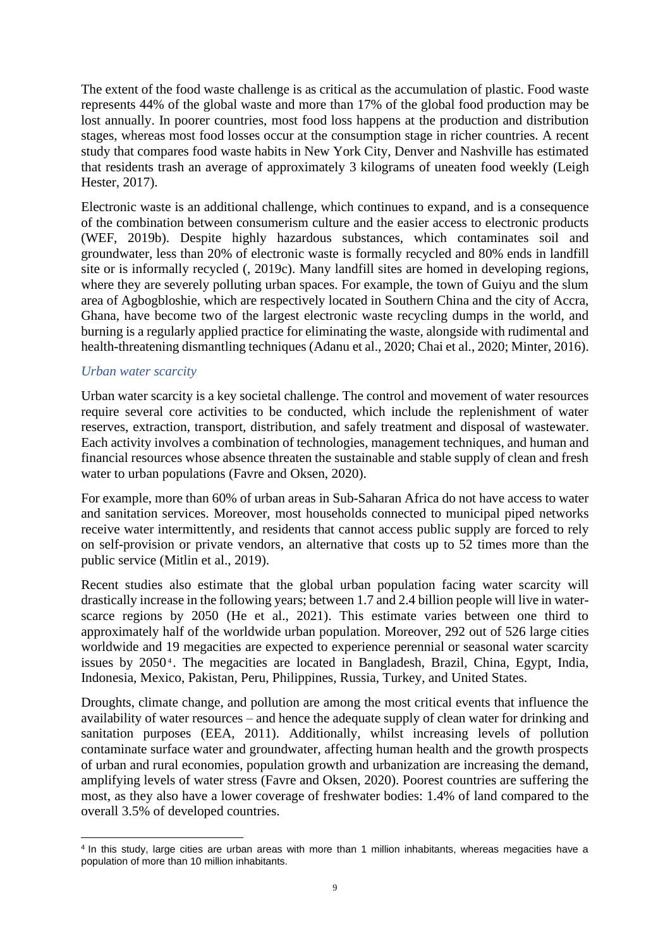The extent of the food waste challenge is as critical as the accumulation of plastic. Food waste represents 44% of the global waste and more than 17% of the global food production may be lost annually. In poorer countries, most food loss happens at the production and distribution stages, whereas most food losses occur at the consumption stage in richer countries. A recent study that compares food waste habits in New York City, Denver and Nashville has estimated that residents trash an average of approximately 3 kilograms of uneaten food weekly (Leigh Hester, 2017).

Electronic waste is an additional challenge, which continues to expand, and is a consequence of the combination between consumerism culture and the easier access to electronic products (WEF, 2019b). Despite highly hazardous substances, which contaminates soil and groundwater, less than 20% of electronic waste is formally recycled and 80% ends in landfill site or is informally recycled (, 2019c). Many landfill sites are homed in developing regions, where they are severely polluting urban spaces. For example, the town of Guiyu and the slum area of Agbogbloshie, which are respectively located in Southern China and the city of Accra, Ghana, have become two of the largest electronic waste recycling dumps in the world, and burning is a regularly applied practice for eliminating the waste, alongside with rudimental and health-threatening dismantling techniques (Adanu et al., 2020; Chai et al., 2020; Minter, 2016).

# *Urban water scarcity*

Urban water scarcity is a key societal challenge. The control and movement of water resources require several core activities to be conducted, which include the replenishment of water reserves, extraction, transport, distribution, and safely treatment and disposal of wastewater. Each activity involves a combination of technologies, management techniques, and human and financial resources whose absence threaten the sustainable and stable supply of clean and fresh water to urban populations (Favre and Oksen, 2020).

For example, more than 60% of urban areas in Sub-Saharan Africa do not have access to water and sanitation services. Moreover, most households connected to municipal piped networks receive water intermittently, and residents that cannot access public supply are forced to rely on self-provision or private vendors, an alternative that costs up to 52 times more than the public service (Mitlin et al., 2019).

Recent studies also estimate that the global urban population facing water scarcity will drastically increase in the following years; between 1.7 and 2.4 billion people will live in waterscarce regions by 2050 (He et al., 2021). This estimate varies between one third to approximately half of the worldwide urban population. Moreover, 292 out of 526 large cities worldwide and 19 megacities are expected to experience perennial or seasonal water scarcity issues by 2050<sup>4</sup>. The megacities are located in Bangladesh, Brazil, China, Egypt, India, Indonesia, Mexico, Pakistan, Peru, Philippines, Russia, Turkey, and United States.

Droughts, climate change, and pollution are among the most critical events that influence the availability of water resources – and hence the adequate supply of clean water for drinking and sanitation purposes (EEA, 2011). Additionally, whilst increasing levels of pollution contaminate surface water and groundwater, affecting human health and the growth prospects of urban and rural economies, population growth and urbanization are increasing the demand, amplifying levels of water stress (Favre and Oksen, 2020). Poorest countries are suffering the most, as they also have a lower coverage of freshwater bodies: 1.4% of land compared to the overall 3.5% of developed countries.

<sup>4</sup> In this study, large cities are urban areas with more than 1 million inhabitants, whereas megacities have a population of more than 10 million inhabitants.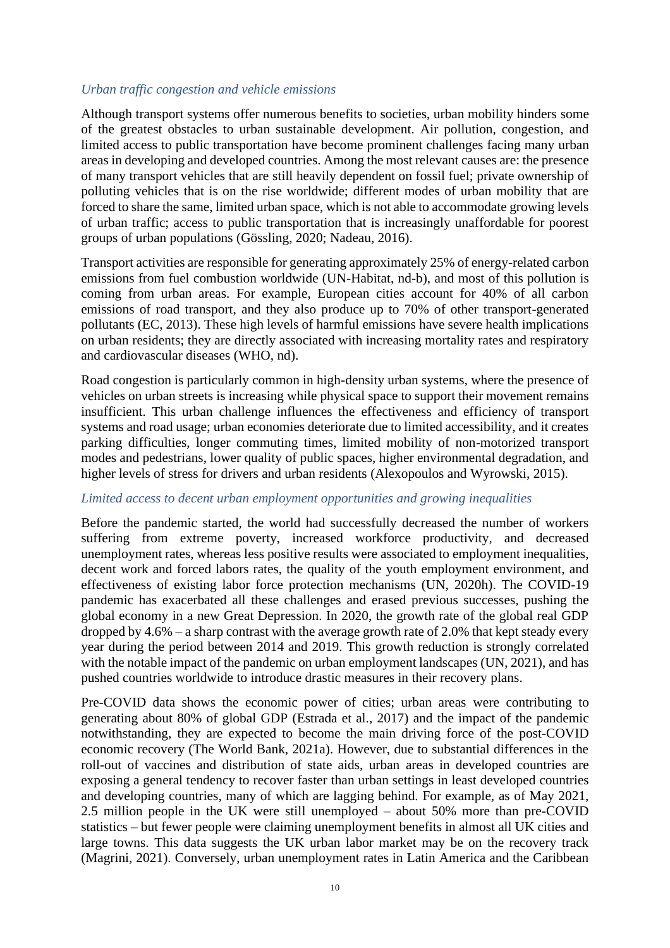#### *Urban traffic congestion and vehicle emissions*

Although transport systems offer numerous benefits to societies, urban mobility hinders some of the greatest obstacles to urban sustainable development. Air pollution, congestion, and limited access to public transportation have become prominent challenges facing many urban areas in developing and developed countries. Among the most relevant causes are: the presence of many transport vehicles that are still heavily dependent on fossil fuel; private ownership of polluting vehicles that is on the rise worldwide; different modes of urban mobility that are forced to share the same, limited urban space, which is not able to accommodate growing levels of urban traffic; access to public transportation that is increasingly unaffordable for poorest groups of urban populations (Gössling, 2020; Nadeau, 2016).

Transport activities are responsible for generating approximately 25% of energy-related carbon emissions from fuel combustion worldwide (UN-Habitat, nd-b), and most of this pollution is coming from urban areas. For example, European cities account for 40% of all carbon emissions of road transport, and they also produce up to 70% of other transport-generated pollutants (EC, 2013). These high levels of harmful emissions have severe health implications on urban residents; they are directly associated with increasing mortality rates and respiratory and cardiovascular diseases (WHO, nd).

Road congestion is particularly common in high-density urban systems, where the presence of vehicles on urban streets is increasing while physical space to support their movement remains insufficient. This urban challenge influences the effectiveness and efficiency of transport systems and road usage; urban economies deteriorate due to limited accessibility, and it creates parking difficulties, longer commuting times, limited mobility of non-motorized transport modes and pedestrians, lower quality of public spaces, higher environmental degradation, and higher levels of stress for drivers and urban residents (Alexopoulos and Wyrowski, 2015).

#### *Limited access to decent urban employment opportunities and growing inequalities*

Before the pandemic started, the world had successfully decreased the number of workers suffering from extreme poverty, increased workforce productivity, and decreased unemployment rates, whereas less positive results were associated to employment inequalities, decent work and forced labors rates, the quality of the youth employment environment, and effectiveness of existing labor force protection mechanisms (UN, 2020h). The COVID-19 pandemic has exacerbated all these challenges and erased previous successes, pushing the global economy in a new Great Depression. In 2020, the growth rate of the global real GDP dropped by 4.6% – a sharp contrast with the average growth rate of 2.0% that kept steady every year during the period between 2014 and 2019. This growth reduction is strongly correlated with the notable impact of the pandemic on urban employment landscapes (UN, 2021), and has pushed countries worldwide to introduce drastic measures in their recovery plans.

Pre-COVID data shows the economic power of cities; urban areas were contributing to generating about 80% of global GDP (Estrada et al., 2017) and the impact of the pandemic notwithstanding, they are expected to become the main driving force of the post-COVID economic recovery (The World Bank, 2021a). However, due to substantial differences in the roll-out of vaccines and distribution of state aids, urban areas in developed countries are exposing a general tendency to recover faster than urban settings in least developed countries and developing countries, many of which are lagging behind. For example, as of May 2021, 2.5 million people in the UK were still unemployed – about 50% more than pre-COVID statistics – but fewer people were claiming unemployment benefits in almost all UK cities and large towns. This data suggests the UK urban labor market may be on the recovery track (Magrini, 2021). Conversely, urban unemployment rates in Latin America and the Caribbean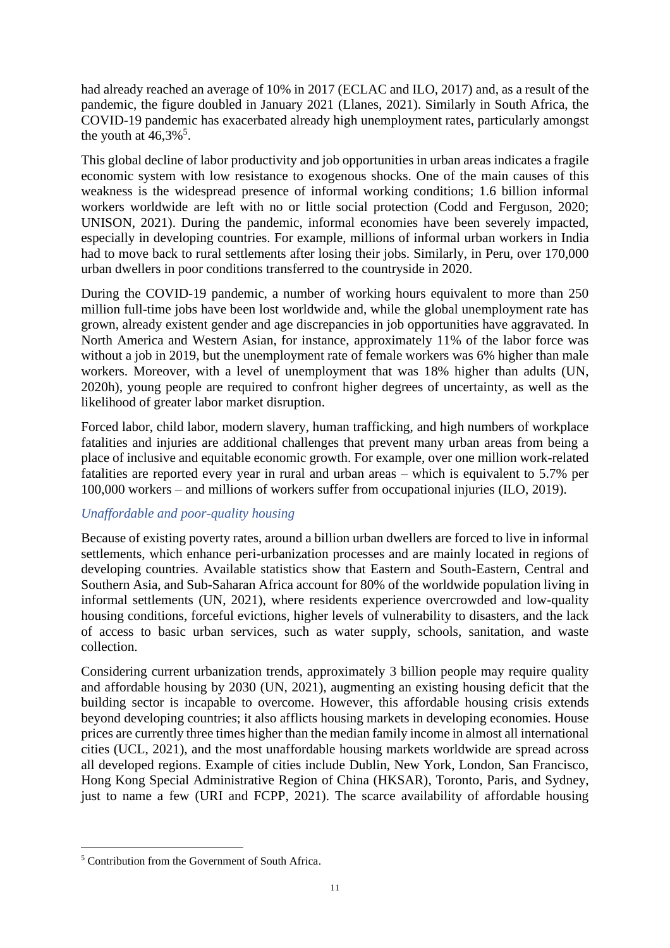had already reached an average of 10% in 2017 (ECLAC and ILO, 2017) and, as a result of the pandemic, the figure doubled in January 2021 (Llanes, 2021). Similarly in South Africa, the COVID-19 pandemic has exacerbated already high unemployment rates, particularly amongst the youth at  $46,3\%$ <sup>5</sup>.

This global decline of labor productivity and job opportunities in urban areas indicates a fragile economic system with low resistance to exogenous shocks. One of the main causes of this weakness is the widespread presence of informal working conditions; 1.6 billion informal workers worldwide are left with no or little social protection (Codd and Ferguson, 2020; UNISON, 2021). During the pandemic, informal economies have been severely impacted, especially in developing countries. For example, millions of informal urban workers in India had to move back to rural settlements after losing their jobs. Similarly, in Peru, over 170,000 urban dwellers in poor conditions transferred to the countryside in 2020.

During the COVID-19 pandemic, a number of working hours equivalent to more than 250 million full-time jobs have been lost worldwide and, while the global unemployment rate has grown, already existent gender and age discrepancies in job opportunities have aggravated. In North America and Western Asian, for instance, approximately 11% of the labor force was without a job in 2019, but the unemployment rate of female workers was 6% higher than male workers. Moreover, with a level of unemployment that was 18% higher than adults (UN, 2020h), young people are required to confront higher degrees of uncertainty, as well as the likelihood of greater labor market disruption.

Forced labor, child labor, modern slavery, human trafficking, and high numbers of workplace fatalities and injuries are additional challenges that prevent many urban areas from being a place of inclusive and equitable economic growth. For example, over one million work-related fatalities are reported every year in rural and urban areas – which is equivalent to 5.7% per 100,000 workers – and millions of workers suffer from occupational injuries (ILO, 2019).

# *Unaffordable and poor-quality housing*

Because of existing poverty rates, around a billion urban dwellers are forced to live in informal settlements, which enhance peri-urbanization processes and are mainly located in regions of developing countries. Available statistics show that Eastern and South-Eastern, Central and Southern Asia, and Sub-Saharan Africa account for 80% of the worldwide population living in informal settlements (UN, 2021), where residents experience overcrowded and low-quality housing conditions, forceful evictions, higher levels of vulnerability to disasters, and the lack of access to basic urban services, such as water supply, schools, sanitation, and waste collection.

Considering current urbanization trends, approximately 3 billion people may require quality and affordable housing by 2030 (UN, 2021), augmenting an existing housing deficit that the building sector is incapable to overcome. However, this affordable housing crisis extends beyond developing countries; it also afflicts housing markets in developing economies. House prices are currently three times higher than the median family income in almost all international cities (UCL, 2021), and the most unaffordable housing markets worldwide are spread across all developed regions. Example of cities include Dublin, New York, London, San Francisco, Hong Kong Special Administrative Region of China (HKSAR), Toronto, Paris, and Sydney, just to name a few (URI and FCPP, 2021). The scarce availability of affordable housing

<sup>5</sup> Contribution from the Government of South Africa.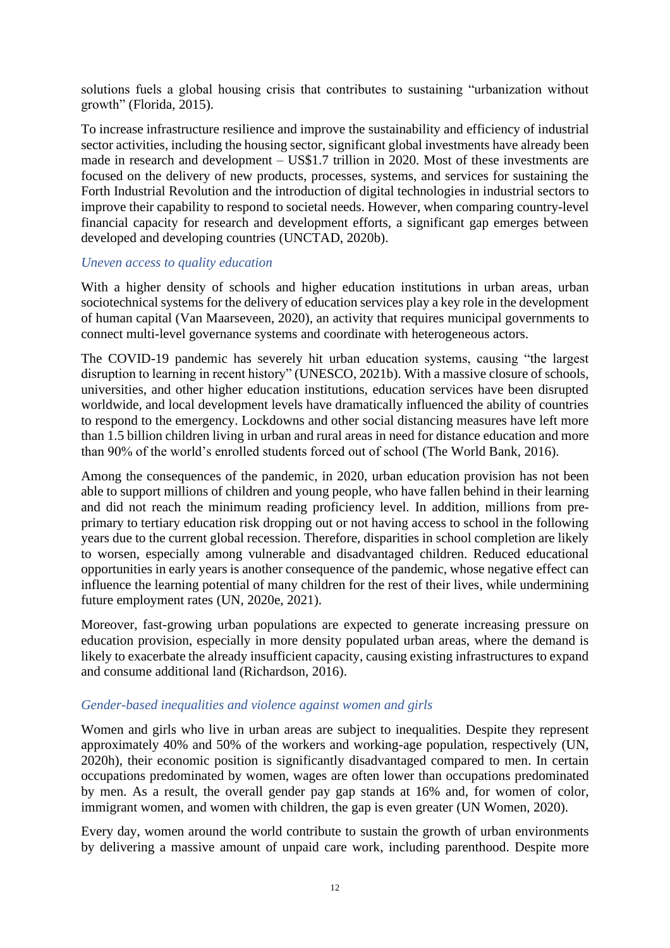solutions fuels a global housing crisis that contributes to sustaining "urbanization without growth" (Florida, 2015).

To increase infrastructure resilience and improve the sustainability and efficiency of industrial sector activities, including the housing sector, significant global investments have already been made in research and development – US\$1.7 trillion in 2020. Most of these investments are focused on the delivery of new products, processes, systems, and services for sustaining the Forth Industrial Revolution and the introduction of digital technologies in industrial sectors to improve their capability to respond to societal needs. However, when comparing country-level financial capacity for research and development efforts, a significant gap emerges between developed and developing countries (UNCTAD, 2020b).

#### *Uneven access to quality education*

With a higher density of schools and higher education institutions in urban areas, urban sociotechnical systems for the delivery of education services play a key role in the development of human capital (Van Maarseveen, 2020), an activity that requires municipal governments to connect multi-level governance systems and coordinate with heterogeneous actors.

The COVID-19 pandemic has severely hit urban education systems, causing "the largest disruption to learning in recent history" (UNESCO, 2021b). With a massive closure of schools, universities, and other higher education institutions, education services have been disrupted worldwide, and local development levels have dramatically influenced the ability of countries to respond to the emergency. Lockdowns and other social distancing measures have left more than 1.5 billion children living in urban and rural areas in need for distance education and more than 90% of the world's enrolled students forced out of school (The World Bank, 2016).

Among the consequences of the pandemic, in 2020, urban education provision has not been able to support millions of children and young people, who have fallen behind in their learning and did not reach the minimum reading proficiency level. In addition, millions from preprimary to tertiary education risk dropping out or not having access to school in the following years due to the current global recession. Therefore, disparities in school completion are likely to worsen, especially among vulnerable and disadvantaged children. Reduced educational opportunities in early years is another consequence of the pandemic, whose negative effect can influence the learning potential of many children for the rest of their lives, while undermining future employment rates (UN, 2020e, 2021).

Moreover, fast-growing urban populations are expected to generate increasing pressure on education provision, especially in more density populated urban areas, where the demand is likely to exacerbate the already insufficient capacity, causing existing infrastructures to expand and consume additional land (Richardson, 2016).

#### *Gender-based inequalities and violence against women and girls*

Women and girls who live in urban areas are subject to inequalities. Despite they represent approximately 40% and 50% of the workers and working-age population, respectively (UN, 2020h), their economic position is significantly disadvantaged compared to men. In certain occupations predominated by women, wages are often lower than occupations predominated by men. As a result, the overall gender pay gap stands at 16% and, for women of color, immigrant women, and women with children, the gap is even greater (UN Women, 2020).

Every day, women around the world contribute to sustain the growth of urban environments by delivering a massive amount of unpaid care work, including parenthood. Despite more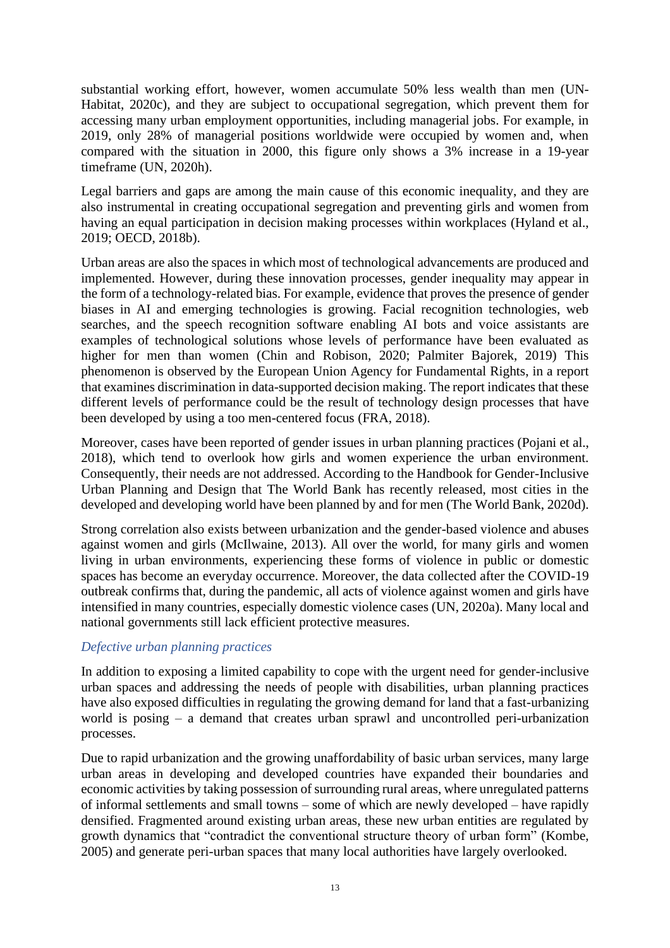substantial working effort, however, women accumulate 50% less wealth than men (UN-Habitat, 2020c), and they are subject to occupational segregation, which prevent them for accessing many urban employment opportunities, including managerial jobs. For example, in 2019, only 28% of managerial positions worldwide were occupied by women and, when compared with the situation in 2000, this figure only shows a 3% increase in a 19-year timeframe (UN, 2020h).

Legal barriers and gaps are among the main cause of this economic inequality, and they are also instrumental in creating occupational segregation and preventing girls and women from having an equal participation in decision making processes within workplaces (Hyland et al., 2019; OECD, 2018b).

Urban areas are also the spaces in which most of technological advancements are produced and implemented. However, during these innovation processes, gender inequality may appear in the form of a technology-related bias. For example, evidence that proves the presence of gender biases in AI and emerging technologies is growing. Facial recognition technologies, web searches, and the speech recognition software enabling AI bots and voice assistants are examples of technological solutions whose levels of performance have been evaluated as higher for men than women (Chin and Robison, 2020; Palmiter Bajorek, 2019) This phenomenon is observed by the European Union Agency for Fundamental Rights, in a report that examines discrimination in data-supported decision making. The report indicates that these different levels of performance could be the result of technology design processes that have been developed by using a too men-centered focus (FRA, 2018).

Moreover, cases have been reported of gender issues in urban planning practices (Pojani et al., 2018), which tend to overlook how girls and women experience the urban environment. Consequently, their needs are not addressed. According to the Handbook for Gender-Inclusive Urban Planning and Design that The World Bank has recently released, most cities in the developed and developing world have been planned by and for men (The World Bank, 2020d).

Strong correlation also exists between urbanization and the gender-based violence and abuses against women and girls (McIlwaine, 2013). All over the world, for many girls and women living in urban environments, experiencing these forms of violence in public or domestic spaces has become an everyday occurrence. Moreover, the data collected after the COVID-19 outbreak confirms that, during the pandemic, all acts of violence against women and girls have intensified in many countries, especially domestic violence cases (UN, 2020a). Many local and national governments still lack efficient protective measures.

# *Defective urban planning practices*

In addition to exposing a limited capability to cope with the urgent need for gender-inclusive urban spaces and addressing the needs of people with disabilities, urban planning practices have also exposed difficulties in regulating the growing demand for land that a fast-urbanizing world is posing – a demand that creates urban sprawl and uncontrolled peri-urbanization processes.

Due to rapid urbanization and the growing unaffordability of basic urban services, many large urban areas in developing and developed countries have expanded their boundaries and economic activities by taking possession of surrounding rural areas, where unregulated patterns of informal settlements and small towns – some of which are newly developed – have rapidly densified. Fragmented around existing urban areas, these new urban entities are regulated by growth dynamics that "contradict the conventional structure theory of urban form" (Kombe, 2005) and generate peri-urban spaces that many local authorities have largely overlooked.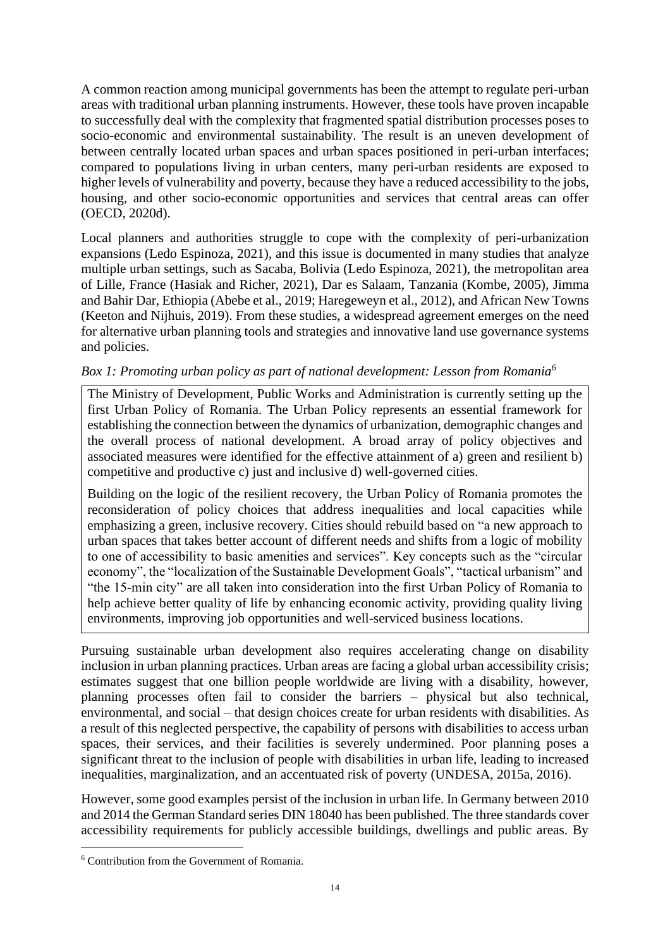A common reaction among municipal governments has been the attempt to regulate peri-urban areas with traditional urban planning instruments. However, these tools have proven incapable to successfully deal with the complexity that fragmented spatial distribution processes poses to socio-economic and environmental sustainability. The result is an uneven development of between centrally located urban spaces and urban spaces positioned in peri-urban interfaces; compared to populations living in urban centers, many peri-urban residents are exposed to higher levels of vulnerability and poverty, because they have a reduced accessibility to the jobs, housing, and other socio-economic opportunities and services that central areas can offer (OECD, 2020d).

Local planners and authorities struggle to cope with the complexity of peri-urbanization expansions (Ledo Espinoza, 2021), and this issue is documented in many studies that analyze multiple urban settings, such as Sacaba, Bolivia (Ledo Espinoza, 2021), the metropolitan area of Lille, France (Hasiak and Richer, 2021), Dar es Salaam, Tanzania (Kombe, 2005), Jimma and Bahir Dar, Ethiopia (Abebe et al., 2019; Haregeweyn et al., 2012), and African New Towns (Keeton and Nijhuis, 2019). From these studies, a widespread agreement emerges on the need for alternative urban planning tools and strategies and innovative land use governance systems and policies.

# *Box 1: Promoting urban policy as part of national development: Lesson from Romania<sup>6</sup>*

The Ministry of Development, Public Works and Administration is currently setting up the first Urban Policy of Romania. The Urban Policy represents an essential framework for establishing the connection between the dynamics of urbanization, demographic changes and the overall process of national development. A broad array of policy objectives and associated measures were identified for the effective attainment of a) green and resilient b) competitive and productive c) just and inclusive d) well-governed cities.

Building on the logic of the resilient recovery, the Urban Policy of Romania promotes the reconsideration of policy choices that address inequalities and local capacities while emphasizing a green, inclusive recovery. Cities should rebuild based on "a new approach to urban spaces that takes better account of different needs and shifts from a logic of mobility to one of accessibility to basic amenities and services". Key concepts such as the "circular economy", the "localization of the Sustainable Development Goals", "tactical urbanism" and "the 15-min city" are all taken into consideration into the first Urban Policy of Romania to help achieve better quality of life by enhancing economic activity, providing quality living environments, improving job opportunities and well-serviced business locations.

Pursuing sustainable urban development also requires accelerating change on disability inclusion in urban planning practices. Urban areas are facing a global urban accessibility crisis; estimates suggest that one billion people worldwide are living with a disability, however, planning processes often fail to consider the barriers – physical but also technical, environmental, and social – that design choices create for urban residents with disabilities. As a result of this neglected perspective, the capability of persons with disabilities to access urban spaces, their services, and their facilities is severely undermined. Poor planning poses a significant threat to the inclusion of people with disabilities in urban life, leading to increased inequalities, marginalization, and an accentuated risk of poverty (UNDESA, 2015a, 2016).

However, some good examples persist of the inclusion in urban life. In Germany between 2010 and 2014 the German Standard series DIN 18040 has been published. The three standards cover accessibility requirements for publicly accessible buildings, dwellings and public areas. By

<sup>6</sup> Contribution from the Government of Romania.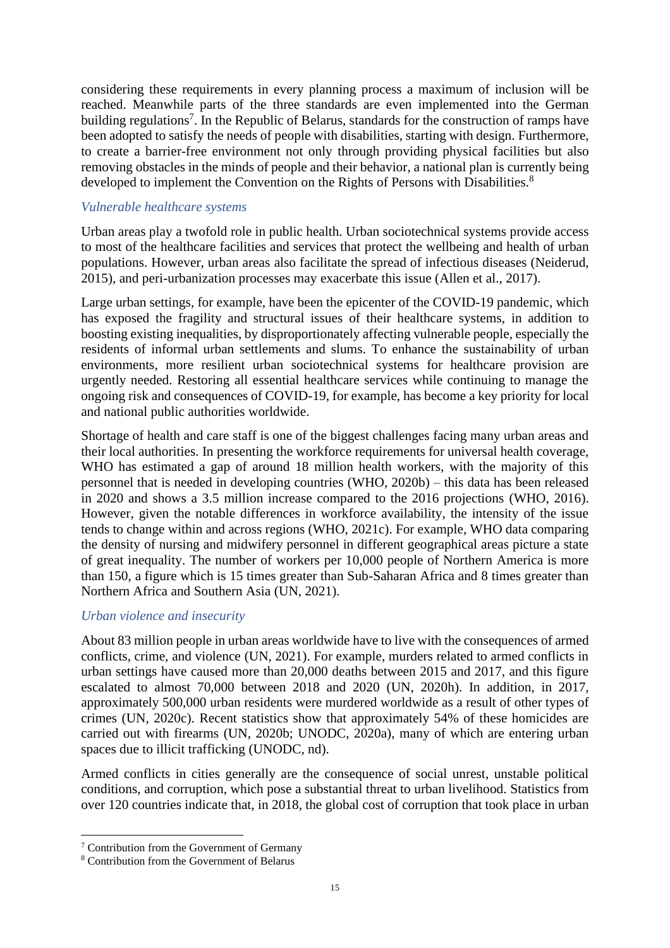considering these requirements in every planning process a maximum of inclusion will be reached. Meanwhile parts of the three standards are even implemented into the German building regulations<sup>7</sup>. In the Republic of Belarus, standards for the construction of ramps have been adopted to satisfy the needs of people with disabilities, starting with design. Furthermore, to create a barrier-free environment not only through providing physical facilities but also removing obstacles in the minds of people and their behavior, a national plan is currently being developed to implement the Convention on the Rights of Persons with Disabilities.<sup>8</sup>

## *Vulnerable healthcare systems*

Urban areas play a twofold role in public health. Urban sociotechnical systems provide access to most of the healthcare facilities and services that protect the wellbeing and health of urban populations. However, urban areas also facilitate the spread of infectious diseases (Neiderud, 2015), and peri-urbanization processes may exacerbate this issue (Allen et al., 2017).

Large urban settings, for example, have been the epicenter of the COVID-19 pandemic, which has exposed the fragility and structural issues of their healthcare systems, in addition to boosting existing inequalities, by disproportionately affecting vulnerable people, especially the residents of informal urban settlements and slums. To enhance the sustainability of urban environments, more resilient urban sociotechnical systems for healthcare provision are urgently needed. Restoring all essential healthcare services while continuing to manage the ongoing risk and consequences of COVID-19, for example, has become a key priority for local and national public authorities worldwide.

Shortage of health and care staff is one of the biggest challenges facing many urban areas and their local authorities. In presenting the workforce requirements for universal health coverage, WHO has estimated a gap of around 18 million health workers, with the majority of this personnel that is needed in developing countries (WHO, 2020b) – this data has been released in 2020 and shows a 3.5 million increase compared to the 2016 projections (WHO, 2016). However, given the notable differences in workforce availability, the intensity of the issue tends to change within and across regions (WHO, 2021c). For example, WHO data comparing the density of nursing and midwifery personnel in different geographical areas picture a state of great inequality. The number of workers per 10,000 people of Northern America is more than 150, a figure which is 15 times greater than Sub-Saharan Africa and 8 times greater than Northern Africa and Southern Asia (UN, 2021).

# *Urban violence and insecurity*

About 83 million people in urban areas worldwide have to live with the consequences of armed conflicts, crime, and violence (UN, 2021). For example, murders related to armed conflicts in urban settings have caused more than 20,000 deaths between 2015 and 2017, and this figure escalated to almost 70,000 between 2018 and 2020 (UN, 2020h). In addition, in 2017, approximately 500,000 urban residents were murdered worldwide as a result of other types of crimes (UN, 2020c). Recent statistics show that approximately 54% of these homicides are carried out with firearms (UN, 2020b; UNODC, 2020a), many of which are entering urban spaces due to illicit trafficking (UNODC, nd).

Armed conflicts in cities generally are the consequence of social unrest, unstable political conditions, and corruption, which pose a substantial threat to urban livelihood. Statistics from over 120 countries indicate that, in 2018, the global cost of corruption that took place in urban

<sup>7</sup> Contribution from the Government of Germany

<sup>8</sup> Contribution from the Government of Belarus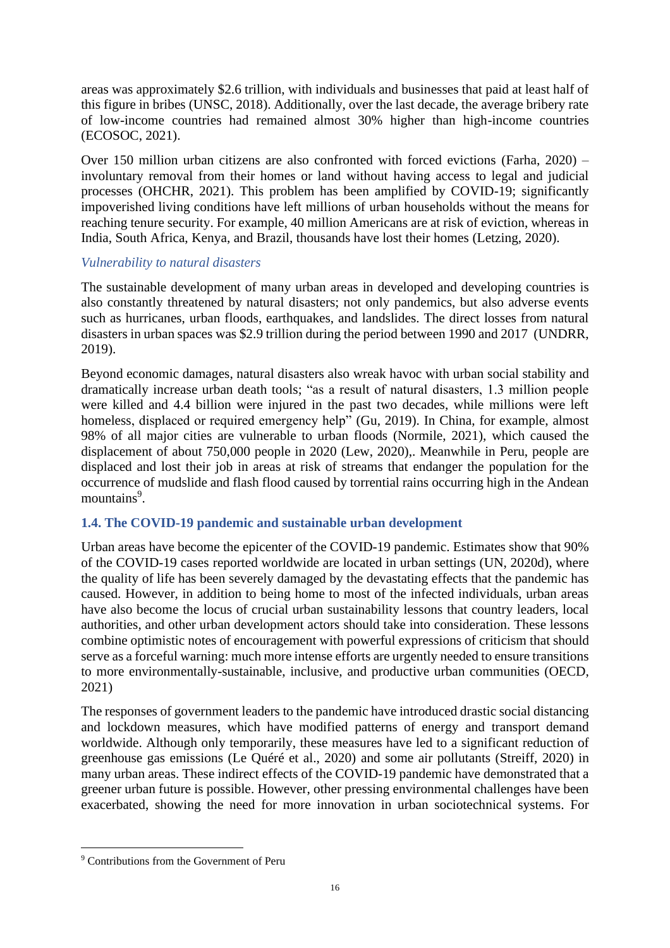areas was approximately \$2.6 trillion, with individuals and businesses that paid at least half of this figure in bribes (UNSC, 2018). Additionally, over the last decade, the average bribery rate of low-income countries had remained almost 30% higher than high-income countries (ECOSOC, 2021).

Over 150 million urban citizens are also confronted with forced evictions (Farha, 2020) – involuntary removal from their homes or land without having access to legal and judicial processes (OHCHR, 2021). This problem has been amplified by COVID-19; significantly impoverished living conditions have left millions of urban households without the means for reaching tenure security. For example, 40 million Americans are at risk of eviction, whereas in India, South Africa, Kenya, and Brazil, thousands have lost their homes (Letzing, 2020).

# *Vulnerability to natural disasters*

The sustainable development of many urban areas in developed and developing countries is also constantly threatened by natural disasters; not only pandemics, but also adverse events such as hurricanes, urban floods, earthquakes, and landslides. The direct losses from natural disasters in urban spaces was \$2.9 trillion during the period between 1990 and 2017 (UNDRR, 2019).

Beyond economic damages, natural disasters also wreak havoc with urban social stability and dramatically increase urban death tools; "as a result of natural disasters, 1.3 million people were killed and 4.4 billion were injured in the past two decades, while millions were left homeless, displaced or required emergency help" (Gu, 2019). In China, for example, almost 98% of all major cities are vulnerable to urban floods (Normile, 2021), which caused the displacement of about 750,000 people in 2020 (Lew, 2020),. Meanwhile in Peru, people are displaced and lost their job in areas at risk of streams that endanger the population for the occurrence of mudslide and flash flood caused by torrential rains occurring high in the Andean mountains<sup>9</sup>.

# <span id="page-15-0"></span>**1.4. The COVID-19 pandemic and sustainable urban development**

Urban areas have become the epicenter of the COVID-19 pandemic. Estimates show that 90% of the COVID-19 cases reported worldwide are located in urban settings (UN, 2020d), where the quality of life has been severely damaged by the devastating effects that the pandemic has caused. However, in addition to being home to most of the infected individuals, urban areas have also become the locus of crucial urban sustainability lessons that country leaders, local authorities, and other urban development actors should take into consideration. These lessons combine optimistic notes of encouragement with powerful expressions of criticism that should serve as a forceful warning: much more intense efforts are urgently needed to ensure transitions to more environmentally-sustainable, inclusive, and productive urban communities (OECD, 2021)

The responses of government leaders to the pandemic have introduced drastic social distancing and lockdown measures, which have modified patterns of energy and transport demand worldwide. Although only temporarily, these measures have led to a significant reduction of greenhouse gas emissions (Le Quéré et al., 2020) and some air pollutants (Streiff, 2020) in many urban areas. These indirect effects of the COVID-19 pandemic have demonstrated that a greener urban future is possible. However, other pressing environmental challenges have been exacerbated, showing the need for more innovation in urban sociotechnical systems. For

<sup>9</sup> Contributions from the Government of Peru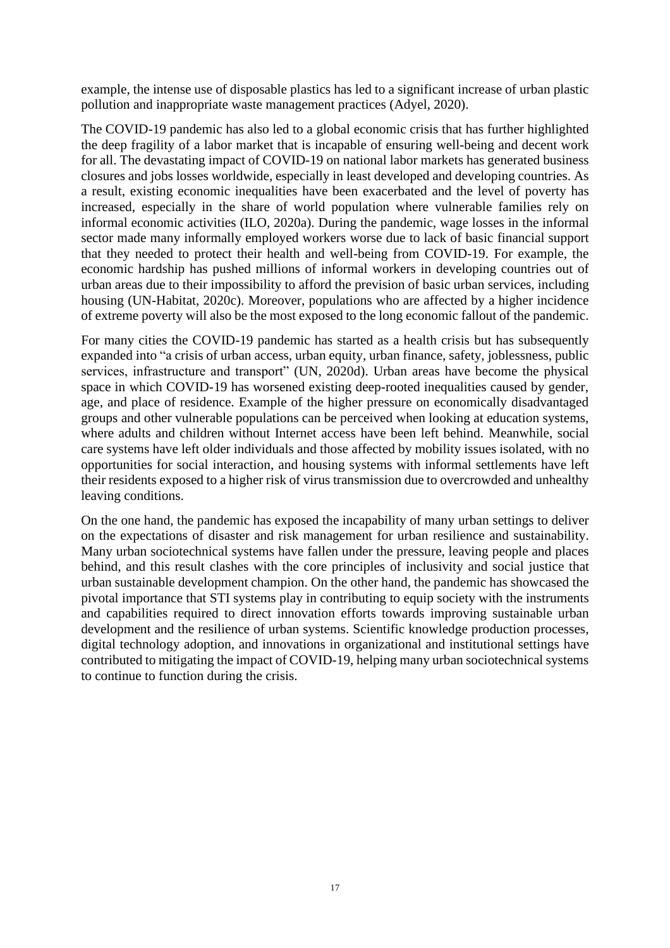example, the intense use of disposable plastics has led to a significant increase of urban plastic pollution and inappropriate waste management practices (Adyel, 2020).

The COVID-19 pandemic has also led to a global economic crisis that has further highlighted the deep fragility of a labor market that is incapable of ensuring well-being and decent work for all. The devastating impact of COVID-19 on national labor markets has generated business closures and jobs losses worldwide, especially in least developed and developing countries. As a result, existing economic inequalities have been exacerbated and the level of poverty has increased, especially in the share of world population where vulnerable families rely on informal economic activities (ILO, 2020a). During the pandemic, wage losses in the informal sector made many informally employed workers worse due to lack of basic financial support that they needed to protect their health and well-being from COVID-19. For example, the economic hardship has pushed millions of informal workers in developing countries out of urban areas due to their impossibility to afford the prevision of basic urban services, including housing (UN-Habitat, 2020c). Moreover, populations who are affected by a higher incidence of extreme poverty will also be the most exposed to the long economic fallout of the pandemic.

For many cities the COVID-19 pandemic has started as a health crisis but has subsequently expanded into "a crisis of urban access, urban equity, urban finance, safety, joblessness, public services, infrastructure and transport" (UN, 2020d). Urban areas have become the physical space in which COVID-19 has worsened existing deep-rooted inequalities caused by gender, age, and place of residence. Example of the higher pressure on economically disadvantaged groups and other vulnerable populations can be perceived when looking at education systems, where adults and children without Internet access have been left behind. Meanwhile, social care systems have left older individuals and those affected by mobility issues isolated, with no opportunities for social interaction, and housing systems with informal settlements have left their residents exposed to a higher risk of virus transmission due to overcrowded and unhealthy leaving conditions.

On the one hand, the pandemic has exposed the incapability of many urban settings to deliver on the expectations of disaster and risk management for urban resilience and sustainability. Many urban sociotechnical systems have fallen under the pressure, leaving people and places behind, and this result clashes with the core principles of inclusivity and social justice that urban sustainable development champion. On the other hand, the pandemic has showcased the pivotal importance that STI systems play in contributing to equip society with the instruments and capabilities required to direct innovation efforts towards improving sustainable urban development and the resilience of urban systems. Scientific knowledge production processes, digital technology adoption, and innovations in organizational and institutional settings have contributed to mitigating the impact of COVID-19, helping many urban sociotechnical systems to continue to function during the crisis.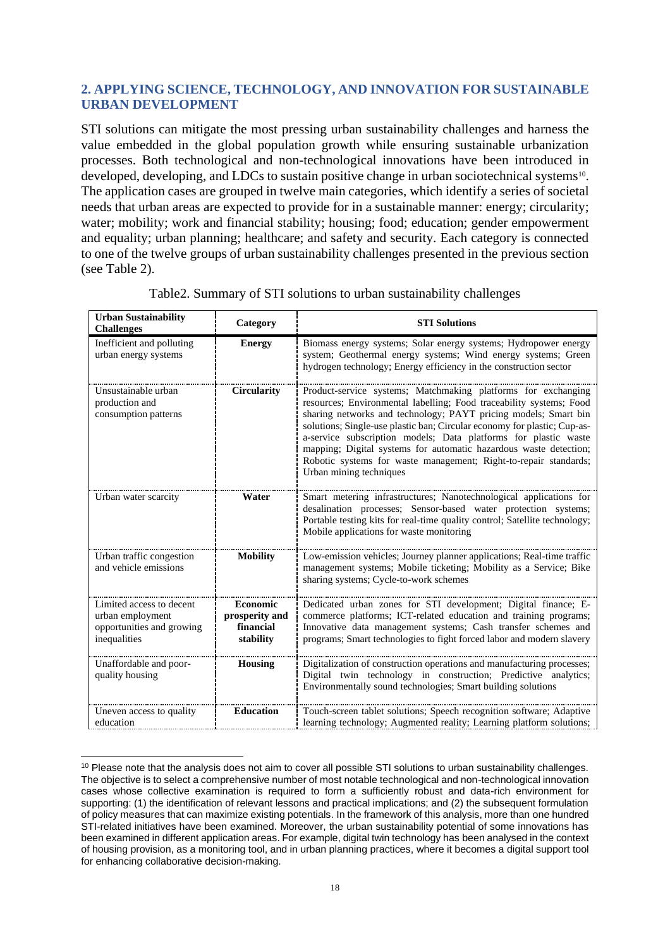# <span id="page-17-0"></span>**2. APPLYING SCIENCE, TECHNOLOGY, AND INNOVATION FOR SUSTAINABLE URBAN DEVELOPMENT**

STI solutions can mitigate the most pressing urban sustainability challenges and harness the value embedded in the global population growth while ensuring sustainable urbanization processes. Both technological and non-technological innovations have been introduced in developed, developing, and LDCs to sustain positive change in urban sociotechnical systems<sup>10</sup>. The application cases are grouped in twelve main categories, which identify a series of societal needs that urban areas are expected to provide for in a sustainable manner: energy; circularity; water; mobility; work and financial stability; housing; food; education; gender empowerment and equality; urban planning; healthcare; and safety and security. Each category is connected to one of the twelve groups of urban sustainability challenges presented in the previous section (see Table 2).

| <b>Urban Sustainability</b><br><b>Challenges</b>                                          | Category                                             | <b>STI Solutions</b>                                                                                                                                                                                                                                                                                                                                                                                                                                                                                                       |
|-------------------------------------------------------------------------------------------|------------------------------------------------------|----------------------------------------------------------------------------------------------------------------------------------------------------------------------------------------------------------------------------------------------------------------------------------------------------------------------------------------------------------------------------------------------------------------------------------------------------------------------------------------------------------------------------|
| Inefficient and polluting<br>urban energy systems                                         | <b>Energy</b>                                        | Biomass energy systems; Solar energy systems; Hydropower energy<br>system; Geothermal energy systems; Wind energy systems; Green<br>hydrogen technology; Energy efficiency in the construction sector                                                                                                                                                                                                                                                                                                                      |
| Unsustainable urban<br>production and<br>consumption patterns                             | <b>Circularity</b>                                   | Product-service systems; Matchmaking platforms for exchanging<br>resources; Environmental labelling; Food traceability systems; Food<br>sharing networks and technology; PAYT pricing models; Smart bin<br>solutions; Single-use plastic ban; Circular economy for plastic; Cup-as-<br>a-service subscription models; Data platforms for plastic waste<br>mapping; Digital systems for automatic hazardous waste detection;<br>Robotic systems for waste management; Right-to-repair standards;<br>Urban mining techniques |
| Urban water scarcity                                                                      | Water                                                | Smart metering infrastructures; Nanotechnological applications for<br>desalination processes; Sensor-based water protection systems;<br>Portable testing kits for real-time quality control; Satellite technology;<br>Mobile applications for waste monitoring                                                                                                                                                                                                                                                             |
| Urban traffic congestion<br>and vehicle emissions                                         | <b>Mobility</b>                                      | Low-emission vehicles; Journey planner applications; Real-time traffic<br>management systems; Mobile ticketing; Mobility as a Service; Bike<br>sharing systems; Cycle-to-work schemes                                                                                                                                                                                                                                                                                                                                      |
| Limited access to decent<br>urban employment<br>opportunities and growing<br>inequalities | Economic<br>prosperity and<br>financial<br>stability | Dedicated urban zones for STI development; Digital finance; E-<br>commerce platforms; ICT-related education and training programs;<br>Innovative data management systems; Cash transfer schemes and<br>programs; Smart technologies to fight forced labor and modern slavery                                                                                                                                                                                                                                               |
| Unaffordable and poor-<br>quality housing                                                 | <b>Housing</b>                                       | Digitalization of construction operations and manufacturing processes;<br>Digital twin technology in construction; Predictive analytics;<br>Environmentally sound technologies; Smart building solutions                                                                                                                                                                                                                                                                                                                   |
| Uneven access to quality<br>education                                                     | <b>Education</b>                                     | Touch-screen tablet solutions; Speech recognition software; Adaptive<br>learning technology; Augmented reality; Learning platform solutions;                                                                                                                                                                                                                                                                                                                                                                               |

Table2. Summary of STI solutions to urban sustainability challenges

<sup>&</sup>lt;sup>10</sup> Please note that the analysis does not aim to cover all possible STI solutions to urban sustainability challenges. The objective is to select a comprehensive number of most notable technological and non-technological innovation cases whose collective examination is required to form a sufficiently robust and data-rich environment for supporting: (1) the identification of relevant lessons and practical implications; and (2) the subsequent formulation of policy measures that can maximize existing potentials. In the framework of this analysis, more than one hundred STI-related initiatives have been examined. Moreover, the urban sustainability potential of some innovations has been examined in different application areas. For example, digital twin technology has been analysed in the context of housing provision, as a monitoring tool, and in urban planning practices, where it becomes a digital support tool for enhancing collaborative decision-making.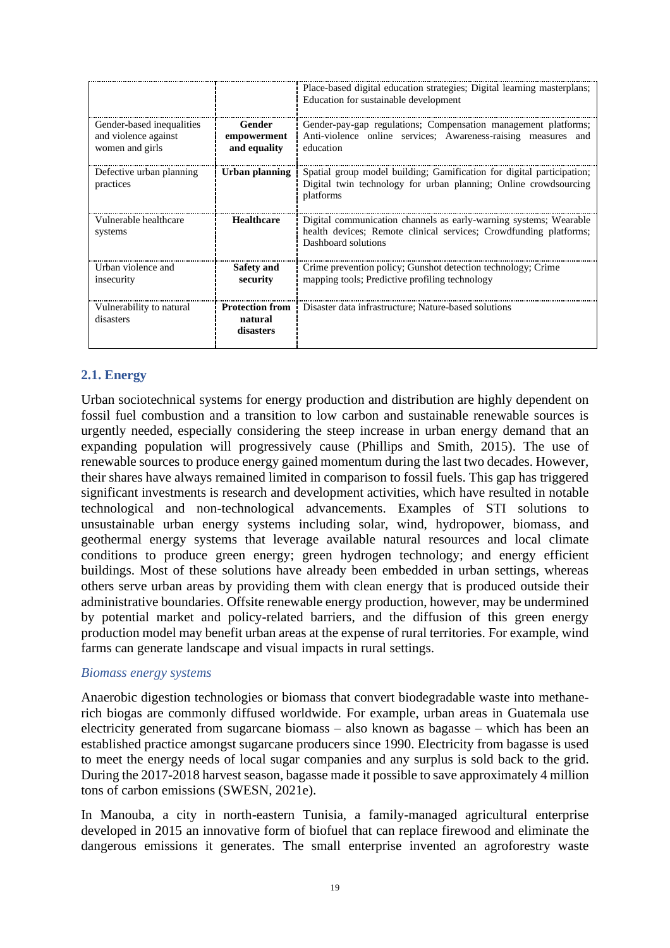|                                                                      |                                                | Place-based digital education strategies; Digital learning masterplans;<br>Education for sustainable development                                              |
|----------------------------------------------------------------------|------------------------------------------------|---------------------------------------------------------------------------------------------------------------------------------------------------------------|
| Gender-based inequalities<br>and violence against<br>women and girls | Gender<br>empowerment<br>and equality          | Gender-pay-gap regulations; Compensation management platforms;<br>Anti-violence online services; Awareness-raising measures<br>and<br>education               |
| Defective urban planning<br>practices                                | Urban planning                                 | Spatial group model building; Gamification for digital participation;<br>Digital twin technology for urban planning; Online crowdsourcing<br>platforms        |
| Vulnerable healthcare<br>systems                                     | <b>Healthcare</b>                              | Digital communication channels as early-warning systems; Wearable<br>health devices; Remote clinical services; Crowdfunding platforms;<br>Dashboard solutions |
| Urban violence and<br>insecurity                                     | <b>Safety and</b><br>security                  | Crime prevention policy; Gunshot detection technology; Crime<br>mapping tools; Predictive profiling technology                                                |
| Vulnerability to natural<br>disasters                                | <b>Protection from</b><br>natural<br>disasters | Disaster data infrastructure; Nature-based solutions                                                                                                          |

# <span id="page-18-0"></span>**2.1. Energy**

Urban sociotechnical systems for energy production and distribution are highly dependent on fossil fuel combustion and a transition to low carbon and sustainable renewable sources is urgently needed, especially considering the steep increase in urban energy demand that an expanding population will progressively cause (Phillips and Smith, 2015). The use of renewable sources to produce energy gained momentum during the last two decades. However, their shares have always remained limited in comparison to fossil fuels. This gap has triggered significant investments is research and development activities, which have resulted in notable technological and non-technological advancements. Examples of STI solutions to unsustainable urban energy systems including solar, wind, hydropower, biomass, and geothermal energy systems that leverage available natural resources and local climate conditions to produce green energy; green hydrogen technology; and energy efficient buildings. Most of these solutions have already been embedded in urban settings, whereas others serve urban areas by providing them with clean energy that is produced outside their administrative boundaries. Offsite renewable energy production, however, may be undermined by potential market and policy-related barriers, and the diffusion of this green energy production model may benefit urban areas at the expense of rural territories. For example, wind farms can generate landscape and visual impacts in rural settings.

#### *Biomass energy systems*

Anaerobic digestion technologies or biomass that convert biodegradable waste into methanerich biogas are commonly diffused worldwide. For example, urban areas in Guatemala use electricity generated from sugarcane biomass – also known as bagasse – which has been an established practice amongst sugarcane producers since 1990. Electricity from bagasse is used to meet the energy needs of local sugar companies and any surplus is sold back to the grid. During the 2017-2018 harvest season, bagasse made it possible to save approximately 4 million tons of carbon emissions (SWESN, 2021e).

In Manouba, a city in north-eastern Tunisia, a family-managed agricultural enterprise developed in 2015 an innovative form of biofuel that can replace firewood and eliminate the dangerous emissions it generates. The small enterprise invented an agroforestry waste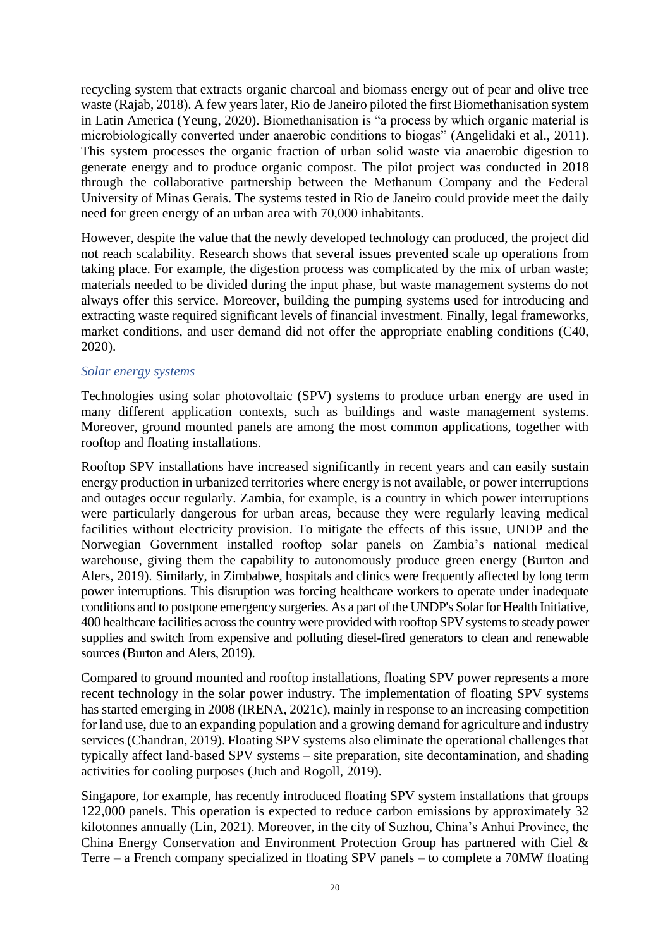recycling system that extracts organic charcoal and biomass energy out of pear and olive tree waste (Rajab, 2018). A few years later, Rio de Janeiro piloted the first Biomethanisation system in Latin America (Yeung, 2020). Biomethanisation is "a process by which organic material is microbiologically converted under anaerobic conditions to biogas" (Angelidaki et al., 2011). This system processes the organic fraction of urban solid waste via anaerobic digestion to generate energy and to produce organic compost. The pilot project was conducted in 2018 through the collaborative partnership between the Methanum Company and the Federal University of Minas Gerais. The systems tested in Rio de Janeiro could provide meet the daily need for green energy of an urban area with 70,000 inhabitants.

However, despite the value that the newly developed technology can produced, the project did not reach scalability. Research shows that several issues prevented scale up operations from taking place. For example, the digestion process was complicated by the mix of urban waste; materials needed to be divided during the input phase, but waste management systems do not always offer this service. Moreover, building the pumping systems used for introducing and extracting waste required significant levels of financial investment. Finally, legal frameworks, market conditions, and user demand did not offer the appropriate enabling conditions (C40, 2020).

# *Solar energy systems*

Technologies using solar photovoltaic (SPV) systems to produce urban energy are used in many different application contexts, such as buildings and waste management systems. Moreover, ground mounted panels are among the most common applications, together with rooftop and floating installations.

Rooftop SPV installations have increased significantly in recent years and can easily sustain energy production in urbanized territories where energy is not available, or power interruptions and outages occur regularly. Zambia, for example, is a country in which power interruptions were particularly dangerous for urban areas, because they were regularly leaving medical facilities without electricity provision. To mitigate the effects of this issue, UNDP and the Norwegian Government installed rooftop solar panels on Zambia's national medical warehouse, giving them the capability to autonomously produce green energy (Burton and Alers, 2019). Similarly, in Zimbabwe, hospitals and clinics were frequently affected by long term power interruptions. This disruption was forcing healthcare workers to operate under inadequate conditions and to postpone emergency surgeries. As a part of the UNDP's Solar for Health Initiative, 400 healthcare facilities across the country were provided with rooftop SPV systems to steady power supplies and switch from expensive and polluting diesel-fired generators to clean and renewable sources (Burton and Alers, 2019).

Compared to ground mounted and rooftop installations, floating SPV power represents a more recent technology in the solar power industry. The implementation of floating SPV systems has started emerging in 2008 (IRENA, 2021c), mainly in response to an increasing competition for land use, due to an expanding population and a growing demand for agriculture and industry services (Chandran, 2019). Floating SPV systems also eliminate the operational challenges that typically affect land-based SPV systems – site preparation, site decontamination, and shading activities for cooling purposes (Juch and Rogoll, 2019).

Singapore, for example, has recently introduced floating SPV system installations that groups 122,000 panels. This operation is expected to reduce carbon emissions by approximately 32 kilotonnes annually (Lin, 2021). Moreover, in the city of Suzhou, China's Anhui Province, the China Energy Conservation and Environment Protection Group has partnered with Ciel & Terre – a French company specialized in floating SPV panels – to complete a 70MW floating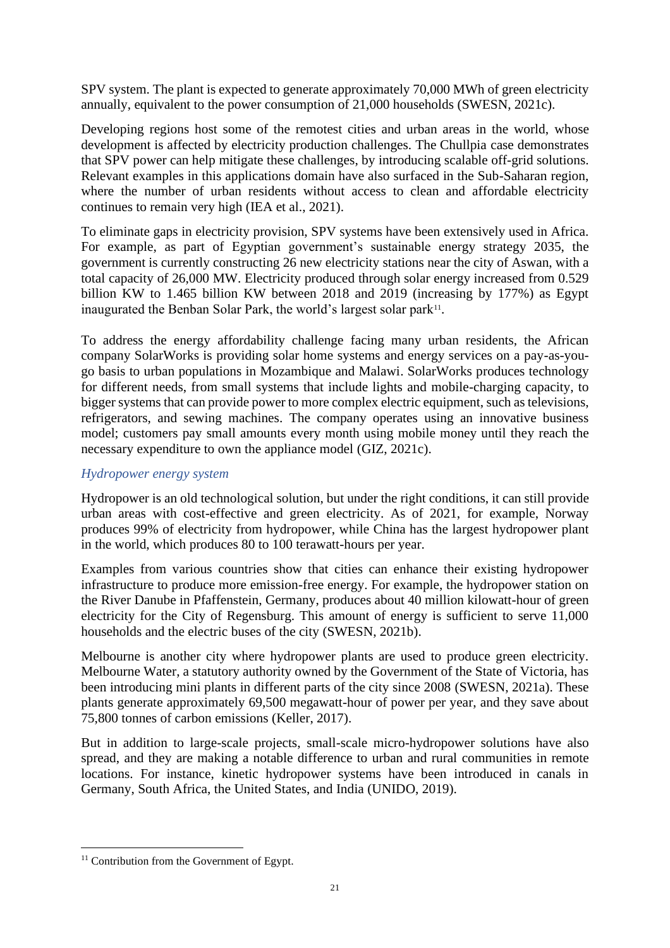SPV system. The plant is expected to generate approximately 70,000 MWh of green electricity annually, equivalent to the power consumption of 21,000 households (SWESN, 2021c).

Developing regions host some of the remotest cities and urban areas in the world, whose development is affected by electricity production challenges. The Chullpia case demonstrates that SPV power can help mitigate these challenges, by introducing scalable off-grid solutions. Relevant examples in this applications domain have also surfaced in the Sub-Saharan region, where the number of urban residents without access to clean and affordable electricity continues to remain very high (IEA et al., 2021).

To eliminate gaps in electricity provision, SPV systems have been extensively used in Africa. For example, as part of Egyptian government's sustainable energy strategy 2035, the government is currently constructing 26 new electricity stations near the city of Aswan, with a total capacity of 26,000 MW. Electricity produced through solar energy increased from 0.529 billion KW to 1.465 billion KW between 2018 and 2019 (increasing by 177%) as Egypt inaugurated the Benban Solar Park, the world's largest solar park<sup>11</sup>.

To address the energy affordability challenge facing many urban residents, the African company SolarWorks is providing solar home systems and energy services on a pay-as-yougo basis to urban populations in Mozambique and Malawi. SolarWorks produces technology for different needs, from small systems that include lights and mobile-charging capacity, to bigger systems that can provide power to more complex electric equipment, such as televisions, refrigerators, and sewing machines. The company operates using an innovative business model; customers pay small amounts every month using mobile money until they reach the necessary expenditure to own the appliance model (GIZ, 2021c).

# *Hydropower energy system*

Hydropower is an old technological solution, but under the right conditions, it can still provide urban areas with cost-effective and green electricity. As of 2021, for example, Norway produces 99% of electricity from hydropower, while China has the largest hydropower plant in the world, which produces 80 to 100 terawatt-hours per year.

Examples from various countries show that cities can enhance their existing hydropower infrastructure to produce more emission-free energy. For example, the hydropower station on the River Danube in Pfaffenstein, Germany, produces about 40 million kilowatt-hour of green electricity for the City of Regensburg. This amount of energy is sufficient to serve 11,000 households and the electric buses of the city (SWESN, 2021b).

Melbourne is another city where hydropower plants are used to produce green electricity. Melbourne Water, a statutory authority owned by the Government of the State of Victoria, has been introducing mini plants in different parts of the city since 2008 (SWESN, 2021a). These plants generate approximately 69,500 megawatt-hour of power per year, and they save about 75,800 tonnes of carbon emissions (Keller, 2017).

But in addition to large-scale projects, small-scale micro-hydropower solutions have also spread, and they are making a notable difference to urban and rural communities in remote locations. For instance, kinetic hydropower systems have been introduced in canals in Germany, South Africa, the United States, and India (UNIDO, 2019).

<sup>&</sup>lt;sup>11</sup> Contribution from the Government of Egypt.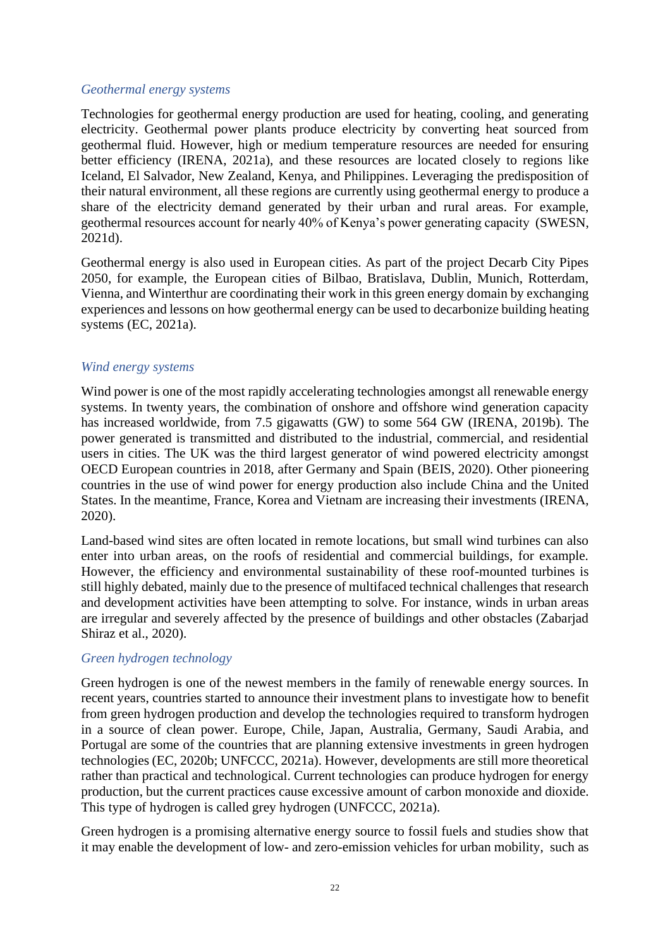#### *Geothermal energy systems*

Technologies for geothermal energy production are used for heating, cooling, and generating electricity. Geothermal power plants produce electricity by converting heat sourced from geothermal fluid. However, high or medium temperature resources are needed for ensuring better efficiency (IRENA, 2021a), and these resources are located closely to regions like Iceland, El Salvador, New Zealand, Kenya, and Philippines. Leveraging the predisposition of their natural environment, all these regions are currently using geothermal energy to produce a share of the electricity demand generated by their urban and rural areas. For example, geothermal resources account for nearly 40% of Kenya's power generating capacity (SWESN, 2021d).

Geothermal energy is also used in European cities. As part of the project Decarb City Pipes 2050, for example, the European cities of Bilbao, Bratislava, Dublin, Munich, Rotterdam, Vienna, and Winterthur are coordinating their work in this green energy domain by exchanging experiences and lessons on how geothermal energy can be used to decarbonize building heating systems (EC, 2021a).

#### *Wind energy systems*

Wind power is one of the most rapidly accelerating technologies amongst all renewable energy systems. In twenty years, the combination of onshore and offshore wind generation capacity has increased worldwide, from 7.5 gigawatts (GW) to some 564 GW (IRENA, 2019b). The power generated is transmitted and distributed to the industrial, commercial, and residential users in cities. The UK was the third largest generator of wind powered electricity amongst OECD European countries in 2018, after Germany and Spain (BEIS, 2020). Other pioneering countries in the use of wind power for energy production also include China and the United States. In the meantime, France, Korea and Vietnam are increasing their investments (IRENA, 2020).

Land-based wind sites are often located in remote locations, but small wind turbines can also enter into urban areas, on the roofs of residential and commercial buildings, for example. However, the efficiency and environmental sustainability of these roof-mounted turbines is still highly debated, mainly due to the presence of multifaced technical challenges that research and development activities have been attempting to solve. For instance, winds in urban areas are irregular and severely affected by the presence of buildings and other obstacles (Zabarjad Shiraz et al., 2020).

#### *Green hydrogen technology*

Green hydrogen is one of the newest members in the family of renewable energy sources. In recent years, countries started to announce their investment plans to investigate how to benefit from green hydrogen production and develop the technologies required to transform hydrogen in a source of clean power. Europe, Chile, Japan, Australia, Germany, Saudi Arabia, and Portugal are some of the countries that are planning extensive investments in green hydrogen technologies (EC, 2020b; UNFCCC, 2021a). However, developments are still more theoretical rather than practical and technological. Current technologies can produce hydrogen for energy production, but the current practices cause excessive amount of carbon monoxide and dioxide. This type of hydrogen is called grey hydrogen (UNFCCC, 2021a).

Green hydrogen is a promising alternative energy source to fossil fuels and studies show that it may enable the development of low- and zero-emission vehicles for urban mobility, such as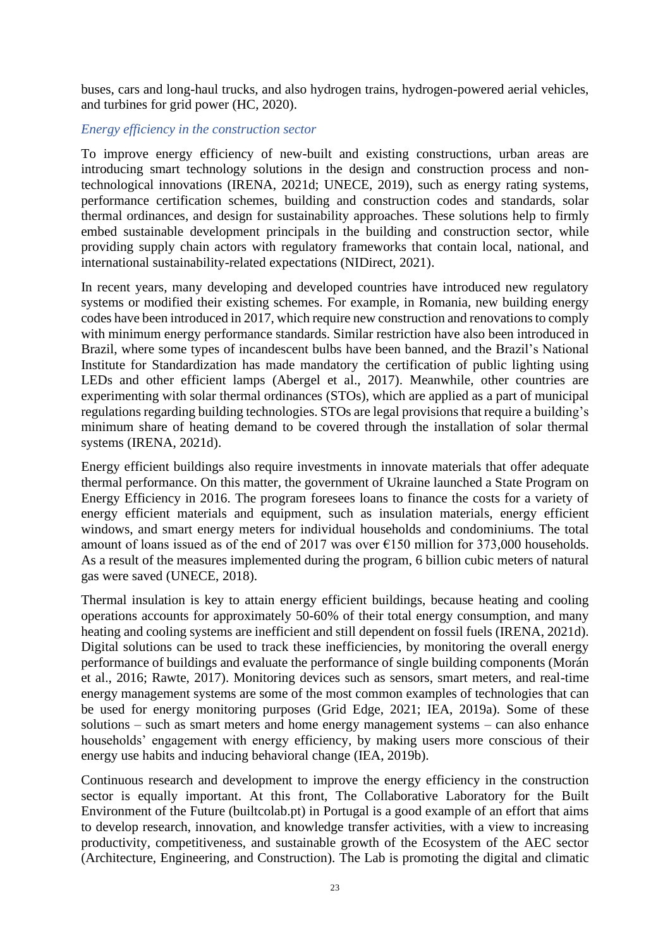buses, cars and long-haul trucks, and also hydrogen trains, hydrogen-powered aerial vehicles, and turbines for grid power (HC, 2020).

# *Energy efficiency in the construction sector*

To improve energy efficiency of new-built and existing constructions, urban areas are introducing smart technology solutions in the design and construction process and nontechnological innovations (IRENA, 2021d; UNECE, 2019), such as energy rating systems, performance certification schemes, building and construction codes and standards, solar thermal ordinances, and design for sustainability approaches. These solutions help to firmly embed sustainable development principals in the building and construction sector, while providing supply chain actors with regulatory frameworks that contain local, national, and international sustainability-related expectations (NIDirect, 2021).

In recent years, many developing and developed countries have introduced new regulatory systems or modified their existing schemes. For example, in Romania, new building energy codes have been introduced in 2017, which require new construction and renovations to comply with minimum energy performance standards. Similar restriction have also been introduced in Brazil, where some types of incandescent bulbs have been banned, and the Brazil's National Institute for Standardization has made mandatory the certification of public lighting using LEDs and other efficient lamps (Abergel et al., 2017). Meanwhile, other countries are experimenting with solar thermal ordinances (STOs), which are applied as a part of municipal regulations regarding building technologies. STOs are legal provisions that require a building's minimum share of heating demand to be covered through the installation of solar thermal systems (IRENA, 2021d).

Energy efficient buildings also require investments in innovate materials that offer adequate thermal performance. On this matter, the government of Ukraine launched a State Program on Energy Efficiency in 2016. The program foresees loans to finance the costs for a variety of energy efficient materials and equipment, such as insulation materials, energy efficient windows, and smart energy meters for individual households and condominiums. The total amount of loans issued as of the end of 2017 was over  $\epsilon$ 150 million for 373,000 households. As a result of the measures implemented during the program, 6 billion cubic meters of natural gas were saved (UNECE, 2018).

Thermal insulation is key to attain energy efficient buildings, because heating and cooling operations accounts for approximately 50-60% of their total energy consumption, and many heating and cooling systems are inefficient and still dependent on fossil fuels (IRENA, 2021d). Digital solutions can be used to track these inefficiencies, by monitoring the overall energy performance of buildings and evaluate the performance of single building components (Morán et al., 2016; Rawte, 2017). Monitoring devices such as sensors, smart meters, and real-time energy management systems are some of the most common examples of technologies that can be used for energy monitoring purposes (Grid Edge, 2021; IEA, 2019a). Some of these solutions – such as smart meters and home energy management systems – can also enhance households' engagement with energy efficiency, by making users more conscious of their energy use habits and inducing behavioral change (IEA, 2019b).

Continuous research and development to improve the energy efficiency in the construction sector is equally important. At this front, [The Collaborative Laboratory for the Built](https://builtcolab.pt/en/)  [Environment of the Future \(builtcolab.pt\)](https://builtcolab.pt/en/) in Portugal is a good example of an effort that aims to develop research, innovation, and knowledge transfer activities, with a view to increasing productivity, competitiveness, and sustainable growth of the Ecosystem of the AEC sector (Architecture, Engineering, and Construction). The Lab is promoting the digital and climatic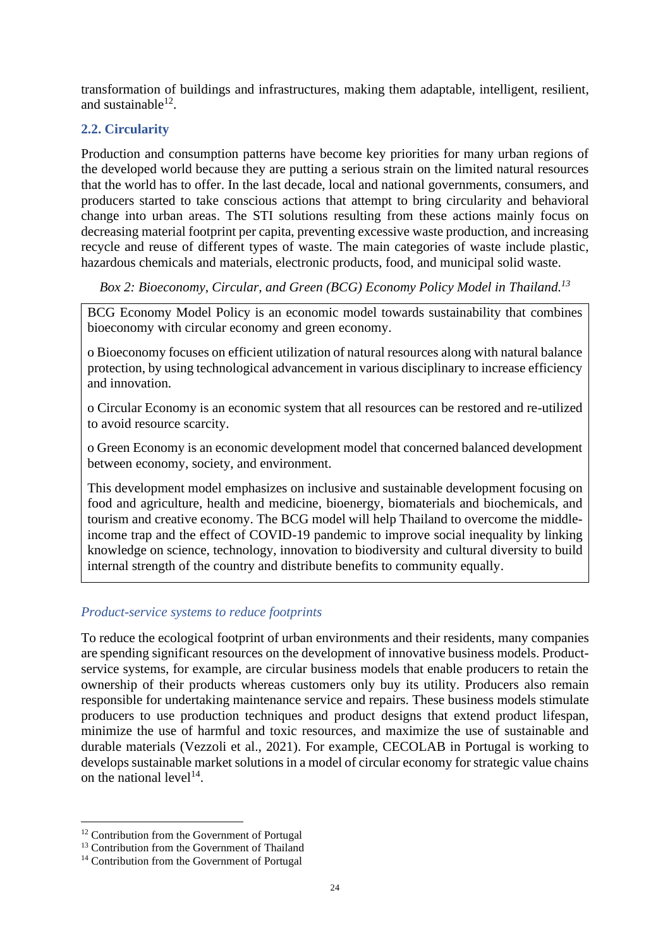transformation of buildings and infrastructures, making them adaptable, intelligent, resilient, and sustainable $^{12}$ .

# <span id="page-23-0"></span>**2.2. Circularity**

Production and consumption patterns have become key priorities for many urban regions of the developed world because they are putting a serious strain on the limited natural resources that the world has to offer. In the last decade, local and national governments, consumers, and producers started to take conscious actions that attempt to bring circularity and behavioral change into urban areas. The STI solutions resulting from these actions mainly focus on decreasing material footprint per capita, preventing excessive waste production, and increasing recycle and reuse of different types of waste. The main categories of waste include plastic, hazardous chemicals and materials, electronic products, food, and municipal solid waste.

*Box 2: Bioeconomy, Circular, and Green (BCG) Economy Policy Model in Thailand. 13*

BCG Economy Model Policy is an economic model towards sustainability that combines bioeconomy with circular economy and green economy.

o Bioeconomy focuses on efficient utilization of natural resources along with natural balance protection, by using technological advancement in various disciplinary to increase efficiency and innovation.

o Circular Economy is an economic system that all resources can be restored and re-utilized to avoid resource scarcity.

o Green Economy is an economic development model that concerned balanced development between economy, society, and environment.

This development model emphasizes on inclusive and sustainable development focusing on food and agriculture, health and medicine, bioenergy, biomaterials and biochemicals, and tourism and creative economy. The BCG model will help Thailand to overcome the middleincome trap and the effect of COVID-19 pandemic to improve social inequality by linking knowledge on science, technology, innovation to biodiversity and cultural diversity to build internal strength of the country and distribute benefits to community equally.

# *Product-service systems to reduce footprints*

To reduce the ecological footprint of urban environments and their residents, many companies are spending significant resources on the development of innovative business models. Productservice systems, for example, are circular business models that enable producers to retain the ownership of their products whereas customers only buy its utility. Producers also remain responsible for undertaking maintenance service and repairs. These business models stimulate producers to use production techniques and product designs that extend product lifespan, minimize the use of harmful and toxic resources, and maximize the use of sustainable and durable materials (Vezzoli et al., 2021). For example, CECOLAB in Portugal is working to develops sustainable market solutions in a model of circular economy for strategic value chains on the national level<sup>14</sup>.

<sup>&</sup>lt;sup>12</sup> Contribution from the Government of Portugal

<sup>&</sup>lt;sup>13</sup> Contribution from the Government of Thailand

<sup>&</sup>lt;sup>14</sup> Contribution from the Government of Portugal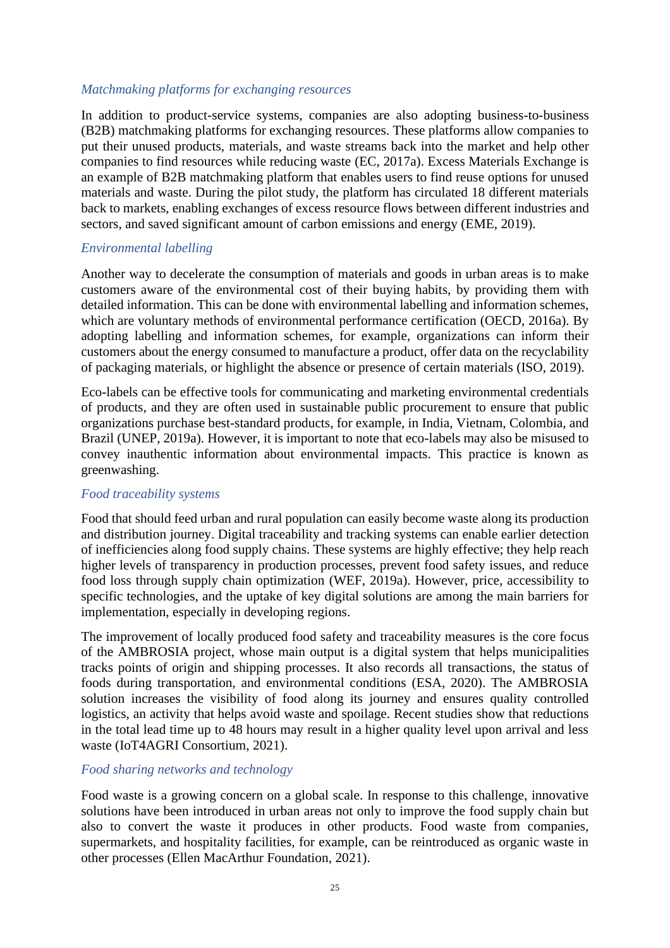#### *Matchmaking platforms for exchanging resources*

In addition to product-service systems, companies are also adopting business-to-business (B2B) matchmaking platforms for exchanging resources. These platforms allow companies to put their unused products, materials, and waste streams back into the market and help other companies to find resources while reducing waste (EC, 2017a). Excess Materials Exchange is an example of B2B matchmaking platform that enables users to find reuse options for unused materials and waste. During the pilot study, the platform has circulated 18 different materials back to markets, enabling exchanges of excess resource flows between different industries and sectors, and saved significant amount of carbon emissions and energy (EME, 2019).

# *Environmental labelling*

Another way to decelerate the consumption of materials and goods in urban areas is to make customers aware of the environmental cost of their buying habits, by providing them with detailed information. This can be done with environmental labelling and information schemes, which are voluntary methods of environmental performance certification (OECD, 2016a). By adopting labelling and information schemes, for example, organizations can inform their customers about the energy consumed to manufacture a product, offer data on the recyclability of packaging materials, or highlight the absence or presence of certain materials (ISO, 2019).

Eco-labels can be effective tools for communicating and marketing environmental credentials of products, and they are often used in sustainable public procurement to ensure that public organizations purchase best-standard products, for example, in India, Vietnam, Colombia, and Brazil (UNEP, 2019a). However, it is important to note that eco-labels may also be misused to convey inauthentic information about environmental impacts. This practice is known as greenwashing.

#### *Food traceability systems*

Food that should feed urban and rural population can easily become waste along its production and distribution journey. Digital traceability and tracking systems can enable earlier detection of inefficiencies along food supply chains. These systems are highly effective; they help reach higher levels of transparency in production processes, prevent food safety issues, and reduce food loss through supply chain optimization (WEF, 2019a). However, price, accessibility to specific technologies, and the uptake of key digital solutions are among the main barriers for implementation, especially in developing regions.

The improvement of locally produced food safety and traceability measures is the core focus of the AMBROSIA project, whose main output is a digital system that helps municipalities tracks points of origin and shipping processes. It also records all transactions, the status of foods during transportation, and environmental conditions (ESA, 2020). The AMBROSIA solution increases the visibility of food along its journey and ensures quality controlled logistics, an activity that helps avoid waste and spoilage. Recent studies show that reductions in the total lead time up to 48 hours may result in a higher quality level upon arrival and less waste (IoT4AGRI Consortium, 2021).

#### *Food sharing networks and technology*

Food waste is a growing concern on a global scale. In response to this challenge, innovative solutions have been introduced in urban areas not only to improve the food supply chain but also to convert the waste it produces in other products. Food waste from companies, supermarkets, and hospitality facilities, for example, can be reintroduced as organic waste in other processes (Ellen MacArthur Foundation, 2021).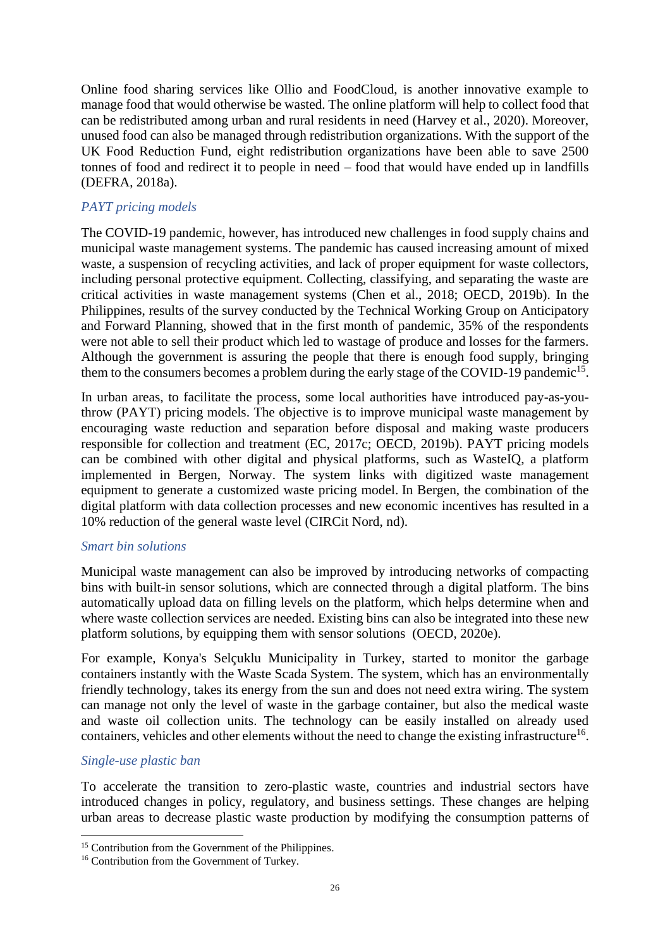Online food sharing services like Ollio and FoodCloud, is another innovative example to manage food that would otherwise be wasted. The online platform will help to collect food that can be redistributed among urban and rural residents in need (Harvey et al., 2020). Moreover, unused food can also be managed through redistribution organizations. With the support of the UK Food Reduction Fund, eight redistribution organizations have been able to save 2500 tonnes of food and redirect it to people in need – food that would have ended up in landfills (DEFRA, 2018a).

# *PAYT pricing models*

The COVID-19 pandemic, however, has introduced new challenges in food supply chains and municipal waste management systems. The pandemic has caused increasing amount of mixed waste, a suspension of recycling activities, and lack of proper equipment for waste collectors, including personal protective equipment. Collecting, classifying, and separating the waste are critical activities in waste management systems (Chen et al., 2018; OECD, 2019b). In the Philippines, results of the survey conducted by the Technical Working Group on Anticipatory and Forward Planning, showed that in the first month of pandemic, 35% of the respondents were not able to sell their product which led to wastage of produce and losses for the farmers. Although the government is assuring the people that there is enough food supply, bringing them to the consumers becomes a problem during the early stage of the COVID-19 pandemic<sup>15</sup>.

In urban areas, to facilitate the process, some local authorities have introduced pay-as-youthrow (PAYT) pricing models. The objective is to improve municipal waste management by encouraging waste reduction and separation before disposal and making waste producers responsible for collection and treatment (EC, 2017c; OECD, 2019b). PAYT pricing models can be combined with other digital and physical platforms, such as WasteIQ, a platform implemented in Bergen, Norway. The system links with digitized waste management equipment to generate a customized waste pricing model. In Bergen, the combination of the digital platform with data collection processes and new economic incentives has resulted in a 10% reduction of the general waste level (CIRCit Nord, nd).

#### *Smart bin solutions*

Municipal waste management can also be improved by introducing networks of compacting bins with built-in sensor solutions, which are connected through a digital platform. The bins automatically upload data on filling levels on the platform, which helps determine when and where waste collection services are needed. Existing bins can also be integrated into these new platform solutions, by equipping them with sensor solutions (OECD, 2020e).

For example, Konya's Selçuklu Municipality in Turkey, started to monitor the garbage containers instantly with the Waste Scada System. The system, which has an environmentally friendly technology, takes its energy from the sun and does not need extra wiring. The system can manage not only the level of waste in the garbage container, but also the medical waste and waste oil collection units. The technology can be easily installed on already used containers, vehicles and other elements without the need to change the existing infrastructure<sup>16</sup>.

#### *Single-use plastic ban*

To accelerate the transition to zero-plastic waste, countries and industrial sectors have introduced changes in policy, regulatory, and business settings. These changes are helping urban areas to decrease plastic waste production by modifying the consumption patterns of

<sup>&</sup>lt;sup>15</sup> Contribution from the Government of the Philippines.

<sup>&</sup>lt;sup>16</sup> Contribution from the Government of Turkey.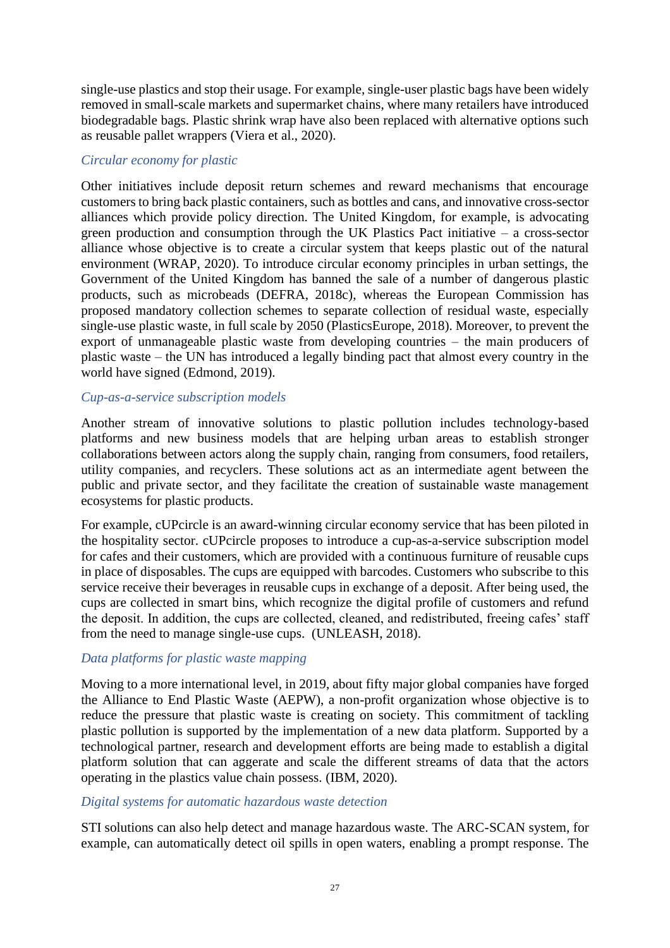single-use plastics and stop their usage. For example, single-user plastic bags have been widely removed in small-scale markets and supermarket chains, where many retailers have introduced biodegradable bags. Plastic shrink wrap have also been replaced with alternative options such as reusable pallet wrappers (Viera et al., 2020).

#### *Circular economy for plastic*

Other initiatives include deposit return schemes and reward mechanisms that encourage customers to bring back plastic containers, such as bottles and cans, and innovative cross-sector alliances which provide policy direction. The United Kingdom, for example, is advocating green production and consumption through the UK Plastics Pact initiative – a cross-sector alliance whose objective is to create a circular system that keeps plastic out of the natural environment (WRAP, 2020). To introduce circular economy principles in urban settings, the Government of the United Kingdom has banned the sale of a number of dangerous plastic products, such as microbeads (DEFRA, 2018c), whereas the European Commission has proposed mandatory collection schemes to separate collection of residual waste, especially single-use plastic waste, in full scale by 2050 (PlasticsEurope, 2018). Moreover, to prevent the export of unmanageable plastic waste from developing countries – the main producers of plastic waste – the UN has introduced a legally binding pact that almost every country in the world have signed (Edmond, 2019).

# *Cup-as-a-service subscription models*

Another stream of innovative solutions to plastic pollution includes technology-based platforms and new business models that are helping urban areas to establish stronger collaborations between actors along the supply chain, ranging from consumers, food retailers, utility companies, and recyclers. These solutions act as an intermediate agent between the public and private sector, and they facilitate the creation of sustainable waste management ecosystems for plastic products.

For example, cUPcircle is an award-winning circular economy service that has been piloted in the hospitality sector. cUPcircle proposes to introduce a cup-as-a-service subscription model for cafes and their customers, which are provided with a continuous furniture of reusable cups in place of disposables. The cups are equipped with barcodes. Customers who subscribe to this service receive their beverages in reusable cups in exchange of a deposit. After being used, the cups are collected in smart bins, which recognize the digital profile of customers and refund the deposit. In addition, the cups are collected, cleaned, and redistributed, freeing cafes' staff from the need to manage single-use cups. (UNLEASH, 2018).

# *Data platforms for plastic waste mapping*

Moving to a more international level, in 2019, about fifty major global companies have forged the Alliance to End Plastic Waste (AEPW), a non-profit organization whose objective is to reduce the pressure that plastic waste is creating on society. This commitment of tackling plastic pollution is supported by the implementation of a new data platform. Supported by a technological partner, research and development efforts are being made to establish a digital platform solution that can aggerate and scale the different streams of data that the actors operating in the plastics value chain possess. (IBM, 2020).

# *Digital systems for automatic hazardous waste detection*

STI solutions can also help detect and manage hazardous waste. The ARC-SCAN system, for example, can automatically detect oil spills in open waters, enabling a prompt response. The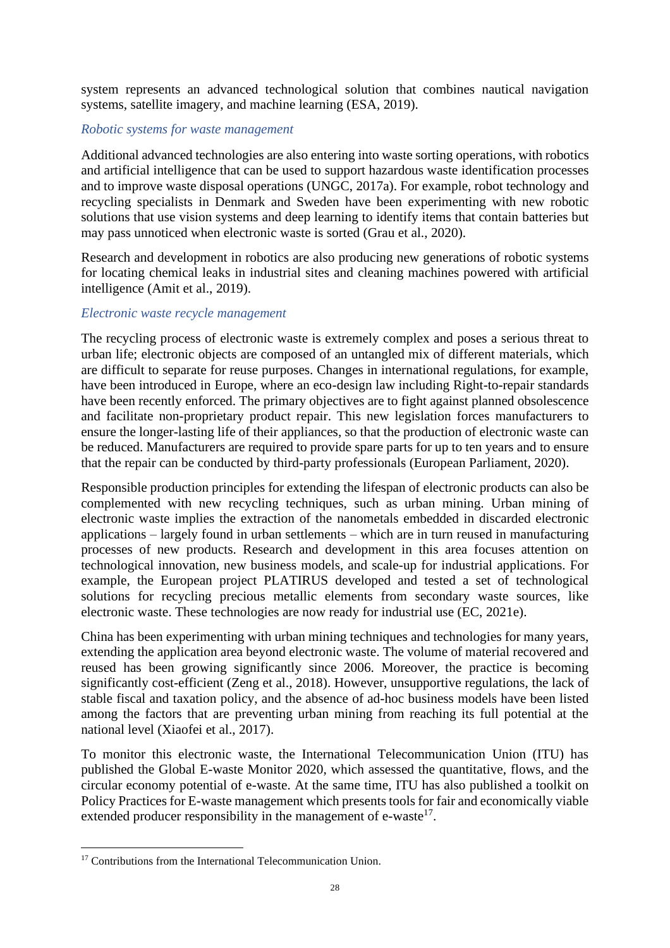system represents an advanced technological solution that combines nautical navigation systems, satellite imagery, and machine learning (ESA, 2019).

## *Robotic systems for waste management*

Additional advanced technologies are also entering into waste sorting operations, with robotics and artificial intelligence that can be used to support hazardous waste identification processes and to improve waste disposal operations (UNGC, 2017a). For example, robot technology and recycling specialists in Denmark and Sweden have been experimenting with new robotic solutions that use vision systems and deep learning to identify items that contain batteries but may pass unnoticed when electronic waste is sorted (Grau et al., 2020).

Research and development in robotics are also producing new generations of robotic systems for locating chemical leaks in industrial sites and cleaning machines powered with artificial intelligence (Amit et al., 2019).

#### *Electronic waste recycle management*

The recycling process of electronic waste is extremely complex and poses a serious threat to urban life; electronic objects are composed of an untangled mix of different materials, which are difficult to separate for reuse purposes. Changes in international regulations, for example, have been introduced in Europe, where an eco-design law including Right-to-repair standards have been recently enforced. The primary objectives are to fight against planned obsolescence and facilitate non-proprietary product repair. This new legislation forces manufacturers to ensure the longer-lasting life of their appliances, so that the production of electronic waste can be reduced. Manufacturers are required to provide spare parts for up to ten years and to ensure that the repair can be conducted by third-party professionals (European Parliament, 2020).

Responsible production principles for extending the lifespan of electronic products can also be complemented with new recycling techniques, such as urban mining. Urban mining of electronic waste implies the extraction of the nanometals embedded in discarded electronic applications – largely found in urban settlements – which are in turn reused in manufacturing processes of new products. Research and development in this area focuses attention on technological innovation, new business models, and scale-up for industrial applications. For example, the European project PLATIRUS developed and tested a set of technological solutions for recycling precious metallic elements from secondary waste sources, like electronic waste. These technologies are now ready for industrial use (EC, 2021e).

China has been experimenting with urban mining techniques and technologies for many years, extending the application area beyond electronic waste. The volume of material recovered and reused has been growing significantly since 2006. Moreover, the practice is becoming significantly cost-efficient (Zeng et al., 2018). However, unsupportive regulations, the lack of stable fiscal and taxation policy, and the absence of ad-hoc business models have been listed among the factors that are preventing urban mining from reaching its full potential at the national level (Xiaofei et al., 2017).

To monitor this electronic waste, the International Telecommunication Union (ITU) has published the Global E-waste Monitor 2020, which assessed the quantitative, flows, and the circular economy potential of e-waste. At the same time, ITU has also published a toolkit on Policy Practices for E-waste management which presents tools for fair and economically viable extended producer responsibility in the management of e-waste<sup>17</sup>.

<sup>&</sup>lt;sup>17</sup> Contributions from the International Telecommunication Union.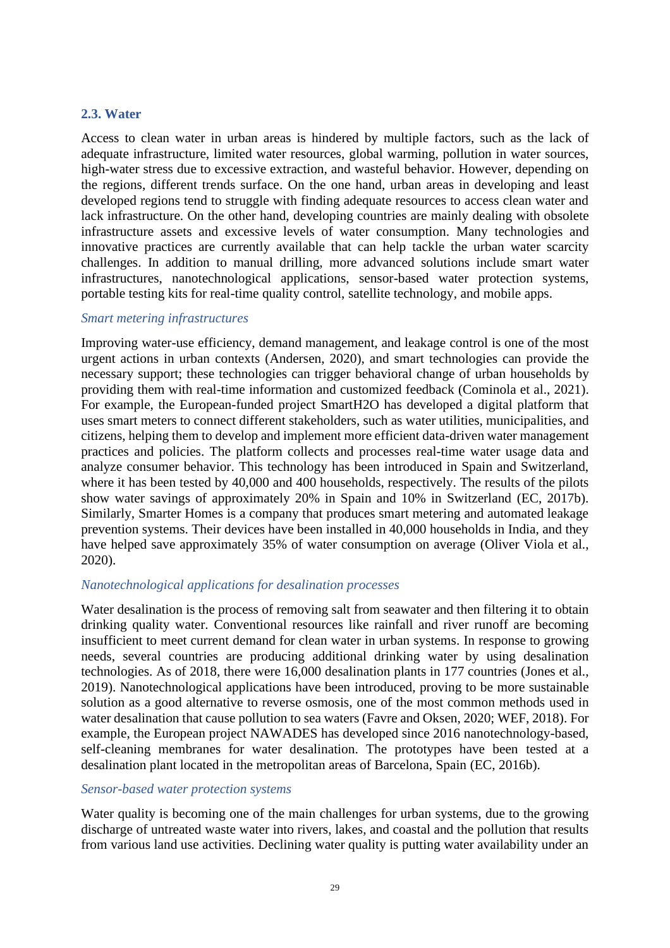## <span id="page-28-0"></span>**2.3. Water**

Access to clean water in urban areas is hindered by multiple factors, such as the lack of adequate infrastructure, limited water resources, global warming, pollution in water sources, high-water stress due to excessive extraction, and wasteful behavior. However, depending on the regions, different trends surface. On the one hand, urban areas in developing and least developed regions tend to struggle with finding adequate resources to access clean water and lack infrastructure. On the other hand, developing countries are mainly dealing with obsolete infrastructure assets and excessive levels of water consumption. Many technologies and innovative practices are currently available that can help tackle the urban water scarcity challenges. In addition to manual drilling, more advanced solutions include smart water infrastructures, nanotechnological applications, sensor-based water protection systems, portable testing kits for real-time quality control, satellite technology, and mobile apps.

#### *Smart metering infrastructures*

Improving water-use efficiency, demand management, and leakage control is one of the most urgent actions in urban contexts (Andersen, 2020), and smart technologies can provide the necessary support; these technologies can trigger behavioral change of urban households by providing them with real-time information and customized feedback (Cominola et al., 2021). For example, the European-funded project SmartH2O has developed a digital platform that uses smart meters to connect different stakeholders, such as water utilities, municipalities, and citizens, helping them to develop and implement more efficient data-driven water management practices and policies. The platform collects and processes real-time water usage data and analyze consumer behavior. This technology has been introduced in Spain and Switzerland, where it has been tested by 40,000 and 400 households, respectively. The results of the pilots show water savings of approximately 20% in Spain and 10% in Switzerland (EC, 2017b). Similarly, Smarter Homes is a company that produces smart metering and automated leakage prevention systems. Their devices have been installed in 40,000 households in India, and they have helped save approximately 35% of water consumption on average (Oliver Viola et al., 2020).

#### *Nanotechnological applications for desalination processes*

Water desalination is the process of removing salt from seawater and then filtering it to obtain drinking quality water. Conventional resources like rainfall and river runoff are becoming insufficient to meet current demand for clean water in urban systems. In response to growing needs, several countries are producing additional drinking water by using desalination technologies. As of 2018, there were 16,000 desalination plants in 177 countries (Jones et al., 2019). Nanotechnological applications have been introduced, proving to be more sustainable solution as a good alternative to reverse osmosis, one of the most common methods used in water desalination that cause pollution to sea waters (Favre and Oksen, 2020; WEF, 2018). For example, the European project NAWADES has developed since 2016 nanotechnology-based, self-cleaning membranes for water desalination. The prototypes have been tested at a desalination plant located in the metropolitan areas of Barcelona, Spain (EC, 2016b).

#### *Sensor-based water protection systems*

Water quality is becoming one of the main challenges for urban systems, due to the growing discharge of untreated waste water into rivers, lakes, and coastal and the pollution that results from various land use activities. Declining water quality is putting water availability under an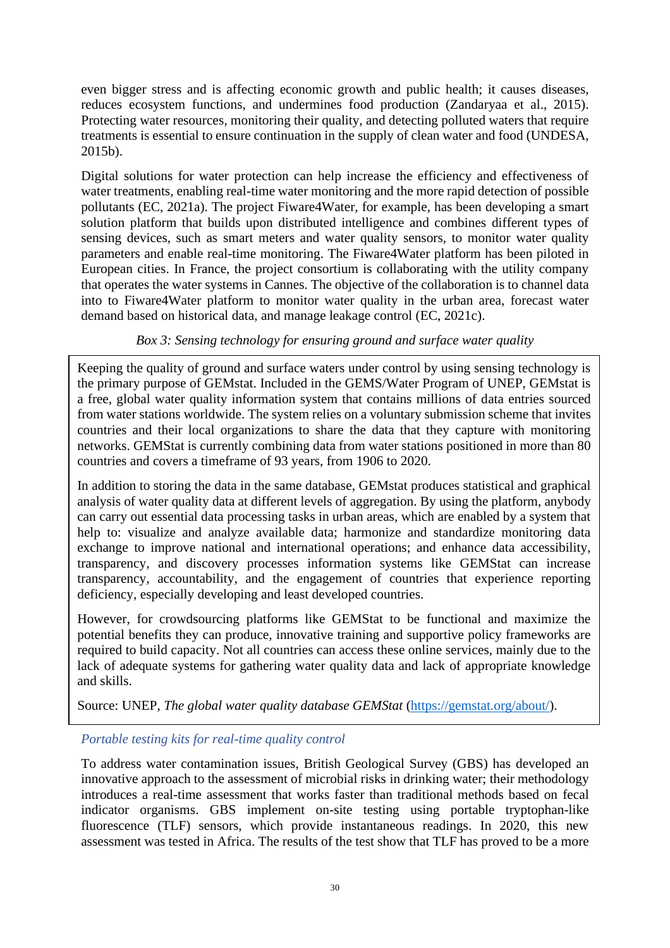even bigger stress and is affecting economic growth and public health; it causes diseases, reduces ecosystem functions, and undermines food production (Zandaryaa et al., 2015). Protecting water resources, monitoring their quality, and detecting polluted waters that require treatments is essential to ensure continuation in the supply of clean water and food (UNDESA, 2015b).

Digital solutions for water protection can help increase the efficiency and effectiveness of water treatments, enabling real-time water monitoring and the more rapid detection of possible pollutants (EC, 2021a). The project Fiware4Water, for example, has been developing a smart solution platform that builds upon distributed intelligence and combines different types of sensing devices, such as smart meters and water quality sensors, to monitor water quality parameters and enable real-time monitoring. The Fiware4Water platform has been piloted in European cities. In France, the project consortium is collaborating with the utility company that operates the water systems in Cannes. The objective of the collaboration is to channel data into to Fiware4Water platform to monitor water quality in the urban area, forecast water demand based on historical data, and manage leakage control (EC, 2021c).

# *Box 3: Sensing technology for ensuring ground and surface water quality*

Keeping the quality of ground and surface waters under control by using sensing technology is the primary purpose of GEMstat. Included in the GEMS/Water Program of UNEP, GEMstat is a free, global water quality information system that contains millions of data entries sourced from water stations worldwide. The system relies on a voluntary submission scheme that invites countries and their local organizations to share the data that they capture with monitoring networks. GEMStat is currently combining data from water stations positioned in more than 80 countries and covers a timeframe of 93 years, from 1906 to 2020.

In addition to storing the data in the same database, GEMstat produces statistical and graphical analysis of water quality data at different levels of aggregation. By using the platform, anybody can carry out essential data processing tasks in urban areas, which are enabled by a system that help to: visualize and analyze available data; harmonize and standardize monitoring data exchange to improve national and international operations; and enhance data accessibility, transparency, and discovery processes information systems like GEMStat can increase transparency, accountability, and the engagement of countries that experience reporting deficiency, especially developing and least developed countries.

However, for crowdsourcing platforms like GEMStat to be functional and maximize the potential benefits they can produce, innovative training and supportive policy frameworks are required to build capacity. Not all countries can access these online services, mainly due to the lack of adequate systems for gathering water quality data and lack of appropriate knowledge and skills.

Source: UNEP, *The global water quality database GEMStat* [\(https://gemstat.org/about/\)](https://gemstat.org/about/).

# *Portable testing kits for real-time quality control*

To address water contamination issues, British Geological Survey (GBS) has developed an innovative approach to the assessment of microbial risks in drinking water; their methodology introduces a real-time assessment that works faster than traditional methods based on fecal indicator organisms. GBS implement on-site testing using portable tryptophan-like fluorescence (TLF) sensors, which provide instantaneous readings. In 2020, this new assessment was tested in Africa. The results of the test show that TLF has proved to be a more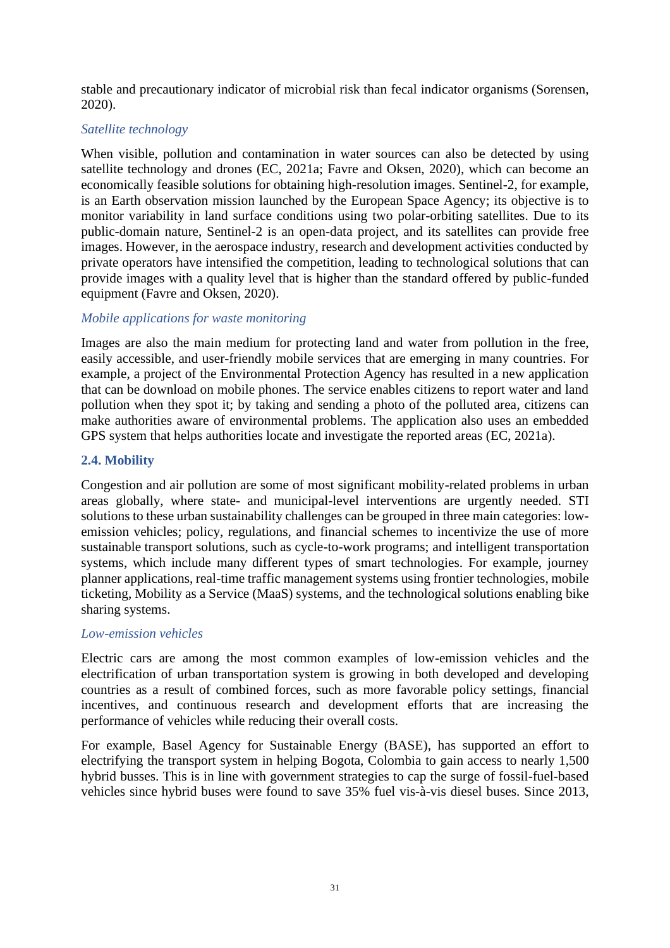stable and precautionary indicator of microbial risk than fecal indicator organisms (Sorensen, 2020).

## *Satellite technology*

When visible, pollution and contamination in water sources can also be detected by using satellite technology and drones (EC, 2021a; Favre and Oksen, 2020), which can become an economically feasible solutions for obtaining high-resolution images. Sentinel-2, for example, is an Earth observation mission launched by the European Space Agency; its objective is to monitor variability in land surface conditions using two polar-orbiting satellites. Due to its public-domain nature, Sentinel-2 is an open-data project, and its satellites can provide free images. However, in the aerospace industry, research and development activities conducted by private operators have intensified the competition, leading to technological solutions that can provide images with a quality level that is higher than the standard offered by public-funded equipment (Favre and Oksen, 2020).

# *Mobile applications for waste monitoring*

Images are also the main medium for protecting land and water from pollution in the free, easily accessible, and user-friendly mobile services that are emerging in many countries. For example, a project of the Environmental Protection Agency has resulted in a new application that can be download on mobile phones. The service enables citizens to report water and land pollution when they spot it; by taking and sending a photo of the polluted area, citizens can make authorities aware of environmental problems. The application also uses an embedded GPS system that helps authorities locate and investigate the reported areas (EC, 2021a).

# <span id="page-30-0"></span>**2.4. Mobility**

Congestion and air pollution are some of most significant mobility-related problems in urban areas globally, where state- and municipal-level interventions are urgently needed. STI solutions to these urban sustainability challenges can be grouped in three main categories: lowemission vehicles; policy, regulations, and financial schemes to incentivize the use of more sustainable transport solutions, such as cycle-to-work programs; and intelligent transportation systems, which include many different types of smart technologies. For example, journey planner applications, real-time traffic management systems using frontier technologies, mobile ticketing, Mobility as a Service (MaaS) systems, and the technological solutions enabling bike sharing systems.

#### *Low-emission vehicles*

Electric cars are among the most common examples of low-emission vehicles and the electrification of urban transportation system is growing in both developed and developing countries as a result of combined forces, such as more favorable policy settings, financial incentives, and continuous research and development efforts that are increasing the performance of vehicles while reducing their overall costs.

For example, Basel Agency for Sustainable Energy (BASE), has supported an effort to electrifying the transport system in helping Bogota, Colombia to gain access to nearly 1,500 hybrid busses. This is in line with government strategies to cap the surge of fossil-fuel-based vehicles since hybrid buses were found to save 35% fuel vis-à-vis diesel buses. Since 2013,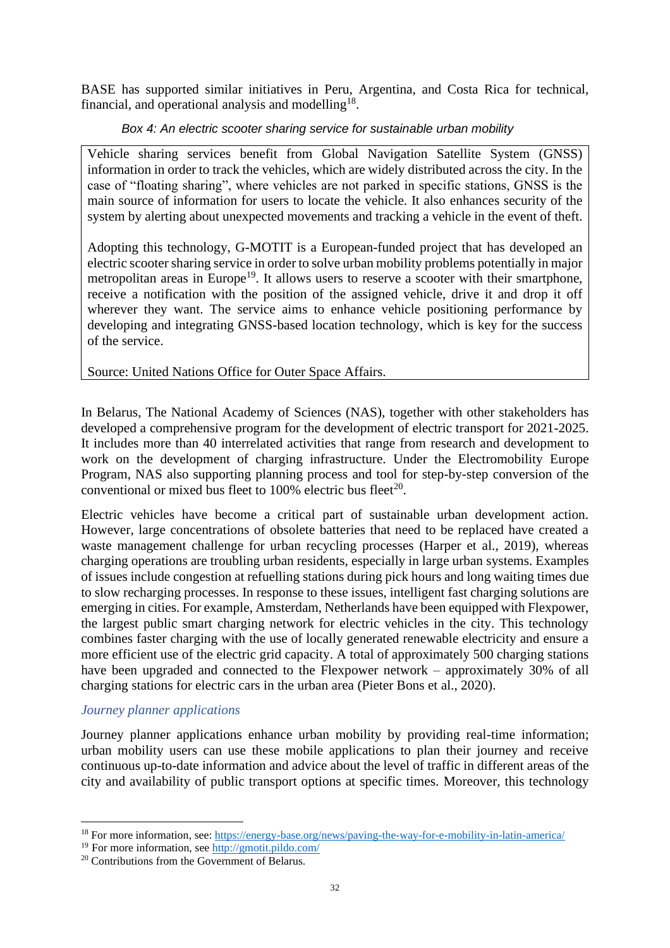BASE has supported similar initiatives in Peru, Argentina, and Costa Rica for technical, financial, and operational analysis and modelling<sup>18</sup>.

## *Box 4: An electric scooter sharing service for sustainable urban mobility*

Vehicle sharing services benefit from Global Navigation Satellite System (GNSS) information in order to track the vehicles, which are widely distributed across the city. In the case of "floating sharing", where vehicles are not parked in specific stations, GNSS is the main source of information for users to locate the vehicle. It also enhances security of the system by alerting about unexpected movements and tracking a vehicle in the event of theft.

Adopting this technology, G-MOTIT is a European-funded project that has developed an electric scooter sharing service in order to solve urban mobility problems potentially in major metropolitan areas in Europe<sup>19</sup>. It allows users to reserve a scooter with their smartphone, receive a notification with the position of the assigned vehicle, drive it and drop it off wherever they want. The service aims to enhance vehicle positioning performance by developing and integrating GNSS-based location technology, which is key for the success of the service.

Source: United Nations Office for Outer Space Affairs.

In Belarus, The National Academy of Sciences (NAS), together with other stakeholders has developed a comprehensive program for the development of electric transport for 2021-2025. It includes more than 40 interrelated activities that range from research and development to work on the development of charging infrastructure. Under the Electromobility Europe Program, NAS also supporting planning process and tool for step-by-step conversion of the conventional or mixed bus fleet to 100% electric bus fleet<sup>20</sup>.

Electric vehicles have become a critical part of sustainable urban development action. However, large concentrations of obsolete batteries that need to be replaced have created a waste management challenge for urban recycling processes (Harper et al., 2019), whereas charging operations are troubling urban residents, especially in large urban systems. Examples of issues include congestion at refuelling stations during pick hours and long waiting times due to slow recharging processes. In response to these issues, intelligent fast charging solutions are emerging in cities. For example, Amsterdam, Netherlands have been equipped with Flexpower, the largest public smart charging network for electric vehicles in the city. This technology combines faster charging with the use of locally generated renewable electricity and ensure a more efficient use of the electric grid capacity. A total of approximately 500 charging stations have been upgraded and connected to the Flexpower network – approximately 30% of all charging stations for electric cars in the urban area (Pieter Bons et al., 2020).

# *Journey planner applications*

Journey planner applications enhance urban mobility by providing real-time information; urban mobility users can use these mobile applications to plan their journey and receive continuous up-to-date information and advice about the level of traffic in different areas of the city and availability of public transport options at specific times. Moreover, this technology

<sup>18</sup> For more information, see[: https://energy-base.org/news/paving-the-way-for-e-mobility-in-latin-america/](https://energy-base.org/news/paving-the-way-for-e-mobility-in-latin-america/)

<sup>19</sup> For more information, se[e http://gmotit.pildo.com/](http://gmotit.pildo.com/)

<sup>&</sup>lt;sup>20</sup> Contributions from the Government of Belarus.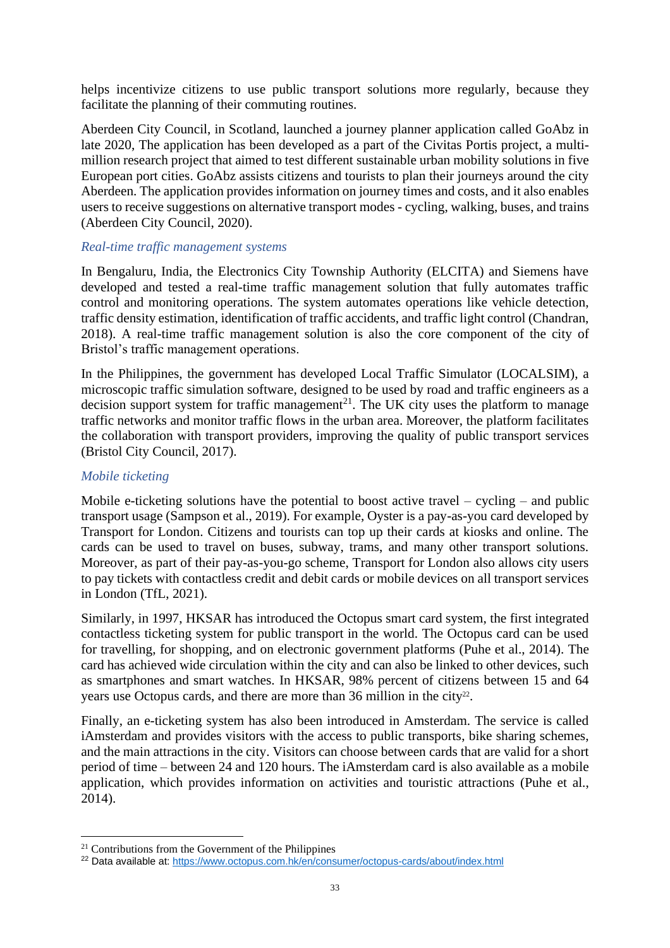helps incentivize citizens to use public transport solutions more regularly, because they facilitate the planning of their commuting routines.

Aberdeen City Council, in Scotland, launched a journey planner application called GoAbz in late 2020, The application has been developed as a part of the Civitas Portis project, a multimillion research project that aimed to test different sustainable urban mobility solutions in five European port cities. GoAbz assists citizens and tourists to plan their journeys around the city Aberdeen. The application provides information on journey times and costs, and it also enables users to receive suggestions on alternative transport modes - cycling, walking, buses, and trains (Aberdeen City Council, 2020).

# *Real-time traffic management systems*

In Bengaluru, India, the Electronics City Township Authority (ELCITA) and Siemens have developed and tested a real-time traffic management solution that fully automates traffic control and monitoring operations. The system automates operations like vehicle detection, traffic density estimation, identification of traffic accidents, and traffic light control (Chandran, 2018). A real-time traffic management solution is also the core component of the city of Bristol's traffic management operations.

In the Philippines, the government has developed Local Traffic Simulator (LOCALSIM), a microscopic traffic simulation software, designed to be used by road and traffic engineers as a decision support system for traffic management<sup>21</sup>. The UK city uses the platform to manage traffic networks and monitor traffic flows in the urban area. Moreover, the platform facilitates the collaboration with transport providers, improving the quality of public transport services (Bristol City Council, 2017).

## *Mobile ticketing*

Mobile e-ticketing solutions have the potential to boost active travel – cycling – and public transport usage (Sampson et al., 2019). For example, Oyster is a pay-as-you card developed by Transport for London. Citizens and tourists can top up their cards at kiosks and online. The cards can be used to travel on buses, subway, trams, and many other transport solutions. Moreover, as part of their pay-as-you-go scheme, Transport for London also allows city users to pay tickets with contactless credit and debit cards or mobile devices on all transport services in London (TfL, 2021).

Similarly, in 1997, HKSAR has introduced the Octopus smart card system, the first integrated contactless ticketing system for public transport in the world. The Octopus card can be used for travelling, for shopping, and on electronic government platforms (Puhe et al., 2014). The card has achieved wide circulation within the city and can also be linked to other devices, such as smartphones and smart watches. In HKSAR, 98% percent of citizens between 15 and 64 years use Octopus cards, and there are more than  $36$  million in the city<sup>22</sup>.

Finally, an e-ticketing system has also been introduced in Amsterdam. The service is called iAmsterdam and provides visitors with the access to public transports, bike sharing schemes, and the main attractions in the city. Visitors can choose between cards that are valid for a short period of time – between 24 and 120 hours. The iAmsterdam card is also available as a mobile application, which provides information on activities and touristic attractions (Puhe et al., 2014).

<sup>21</sup> Contributions from the Government of the Philippines

<sup>22</sup> Data available at:<https://www.octopus.com.hk/en/consumer/octopus-cards/about/index.html>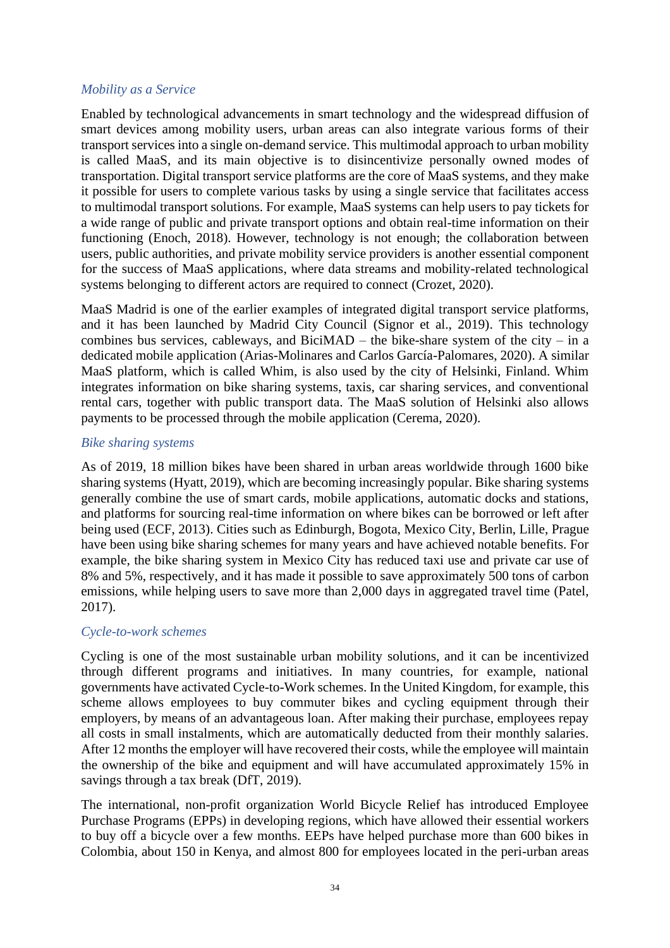# *Mobility as a Service*

Enabled by technological advancements in smart technology and the widespread diffusion of smart devices among mobility users, urban areas can also integrate various forms of their transport services into a single on-demand service. This multimodal approach to urban mobility is called MaaS, and its main objective is to disincentivize personally owned modes of transportation. Digital transport service platforms are the core of MaaS systems, and they make it possible for users to complete various tasks by using a single service that facilitates access to multimodal transport solutions. For example, MaaS systems can help users to pay tickets for a wide range of public and private transport options and obtain real-time information on their functioning (Enoch, 2018). However, technology is not enough; the collaboration between users, public authorities, and private mobility service providers is another essential component for the success of MaaS applications, where data streams and mobility-related technological systems belonging to different actors are required to connect (Crozet, 2020).

MaaS Madrid is one of the earlier examples of integrated digital transport service platforms, and it has been launched by Madrid City Council (Signor et al., 2019). This technology combines bus services, cableways, and BiciMAD – the bike-share system of the city – in a dedicated mobile application (Arias-Molinares and Carlos García-Palomares, 2020). A similar MaaS platform, which is called Whim, is also used by the city of Helsinki, Finland. Whim integrates information on bike sharing systems, taxis, car sharing services, and conventional rental cars, together with public transport data. The MaaS solution of Helsinki also allows payments to be processed through the mobile application (Cerema, 2020).

# *Bike sharing systems*

As of 2019, 18 million bikes have been shared in urban areas worldwide through 1600 bike sharing systems (Hyatt, 2019), which are becoming increasingly popular. Bike sharing systems generally combine the use of smart cards, mobile applications, automatic docks and stations, and platforms for sourcing real-time information on where bikes can be borrowed or left after being used (ECF, 2013). Cities such as Edinburgh, Bogota, Mexico City, Berlin, Lille, Prague have been using bike sharing schemes for many years and have achieved notable benefits. For example, the bike sharing system in Mexico City has reduced taxi use and private car use of 8% and 5%, respectively, and it has made it possible to save approximately 500 tons of carbon emissions, while helping users to save more than 2,000 days in aggregated travel time (Patel, 2017).

#### *Cycle-to-work schemes*

Cycling is one of the most sustainable urban mobility solutions, and it can be incentivized through different programs and initiatives. In many countries, for example, national governments have activated Cycle-to-Work schemes. In the United Kingdom, for example, this scheme allows employees to buy commuter bikes and cycling equipment through their employers, by means of an advantageous loan. After making their purchase, employees repay all costs in small instalments, which are automatically deducted from their monthly salaries. After 12 months the employer will have recovered their costs, while the employee will maintain the ownership of the bike and equipment and will have accumulated approximately 15% in savings through a tax break (DfT, 2019).

The international, non-profit organization World Bicycle Relief has introduced Employee Purchase Programs (EPPs) in developing regions, which have allowed their essential workers to buy off a bicycle over a few months. EEPs have helped purchase more than 600 bikes in Colombia, about 150 in Kenya, and almost 800 for employees located in the peri-urban areas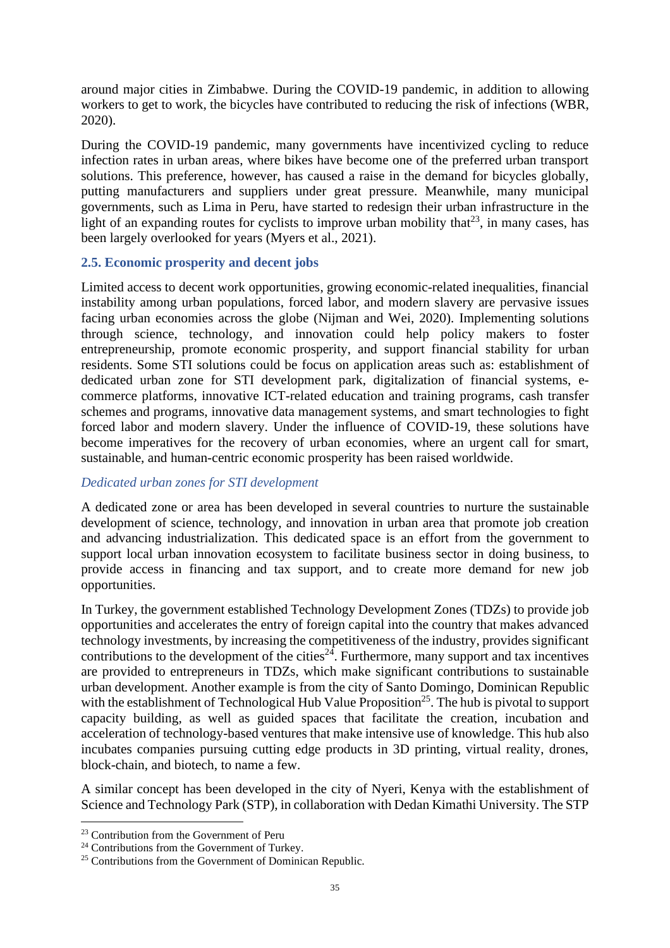around major cities in Zimbabwe. During the COVID-19 pandemic, in addition to allowing workers to get to work, the bicycles have contributed to reducing the risk of infections (WBR, 2020).

During the COVID-19 pandemic, many governments have incentivized cycling to reduce infection rates in urban areas, where bikes have become one of the preferred urban transport solutions. This preference, however, has caused a raise in the demand for bicycles globally, putting manufacturers and suppliers under great pressure. Meanwhile, many municipal governments, such as Lima in Peru, have started to redesign their urban infrastructure in the light of an expanding routes for cyclists to improve urban mobility that<sup>23</sup>, in many cases, has been largely overlooked for years (Myers et al., 2021).

# <span id="page-34-0"></span>**2.5. Economic prosperity and decent jobs**

Limited access to decent work opportunities, growing economic-related inequalities, financial instability among urban populations, forced labor, and modern slavery are pervasive issues facing urban economies across the globe (Nijman and Wei, 2020). Implementing solutions through science, technology, and innovation could help policy makers to foster entrepreneurship, promote economic prosperity, and support financial stability for urban residents. Some STI solutions could be focus on application areas such as: establishment of dedicated urban zone for STI development park, digitalization of financial systems, ecommerce platforms, innovative ICT-related education and training programs, cash transfer schemes and programs, innovative data management systems, and smart technologies to fight forced labor and modern slavery. Under the influence of COVID-19, these solutions have become imperatives for the recovery of urban economies, where an urgent call for smart, sustainable, and human-centric economic prosperity has been raised worldwide.

# *Dedicated urban zones for STI development*

A dedicated zone or area has been developed in several countries to nurture the sustainable development of science, technology, and innovation in urban area that promote job creation and advancing industrialization. This dedicated space is an effort from the government to support local urban innovation ecosystem to facilitate business sector in doing business, to provide access in financing and tax support, and to create more demand for new job opportunities.

In Turkey, the government established Technology Development Zones (TDZs) to provide job opportunities and accelerates the entry of foreign capital into the country that makes advanced technology investments, by increasing the competitiveness of the industry, provides significant contributions to the development of the cities<sup> $24$ </sup>. Furthermore, many support and tax incentives are provided to entrepreneurs in TDZs, which make significant contributions to sustainable urban development. Another example is from the city of Santo Domingo, Dominican Republic with the establishment of Technological Hub Value Proposition<sup>25</sup>. The hub is pivotal to support capacity building, as well as guided spaces that facilitate the creation, incubation and acceleration of technology-based ventures that make intensive use of knowledge. This hub also incubates companies pursuing cutting edge products in 3D printing, virtual reality, drones, block-chain, and biotech, to name a few.

A similar concept has been developed in the city of Nyeri, Kenya with the establishment of Science and Technology Park (STP), in collaboration with Dedan Kimathi University. The STP

<sup>&</sup>lt;sup>23</sup> Contribution from the Government of Peru

<sup>&</sup>lt;sup>24</sup> Contributions from the Government of Turkey.

<sup>&</sup>lt;sup>25</sup> Contributions from the Government of Dominican Republic.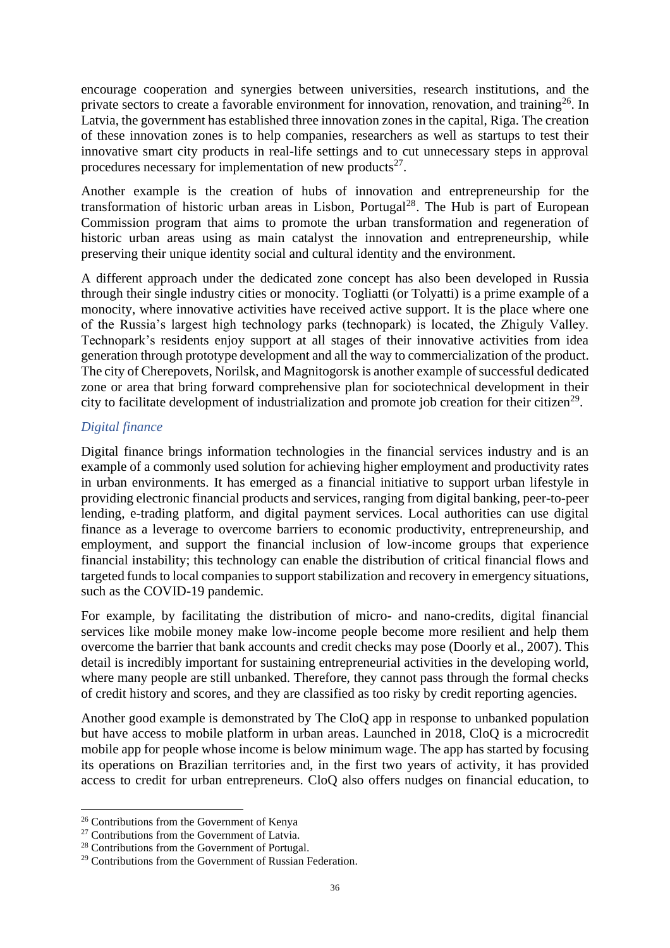encourage cooperation and synergies between universities, research institutions, and the private sectors to create a favorable environment for innovation, renovation, and training<sup>26</sup>. In Latvia, the government has established three innovation zones in the capital, Riga. The creation of these innovation zones is to help companies, researchers as well as startups to test their innovative smart city products in real-life settings and to cut unnecessary steps in approval procedures necessary for implementation of new products $27$ .

Another example is the creation of hubs of innovation and entrepreneurship for the transformation of historic urban areas in Lisbon, Portugal<sup>28</sup>. The Hub is part of European Commission program that aims to promote the urban transformation and regeneration of historic urban areas using as main catalyst the innovation and entrepreneurship, while preserving their unique identity social and cultural identity and the environment.

A different approach under the dedicated zone concept has also been developed in Russia through their single industry cities or monocity. Togliatti (or Tolyatti) is a prime example of a monocity, where innovative activities have received active support. It is the place where one of the Russia's largest high technology parks (technopark) is located, the Zhiguly Valley. Technopark's residents enjoy support at all stages of their innovative activities from idea generation through prototype development and all the way to commercialization of the product. The city of Cherepovets, Norilsk, and Magnitogorsk is another example of successful dedicated zone or area that bring forward comprehensive plan for sociotechnical development in their city to facilitate development of industrialization and promote job creation for their citizen<sup>29</sup>.

# *Digital finance*

Digital finance brings information technologies in the financial services industry and is an example of a commonly used solution for achieving higher employment and productivity rates in urban environments. It has emerged as a financial initiative to support urban lifestyle in providing electronic financial products and services, ranging from digital banking, peer-to-peer lending, e-trading platform, and digital payment services. Local authorities can use digital finance as a leverage to overcome barriers to economic productivity, entrepreneurship, and employment, and support the financial inclusion of low-income groups that experience financial instability; this technology can enable the distribution of critical financial flows and targeted funds to local companies to support stabilization and recovery in emergency situations, such as the COVID-19 pandemic.

For example, by facilitating the distribution of micro- and nano-credits, digital financial services like mobile money make low-income people become more resilient and help them overcome the barrier that bank accounts and credit checks may pose (Doorly et al., 2007). This detail is incredibly important for sustaining entrepreneurial activities in the developing world, where many people are still unbanked. Therefore, they cannot pass through the formal checks of credit history and scores, and they are classified as too risky by credit reporting agencies.

Another good example is demonstrated by The CloQ app in response to unbanked population but have access to mobile platform in urban areas. Launched in 2018, CloQ is a microcredit mobile app for people whose income is below minimum wage. The app has started by focusing its operations on Brazilian territories and, in the first two years of activity, it has provided access to credit for urban entrepreneurs. CloQ also offers nudges on financial education, to

<sup>26</sup> Contributions from the Government of Kenya

<sup>&</sup>lt;sup>27</sup> Contributions from the Government of Latvia.

<sup>28</sup> Contributions from the Government of Portugal.

<sup>&</sup>lt;sup>29</sup> Contributions from the Government of Russian Federation.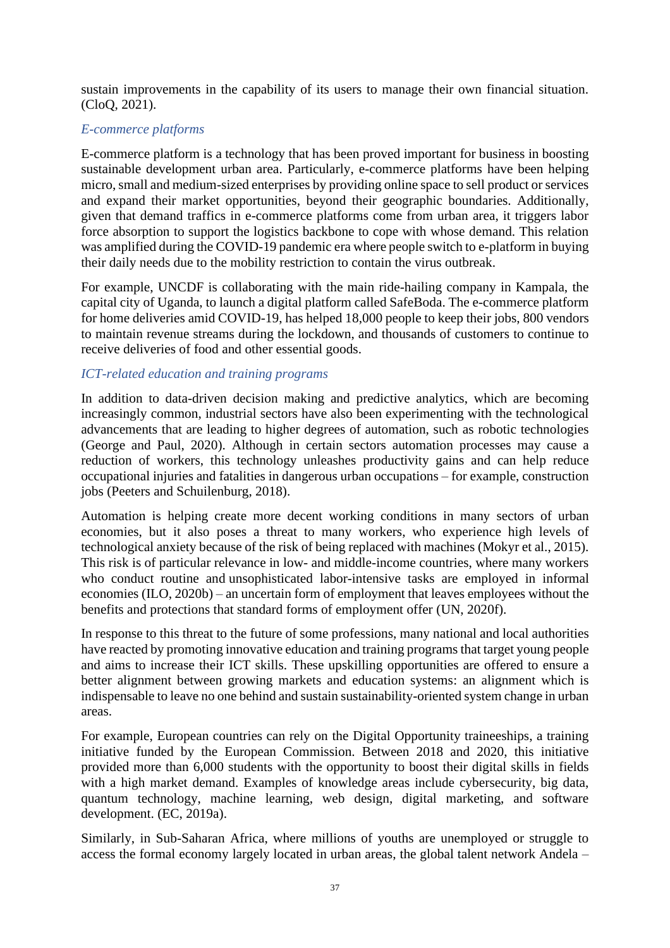sustain improvements in the capability of its users to manage their own financial situation. (CloQ, 2021).

### *E-commerce platforms*

E-commerce platform is a technology that has been proved important for business in boosting sustainable development urban area. Particularly, e-commerce platforms have been helping micro, small and medium-sized enterprises by providing online space to sell product or services and expand their market opportunities, beyond their geographic boundaries. Additionally, given that demand traffics in e-commerce platforms come from urban area, it triggers labor force absorption to support the logistics backbone to cope with whose demand. This relation was amplified during the COVID-19 pandemic era where people switch to e-platform in buying their daily needs due to the mobility restriction to contain the virus outbreak.

For example, UNCDF is collaborating with the main ride-hailing company in Kampala, the capital city of Uganda, to launch a digital platform called SafeBoda. The e-commerce platform for home deliveries amid COVID-19, has helped 18,000 people to keep their jobs, 800 vendors to maintain revenue streams during the lockdown, and thousands of customers to continue to receive deliveries of food and other essential goods.

### *ICT-related education and training programs*

In addition to data-driven decision making and predictive analytics, which are becoming increasingly common, industrial sectors have also been experimenting with the technological advancements that are leading to higher degrees of automation, such as robotic technologies (George and Paul, 2020). Although in certain sectors automation processes may cause a reduction of workers, this technology unleashes productivity gains and can help reduce occupational injuries and fatalities in dangerous urban occupations – for example, construction jobs (Peeters and Schuilenburg, 2018).

Automation is helping create more decent working conditions in many sectors of urban economies, but it also poses a threat to many workers, who experience high levels of technological anxiety because of the risk of being replaced with machines (Mokyr et al., 2015). This risk is of particular relevance in low- and middle-income countries, where many workers who conduct routine and unsophisticated labor-intensive tasks are employed in informal economies (ILO, 2020b) – an uncertain form of employment that leaves employees without the benefits and protections that standard forms of employment offer (UN, 2020f).

In response to this threat to the future of some professions, many national and local authorities have reacted by promoting innovative education and training programs that target young people and aims to increase their ICT skills. These upskilling opportunities are offered to ensure a better alignment between growing markets and education systems: an alignment which is indispensable to leave no one behind and sustain sustainability-oriented system change in urban areas.

For example, European countries can rely on the Digital Opportunity traineeships, a training initiative funded by the European Commission. Between 2018 and 2020, this initiative provided more than 6,000 students with the opportunity to boost their digital skills in fields with a high market demand. Examples of knowledge areas include cybersecurity, big data, quantum technology, machine learning, web design, digital marketing, and software development. (EC, 2019a).

Similarly, in Sub-Saharan Africa, where millions of youths are unemployed or struggle to access the formal economy largely located in urban areas, the global talent network Andela –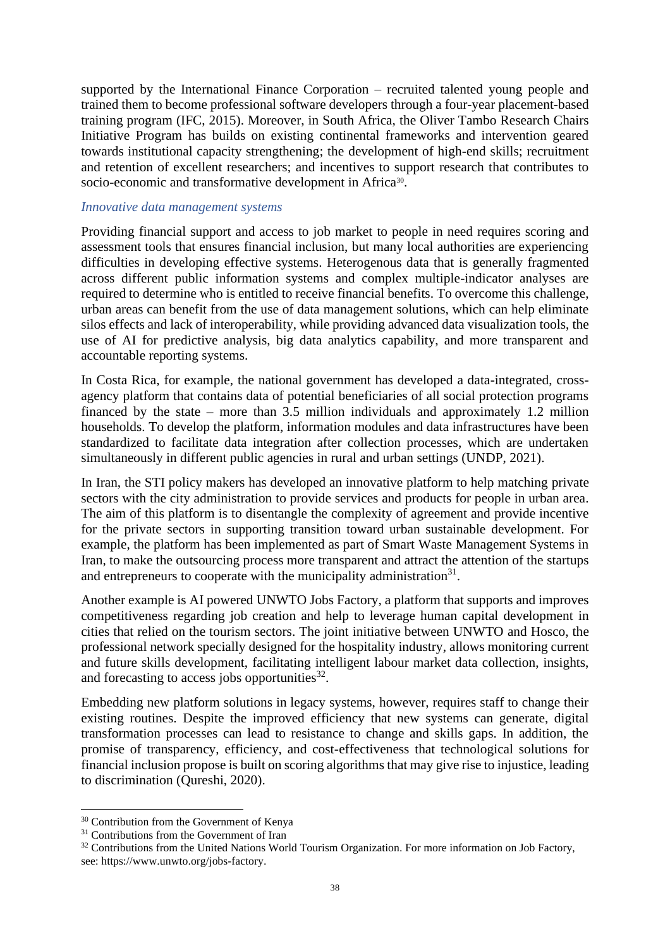supported by the International Finance Corporation – recruited talented young people and trained them to become professional software developers through a four-year placement-based training program (IFC, 2015). Moreover, in South Africa, the Oliver Tambo Research Chairs Initiative Program has builds on existing continental frameworks and intervention geared towards institutional capacity strengthening; the development of high-end skills; recruitment and retention of excellent researchers; and incentives to support research that contributes to socio-economic and transformative development in Africa<sup>30</sup>.

#### *Innovative data management systems*

Providing financial support and access to job market to people in need requires scoring and assessment tools that ensures financial inclusion, but many local authorities are experiencing difficulties in developing effective systems. Heterogenous data that is generally fragmented across different public information systems and complex multiple-indicator analyses are required to determine who is entitled to receive financial benefits. To overcome this challenge, urban areas can benefit from the use of data management solutions, which can help eliminate silos effects and lack of interoperability, while providing advanced data visualization tools, the use of AI for predictive analysis, big data analytics capability, and more transparent and accountable reporting systems.

In Costa Rica, for example, the national government has developed a data-integrated, crossagency platform that contains data of potential beneficiaries of all social protection programs financed by the state – more than 3.5 million individuals and approximately 1.2 million households. To develop the platform, information modules and data infrastructures have been standardized to facilitate data integration after collection processes, which are undertaken simultaneously in different public agencies in rural and urban settings (UNDP, 2021).

In Iran, the STI policy makers has developed an innovative platform to help matching private sectors with the city administration to provide services and products for people in urban area. The aim of this platform is to disentangle the complexity of agreement and provide incentive for the private sectors in supporting transition toward urban sustainable development. For example, the platform has been implemented as part of Smart Waste Management Systems in Iran, to make the outsourcing process more transparent and attract the attention of the startups and entrepreneurs to cooperate with the municipality administration<sup>31</sup>.

Another example is AI powered [UNWTO Jobs Factory,](https://www.unwto.org/jobs-factory) a platform that supports and improves competitiveness regarding job creation and help to leverage human capital development in cities that relied on the tourism sectors. The joint initiative between UNWTO and Hosco, the professional network specially designed for the hospitality industry, allows monitoring current and future skills development, facilitating intelligent labour market data collection, insights, and forecasting to access jobs opportunities $^{32}$ .

Embedding new platform solutions in legacy systems, however, requires staff to change their existing routines. Despite the improved efficiency that new systems can generate, digital transformation processes can lead to resistance to change and skills gaps. In addition, the promise of transparency, efficiency, and cost-effectiveness that technological solutions for financial inclusion propose is built on scoring algorithms that may give rise to injustice, leading to discrimination (Qureshi, 2020).

<sup>&</sup>lt;sup>30</sup> Contribution from the Government of Kenya

<sup>&</sup>lt;sup>31</sup> Contributions from the Government of Iran

<sup>&</sup>lt;sup>32</sup> Contributions from the United Nations World Tourism Organization. For more information on Job Factory, see: https://www.unwto.org/jobs-factory.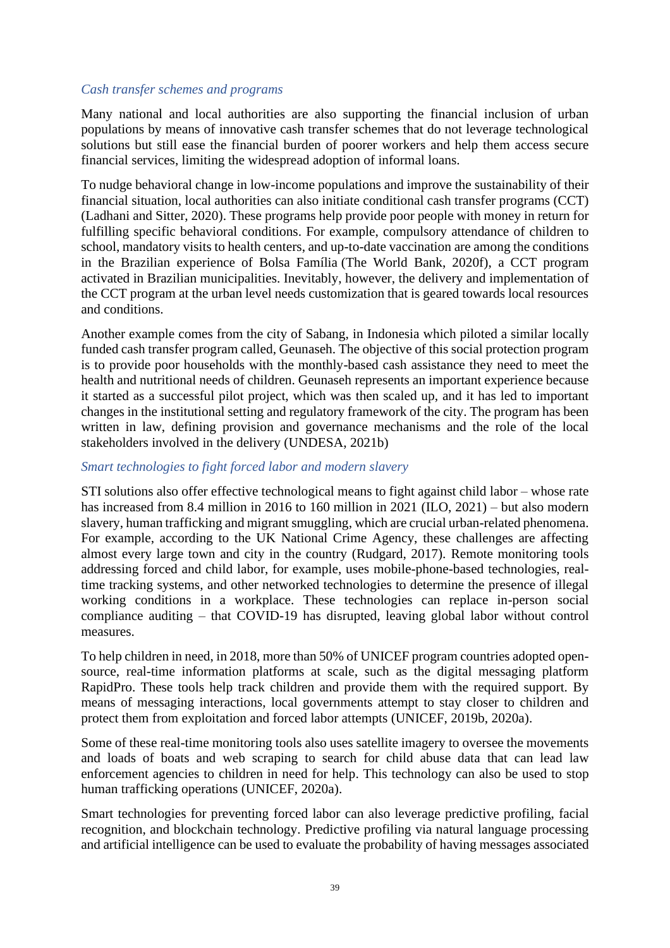#### *Cash transfer schemes and programs*

Many national and local authorities are also supporting the financial inclusion of urban populations by means of innovative cash transfer schemes that do not leverage technological solutions but still ease the financial burden of poorer workers and help them access secure financial services, limiting the widespread adoption of informal loans.

To nudge behavioral change in low-income populations and improve the sustainability of their financial situation, local authorities can also initiate conditional cash transfer programs (CCT) (Ladhani and Sitter, 2020). These programs help provide poor people with money in return for fulfilling specific behavioral conditions. For example, compulsory attendance of children to school, mandatory visits to health centers, and up-to-date vaccination are among the conditions in the Brazilian experience of Bolsa Família (The World Bank, 2020f), a CCT program activated in Brazilian municipalities. Inevitably, however, the delivery and implementation of the CCT program at the urban level needs customization that is geared towards local resources and conditions.

Another example comes from the city of Sabang, in Indonesia which piloted a similar locally funded cash transfer program called, Geunaseh. The objective of this social protection program is to provide poor households with the monthly-based cash assistance they need to meet the health and nutritional needs of children. Geunaseh represents an important experience because it started as a successful pilot project, which was then scaled up, and it has led to important changes in the institutional setting and regulatory framework of the city. The program has been written in law, defining provision and governance mechanisms and the role of the local stakeholders involved in the delivery (UNDESA, 2021b)

#### *Smart technologies to fight forced labor and modern slavery*

STI solutions also offer effective technological means to fight against child labor – whose rate has increased from 8.4 million in 2016 to 160 million in 2021 (ILO, 2021) – but also modern slavery, human trafficking and migrant smuggling, which are crucial urban-related phenomena. For example, according to the UK National Crime Agency, these challenges are affecting almost every large town and city in the country (Rudgard, 2017). Remote monitoring tools addressing forced and child labor, for example, uses mobile-phone-based technologies, realtime tracking systems, and other networked technologies to determine the presence of illegal working conditions in a workplace. These technologies can replace in-person social compliance auditing – that COVID-19 has disrupted, leaving global labor without control measures.

To help children in need, in 2018, more than 50% of UNICEF program countries adopted opensource, real-time information platforms at scale, such as the digital messaging platform RapidPro. These tools help track children and provide them with the required support. By means of messaging interactions, local governments attempt to stay closer to children and protect them from exploitation and forced labor attempts (UNICEF, 2019b, 2020a).

Some of these real-time monitoring tools also uses satellite imagery to oversee the movements and loads of boats and web scraping to search for child abuse data that can lead law enforcement agencies to children in need for help. This technology can also be used to stop human trafficking operations (UNICEF, 2020a).

Smart technologies for preventing forced labor can also leverage predictive profiling, facial recognition, and blockchain technology. Predictive profiling via natural language processing and artificial intelligence can be used to evaluate the probability of having messages associated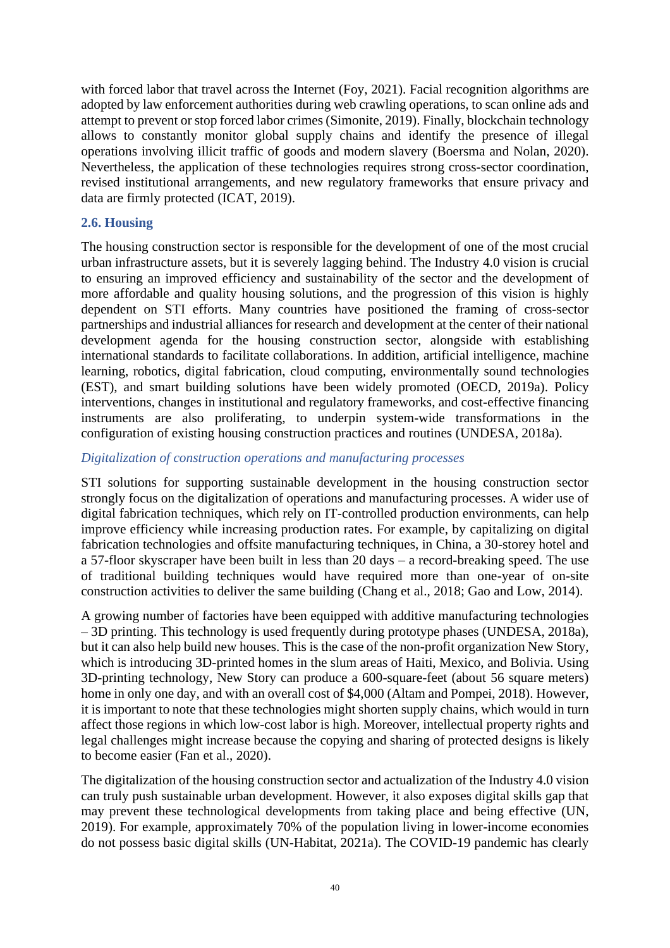with forced labor that travel across the Internet (Foy, 2021). Facial recognition algorithms are adopted by law enforcement authorities during web crawling operations, to scan online ads and attempt to prevent or stop forced labor crimes (Simonite, 2019). Finally, blockchain technology allows to constantly monitor global supply chains and identify the presence of illegal operations involving illicit traffic of goods and modern slavery (Boersma and Nolan, 2020). Nevertheless, the application of these technologies requires strong cross-sector coordination, revised institutional arrangements, and new regulatory frameworks that ensure privacy and data are firmly protected (ICAT, 2019).

#### **2.6. Housing**

The housing construction sector is responsible for the development of one of the most crucial urban infrastructure assets, but it is severely lagging behind. The Industry 4.0 vision is crucial to ensuring an improved efficiency and sustainability of the sector and the development of more affordable and quality housing solutions, and the progression of this vision is highly dependent on STI efforts. Many countries have positioned the framing of cross-sector partnerships and industrial alliances for research and development at the center of their national development agenda for the housing construction sector, alongside with establishing international standards to facilitate collaborations. In addition, artificial intelligence, machine learning, robotics, digital fabrication, cloud computing, environmentally sound technologies (EST), and smart building solutions have been widely promoted (OECD, 2019a). Policy interventions, changes in institutional and regulatory frameworks, and cost-effective financing instruments are also proliferating, to underpin system-wide transformations in the configuration of existing housing construction practices and routines (UNDESA, 2018a).

#### *Digitalization of construction operations and manufacturing processes*

STI solutions for supporting sustainable development in the housing construction sector strongly focus on the digitalization of operations and manufacturing processes. A wider use of digital fabrication techniques, which rely on IT-controlled production environments, can help improve efficiency while increasing production rates. For example, by capitalizing on digital fabrication technologies and offsite manufacturing techniques, in China, a 30-storey hotel and a 57-floor skyscraper have been built in less than 20 days – a record-breaking speed. The use of traditional building techniques would have required more than one-year of on-site construction activities to deliver the same building (Chang et al., 2018; Gao and Low, 2014).

A growing number of factories have been equipped with additive manufacturing technologies – 3D printing. This technology is used frequently during prototype phases (UNDESA, 2018a), but it can also help build new houses. This is the case of the non-profit organization New Story, which is introducing 3D-printed homes in the slum areas of Haiti, Mexico, and Bolivia. Using 3D-printing technology, New Story can produce a 600-square-feet (about 56 square meters) home in only one day, and with an overall cost of \$4,000 (Altam and Pompei, 2018). However, it is important to note that these technologies might shorten supply chains, which would in turn affect those regions in which low-cost labor is high. Moreover, intellectual property rights and legal challenges might increase because the copying and sharing of protected designs is likely to become easier (Fan et al., 2020).

The digitalization of the housing construction sector and actualization of the Industry 4.0 vision can truly push sustainable urban development. However, it also exposes digital skills gap that may prevent these technological developments from taking place and being effective (UN, 2019). For example, approximately 70% of the population living in lower-income economies do not possess basic digital skills (UN-Habitat, 2021a). The COVID-19 pandemic has clearly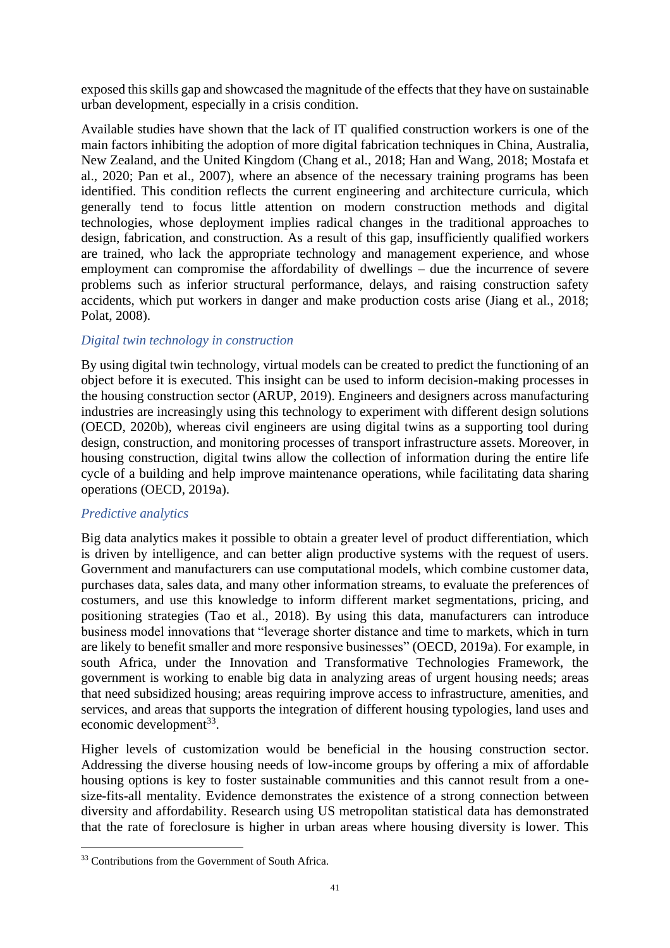exposed this skills gap and showcased the magnitude of the effects that they have on sustainable urban development, especially in a crisis condition.

Available studies have shown that the lack of IT qualified construction workers is one of the main factors inhibiting the adoption of more digital fabrication techniques in China, Australia, New Zealand, and the United Kingdom (Chang et al., 2018; Han and Wang, 2018; Mostafa et al., 2020; Pan et al., 2007), where an absence of the necessary training programs has been identified. This condition reflects the current engineering and architecture curricula, which generally tend to focus little attention on modern construction methods and digital technologies, whose deployment implies radical changes in the traditional approaches to design, fabrication, and construction. As a result of this gap, insufficiently qualified workers are trained, who lack the appropriate technology and management experience, and whose employment can compromise the affordability of dwellings – due the incurrence of severe problems such as inferior structural performance, delays, and raising construction safety accidents, which put workers in danger and make production costs arise (Jiang et al., 2018; Polat, 2008).

#### *Digital twin technology in construction*

By using digital twin technology, virtual models can be created to predict the functioning of an object before it is executed. This insight can be used to inform decision-making processes in the housing construction sector (ARUP, 2019). Engineers and designers across manufacturing industries are increasingly using this technology to experiment with different design solutions (OECD, 2020b), whereas civil engineers are using digital twins as a supporting tool during design, construction, and monitoring processes of transport infrastructure assets. Moreover, in housing construction, digital twins allow the collection of information during the entire life cycle of a building and help improve maintenance operations, while facilitating data sharing operations (OECD, 2019a).

### *Predictive analytics*

Big data analytics makes it possible to obtain a greater level of product differentiation, which is driven by intelligence, and can better align productive systems with the request of users. Government and manufacturers can use computational models, which combine customer data, purchases data, sales data, and many other information streams, to evaluate the preferences of costumers, and use this knowledge to inform different market segmentations, pricing, and positioning strategies (Tao et al., 2018). By using this data, manufacturers can introduce business model innovations that "leverage shorter distance and time to markets, which in turn are likely to benefit smaller and more responsive businesses" (OECD, 2019a). For example, in south Africa, under the Innovation and Transformative Technologies Framework, the government is working to enable big data in analyzing areas of urgent housing needs; areas that need subsidized housing; areas requiring improve access to infrastructure, amenities, and services, and areas that supports the integration of different housing typologies, land uses and economic development<sup>33</sup>.

Higher levels of customization would be beneficial in the housing construction sector. Addressing the diverse housing needs of low-income groups by offering a mix of affordable housing options is key to foster sustainable communities and this cannot result from a onesize-fits-all mentality. Evidence demonstrates the existence of a strong connection between diversity and affordability. Research using US metropolitan statistical data has demonstrated that the rate of foreclosure is higher in urban areas where housing diversity is lower. This

<sup>&</sup>lt;sup>33</sup> Contributions from the Government of South Africa.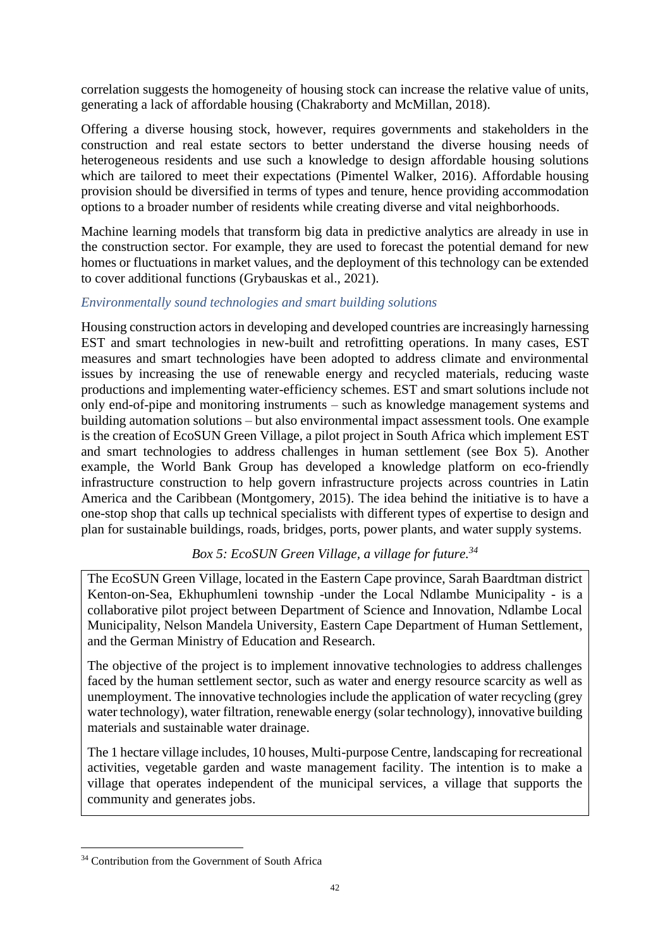correlation suggests the homogeneity of housing stock can increase the relative value of units, generating a lack of affordable housing (Chakraborty and McMillan, 2018).

Offering a diverse housing stock, however, requires governments and stakeholders in the construction and real estate sectors to better understand the diverse housing needs of heterogeneous residents and use such a knowledge to design affordable housing solutions which are tailored to meet their expectations (Pimentel Walker, 2016). Affordable housing provision should be diversified in terms of types and tenure, hence providing accommodation options to a broader number of residents while creating diverse and vital neighborhoods.

Machine learning models that transform big data in predictive analytics are already in use in the construction sector. For example, they are used to forecast the potential demand for new homes or fluctuations in market values, and the deployment of this technology can be extended to cover additional functions (Grybauskas et al., 2021).

### *Environmentally sound technologies and smart building solutions*

Housing construction actors in developing and developed countries are increasingly harnessing EST and smart technologies in new-built and retrofitting operations. In many cases, EST measures and smart technologies have been adopted to address climate and environmental issues by increasing the use of renewable energy and recycled materials, reducing waste productions and implementing water-efficiency schemes. EST and smart solutions include not only end-of-pipe and monitoring instruments – such as knowledge management systems and building automation solutions – but also environmental impact assessment tools. One example is the creation of EcoSUN Green Village, a pilot project in South Africa which implement EST and smart technologies to address challenges in human settlement (see Box 5). Another example, the World Bank Group has developed a knowledge platform on eco-friendly infrastructure construction to help govern infrastructure projects across countries in Latin America and the Caribbean (Montgomery, 2015). The idea behind the initiative is to have a one-stop shop that calls up technical specialists with different types of expertise to design and plan for sustainable buildings, roads, bridges, ports, power plants, and water supply systems.

## *Box 5: EcoSUN Green Village, a village for future. 34*

The EcoSUN Green Village, located in the Eastern Cape province, Sarah Baardtman district Kenton-on-Sea, Ekhuphumleni township -under the Local Ndlambe Municipality - is a collaborative pilot project between Department of Science and Innovation, Ndlambe Local Municipality, Nelson Mandela University, Eastern Cape Department of Human Settlement, and the German Ministry of Education and Research.

The objective of the project is to implement innovative technologies to address challenges faced by the human settlement sector, such as water and energy resource scarcity as well as unemployment. The innovative technologies include the application of water recycling (grey water technology), water filtration, renewable energy (solar technology), innovative building materials and sustainable water drainage.

The 1 hectare village includes, 10 houses, Multi-purpose Centre, landscaping for recreational activities, vegetable garden and waste management facility. The intention is to make a village that operates independent of the municipal services, a village that supports the community and generates jobs.

<sup>&</sup>lt;sup>34</sup> Contribution from the Government of South Africa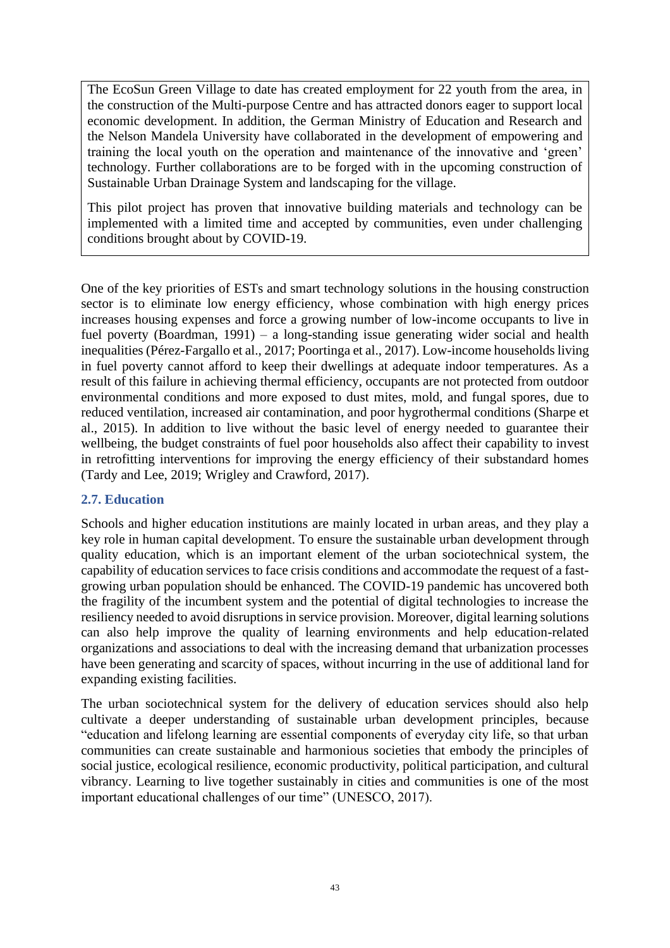The EcoSun Green Village to date has created employment for 22 youth from the area, in the construction of the Multi-purpose Centre and has attracted donors eager to support local economic development. In addition, the German Ministry of Education and Research and the Nelson Mandela University have collaborated in the development of empowering and training the local youth on the operation and maintenance of the innovative and 'green' technology. Further collaborations are to be forged with in the upcoming construction of Sustainable Urban Drainage System and landscaping for the village.

This pilot project has proven that innovative building materials and technology can be implemented with a limited time and accepted by communities, even under challenging conditions brought about by COVID-19.

One of the key priorities of ESTs and smart technology solutions in the housing construction sector is to eliminate low energy efficiency, whose combination with high energy prices increases housing expenses and force a growing number of low-income occupants to live in fuel poverty (Boardman, 1991) – a long-standing issue generating wider social and health inequalities (Pérez-Fargallo et al., 2017; Poortinga et al., 2017). Low-income households living in fuel poverty cannot afford to keep their dwellings at adequate indoor temperatures. As a result of this failure in achieving thermal efficiency, occupants are not protected from outdoor environmental conditions and more exposed to dust mites, mold, and fungal spores, due to reduced ventilation, increased air contamination, and poor hygrothermal conditions (Sharpe et al., 2015). In addition to live without the basic level of energy needed to guarantee their wellbeing, the budget constraints of fuel poor households also affect their capability to invest in retrofitting interventions for improving the energy efficiency of their substandard homes (Tardy and Lee, 2019; Wrigley and Crawford, 2017).

### **2.7. Education**

Schools and higher education institutions are mainly located in urban areas, and they play a key role in human capital development. To ensure the sustainable urban development through quality education, which is an important element of the urban sociotechnical system, the capability of education services to face crisis conditions and accommodate the request of a fastgrowing urban population should be enhanced. The COVID-19 pandemic has uncovered both the fragility of the incumbent system and the potential of digital technologies to increase the resiliency needed to avoid disruptions in service provision. Moreover, digital learning solutions can also help improve the quality of learning environments and help education-related organizations and associations to deal with the increasing demand that urbanization processes have been generating and scarcity of spaces, without incurring in the use of additional land for expanding existing facilities.

The urban sociotechnical system for the delivery of education services should also help cultivate a deeper understanding of sustainable urban development principles, because "education and lifelong learning are essential components of everyday city life, so that urban communities can create sustainable and harmonious societies that embody the principles of social justice, ecological resilience, economic productivity, political participation, and cultural vibrancy. Learning to live together sustainably in cities and communities is one of the most important educational challenges of our time" (UNESCO, 2017).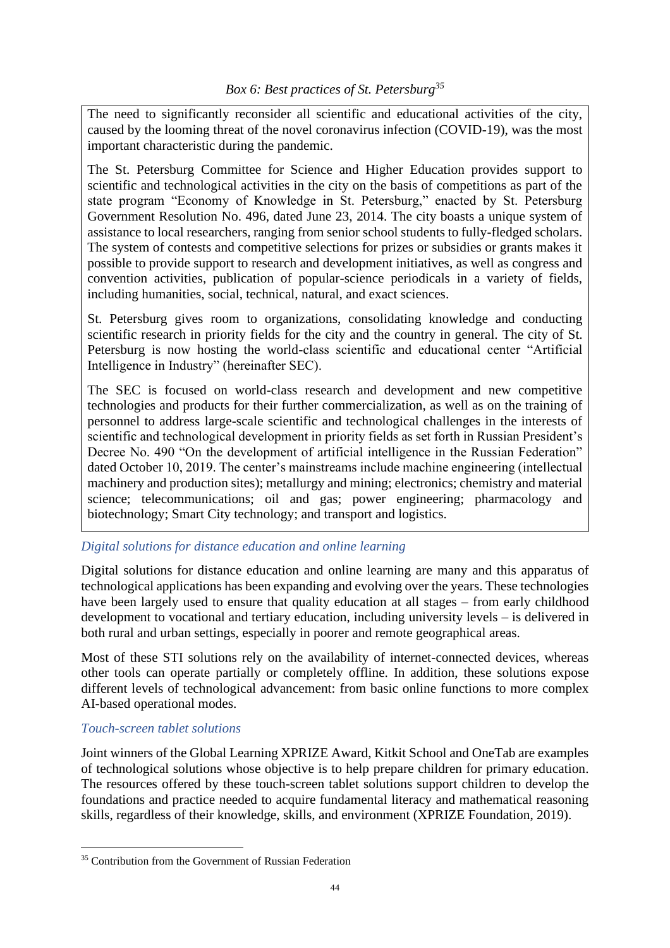The need to significantly reconsider all scientific and educational activities of the city, caused by the looming threat of the novel coronavirus infection (COVID-19), was the most important characteristic during the pandemic.

The St. Petersburg Committee for Science and Higher Education provides support to scientific and technological activities in the city on the basis of competitions as part of the state program "Economy of Knowledge in St. Petersburg," enacted by St. Petersburg Government Resolution No. 496, dated June 23, 2014. The city boasts a unique system of assistance to local researchers, ranging from senior school students to fully-fledged scholars. The system of contests and competitive selections for prizes or subsidies or grants makes it possible to provide support to research and development initiatives, as well as congress and convention activities, publication of popular-science periodicals in a variety of fields, including humanities, social, technical, natural, and exact sciences.

St. Petersburg gives room to organizations, consolidating knowledge and conducting scientific research in priority fields for the city and the country in general. The city of St. Petersburg is now hosting the world-class scientific and educational center "Artificial Intelligence in Industry" (hereinafter SEC).

The SEC is focused on world-class research and development and new competitive technologies and products for their further commercialization, as well as on the training of personnel to address large-scale scientific and technological challenges in the interests of scientific and technological development in priority fields as set forth in Russian President's Decree No. 490 "On the development of artificial intelligence in the Russian Federation" dated October 10, 2019. The center's mainstreams include machine engineering (intellectual machinery and production sites); metallurgy and mining; electronics; chemistry and material science; telecommunications; oil and gas; power engineering; pharmacology and biotechnology; Smart City technology; and transport and logistics.

# *Digital solutions for distance education and online learning*

Digital solutions for distance education and online learning are many and this apparatus of technological applications has been expanding and evolving over the years. These technologies have been largely used to ensure that quality education at all stages – from early childhood development to vocational and tertiary education, including university levels – is delivered in both rural and urban settings, especially in poorer and remote geographical areas.

Most of these STI solutions rely on the availability of internet-connected devices, whereas other tools can operate partially or completely offline. In addition, these solutions expose different levels of technological advancement: from basic online functions to more complex AI-based operational modes.

### *Touch-screen tablet solutions*

Joint winners of the Global Learning XPRIZE Award, Kitkit School and OneTab are examples of technological solutions whose objective is to help prepare children for primary education. The resources offered by these touch-screen tablet solutions support children to develop the foundations and practice needed to acquire fundamental literacy and mathematical reasoning skills, regardless of their knowledge, skills, and environment (XPRIZE Foundation, 2019).

<sup>&</sup>lt;sup>35</sup> Contribution from the Government of Russian Federation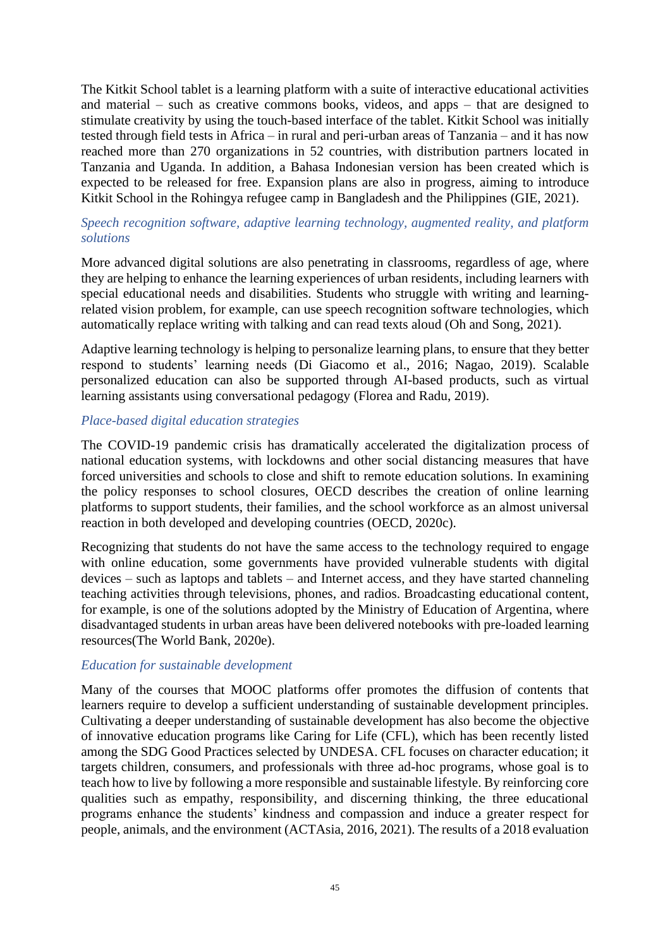The Kitkit School tablet is a learning platform with a suite of interactive educational activities and material – such as creative commons books, videos, and apps – that are designed to stimulate creativity by using the touch-based interface of the tablet. Kitkit School was initially tested through field tests in Africa – in rural and peri-urban areas of Tanzania – and it has now reached more than 270 organizations in 52 countries, with distribution partners located in Tanzania and Uganda. In addition, a Bahasa Indonesian version has been created which is expected to be released for free. Expansion plans are also in progress, aiming to introduce Kitkit School in the Rohingya refugee camp in Bangladesh and the Philippines (GIE, 2021).

#### *Speech recognition software, adaptive learning technology, augmented reality, and platform solutions*

More advanced digital solutions are also penetrating in classrooms, regardless of age, where they are helping to enhance the learning experiences of urban residents, including learners with special educational needs and disabilities. Students who struggle with writing and learningrelated vision problem, for example, can use speech recognition software technologies, which automatically replace writing with talking and can read texts aloud (Oh and Song, 2021).

Adaptive learning technology is helping to personalize learning plans, to ensure that they better respond to students' learning needs (Di Giacomo et al., 2016; Nagao, 2019). Scalable personalized education can also be supported through AI-based products, such as virtual learning assistants using conversational pedagogy (Florea and Radu, 2019).

#### *Place-based digital education strategies*

The COVID-19 pandemic crisis has dramatically accelerated the digitalization process of national education systems, with lockdowns and other social distancing measures that have forced universities and schools to close and shift to remote education solutions. In examining the policy responses to school closures, OECD describes the creation of online learning platforms to support students, their families, and the school workforce as an almost universal reaction in both developed and developing countries (OECD, 2020c).

Recognizing that students do not have the same access to the technology required to engage with online education, some governments have provided vulnerable students with digital devices – such as laptops and tablets – and Internet access, and they have started channeling teaching activities through televisions, phones, and radios. Broadcasting educational content, for example, is one of the solutions adopted by the Ministry of Education of Argentina, where disadvantaged students in urban areas have been delivered notebooks with pre-loaded learning resources(The World Bank, 2020e).

#### *Education for sustainable development*

Many of the courses that MOOC platforms offer promotes the diffusion of contents that learners require to develop a sufficient understanding of sustainable development principles. Cultivating a deeper understanding of sustainable development has also become the objective of innovative education programs like Caring for Life (CFL), which has been recently listed among the SDG Good Practices selected by UNDESA. CFL focuses on character education; it targets children, consumers, and professionals with three ad-hoc programs, whose goal is to teach how to live by following a more responsible and sustainable lifestyle. By reinforcing core qualities such as empathy, responsibility, and discerning thinking, the three educational programs enhance the students' kindness and compassion and induce a greater respect for people, animals, and the environment (ACTAsia, 2016, 2021). The results of a 2018 evaluation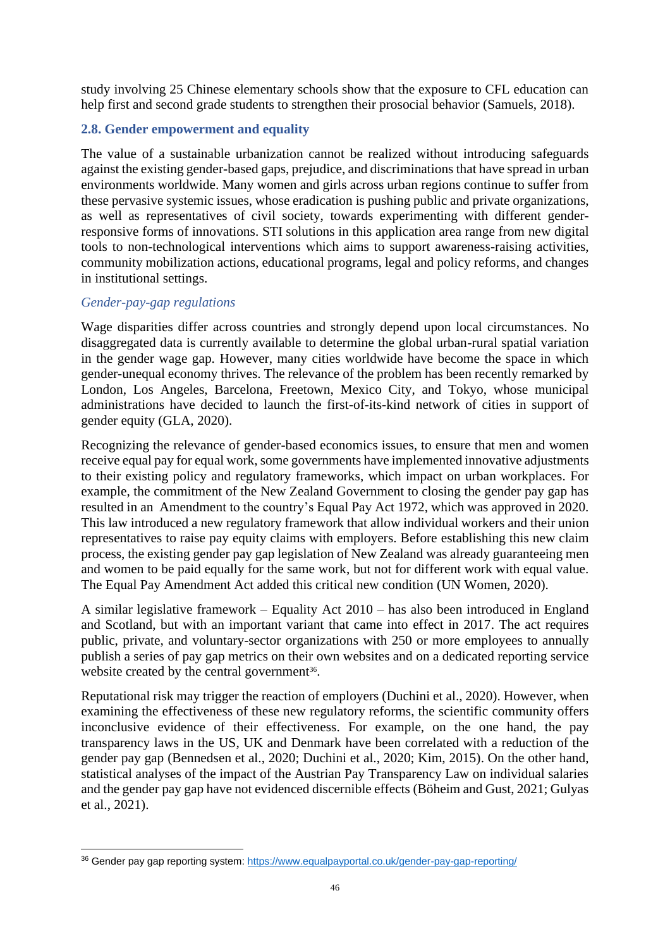study involving 25 Chinese elementary schools show that the exposure to CFL education can help first and second grade students to strengthen their prosocial behavior (Samuels, 2018).

### **2.8. Gender empowerment and equality**

The value of a sustainable urbanization cannot be realized without introducing safeguards against the existing gender-based gaps, prejudice, and discriminations that have spread in urban environments worldwide. Many women and girls across urban regions continue to suffer from these pervasive systemic issues, whose eradication is pushing public and private organizations, as well as representatives of civil society, towards experimenting with different genderresponsive forms of innovations. STI solutions in this application area range from new digital tools to non-technological interventions which aims to support awareness-raising activities, community mobilization actions, educational programs, legal and policy reforms, and changes in institutional settings.

#### *Gender-pay-gap regulations*

Wage disparities differ across countries and strongly depend upon local circumstances. No disaggregated data is currently available to determine the global urban-rural spatial variation in the gender wage gap. However, many cities worldwide have become the space in which gender-unequal economy thrives. The relevance of the problem has been recently remarked by London, Los Angeles, Barcelona, Freetown, Mexico City, and Tokyo, whose municipal administrations have decided to launch the first-of-its-kind network of cities in support of gender equity (GLA, 2020).

Recognizing the relevance of gender-based economics issues, to ensure that men and women receive equal pay for equal work, some governments have implemented innovative adjustments to their existing policy and regulatory frameworks, which impact on urban workplaces. For example, the commitment of the New Zealand Government to closing the gender pay gap has resulted in an Amendment to the country's Equal Pay Act 1972, which was approved in 2020. This law introduced a new regulatory framework that allow individual workers and their union representatives to raise pay equity claims with employers. Before establishing this new claim process, the existing gender pay gap legislation of New Zealand was already guaranteeing men and women to be paid equally for the same work, but not for different work with equal value. The Equal Pay Amendment Act added this critical new condition (UN Women, 2020).

A similar legislative framework – Equality Act 2010 – has also been introduced in England and Scotland, but with an important variant that came into effect in 2017. The act requires public, private, and voluntary-sector organizations with 250 or more employees to annually publish a series of pay gap metrics on their own websites and on a dedicated reporting service website created by the central government<sup>36</sup>.

Reputational risk may trigger the reaction of employers (Duchini et al., 2020). However, when examining the effectiveness of these new regulatory reforms, the scientific community offers inconclusive evidence of their effectiveness. For example, on the one hand, the pay transparency laws in the US, UK and Denmark have been correlated with a reduction of the gender pay gap (Bennedsen et al., 2020; Duchini et al., 2020; Kim, 2015). On the other hand, statistical analyses of the impact of the Austrian Pay Transparency Law on individual salaries and the gender pay gap have not evidenced discernible effects (Böheim and Gust, 2021; Gulyas et al., 2021).

<sup>&</sup>lt;sup>36</sup> Gender pay gap reporting system:<https://www.equalpayportal.co.uk/gender-pay-gap-reporting/>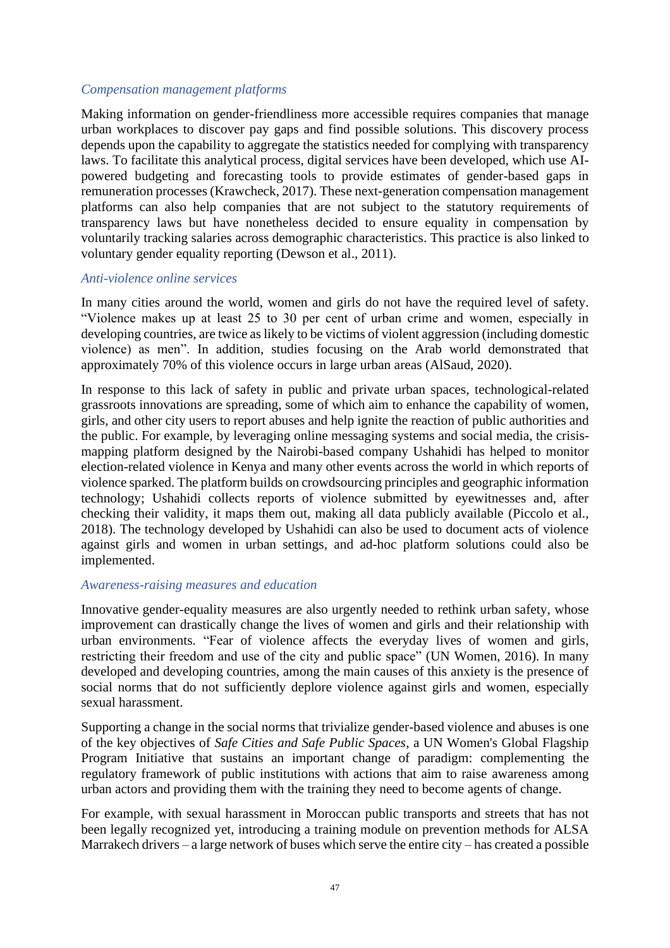#### *Compensation management platforms*

Making information on gender-friendliness more accessible requires companies that manage urban workplaces to discover pay gaps and find possible solutions. This discovery process depends upon the capability to aggregate the statistics needed for complying with transparency laws. To facilitate this analytical process, digital services have been developed, which use AIpowered budgeting and forecasting tools to provide estimates of gender-based gaps in remuneration processes (Krawcheck, 2017). These next-generation compensation management platforms can also help companies that are not subject to the statutory requirements of transparency laws but have nonetheless decided to ensure equality in compensation by voluntarily tracking salaries across demographic characteristics. This practice is also linked to voluntary gender equality reporting (Dewson et al., 2011).

#### *Anti-violence online services*

In many cities around the world, women and girls do not have the required level of safety. "Violence makes up at least 25 to 30 per cent of urban crime and women, especially in developing countries, are twice as likely to be victims of violent aggression (including domestic violence) as men". In addition, studies focusing on the Arab world demonstrated that approximately 70% of this violence occurs in large urban areas (AlSaud, 2020).

In response to this lack of safety in public and private urban spaces, technological-related grassroots innovations are spreading, some of which aim to enhance the capability of women, girls, and other city users to report abuses and help ignite the reaction of public authorities and the public. For example, by leveraging online messaging systems and social media, the crisismapping platform designed by the Nairobi-based company Ushahidi has helped to monitor election-related violence in Kenya and many other events across the world in which reports of violence sparked. The platform builds on crowdsourcing principles and geographic information technology; Ushahidi collects reports of violence submitted by eyewitnesses and, after checking their validity, it maps them out, making all data publicly available (Piccolo et al., 2018). The technology developed by Ushahidi can also be used to document acts of violence against girls and women in urban settings, and ad-hoc platform solutions could also be implemented.

#### *Awareness-raising measures and education*

Innovative gender-equality measures are also urgently needed to rethink urban safety, whose improvement can drastically change the lives of women and girls and their relationship with urban environments. "Fear of violence affects the everyday lives of women and girls, restricting their freedom and use of the city and public space" (UN Women, 2016). In many developed and developing countries, among the main causes of this anxiety is the presence of social norms that do not sufficiently deplore violence against girls and women, especially sexual harassment.

Supporting a change in the social norms that trivialize gender-based violence and abuses is one of the key objectives of *Safe Cities and Safe Public Spaces*, a UN Women's Global Flagship Program Initiative that sustains an important change of paradigm: complementing the regulatory framework of public institutions with actions that aim to raise awareness among urban actors and providing them with the training they need to become agents of change.

For example, with sexual harassment in Moroccan public transports and streets that has not been legally recognized yet, introducing a training module on prevention methods for ALSA Marrakech drivers – a large network of buses which serve the entire city – has created a possible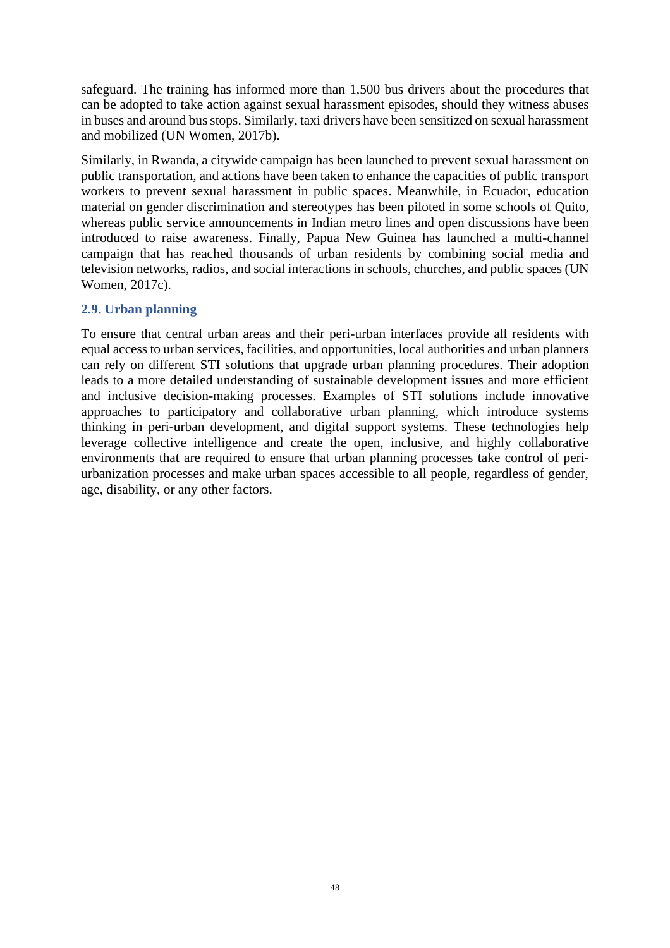safeguard. The training has informed more than 1,500 bus drivers about the procedures that can be adopted to take action against sexual harassment episodes, should they witness abuses in buses and around bus stops. Similarly, taxi drivers have been sensitized on sexual harassment and mobilized (UN Women, 2017b).

Similarly, in Rwanda, a citywide campaign has been launched to prevent sexual harassment on public transportation, and actions have been taken to enhance the capacities of public transport workers to prevent sexual harassment in public spaces. Meanwhile, in Ecuador, education material on gender discrimination and stereotypes has been piloted in some schools of Quito, whereas public service announcements in Indian metro lines and open discussions have been introduced to raise awareness. Finally, Papua New Guinea has launched a multi-channel campaign that has reached thousands of urban residents by combining social media and television networks, radios, and social interactions in schools, churches, and public spaces (UN Women, 2017c).

#### **2.9. Urban planning**

To ensure that central urban areas and their peri-urban interfaces provide all residents with equal access to urban services, facilities, and opportunities, local authorities and urban planners can rely on different STI solutions that upgrade urban planning procedures. Their adoption leads to a more detailed understanding of sustainable development issues and more efficient and inclusive decision-making processes. Examples of STI solutions include innovative approaches to participatory and collaborative urban planning, which introduce systems thinking in peri-urban development, and digital support systems. These technologies help leverage collective intelligence and create the open, inclusive, and highly collaborative environments that are required to ensure that urban planning processes take control of periurbanization processes and make urban spaces accessible to all people, regardless of gender, age, disability, or any other factors.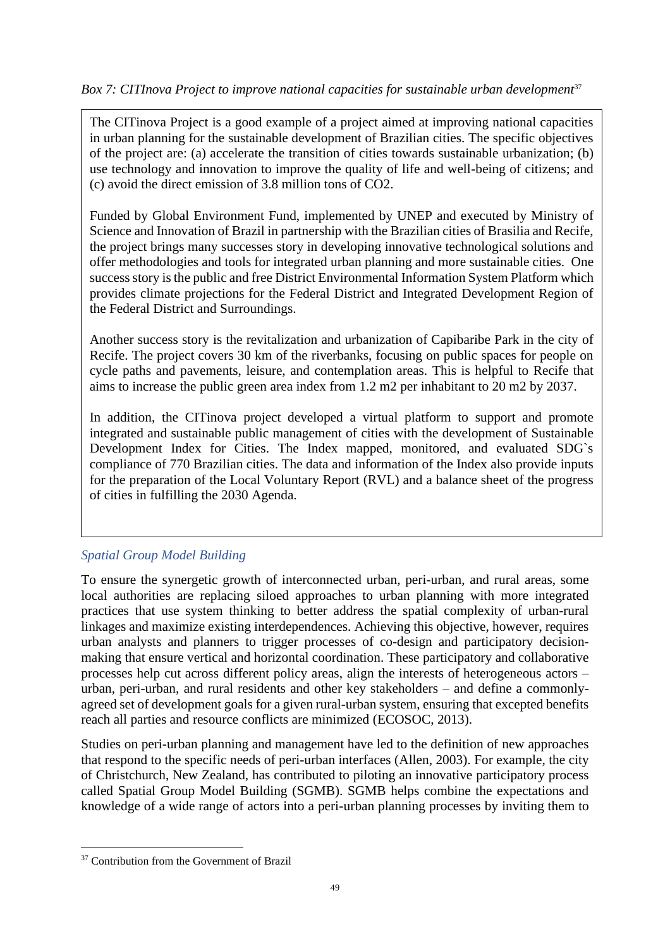## *Box 7: CITInova Project to improve national capacities for sustainable urban development*<sup>37</sup>

The CITinova Project is a good example of a project aimed at improving national capacities in urban planning for the sustainable development of Brazilian cities. The specific objectives of the project are: (a) accelerate the transition of cities towards sustainable urbanization; (b) use technology and innovation to improve the quality of life and well-being of citizens; and (c) avoid the direct emission of 3.8 million tons of CO2.

Funded by Global Environment Fund, implemented by UNEP and executed by Ministry of Science and Innovation of Brazil in partnership with the Brazilian cities of Brasilia and Recife, the project brings many successes story in developing innovative technological solutions and offer methodologies and tools for integrated urban planning and more sustainable cities. One success story is the public and free District Environmental Information System Platform which provides climate projections for the Federal District and Integrated Development Region of the Federal District and Surroundings.

Another success story is the revitalization and urbanization of Capibaribe Park in the city of Recife. The project covers 30 km of the riverbanks, focusing on public spaces for people on cycle paths and pavements, leisure, and contemplation areas. This is helpful to Recife that aims to increase the public green area index from 1.2 m2 per inhabitant to 20 m2 by 2037.

In addition, the CITinova project developed a virtual platform to support and promote integrated and sustainable public management of cities with the development of Sustainable Development Index for Cities. The Index mapped, monitored, and evaluated SDG`s compliance of 770 Brazilian cities. The data and information of the Index also provide inputs for the preparation of the Local Voluntary Report (RVL) and a balance sheet of the progress of cities in fulfilling the 2030 Agenda.

# *Spatial Group Model Building*

To ensure the synergetic growth of interconnected urban, peri-urban, and rural areas, some local authorities are replacing siloed approaches to urban planning with more integrated practices that use system thinking to better address the spatial complexity of urban-rural linkages and maximize existing interdependences. Achieving this objective, however, requires urban analysts and planners to trigger processes of co-design and participatory decisionmaking that ensure vertical and horizontal coordination. These participatory and collaborative processes help cut across different policy areas, align the interests of heterogeneous actors – urban, peri-urban, and rural residents and other key stakeholders – and define a commonlyagreed set of development goals for a given rural-urban system, ensuring that excepted benefits reach all parties and resource conflicts are minimized (ECOSOC, 2013).

Studies on peri-urban planning and management have led to the definition of new approaches that respond to the specific needs of peri-urban interfaces (Allen, 2003). For example, the city of Christchurch, New Zealand, has contributed to piloting an innovative participatory process called Spatial Group Model Building (SGMB). SGMB helps combine the expectations and knowledge of a wide range of actors into a peri-urban planning processes by inviting them to

<sup>&</sup>lt;sup>37</sup> Contribution from the Government of Brazil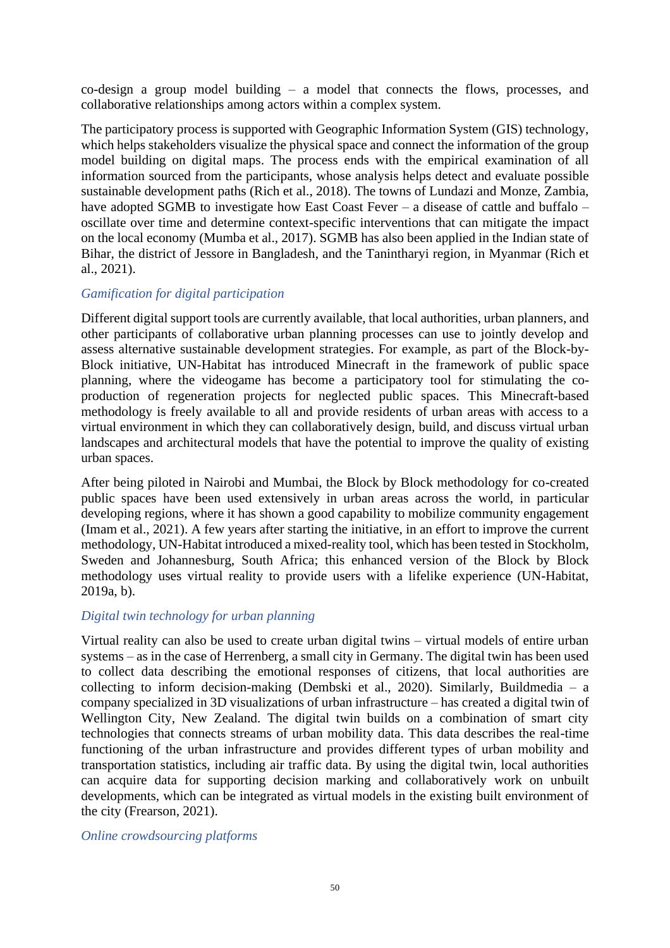co-design a group model building – a model that connects the flows, processes, and collaborative relationships among actors within a complex system.

The participatory process is supported with Geographic Information System (GIS) technology, which helps stakeholders visualize the physical space and connect the information of the group model building on digital maps. The process ends with the empirical examination of all information sourced from the participants, whose analysis helps detect and evaluate possible sustainable development paths (Rich et al., 2018). The towns of Lundazi and Monze, Zambia, have adopted SGMB to investigate how East Coast Fever – a disease of cattle and buffalo – oscillate over time and determine context-specific interventions that can mitigate the impact on the local economy (Mumba et al., 2017). SGMB has also been applied in the Indian state of Bihar, the district of Jessore in Bangladesh, and the Tanintharyi region, in Myanmar (Rich et al., 2021).

#### *Gamification for digital participation*

Different digital support tools are currently available, that local authorities, urban planners, and other participants of collaborative urban planning processes can use to jointly develop and assess alternative sustainable development strategies. For example, as part of the Block-by-Block initiative, UN-Habitat has introduced Minecraft in the framework of public space planning, where the videogame has become a participatory tool for stimulating the coproduction of regeneration projects for neglected public spaces. This Minecraft-based methodology is freely available to all and provide residents of urban areas with access to a virtual environment in which they can collaboratively design, build, and discuss virtual urban landscapes and architectural models that have the potential to improve the quality of existing urban spaces.

After being piloted in Nairobi and Mumbai, the Block by Block methodology for co-created public spaces have been used extensively in urban areas across the world, in particular developing regions, where it has shown a good capability to mobilize community engagement (Imam et al., 2021). A few years after starting the initiative, in an effort to improve the current methodology, UN-Habitat introduced a mixed-reality tool, which has been tested in Stockholm, Sweden and Johannesburg, South Africa; this enhanced version of the Block by Block methodology uses virtual reality to provide users with a lifelike experience (UN-Habitat, 2019a, b).

### *Digital twin technology for urban planning*

Virtual reality can also be used to create urban digital twins – virtual models of entire urban systems – as in the case of Herrenberg, a small city in Germany. The digital twin has been used to collect data describing the emotional responses of citizens, that local authorities are collecting to inform decision-making (Dembski et al., 2020). Similarly, Buildmedia – a company specialized in 3D visualizations of urban infrastructure – has created a digital twin of Wellington City, New Zealand. The digital twin builds on a combination of smart city technologies that connects streams of urban mobility data. This data describes the real-time functioning of the urban infrastructure and provides different types of urban mobility and transportation statistics, including air traffic data. By using the digital twin, local authorities can acquire data for supporting decision marking and collaboratively work on unbuilt developments, which can be integrated as virtual models in the existing built environment of the city (Frearson, 2021).

#### *Online crowdsourcing platforms*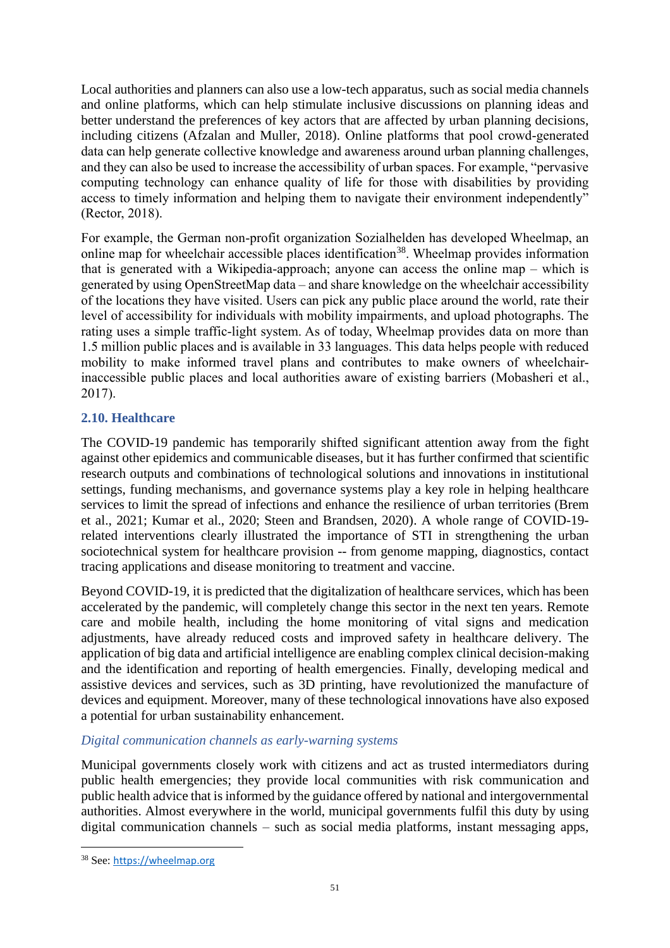Local authorities and planners can also use a low-tech apparatus, such as social media channels and online platforms, which can help stimulate inclusive discussions on planning ideas and better understand the preferences of key actors that are affected by urban planning decisions, including citizens (Afzalan and Muller, 2018). Online platforms that pool crowd-generated data can help generate collective knowledge and awareness around urban planning challenges, and they can also be used to increase the accessibility of urban spaces. For example, "pervasive computing technology can enhance quality of life for those with disabilities by providing access to timely information and helping them to navigate their environment independently" (Rector, 2018).

For example, the German non-profit organization Sozialhelden has developed Wheelmap, an online map for wheelchair accessible places identification<sup>38</sup>. Wheelmap provides information that is generated with a Wikipedia-approach; anyone can access the online map – which is generated by using OpenStreetMap data – and share knowledge on the wheelchair accessibility of the locations they have visited. Users can pick any public place around the world, rate their level of accessibility for individuals with mobility impairments, and upload photographs. The rating uses a simple traffic-light system. As of today, Wheelmap provides data on more than 1.5 million public places and is available in 33 languages. This data helps people with reduced mobility to make informed travel plans and contributes to make owners of wheelchairinaccessible public places and local authorities aware of existing barriers (Mobasheri et al., 2017).

## **2.10. Healthcare**

The COVID-19 pandemic has temporarily shifted significant attention away from the fight against other epidemics and communicable diseases, but it has further confirmed that scientific research outputs and combinations of technological solutions and innovations in institutional settings, funding mechanisms, and governance systems play a key role in helping healthcare services to limit the spread of infections and enhance the resilience of urban territories (Brem et al., 2021; Kumar et al., 2020; Steen and Brandsen, 2020). A whole range of COVID-19 related interventions clearly illustrated the importance of STI in strengthening the urban sociotechnical system for healthcare provision -- from genome mapping, diagnostics, contact tracing applications and disease monitoring to treatment and vaccine.

Beyond COVID-19, it is predicted that the digitalization of healthcare services, which has been accelerated by the pandemic, will completely change this sector in the next ten years. Remote care and mobile health, including the home monitoring of vital signs and medication adjustments, have already reduced costs and improved safety in healthcare delivery. The application of big data and artificial intelligence are enabling complex clinical decision-making and the identification and reporting of health emergencies. Finally, developing medical and assistive devices and services, such as 3D printing, have revolutionized the manufacture of devices and equipment. Moreover, many of these technological innovations have also exposed a potential for urban sustainability enhancement.

### *Digital communication channels as early-warning systems*

Municipal governments closely work with citizens and act as trusted intermediators during public health emergencies; they provide local communities with risk communication and public health advice that is informed by the guidance offered by national and intergovernmental authorities. Almost everywhere in the world, municipal governments fulfil this duty by using digital communication channels – such as social media platforms, instant messaging apps,

<sup>38</sup> See: [https://wheelmap.org](https://wheelmap.org/)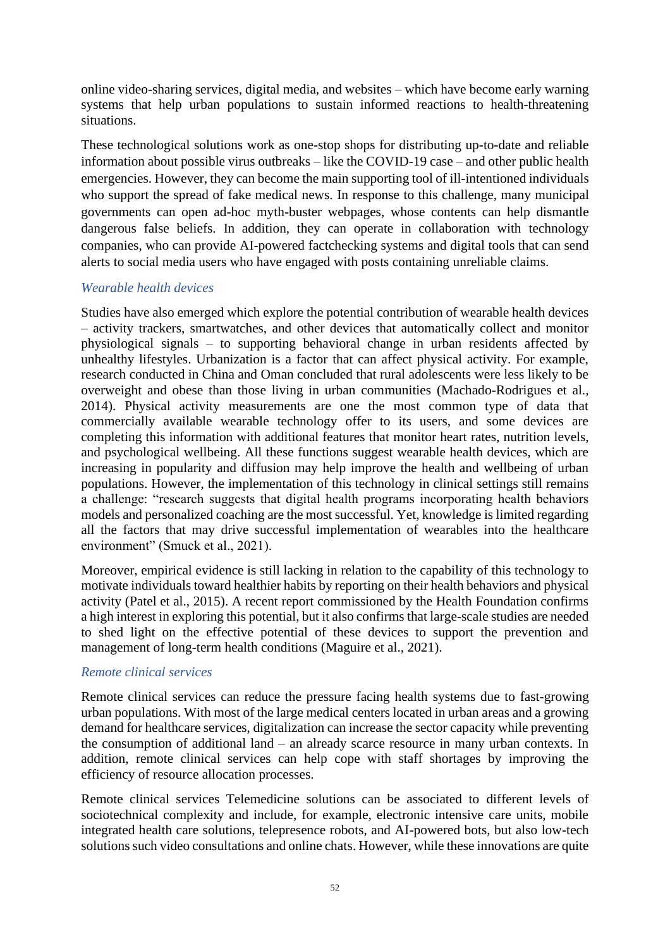online video-sharing services, digital media, and websites – which have become early warning systems that help urban populations to sustain informed reactions to health-threatening situations.

These technological solutions work as one-stop shops for distributing up-to-date and reliable information about possible virus outbreaks – like the COVID-19 case – and other public health emergencies. However, they can become the main supporting tool of ill-intentioned individuals who support the spread of fake medical news. In response to this challenge, many municipal governments can open ad-hoc myth-buster webpages, whose contents can help dismantle dangerous false beliefs. In addition, they can operate in collaboration with technology companies, who can provide AI-powered factchecking systems and digital tools that can send alerts to social media users who have engaged with posts containing unreliable claims.

#### *Wearable health devices*

Studies have also emerged which explore the potential contribution of wearable health devices – activity trackers, smartwatches, and other devices that automatically collect and monitor physiological signals – to supporting behavioral change in urban residents affected by unhealthy lifestyles. Urbanization is a factor that can affect physical activity. For example, research conducted in China and Oman concluded that rural adolescents were less likely to be overweight and obese than those living in urban communities (Machado-Rodrigues et al., 2014). Physical activity measurements are one the most common type of data that commercially available wearable technology offer to its users, and some devices are completing this information with additional features that monitor heart rates, nutrition levels, and psychological wellbeing. All these functions suggest wearable health devices, which are increasing in popularity and diffusion may help improve the health and wellbeing of urban populations. However, the implementation of this technology in clinical settings still remains a challenge: "research suggests that digital health programs incorporating health behaviors models and personalized coaching are the most successful. Yet, knowledge is limited regarding all the factors that may drive successful implementation of wearables into the healthcare environment" (Smuck et al., 2021).

Moreover, empirical evidence is still lacking in relation to the capability of this technology to motivate individuals toward healthier habits by reporting on their health behaviors and physical activity (Patel et al., 2015). A recent report commissioned by the Health Foundation confirms a high interest in exploring this potential, but it also confirms that large-scale studies are needed to shed light on the effective potential of these devices to support the prevention and management of long-term health conditions (Maguire et al., 2021).

#### *Remote clinical services*

Remote clinical services can reduce the pressure facing health systems due to fast-growing urban populations. With most of the large medical centers located in urban areas and a growing demand for healthcare services, digitalization can increase the sector capacity while preventing the consumption of additional land – an already scarce resource in many urban contexts. In addition, remote clinical services can help cope with staff shortages by improving the efficiency of resource allocation processes.

Remote clinical services Telemedicine solutions can be associated to different levels of sociotechnical complexity and include, for example, electronic intensive care units, mobile integrated health care solutions, telepresence robots, and AI-powered bots, but also low-tech solutions such video consultations and online chats. However, while these innovations are quite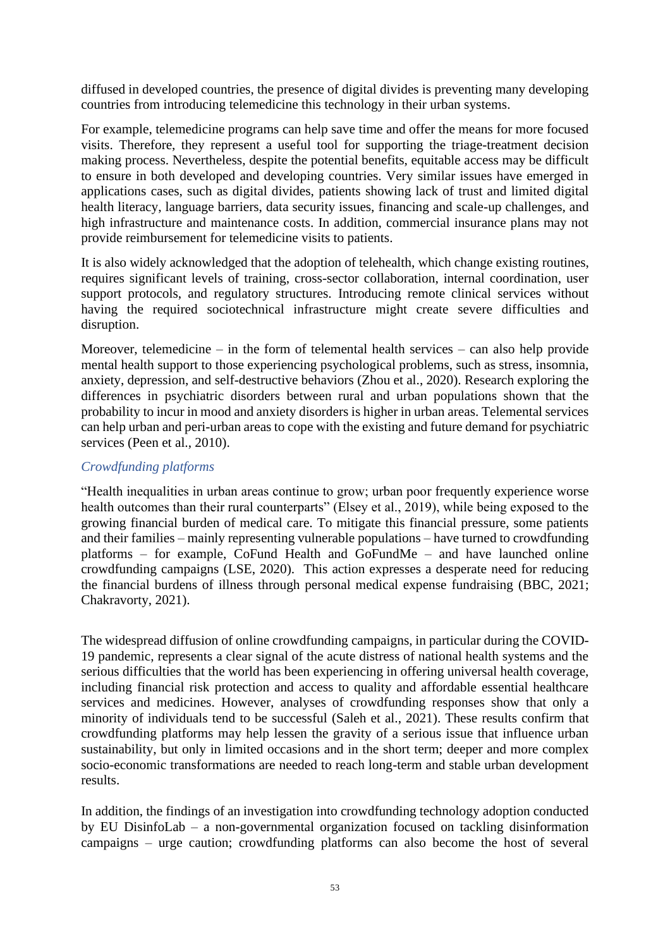diffused in developed countries, the presence of digital divides is preventing many developing countries from introducing telemedicine this technology in their urban systems.

For example, telemedicine programs can help save time and offer the means for more focused visits. Therefore, they represent a useful tool for supporting the triage-treatment decision making process. Nevertheless, despite the potential benefits, equitable access may be difficult to ensure in both developed and developing countries. Very similar issues have emerged in applications cases, such as digital divides, patients showing lack of trust and limited digital health literacy, language barriers, data security issues, financing and scale-up challenges, and high infrastructure and maintenance costs. In addition, commercial insurance plans may not provide reimbursement for telemedicine visits to patients.

It is also widely acknowledged that the adoption of telehealth, which change existing routines, requires significant levels of training, cross-sector collaboration, internal coordination, user support protocols, and regulatory structures. Introducing remote clinical services without having the required sociotechnical infrastructure might create severe difficulties and disruption.

Moreover, telemedicine – in the form of telemental health services – can also help provide mental health support to those experiencing psychological problems, such as stress, insomnia, anxiety, depression, and self-destructive behaviors (Zhou et al., 2020). Research exploring the differences in psychiatric disorders between rural and urban populations shown that the probability to incur in mood and anxiety disorders is higher in urban areas. Telemental services can help urban and peri-urban areas to cope with the existing and future demand for psychiatric services (Peen et al., 2010).

### *Crowdfunding platforms*

"Health inequalities in urban areas continue to grow; urban poor frequently experience worse health outcomes than their rural counterparts" (Elsey et al., 2019), while being exposed to the growing financial burden of medical care. To mitigate this financial pressure, some patients and their families – mainly representing vulnerable populations – have turned to crowdfunding platforms – for example, CoFund Health and GoFundMe – and have launched online crowdfunding campaigns (LSE, 2020). This action expresses a desperate need for reducing the financial burdens of illness through personal medical expense fundraising (BBC, 2021; Chakravorty, 2021).

The widespread diffusion of online crowdfunding campaigns, in particular during the COVID-19 pandemic, represents a clear signal of the acute distress of national health systems and the serious difficulties that the world has been experiencing in offering universal health coverage, including financial risk protection and access to quality and affordable essential healthcare services and medicines. However, analyses of crowdfunding responses show that only a minority of individuals tend to be successful (Saleh et al., 2021). These results confirm that crowdfunding platforms may help lessen the gravity of a serious issue that influence urban sustainability, but only in limited occasions and in the short term; deeper and more complex socio-economic transformations are needed to reach long-term and stable urban development results.

In addition, the findings of an investigation into crowdfunding technology adoption conducted by EU DisinfoLab – a non-governmental organization focused on tackling disinformation campaigns – urge caution; crowdfunding platforms can also become the host of several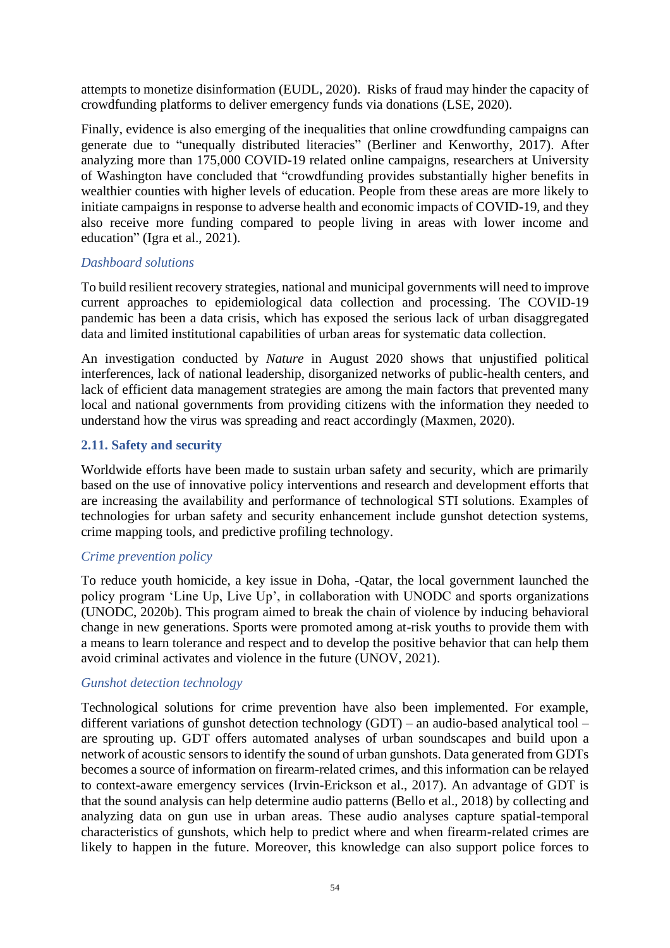attempts to monetize disinformation (EUDL, 2020). Risks of fraud may hinder the capacity of crowdfunding platforms to deliver emergency funds via donations (LSE, 2020).

Finally, evidence is also emerging of the inequalities that online crowdfunding campaigns can generate due to "unequally distributed literacies" (Berliner and Kenworthy, 2017). After analyzing more than 175,000 COVID-19 related online campaigns, researchers at University of Washington have concluded that "crowdfunding provides substantially higher benefits in wealthier counties with higher levels of education. People from these areas are more likely to initiate campaigns in response to adverse health and economic impacts of COVID-19, and they also receive more funding compared to people living in areas with lower income and education" (Igra et al., 2021).

#### *Dashboard solutions*

To build resilient recovery strategies, national and municipal governments will need to improve current approaches to epidemiological data collection and processing. The COVID-19 pandemic has been a data crisis, which has exposed the serious lack of urban disaggregated data and limited institutional capabilities of urban areas for systematic data collection.

An investigation conducted by *Nature* in August 2020 shows that unjustified political interferences, lack of national leadership, disorganized networks of public-health centers, and lack of efficient data management strategies are among the main factors that prevented many local and national governments from providing citizens with the information they needed to understand how the virus was spreading and react accordingly (Maxmen, 2020).

#### **2.11. Safety and security**

Worldwide efforts have been made to sustain urban safety and security, which are primarily based on the use of innovative policy interventions and research and development efforts that are increasing the availability and performance of technological STI solutions. Examples of technologies for urban safety and security enhancement include gunshot detection systems, crime mapping tools, and predictive profiling technology.

#### *Crime prevention policy*

To reduce youth homicide, a key issue in Doha, -Qatar, the local government launched the policy program 'Line Up, Live Up', in collaboration with UNODC and sports organizations (UNODC, 2020b). This program aimed to break the chain of violence by inducing behavioral change in new generations. Sports were promoted among at-risk youths to provide them with a means to learn tolerance and respect and to develop the positive behavior that can help them avoid criminal activates and violence in the future (UNOV, 2021).

### *Gunshot detection technology*

Technological solutions for crime prevention have also been implemented. For example, different variations of gunshot detection technology (GDT) – an audio-based analytical tool – are sprouting up. GDT offers automated analyses of urban soundscapes and build upon a network of acoustic sensors to identify the sound of urban gunshots. Data generated from GDTs becomes a source of information on firearm-related crimes, and this information can be relayed to context-aware emergency services (Irvin-Erickson et al., 2017). An advantage of GDT is that the sound analysis can help determine audio patterns (Bello et al., 2018) by collecting and analyzing data on gun use in urban areas. These audio analyses capture spatial-temporal characteristics of gunshots, which help to predict where and when firearm-related crimes are likely to happen in the future. Moreover, this knowledge can also support police forces to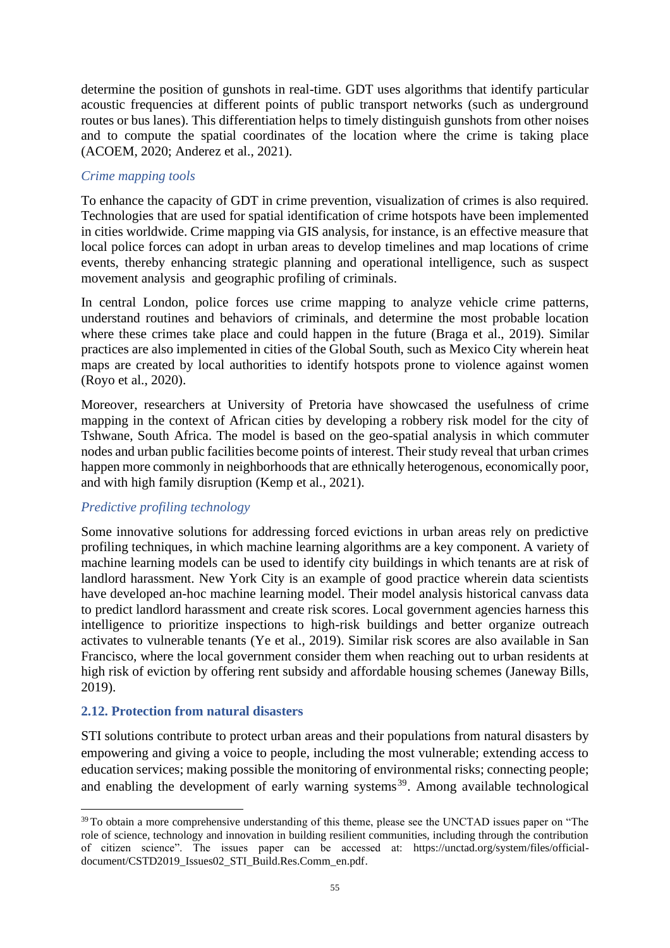determine the position of gunshots in real-time. GDT uses algorithms that identify particular acoustic frequencies at different points of public transport networks (such as underground routes or bus lanes). This differentiation helps to timely distinguish gunshots from other noises and to compute the spatial coordinates of the location where the crime is taking place (ACOEM, 2020; Anderez et al., 2021).

### *Crime mapping tools*

To enhance the capacity of GDT in crime prevention, visualization of crimes is also required. Technologies that are used for spatial identification of crime hotspots have been implemented in cities worldwide. Crime mapping via GIS analysis, for instance, is an effective measure that local police forces can adopt in urban areas to develop timelines and map locations of crime events, thereby enhancing strategic planning and operational intelligence, such as suspect movement analysis and geographic profiling of criminals.

In central London, police forces use crime mapping to analyze vehicle crime patterns, understand routines and behaviors of criminals, and determine the most probable location where these crimes take place and could happen in the future (Braga et al., 2019). Similar practices are also implemented in cities of the Global South, such as Mexico City wherein heat maps are created by local authorities to identify hotspots prone to violence against women (Royo et al., 2020).

Moreover, researchers at University of Pretoria have showcased the usefulness of crime mapping in the context of African cities by developing a robbery risk model for the city of Tshwane, South Africa. The model is based on the geo-spatial analysis in which commuter nodes and urban public facilities become points of interest. Their study reveal that urban crimes happen more commonly in neighborhoods that are ethnically heterogenous, economically poor, and with high family disruption (Kemp et al., 2021).

### *Predictive profiling technology*

Some innovative solutions for addressing forced evictions in urban areas rely on predictive profiling techniques, in which machine learning algorithms are a key component. A variety of machine learning models can be used to identify city buildings in which tenants are at risk of landlord harassment. New York City is an example of good practice wherein data scientists have developed an-hoc machine learning model. Their model analysis historical canvass data to predict landlord harassment and create risk scores. Local government agencies harness this intelligence to prioritize inspections to high-risk buildings and better organize outreach activates to vulnerable tenants (Ye et al., 2019). Similar risk scores are also available in San Francisco, where the local government consider them when reaching out to urban residents at high risk of eviction by offering rent subsidy and affordable housing schemes (Janeway Bills, 2019).

### **2.12. Protection from natural disasters**

STI solutions contribute to protect urban areas and their populations from natural disasters by empowering and giving a voice to people, including the most vulnerable; extending access to education services; making possible the monitoring of environmental risks; connecting people; and enabling the development of early warning systems<sup>39</sup>. Among available technological

<sup>&</sup>lt;sup>39</sup> To obtain a more comprehensive understanding of this theme, please see the UNCTAD issues paper on "The role of science, technology and innovation in building resilient communities, including through the contribution of citizen science". The issues paper can be accessed at: [https://unctad.org/system/files/official](https://unctad.org/system/files/official-document/CSTD2019_Issues02_STI_Build.Res.Comm_en.pdf)[document/CSTD2019\\_Issues02\\_STI\\_Build.Res.Comm\\_en.pdf.](https://unctad.org/system/files/official-document/CSTD2019_Issues02_STI_Build.Res.Comm_en.pdf)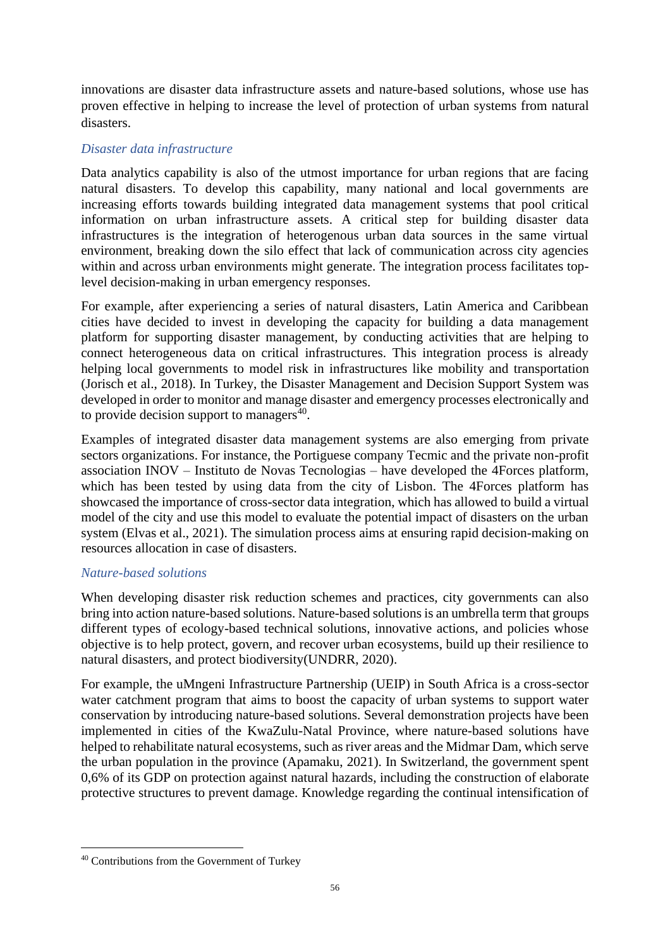innovations are disaster data infrastructure assets and nature-based solutions, whose use has proven effective in helping to increase the level of protection of urban systems from natural disasters.

### *Disaster data infrastructure*

Data analytics capability is also of the utmost importance for urban regions that are facing natural disasters. To develop this capability, many national and local governments are increasing efforts towards building integrated data management systems that pool critical information on urban infrastructure assets. A critical step for building disaster data infrastructures is the integration of heterogenous urban data sources in the same virtual environment, breaking down the silo effect that lack of communication across city agencies within and across urban environments might generate. The integration process facilitates toplevel decision-making in urban emergency responses.

For example, after experiencing a series of natural disasters, Latin America and Caribbean cities have decided to invest in developing the capacity for building a data management platform for supporting disaster management, by conducting activities that are helping to connect heterogeneous data on critical infrastructures. This integration process is already helping local governments to model risk in infrastructures like mobility and transportation (Jorisch et al., 2018). In Turkey, the Disaster Management and Decision Support System was developed in order to monitor and manage disaster and emergency processes electronically and to provide decision support to managers<sup>40</sup>.

Examples of integrated disaster data management systems are also emerging from private sectors organizations. For instance, the Portiguese company Tecmic and the private non-profit association INOV – Instituto de Novas Tecnologias – have developed the 4Forces platform, which has been tested by using data from the city of Lisbon. The 4Forces platform has showcased the importance of cross-sector data integration, which has allowed to build a virtual model of the city and use this model to evaluate the potential impact of disasters on the urban system (Elvas et al., 2021). The simulation process aims at ensuring rapid decision-making on resources allocation in case of disasters.

#### *Nature-based solutions*

When developing disaster risk reduction schemes and practices, city governments can also bring into action nature-based solutions. Nature-based solutions is an umbrella term that groups different types of ecology-based technical solutions, innovative actions, and policies whose objective is to help protect, govern, and recover urban ecosystems, build up their resilience to natural disasters, and protect biodiversity(UNDRR, 2020).

For example, the uMngeni Infrastructure Partnership (UEIP) in South Africa is a cross-sector water catchment program that aims to boost the capacity of urban systems to support water conservation by introducing nature-based solutions. Several demonstration projects have been implemented in cities of the KwaZulu-Natal Province, where nature-based solutions have helped to rehabilitate natural ecosystems, such as river areas and the Midmar Dam, which serve the urban population in the province (Apamaku, 2021). In Switzerland, the government spent 0,6% of its GDP on protection against natural hazards, including the construction of elaborate protective structures to prevent damage. Knowledge regarding the continual intensification of

<sup>40</sup> Contributions from the Government of Turkey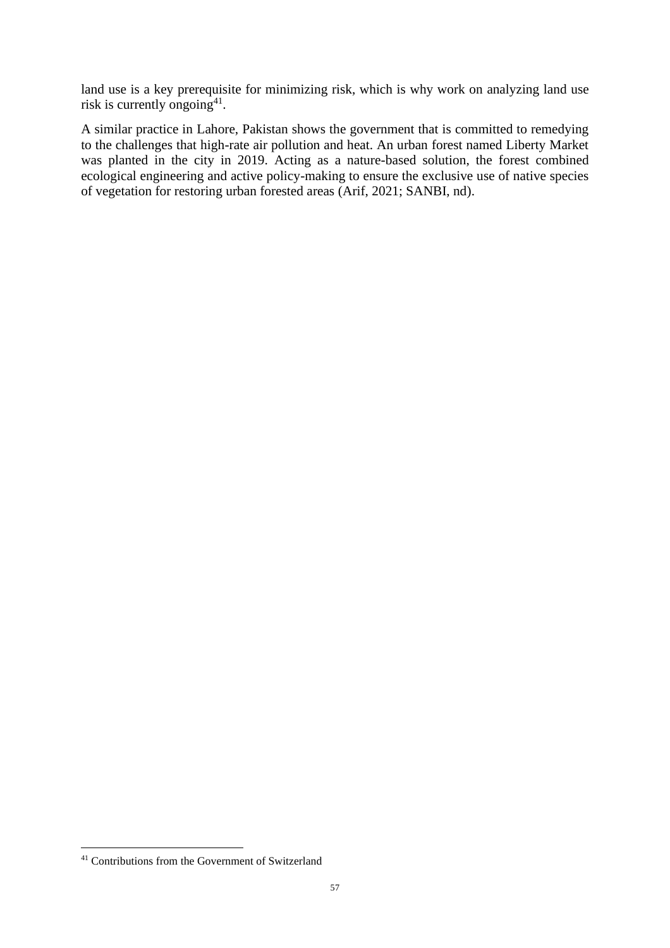land use is a key prerequisite for minimizing risk, which is why work on analyzing land use risk is currently ongoing<sup>41</sup>.

A similar practice in Lahore, Pakistan shows the government that is committed to remedying to the challenges that high-rate air pollution and heat. An urban forest named Liberty Market was planted in the city in 2019. Acting as a nature-based solution, the forest combined ecological engineering and active policy-making to ensure the exclusive use of native species of vegetation for restoring urban forested areas (Arif, 2021; SANBI, nd).

<sup>41</sup> Contributions from the Government of Switzerland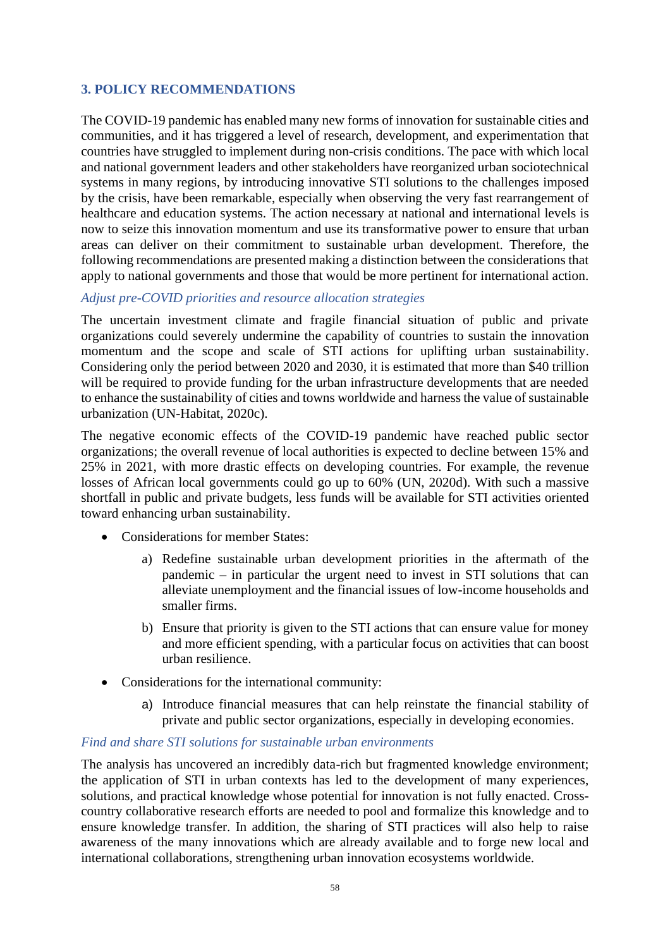## **3. POLICY RECOMMENDATIONS**

The COVID-19 pandemic has enabled many new forms of innovation for sustainable cities and communities, and it has triggered a level of research, development, and experimentation that countries have struggled to implement during non-crisis conditions. The pace with which local and national government leaders and other stakeholders have reorganized urban sociotechnical systems in many regions, by introducing innovative STI solutions to the challenges imposed by the crisis, have been remarkable, especially when observing the very fast rearrangement of healthcare and education systems. The action necessary at national and international levels is now to seize this innovation momentum and use its transformative power to ensure that urban areas can deliver on their commitment to sustainable urban development. Therefore, the following recommendations are presented making a distinction between the considerations that apply to national governments and those that would be more pertinent for international action.

### *Adjust pre-COVID priorities and resource allocation strategies*

The uncertain investment climate and fragile financial situation of public and private organizations could severely undermine the capability of countries to sustain the innovation momentum and the scope and scale of STI actions for uplifting urban sustainability. Considering only the period between 2020 and 2030, it is estimated that more than \$40 trillion will be required to provide funding for the urban infrastructure developments that are needed to enhance the sustainability of cities and towns worldwide and harness the value of sustainable urbanization (UN-Habitat, 2020c).

The negative economic effects of the COVID-19 pandemic have reached public sector organizations; the overall revenue of local authorities is expected to decline between 15% and 25% in 2021, with more drastic effects on developing countries. For example, the revenue losses of African local governments could go up to 60% (UN, 2020d). With such a massive shortfall in public and private budgets, less funds will be available for STI activities oriented toward enhancing urban sustainability.

- Considerations for member States:
	- a) Redefine sustainable urban development priorities in the aftermath of the pandemic – in particular the urgent need to invest in STI solutions that can alleviate unemployment and the financial issues of low-income households and smaller firms.
	- b) Ensure that priority is given to the STI actions that can ensure value for money and more efficient spending, with a particular focus on activities that can boost urban resilience.
- Considerations for the international community:
	- a) Introduce financial measures that can help reinstate the financial stability of private and public sector organizations, especially in developing economies.

#### *Find and share STI solutions for sustainable urban environments*

The analysis has uncovered an incredibly data-rich but fragmented knowledge environment; the application of STI in urban contexts has led to the development of many experiences, solutions, and practical knowledge whose potential for innovation is not fully enacted. Crosscountry collaborative research efforts are needed to pool and formalize this knowledge and to ensure knowledge transfer. In addition, the sharing of STI practices will also help to raise awareness of the many innovations which are already available and to forge new local and international collaborations, strengthening urban innovation ecosystems worldwide.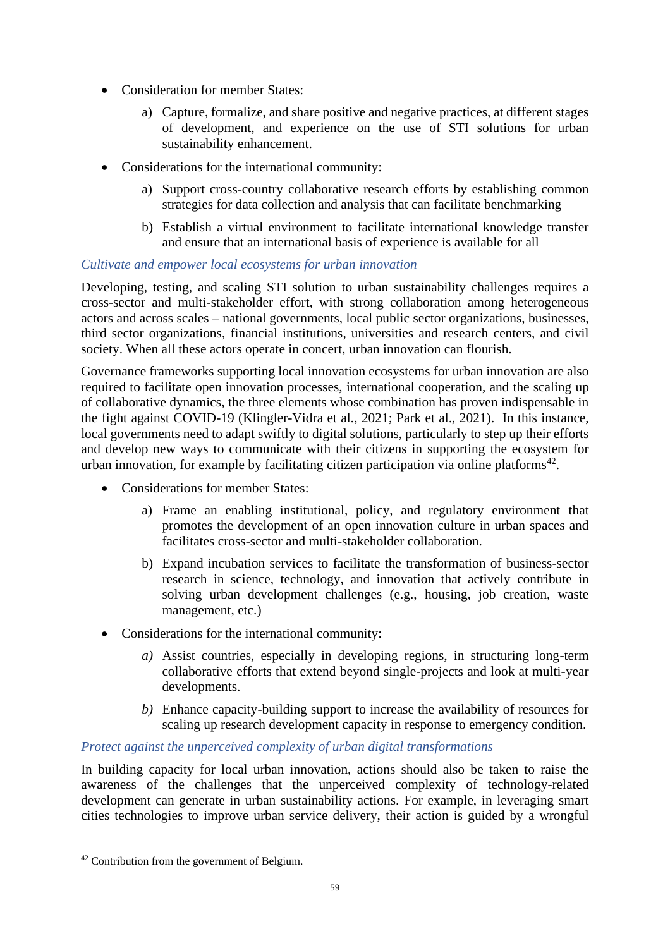- Consideration for member States:
	- a) Capture, formalize, and share positive and negative practices, at different stages of development, and experience on the use of STI solutions for urban sustainability enhancement.
- Considerations for the international community:
	- a) Support cross-country collaborative research efforts by establishing common strategies for data collection and analysis that can facilitate benchmarking
	- b) Establish a virtual environment to facilitate international knowledge transfer and ensure that an international basis of experience is available for all

### *Cultivate and empower local ecosystems for urban innovation*

Developing, testing, and scaling STI solution to urban sustainability challenges requires a cross-sector and multi-stakeholder effort, with strong collaboration among heterogeneous actors and across scales – national governments, local public sector organizations, businesses, third sector organizations, financial institutions, universities and research centers, and civil society. When all these actors operate in concert, urban innovation can flourish.

Governance frameworks supporting local innovation ecosystems for urban innovation are also required to facilitate open innovation processes, international cooperation, and the scaling up of collaborative dynamics, the three elements whose combination has proven indispensable in the fight against COVID-19 (Klingler-Vidra et al., 2021; Park et al., 2021). In this instance, local governments need to adapt swiftly to digital solutions, particularly to step up their efforts and develop new ways to communicate with their citizens in supporting the ecosystem for urban innovation, for example by facilitating citizen participation via online platforms<sup>42</sup>.

- Considerations for member States:
	- a) Frame an enabling institutional, policy, and regulatory environment that promotes the development of an open innovation culture in urban spaces and facilitates cross-sector and multi-stakeholder collaboration.
	- b) Expand incubation services to facilitate the transformation of business-sector research in science, technology, and innovation that actively contribute in solving urban development challenges (e.g., housing, job creation, waste management, etc.)
- Considerations for the international community:
	- *a)* Assist countries, especially in developing regions, in structuring long-term collaborative efforts that extend beyond single-projects and look at multi-year developments.
	- *b)* Enhance capacity-building support to increase the availability of resources for scaling up research development capacity in response to emergency condition.

### *Protect against the unperceived complexity of urban digital transformations*

In building capacity for local urban innovation, actions should also be taken to raise the awareness of the challenges that the unperceived complexity of technology-related development can generate in urban sustainability actions. For example, in leveraging smart cities technologies to improve urban service delivery, their action is guided by a wrongful

<sup>42</sup> Contribution from the government of Belgium.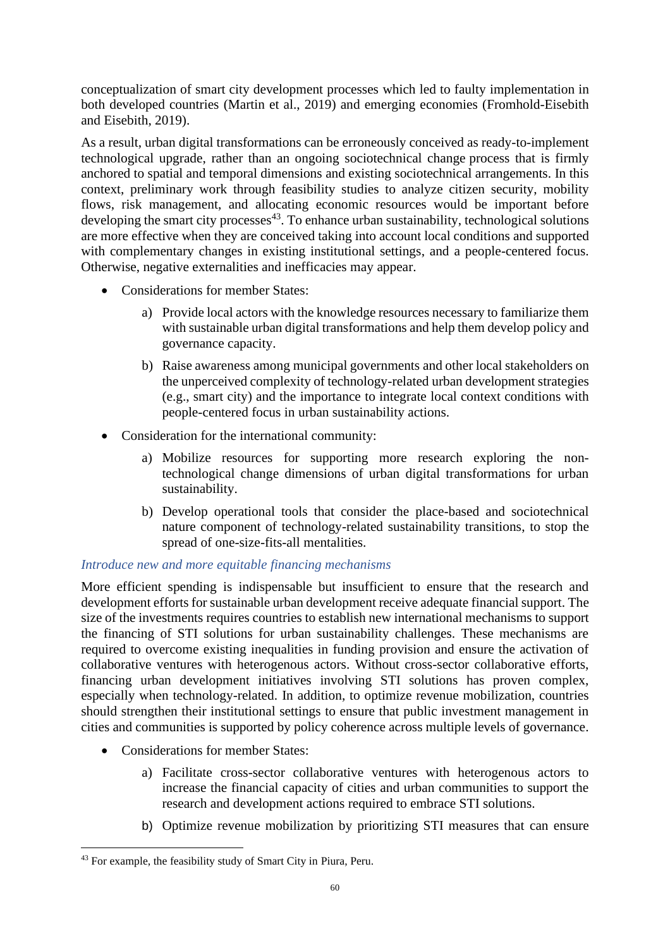conceptualization of smart city development processes which led to faulty implementation in both developed countries (Martin et al., 2019) and emerging economies (Fromhold-Eisebith and Eisebith, 2019).

As a result, urban digital transformations can be erroneously conceived as ready-to-implement technological upgrade, rather than an ongoing sociotechnical change process that is firmly anchored to spatial and temporal dimensions and existing sociotechnical arrangements. In this context, preliminary work through feasibility studies to analyze citizen security, mobility flows, risk management, and allocating economic resources would be important before developing the smart city processes<sup>43</sup>. To enhance urban sustainability, technological solutions are more effective when they are conceived taking into account local conditions and supported with complementary changes in existing institutional settings, and a people-centered focus. Otherwise, negative externalities and inefficacies may appear.

- Considerations for member States:
	- a) Provide local actors with the knowledge resources necessary to familiarize them with sustainable urban digital transformations and help them develop policy and governance capacity.
	- b) Raise awareness among municipal governments and other local stakeholders on the unperceived complexity of technology-related urban development strategies (e.g., smart city) and the importance to integrate local context conditions with people-centered focus in urban sustainability actions.
- Consideration for the international community:
	- a) Mobilize resources for supporting more research exploring the nontechnological change dimensions of urban digital transformations for urban sustainability.
	- b) Develop operational tools that consider the place-based and sociotechnical nature component of technology-related sustainability transitions, to stop the spread of one-size-fits-all mentalities.

### *Introduce new and more equitable financing mechanisms*

More efficient spending is indispensable but insufficient to ensure that the research and development efforts for sustainable urban development receive adequate financial support. The size of the investments requires countries to establish new international mechanisms to support the financing of STI solutions for urban sustainability challenges. These mechanisms are required to overcome existing inequalities in funding provision and ensure the activation of collaborative ventures with heterogenous actors. Without cross-sector collaborative efforts, financing urban development initiatives involving STI solutions has proven complex, especially when technology-related. In addition, to optimize revenue mobilization, countries should strengthen their institutional settings to ensure that public investment management in cities and communities is supported by policy coherence across multiple levels of governance.

- Considerations for member States:
	- a) Facilitate cross-sector collaborative ventures with heterogenous actors to increase the financial capacity of cities and urban communities to support the research and development actions required to embrace STI solutions.
	- b) Optimize revenue mobilization by prioritizing STI measures that can ensure

<sup>43</sup> For example, the feasibility study of Smart City in Piura, Peru.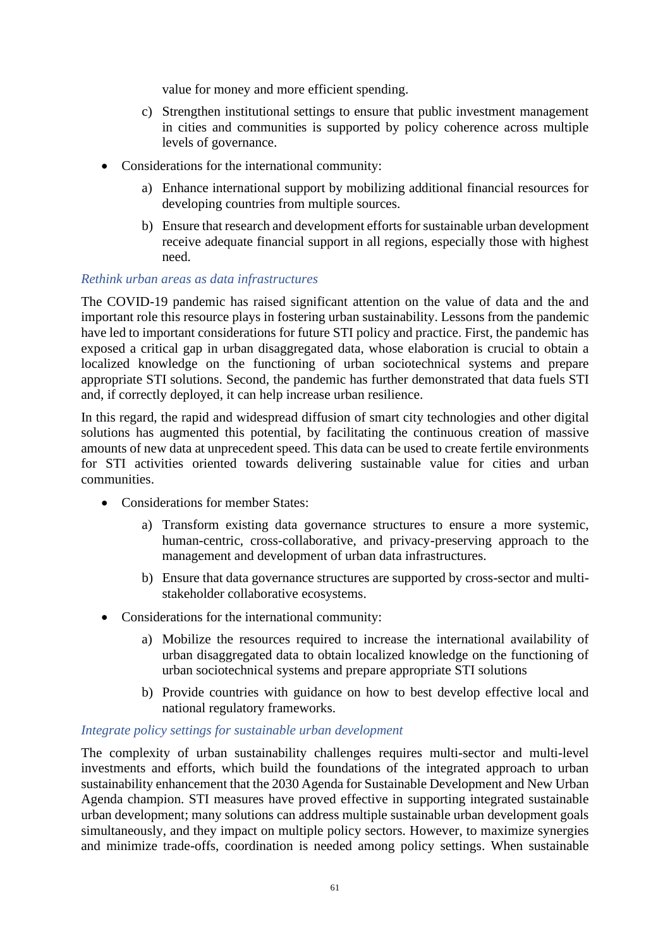value for money and more efficient spending.

- c) Strengthen institutional settings to ensure that public investment management in cities and communities is supported by policy coherence across multiple levels of governance.
- Considerations for the international community:
	- a) Enhance international support by mobilizing additional financial resources for developing countries from multiple sources.
	- b) Ensure that research and development efforts for sustainable urban development receive adequate financial support in all regions, especially those with highest need.

#### *Rethink urban areas as data infrastructures*

The COVID-19 pandemic has raised significant attention on the value of data and the and important role this resource plays in fostering urban sustainability. Lessons from the pandemic have led to important considerations for future STI policy and practice. First, the pandemic has exposed a critical gap in urban disaggregated data, whose elaboration is crucial to obtain a localized knowledge on the functioning of urban sociotechnical systems and prepare appropriate STI solutions. Second, the pandemic has further demonstrated that data fuels STI and, if correctly deployed, it can help increase urban resilience.

In this regard, the rapid and widespread diffusion of smart city technologies and other digital solutions has augmented this potential, by facilitating the continuous creation of massive amounts of new data at unprecedent speed. This data can be used to create fertile environments for STI activities oriented towards delivering sustainable value for cities and urban communities.

- Considerations for member States:
	- a) Transform existing data governance structures to ensure a more systemic, human-centric, cross-collaborative, and privacy-preserving approach to the management and development of urban data infrastructures.
	- b) Ensure that data governance structures are supported by cross-sector and multistakeholder collaborative ecosystems.
- Considerations for the international community:
	- a) Mobilize the resources required to increase the international availability of urban disaggregated data to obtain localized knowledge on the functioning of urban sociotechnical systems and prepare appropriate STI solutions
	- b) Provide countries with guidance on how to best develop effective local and national regulatory frameworks.

#### *Integrate policy settings for sustainable urban development*

The complexity of urban sustainability challenges requires multi-sector and multi-level investments and efforts, which build the foundations of the integrated approach to urban sustainability enhancement that the 2030 Agenda for Sustainable Development and New Urban Agenda champion. STI measures have proved effective in supporting integrated sustainable urban development; many solutions can address multiple sustainable urban development goals simultaneously, and they impact on multiple policy sectors. However, to maximize synergies and minimize trade-offs, coordination is needed among policy settings. When sustainable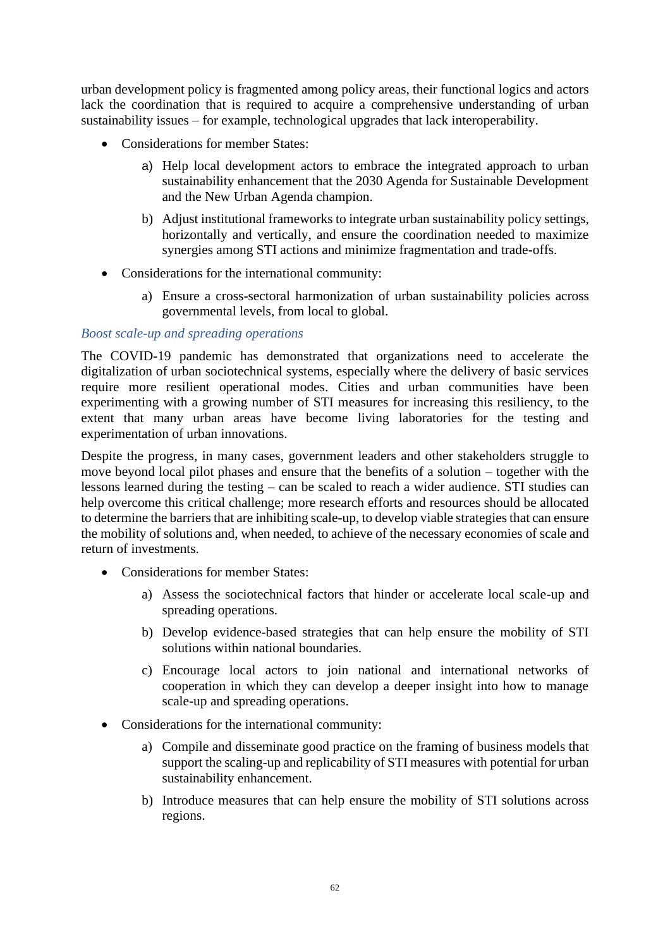urban development policy is fragmented among policy areas, their functional logics and actors lack the coordination that is required to acquire a comprehensive understanding of urban sustainability issues – for example, technological upgrades that lack interoperability.

- Considerations for member States:
	- a) Help local development actors to embrace the integrated approach to urban sustainability enhancement that the 2030 Agenda for Sustainable Development and the New Urban Agenda champion.
	- b) Adjust institutional frameworks to integrate urban sustainability policy settings, horizontally and vertically, and ensure the coordination needed to maximize synergies among STI actions and minimize fragmentation and trade-offs.
- Considerations for the international community:
	- a) Ensure a cross-sectoral harmonization of urban sustainability policies across governmental levels, from local to global.

#### *Boost scale-up and spreading operations*

The COVID-19 pandemic has demonstrated that organizations need to accelerate the digitalization of urban sociotechnical systems, especially where the delivery of basic services require more resilient operational modes. Cities and urban communities have been experimenting with a growing number of STI measures for increasing this resiliency, to the extent that many urban areas have become living laboratories for the testing and experimentation of urban innovations.

Despite the progress, in many cases, government leaders and other stakeholders struggle to move beyond local pilot phases and ensure that the benefits of a solution – together with the lessons learned during the testing – can be scaled to reach a wider audience. STI studies can help overcome this critical challenge; more research efforts and resources should be allocated to determine the barriers that are inhibiting scale-up, to develop viable strategies that can ensure the mobility of solutions and, when needed, to achieve of the necessary economies of scale and return of investments.

- Considerations for member States:
	- a) Assess the sociotechnical factors that hinder or accelerate local scale-up and spreading operations.
	- b) Develop evidence-based strategies that can help ensure the mobility of STI solutions within national boundaries.
	- c) Encourage local actors to join national and international networks of cooperation in which they can develop a deeper insight into how to manage scale-up and spreading operations.
- Considerations for the international community:
	- a) Compile and disseminate good practice on the framing of business models that support the scaling-up and replicability of STI measures with potential for urban sustainability enhancement.
	- b) Introduce measures that can help ensure the mobility of STI solutions across regions.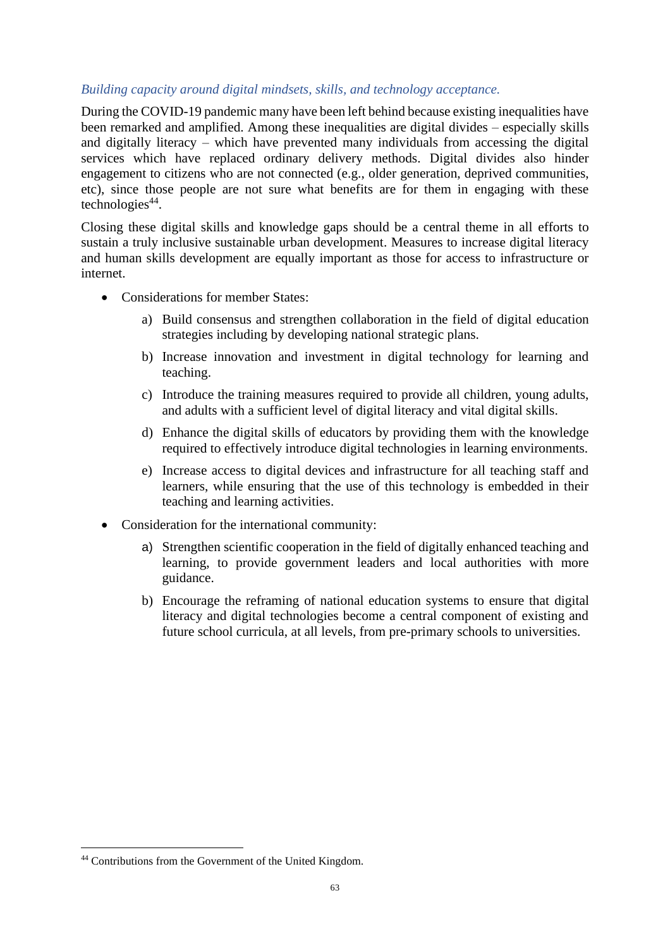### *Building capacity around digital mindsets, skills, and technology acceptance.*

During the COVID-19 pandemic many have been left behind because existing inequalities have been remarked and amplified. Among these inequalities are digital divides – especially skills and digitally literacy – which have prevented many individuals from accessing the digital services which have replaced ordinary delivery methods. Digital divides also hinder engagement to citizens who are not connected (e.g., older generation, deprived communities, etc), since those people are not sure what benefits are for them in engaging with these technologies<sup>44</sup>.

Closing these digital skills and knowledge gaps should be a central theme in all efforts to sustain a truly inclusive sustainable urban development. Measures to increase digital literacy and human skills development are equally important as those for access to infrastructure or internet.

- Considerations for member States:
	- a) Build consensus and strengthen collaboration in the field of digital education strategies including by developing national strategic plans.
	- b) Increase innovation and investment in digital technology for learning and teaching.
	- c) Introduce the training measures required to provide all children, young adults, and adults with a sufficient level of digital literacy and vital digital skills.
	- d) Enhance the digital skills of educators by providing them with the knowledge required to effectively introduce digital technologies in learning environments.
	- e) Increase access to digital devices and infrastructure for all teaching staff and learners, while ensuring that the use of this technology is embedded in their teaching and learning activities.
- Consideration for the international community:
	- a) Strengthen scientific cooperation in the field of digitally enhanced teaching and learning, to provide government leaders and local authorities with more guidance.
	- b) Encourage the reframing of national education systems to ensure that digital literacy and digital technologies become a central component of existing and future school curricula, at all levels, from pre-primary schools to universities.

<sup>44</sup> Contributions from the Government of the United Kingdom.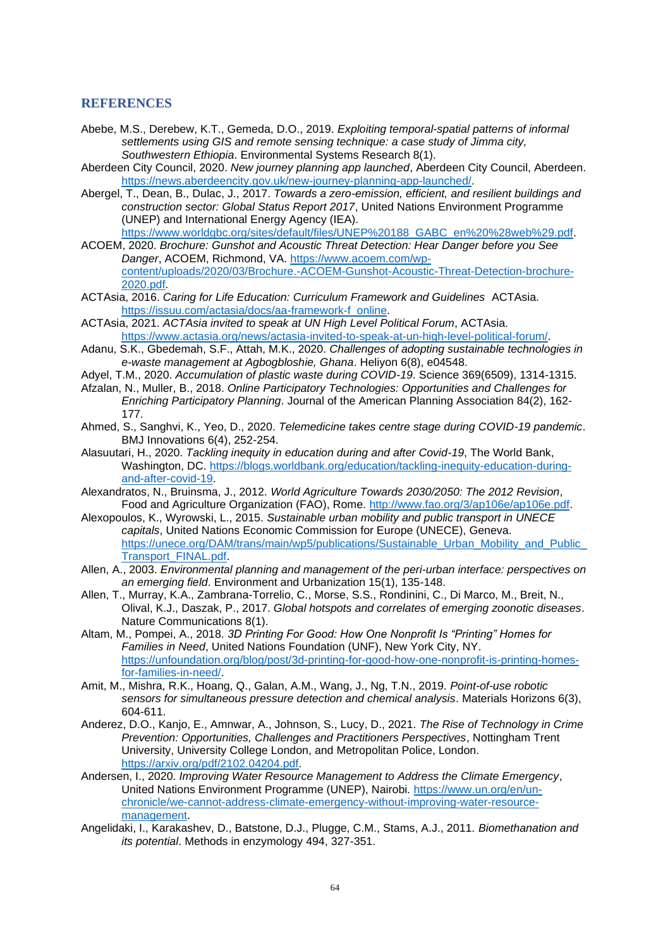#### **REFERENCES**

- Abebe, M.S., Derebew, K.T., Gemeda, D.O., 2019. *Exploiting temporal-spatial patterns of informal settlements using GIS and remote sensing technique: a case study of Jimma city, Southwestern Ethiopia*. Environmental Systems Research 8(1).
- Aberdeen City Council, 2020. *New journey planning app launched*, Aberdeen City Council, Aberdeen. [https://news.aberdeencity.gov.uk/new-journey-planning-app-launched/.](https://news.aberdeencity.gov.uk/new-journey-planning-app-launched/)
- Abergel, T., Dean, B., Dulac, J., 2017. *Towards a zero-emission, efficient, and resilient buildings and construction sector: Global Status Report 2017*, United Nations Environment Programme (UNEP) and International Energy Agency (IEA). [https://www.worldgbc.org/sites/default/files/UNEP%20188\\_GABC\\_en%20%28web%29.pdf.](https://www.worldgbc.org/sites/default/files/UNEP%20188_GABC_en%20%28web%29.pdf)
- ACOEM, 2020. *Brochure: Gunshot and Acoustic Threat Detection: Hear Danger before you See Danger*, ACOEM, Richmond, VA. [https://www.acoem.com/wp](https://www.acoem.com/wp-content/uploads/2020/03/Brochure.-ACOEM-Gunshot-Acoustic-Threat-Detection-brochure-2020.pdf)[content/uploads/2020/03/Brochure.-ACOEM-Gunshot-Acoustic-Threat-Detection-brochure-](https://www.acoem.com/wp-content/uploads/2020/03/Brochure.-ACOEM-Gunshot-Acoustic-Threat-Detection-brochure-2020.pdf)[2020.pdf.](https://www.acoem.com/wp-content/uploads/2020/03/Brochure.-ACOEM-Gunshot-Acoustic-Threat-Detection-brochure-2020.pdf)
- ACTAsia, 2016. *Caring for Life Education: Curriculum Framework and Guidelines* ACTAsia. [https://issuu.com/actasia/docs/aa-framework-f\\_online.](https://issuu.com/actasia/docs/aa-framework-f_online)
- ACTAsia, 2021. *ACTAsia invited to speak at UN High Level Political Forum*, ACTAsia. [https://www.actasia.org/news/actasia-invited-to-speak-at-un-high-level-political-forum/.](https://www.actasia.org/news/actasia-invited-to-speak-at-un-high-level-political-forum/)
- Adanu, S.K., Gbedemah, S.F., Attah, M.K., 2020. *Challenges of adopting sustainable technologies in e-waste management at Agbogbloshie, Ghana*. Heliyon 6(8), e04548.
- Adyel, T.M., 2020. *Accumulation of plastic waste during COVID-19*. Science 369(6509), 1314-1315.
- Afzalan, N., Muller, B., 2018. *Online Participatory Technologies: Opportunities and Challenges for Enriching Participatory Planning*. Journal of the American Planning Association 84(2), 162- 177.
- Ahmed, S., Sanghvi, K., Yeo, D., 2020. *Telemedicine takes centre stage during COVID-19 pandemic*. BMJ Innovations 6(4), 252-254.
- Alasuutari, H., 2020. *Tackling inequity in education during and after Covid-19*, The World Bank, Washington, DC. [https://blogs.worldbank.org/education/tackling-inequity-education-during](https://blogs.worldbank.org/education/tackling-inequity-education-during-and-after-covid-19)[and-after-covid-19.](https://blogs.worldbank.org/education/tackling-inequity-education-during-and-after-covid-19)
- Alexandratos, N., Bruinsma, J., 2012. *World Agriculture Towards 2030/2050: The 2012 Revision*, Food and Agriculture Organization (FAO), Rome. [http://www.fao.org/3/ap106e/ap106e.pdf.](http://www.fao.org/3/ap106e/ap106e.pdf)
- Alexopoulos, K., Wyrowski, L., 2015. *Sustainable urban mobility and public transport in UNECE capitals*, United Nations Economic Commission for Europe (UNECE), Geneva. https://unece.org/DAM/trans/main/wp5/publications/Sustainable\_Urban\_Mobility\_and\_Public [Transport\\_FINAL.pdf.](https://unece.org/DAM/trans/main/wp5/publications/Sustainable_Urban_Mobility_and_Public_Transport_FINAL.pdf)
- Allen, A., 2003. *Environmental planning and management of the peri-urban interface: perspectives on an emerging field*. Environment and Urbanization 15(1), 135-148.
- Allen, T., Murray, K.A., Zambrana-Torrelio, C., Morse, S.S., Rondinini, C., Di Marco, M., Breit, N., Olival, K.J., Daszak, P., 2017. *Global hotspots and correlates of emerging zoonotic diseases*. Nature Communications 8(1).
- Altam, M., Pompei, A., 2018. *3D Printing For Good: How One Nonprofit Is "Printing" Homes for Families in Need*, United Nations Foundation (UNF), New York City, NY. [https://unfoundation.org/blog/post/3d-printing-for-good-how-one-nonprofit-is-printing-homes](https://unfoundation.org/blog/post/3d-printing-for-good-how-one-nonprofit-is-printing-homes-for-families-in-need/)[for-families-in-need/.](https://unfoundation.org/blog/post/3d-printing-for-good-how-one-nonprofit-is-printing-homes-for-families-in-need/)
- Amit, M., Mishra, R.K., Hoang, Q., Galan, A.M., Wang, J., Ng, T.N., 2019. *Point-of-use robotic sensors for simultaneous pressure detection and chemical analysis*. Materials Horizons 6(3), 604-611.
- Anderez, D.O., Kanjo, E., Amnwar, A., Johnson, S., Lucy, D., 2021. *The Rise of Technology in Crime Prevention: Opportunities, Challenges and Practitioners Perspectives*, Nottingham Trent University, University College London, and Metropolitan Police, London. [https://arxiv.org/pdf/2102.04204.pdf.](https://arxiv.org/pdf/2102.04204.pdf)
- Andersen, I., 2020. *Improving Water Resource Management to Address the Climate Emergency*, United Nations Environment Programme (UNEP), Nairobi. [https://www.un.org/en/un](https://www.un.org/en/un-chronicle/we-cannot-address-climate-emergency-without-improving-water-resource-management)[chronicle/we-cannot-address-climate-emergency-without-improving-water-resource](https://www.un.org/en/un-chronicle/we-cannot-address-climate-emergency-without-improving-water-resource-management)[management.](https://www.un.org/en/un-chronicle/we-cannot-address-climate-emergency-without-improving-water-resource-management)
- Angelidaki, I., Karakashev, D., Batstone, D.J., Plugge, C.M., Stams, A.J., 2011. *Biomethanation and its potential*. Methods in enzymology 494, 327-351.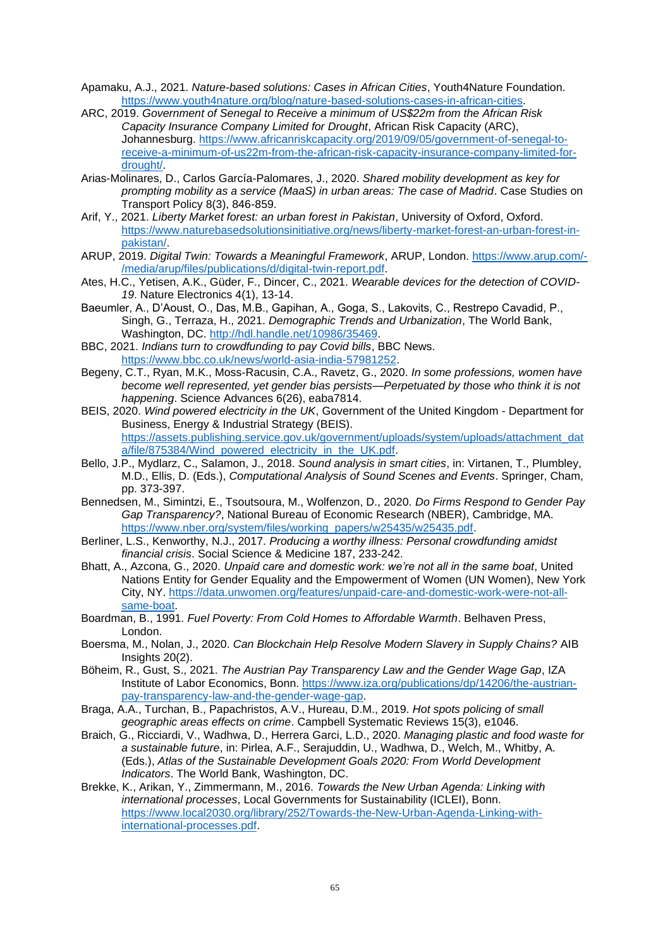Apamaku, A.J., 2021. *Nature-based solutions: Cases in African Cities*, Youth4Nature Foundation. [https://www.youth4nature.org/blog/nature-based-solutions-cases-in-african-cities.](https://www.youth4nature.org/blog/nature-based-solutions-cases-in-african-cities)

- ARC, 2019. *Government of Senegal to Receive a minimum of US\$22m from the African Risk Capacity Insurance Company Limited for Drought*, African Risk Capacity (ARC), Johannesburg. [https://www.africanriskcapacity.org/2019/09/05/government-of-senegal-to](https://www.africanriskcapacity.org/2019/09/05/government-of-senegal-to-receive-a-minimum-of-us22m-from-the-african-risk-capacity-insurance-company-limited-for-drought/)[receive-a-minimum-of-us22m-from-the-african-risk-capacity-insurance-company-limited-for](https://www.africanriskcapacity.org/2019/09/05/government-of-senegal-to-receive-a-minimum-of-us22m-from-the-african-risk-capacity-insurance-company-limited-for-drought/)[drought/.](https://www.africanriskcapacity.org/2019/09/05/government-of-senegal-to-receive-a-minimum-of-us22m-from-the-african-risk-capacity-insurance-company-limited-for-drought/)
- Arias-Molinares, D., Carlos García-Palomares, J., 2020. *Shared mobility development as key for prompting mobility as a service (MaaS) in urban areas: The case of Madrid*. Case Studies on Transport Policy 8(3), 846-859.
- Arif, Y., 2021. *Liberty Market forest: an urban forest in Pakistan*, University of Oxford, Oxford. [https://www.naturebasedsolutionsinitiative.org/news/liberty-market-forest-an-urban-forest-in](https://www.naturebasedsolutionsinitiative.org/news/liberty-market-forest-an-urban-forest-in-pakistan/)[pakistan/.](https://www.naturebasedsolutionsinitiative.org/news/liberty-market-forest-an-urban-forest-in-pakistan/)
- ARUP, 2019. *Digital Twin: Towards a Meaningful Framework*, ARUP, London. [https://www.arup.com/-](https://www.arup.com/-/media/arup/files/publications/d/digital-twin-report.pdf) [/media/arup/files/publications/d/digital-twin-report.pdf.](https://www.arup.com/-/media/arup/files/publications/d/digital-twin-report.pdf)
- Ates, H.C., Yetisen, A.K., Güder, F., Dincer, C., 2021. *Wearable devices for the detection of COVID-19*. Nature Electronics 4(1), 13-14.
- Baeumler, A., D'Aoust, O., Das, M.B., Gapihan, A., Goga, S., Lakovits, C., Restrepo Cavadid, P., Singh, G., Terraza, H., 2021. *Demographic Trends and Urbanization*, The World Bank, Washington, DC. [http://hdl.handle.net/10986/35469.](http://hdl.handle.net/10986/35469)
- BBC, 2021. *Indians turn to crowdfunding to pay Covid bills*, BBC News. [https://www.bbc.co.uk/news/world-asia-india-57981252.](https://www.bbc.co.uk/news/world-asia-india-57981252)
- Begeny, C.T., Ryan, M.K., Moss-Racusin, C.A., Ravetz, G., 2020. *In some professions, women have become well represented, yet gender bias persists—Perpetuated by those who think it is not happening*. Science Advances 6(26), eaba7814.
- BEIS, 2020. *Wind powered electricity in the UK*, Government of the United Kingdom Department for Business, Energy & Industrial Strategy (BEIS). [https://assets.publishing.service.gov.uk/government/uploads/system/uploads/attachment\\_dat](https://assets.publishing.service.gov.uk/government/uploads/system/uploads/attachment_data/file/875384/Wind_powered_electricity_in_the_UK.pdf) [a/file/875384/Wind\\_powered\\_electricity\\_in\\_the\\_UK.pdf.](https://assets.publishing.service.gov.uk/government/uploads/system/uploads/attachment_data/file/875384/Wind_powered_electricity_in_the_UK.pdf)
- Bello, J.P., Mydlarz, C., Salamon, J., 2018. *Sound analysis in smart cities*, in: Virtanen, T., Plumbley, M.D., Ellis, D. (Eds.), *Computational Analysis of Sound Scenes and Events*. Springer, Cham, pp. 373-397.
- Bennedsen, M., Simintzi, E., Tsoutsoura, M., Wolfenzon, D., 2020. *Do Firms Respond to Gender Pay Gap Transparency?*, National Bureau of Economic Research (NBER), Cambridge, MA. [https://www.nber.org/system/files/working\\_papers/w25435/w25435.pdf.](https://www.nber.org/system/files/working_papers/w25435/w25435.pdf)
- Berliner, L.S., Kenworthy, N.J., 2017. *Producing a worthy illness: Personal crowdfunding amidst financial crisis*. Social Science & Medicine 187, 233-242.
- Bhatt, A., Azcona, G., 2020. *Unpaid care and domestic work: we're not all in the same boat*, United Nations Entity for Gender Equality and the Empowerment of Women (UN Women), New York City, NY. [https://data.unwomen.org/features/unpaid-care-and-domestic-work-were-not-all](https://data.unwomen.org/features/unpaid-care-and-domestic-work-were-not-all-same-boat)[same-boat.](https://data.unwomen.org/features/unpaid-care-and-domestic-work-were-not-all-same-boat)
- Boardman, B., 1991. *Fuel Poverty: From Cold Homes to Affordable Warmth*. Belhaven Press, London.
- Boersma, M., Nolan, J., 2020. *Can Blockchain Help Resolve Modern Slavery in Supply Chains?* AIB Insights 20(2).
- Böheim, R., Gust, S., 2021. *The Austrian Pay Transparency Law and the Gender Wage Gap*, IZA Institute of Labor Economics, Bonn. [https://www.iza.org/publications/dp/14206/the-austrian](https://www.iza.org/publications/dp/14206/the-austrian-pay-transparency-law-and-the-gender-wage-gap)[pay-transparency-law-and-the-gender-wage-gap.](https://www.iza.org/publications/dp/14206/the-austrian-pay-transparency-law-and-the-gender-wage-gap)
- Braga, A.A., Turchan, B., Papachristos, A.V., Hureau, D.M., 2019. *Hot spots policing of small geographic areas effects on crime*. Campbell Systematic Reviews 15(3), e1046.
- Braich, G., Ricciardi, V., Wadhwa, D., Herrera Garci, L.D., 2020. *Managing plastic and food waste for a sustainable future*, in: Pirlea, A.F., Serajuddin, U., Wadhwa, D., Welch, M., Whitby, A. (Eds.), *Atlas of the Sustainable Development Goals 2020: From World Development Indicators*. The World Bank, Washington, DC.
- Brekke, K., Arikan, Y., Zimmermann, M., 2016. *Towards the New Urban Agenda: Linking with international processes*, Local Governments for Sustainability (ICLEI), Bonn. [https://www.local2030.org/library/252/Towards-the-New-Urban-Agenda-Linking-with](https://www.local2030.org/library/252/Towards-the-New-Urban-Agenda-Linking-with-international-processes.pdf)[international-processes.pdf.](https://www.local2030.org/library/252/Towards-the-New-Urban-Agenda-Linking-with-international-processes.pdf)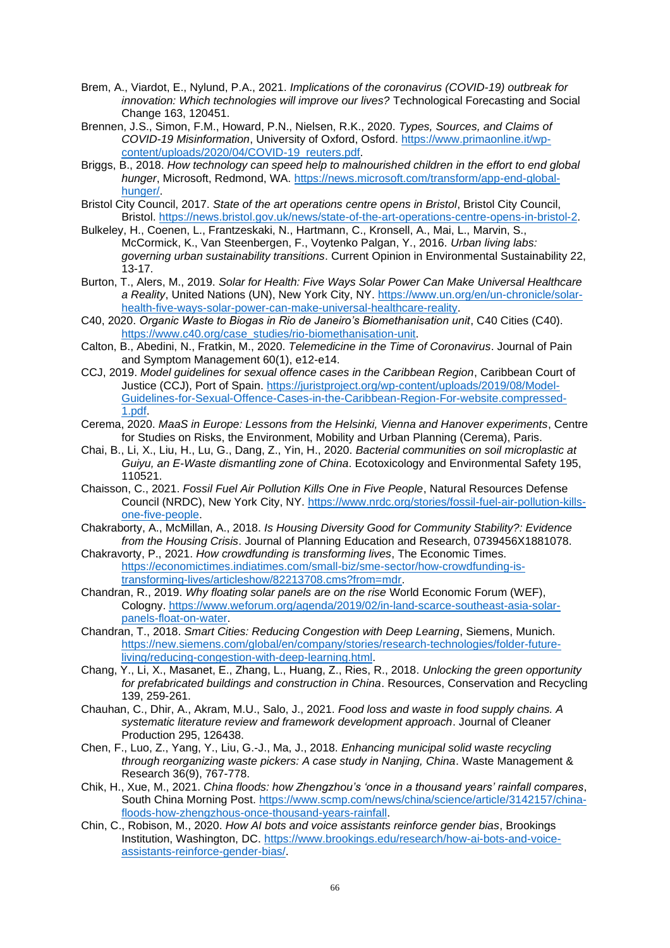- Brem, A., Viardot, E., Nylund, P.A., 2021. *Implications of the coronavirus (COVID-19) outbreak for innovation: Which technologies will improve our lives?* Technological Forecasting and Social Change 163, 120451.
- Brennen, J.S., Simon, F.M., Howard, P.N., Nielsen, R.K., 2020. *Types, Sources, and Claims of COVID-19 Misinformation*, University of Oxford, Osford. [https://www.primaonline.it/wp](https://www.primaonline.it/wp-content/uploads/2020/04/COVID-19_reuters.pdf)[content/uploads/2020/04/COVID-19\\_reuters.pdf.](https://www.primaonline.it/wp-content/uploads/2020/04/COVID-19_reuters.pdf)
- Briggs, B., 2018. *How technology can speed help to malnourished children in the effort to end global hunger*, Microsoft, Redmond, WA. [https://news.microsoft.com/transform/app-end-global](https://news.microsoft.com/transform/app-end-global-hunger/)[hunger/.](https://news.microsoft.com/transform/app-end-global-hunger/)
- Bristol City Council, 2017. *State of the art operations centre opens in Bristol*, Bristol City Council, Bristol. [https://news.bristol.gov.uk/news/state-of-the-art-operations-centre-opens-in-bristol-2.](https://news.bristol.gov.uk/news/state-of-the-art-operations-centre-opens-in-bristol-2)
- Bulkeley, H., Coenen, L., Frantzeskaki, N., Hartmann, C., Kronsell, A., Mai, L., Marvin, S., McCormick, K., Van Steenbergen, F., Voytenko Palgan, Y., 2016. *Urban living labs: governing urban sustainability transitions*. Current Opinion in Environmental Sustainability 22, 13-17.
- Burton, T., Alers, M., 2019. *Solar for Health: Five Ways Solar Power Can Make Universal Healthcare a Reality*, United Nations (UN), New York City, NY. [https://www.un.org/en/un-chronicle/solar](https://www.un.org/en/un-chronicle/solar-health-five-ways-solar-power-can-make-universal-healthcare-reality)[health-five-ways-solar-power-can-make-universal-healthcare-reality.](https://www.un.org/en/un-chronicle/solar-health-five-ways-solar-power-can-make-universal-healthcare-reality)
- C40, 2020. *Organic Waste to Biogas in Rio de Janeiro's Biomethanisation unit*, C40 Cities (C40). [https://www.c40.org/case\\_studies/rio-biomethanisation-unit.](https://www.c40.org/case_studies/rio-biomethanisation-unit)
- Calton, B., Abedini, N., Fratkin, M., 2020. *Telemedicine in the Time of Coronavirus*. Journal of Pain and Symptom Management 60(1), e12-e14.
- CCJ, 2019. *Model guidelines for sexual offence cases in the Caribbean Region*, Caribbean Court of Justice (CCJ), Port of Spain. [https://juristproject.org/wp-content/uploads/2019/08/Model-](https://juristproject.org/wp-content/uploads/2019/08/Model-Guidelines-for-Sexual-Offence-Cases-in-the-Caribbean-Region-For-website.compressed-1.pdf)[Guidelines-for-Sexual-Offence-Cases-in-the-Caribbean-Region-For-website.compressed-](https://juristproject.org/wp-content/uploads/2019/08/Model-Guidelines-for-Sexual-Offence-Cases-in-the-Caribbean-Region-For-website.compressed-1.pdf)[1.pdf.](https://juristproject.org/wp-content/uploads/2019/08/Model-Guidelines-for-Sexual-Offence-Cases-in-the-Caribbean-Region-For-website.compressed-1.pdf)
- Cerema, 2020. *MaaS in Europe: Lessons from the Helsinki, Vienna and Hanover experiments*, Centre for Studies on Risks, the Environment, Mobility and Urban Planning (Cerema), Paris.
- Chai, B., Li, X., Liu, H., Lu, G., Dang, Z., Yin, H., 2020. *Bacterial communities on soil microplastic at Guiyu, an E-Waste dismantling zone of China*. Ecotoxicology and Environmental Safety 195, 110521.
- Chaisson, C., 2021. *Fossil Fuel Air Pollution Kills One in Five People*, Natural Resources Defense Council (NRDC), New York City, NY. [https://www.nrdc.org/stories/fossil-fuel-air-pollution-kills](https://www.nrdc.org/stories/fossil-fuel-air-pollution-kills-one-five-people)[one-five-people.](https://www.nrdc.org/stories/fossil-fuel-air-pollution-kills-one-five-people)
- Chakraborty, A., McMillan, A., 2018. *Is Housing Diversity Good for Community Stability?: Evidence from the Housing Crisis*. Journal of Planning Education and Research, 0739456X1881078.
- Chakravorty, P., 2021. *How crowdfunding is transforming lives*, The Economic Times. [https://economictimes.indiatimes.com/small-biz/sme-sector/how-crowdfunding-is](https://economictimes.indiatimes.com/small-biz/sme-sector/how-crowdfunding-is-transforming-lives/articleshow/82213708.cms?from=mdr)[transforming-lives/articleshow/82213708.cms?from=mdr.](https://economictimes.indiatimes.com/small-biz/sme-sector/how-crowdfunding-is-transforming-lives/articleshow/82213708.cms?from=mdr)
- Chandran, R., 2019. *Why floating solar panels are on the rise* World Economic Forum (WEF), Cologny. [https://www.weforum.org/agenda/2019/02/in-land-scarce-southeast-asia-solar](https://www.weforum.org/agenda/2019/02/in-land-scarce-southeast-asia-solar-panels-float-on-water)[panels-float-on-water.](https://www.weforum.org/agenda/2019/02/in-land-scarce-southeast-asia-solar-panels-float-on-water)
- Chandran, T., 2018. *Smart Cities: Reducing Congestion with Deep Learning*, Siemens, Munich. [https://new.siemens.com/global/en/company/stories/research-technologies/folder-future](https://new.siemens.com/global/en/company/stories/research-technologies/folder-future-living/reducing-congestion-with-deep-learning.html)[living/reducing-congestion-with-deep-learning.html.](https://new.siemens.com/global/en/company/stories/research-technologies/folder-future-living/reducing-congestion-with-deep-learning.html)
- Chang, Y., Li, X., Masanet, E., Zhang, L., Huang, Z., Ries, R., 2018. *Unlocking the green opportunity for prefabricated buildings and construction in China*. Resources, Conservation and Recycling 139, 259-261.
- Chauhan, C., Dhir, A., Akram, M.U., Salo, J., 2021. *Food loss and waste in food supply chains. A systematic literature review and framework development approach*. Journal of Cleaner Production 295, 126438.
- Chen, F., Luo, Z., Yang, Y., Liu, G.-J., Ma, J., 2018. *Enhancing municipal solid waste recycling through reorganizing waste pickers: A case study in Nanjing, China*. Waste Management & Research 36(9), 767-778.
- Chik, H., Xue, M., 2021. *China floods: how Zhengzhou's 'once in a thousand years' rainfall compares*, South China Morning Post. [https://www.scmp.com/news/china/science/article/3142157/china](https://www.scmp.com/news/china/science/article/3142157/china-floods-how-zhengzhous-once-thousand-years-rainfall)[floods-how-zhengzhous-once-thousand-years-rainfall.](https://www.scmp.com/news/china/science/article/3142157/china-floods-how-zhengzhous-once-thousand-years-rainfall)
- Chin, C., Robison, M., 2020. *How AI bots and voice assistants reinforce gender bias*, Brookings Institution, Washington, DC. [https://www.brookings.edu/research/how-ai-bots-and-voice](https://www.brookings.edu/research/how-ai-bots-and-voice-assistants-reinforce-gender-bias/)[assistants-reinforce-gender-bias/.](https://www.brookings.edu/research/how-ai-bots-and-voice-assistants-reinforce-gender-bias/)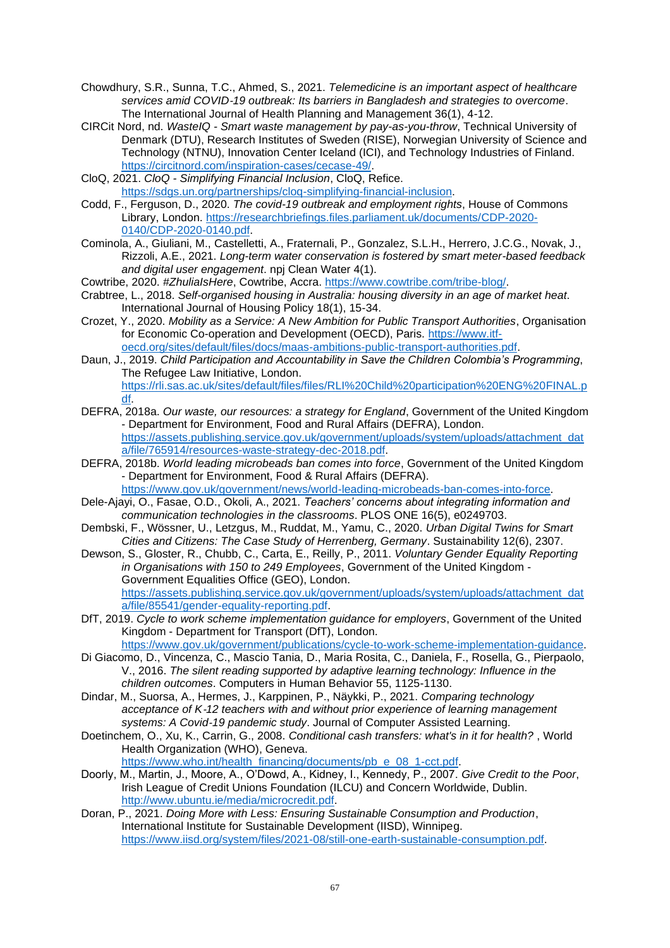- Chowdhury, S.R., Sunna, T.C., Ahmed, S., 2021. *Telemedicine is an important aspect of healthcare services amid COVID*‐*19 outbreak: Its barriers in Bangladesh and strategies to overcome*. The International Journal of Health Planning and Management 36(1), 4-12.
- CIRCit Nord, nd. *WasteIQ - Smart waste management by pay-as-you-throw*, Technical University of Denmark (DTU), Research Institutes of Sweden (RISE), Norwegian University of Science and Technology (NTNU), Innovation Center Iceland (ICI), and Technology Industries of Finland. [https://circitnord.com/inspiration-cases/cecase-49/.](https://circitnord.com/inspiration-cases/cecase-49/)
- CloQ, 2021. *CloQ - Simplifying Financial Inclusion*, CloQ, Refice. [https://sdgs.un.org/partnerships/cloq-simplifying-financial-inclusion.](https://sdgs.un.org/partnerships/cloq-simplifying-financial-inclusion)
- Codd, F., Ferguson, D., 2020. *The covid-19 outbreak and employment rights*, House of Commons Library, London. [https://researchbriefings.files.parliament.uk/documents/CDP-2020-](https://researchbriefings.files.parliament.uk/documents/CDP-2020-0140/CDP-2020-0140.pdf) [0140/CDP-2020-0140.pdf.](https://researchbriefings.files.parliament.uk/documents/CDP-2020-0140/CDP-2020-0140.pdf)
- Cominola, A., Giuliani, M., Castelletti, A., Fraternali, P., Gonzalez, S.L.H., Herrero, J.C.G., Novak, J., Rizzoli, A.E., 2021. *Long-term water conservation is fostered by smart meter-based feedback and digital user engagement*. npj Clean Water 4(1).
- Cowtribe, 2020. *#ZhuliaIsHere*, Cowtribe, Accra. [https://www.cowtribe.com/tribe-blog/.](https://www.cowtribe.com/tribe-blog/)
- Crabtree, L., 2018. *Self-organised housing in Australia: housing diversity in an age of market heat*. International Journal of Housing Policy 18(1), 15-34.
- Crozet, Y., 2020. *Mobility as a Service: A New Ambition for Public Transport Authorities*, Organisation for Economic Co-operation and Development (OECD), Paris. [https://www.itf](https://www.itf-oecd.org/sites/default/files/docs/maas-ambitions-public-transport-authorities.pdf)[oecd.org/sites/default/files/docs/maas-ambitions-public-transport-authorities.pdf.](https://www.itf-oecd.org/sites/default/files/docs/maas-ambitions-public-transport-authorities.pdf)
- Daun, J., 2019. *Child Participation and Accountability in Save the Children Colombia's Programming*, The Refugee Law Initiative, London. [https://rli.sas.ac.uk/sites/default/files/files/RLI%20Child%20participation%20ENG%20FINAL.p](https://rli.sas.ac.uk/sites/default/files/files/RLI%20Child%20participation%20ENG%20FINAL.pdf) [df.](https://rli.sas.ac.uk/sites/default/files/files/RLI%20Child%20participation%20ENG%20FINAL.pdf)
- DEFRA, 2018a. *Our waste, our resources: a strategy for England*, Government of the United Kingdom - Department for Environment, Food and Rural Affairs (DEFRA), London. [https://assets.publishing.service.gov.uk/government/uploads/system/uploads/attachment\\_dat](https://assets.publishing.service.gov.uk/government/uploads/system/uploads/attachment_data/file/765914/resources-waste-strategy-dec-2018.pdf) [a/file/765914/resources-waste-strategy-dec-2018.pdf.](https://assets.publishing.service.gov.uk/government/uploads/system/uploads/attachment_data/file/765914/resources-waste-strategy-dec-2018.pdf)
- DEFRA, 2018b. *World leading microbeads ban comes into force*, Government of the United Kingdom - Department for Environment, Food & Rural Affairs (DEFRA).
	- [https://www.gov.uk/government/news/world-leading-microbeads-ban-comes-into-force.](https://www.gov.uk/government/news/world-leading-microbeads-ban-comes-into-force)
- Dele-Ajayi, O., Fasae, O.D., Okoli, A., 2021. *Teachers' concerns about integrating information and communication technologies in the classrooms*. PLOS ONE 16(5), e0249703.
- Dembski, F., Wössner, U., Letzgus, M., Ruddat, M., Yamu, C., 2020. *Urban Digital Twins for Smart Cities and Citizens: The Case Study of Herrenberg, Germany*. Sustainability 12(6), 2307.
- Dewson, S., Gloster, R., Chubb, C., Carta, E., Reilly, P., 2011. *Voluntary Gender Equality Reporting in Organisations with 150 to 249 Employees*, Government of the United Kingdom - Government Equalities Office (GEO), London. [https://assets.publishing.service.gov.uk/government/uploads/system/uploads/attachment\\_dat](https://assets.publishing.service.gov.uk/government/uploads/system/uploads/attachment_data/file/85541/gender-equality-reporting.pdf) [a/file/85541/gender-equality-reporting.pdf.](https://assets.publishing.service.gov.uk/government/uploads/system/uploads/attachment_data/file/85541/gender-equality-reporting.pdf)
- DfT, 2019. *Cycle to work scheme implementation guidance for employers*, Government of the United Kingdom - Department for Transport (DfT), London. [https://www.gov.uk/government/publications/cycle-to-work-scheme-implementation-guidance.](https://www.gov.uk/government/publications/cycle-to-work-scheme-implementation-guidance)
- Di Giacomo, D., Vincenza, C., Mascio Tania, D., Maria Rosita, C., Daniela, F., Rosella, G., Pierpaolo, V., 2016. *The silent reading supported by adaptive learning technology: Influence in the children outcomes*. Computers in Human Behavior 55, 1125-1130.
- Dindar, M., Suorsa, A., Hermes, J., Karppinen, P., Näykki, P., 2021. *Comparing technology acceptance of K*‐*12 teachers with and without prior experience of learning management systems: A Covid*‐*19 pandemic study*. Journal of Computer Assisted Learning.
- Doetinchem, O., Xu, K., Carrin, G., 2008. *Conditional cash transfers: what's in it for health?* , World Health Organization (WHO), Geneva. [https://www.who.int/health\\_financing/documents/pb\\_e\\_08\\_1-cct.pdf.](https://www.who.int/health_financing/documents/pb_e_08_1-cct.pdf)
- Doorly, M., Martin, J., Moore, A., O'Dowd, A., Kidney, I., Kennedy, P., 2007. *Give Credit to the Poor*, Irish League of Credit Unions Foundation (ILCU) and Concern Worldwide, Dublin. [http://www.ubuntu.ie/media/microcredit.pdf.](http://www.ubuntu.ie/media/microcredit.pdf)
- Doran, P., 2021. *Doing More with Less: Ensuring Sustainable Consumption and Production*, International Institute for Sustainable Development (IISD), Winnipeg. [https://www.iisd.org/system/files/2021-08/still-one-earth-sustainable-consumption.pdf.](https://www.iisd.org/system/files/2021-08/still-one-earth-sustainable-consumption.pdf)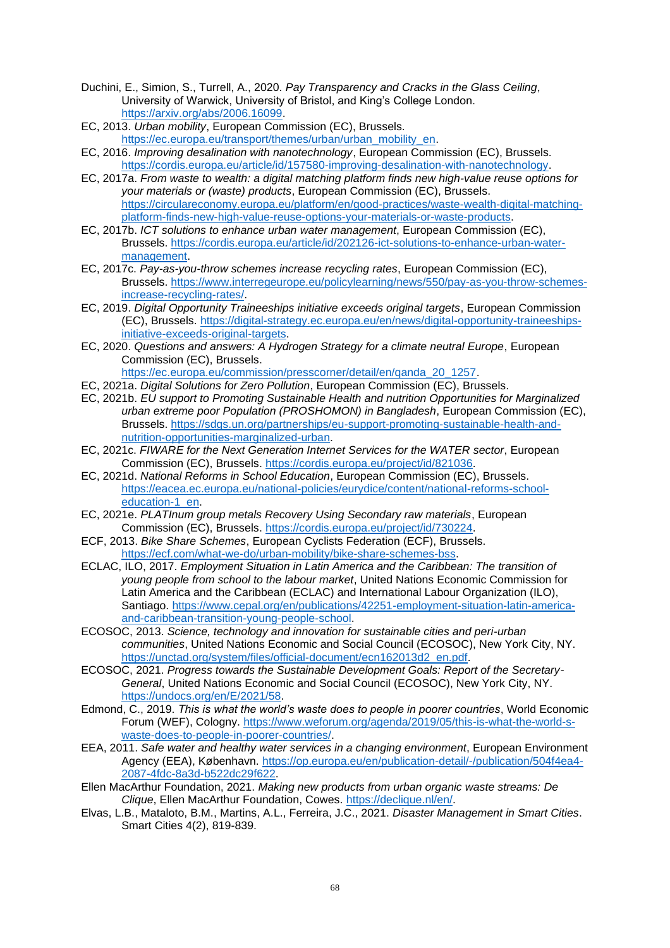- Duchini, E., Simion, S., Turrell, A., 2020. *Pay Transparency and Cracks in the Glass Ceiling*, University of Warwick, University of Bristol, and King's College London. [https://arxiv.org/abs/2006.16099.](https://arxiv.org/abs/2006.16099)
- EC, 2013. *Urban mobility*, European Commission (EC), Brussels. [https://ec.europa.eu/transport/themes/urban/urban\\_mobility\\_en.](https://ec.europa.eu/transport/themes/urban/urban_mobility_en)
- EC, 2016. *Improving desalination with nanotechnology*, European Commission (EC), Brussels. [https://cordis.europa.eu/article/id/157580-improving-desalination-with-nanotechnology.](https://cordis.europa.eu/article/id/157580-improving-desalination-with-nanotechnology)
- EC, 2017a. *From waste to wealth: a digital matching platform finds new high-value reuse options for your materials or (waste) products*, European Commission (EC), Brussels. [https://circulareconomy.europa.eu/platform/en/good-practices/waste-wealth-digital-matching](https://circulareconomy.europa.eu/platform/en/good-practices/waste-wealth-digital-matching-platform-finds-new-high-value-reuse-options-your-materials-or-waste-products)[platform-finds-new-high-value-reuse-options-your-materials-or-waste-products.](https://circulareconomy.europa.eu/platform/en/good-practices/waste-wealth-digital-matching-platform-finds-new-high-value-reuse-options-your-materials-or-waste-products)
- EC, 2017b. *ICT solutions to enhance urban water management*, European Commission (EC), Brussels. [https://cordis.europa.eu/article/id/202126-ict-solutions-to-enhance-urban-water](https://cordis.europa.eu/article/id/202126-ict-solutions-to-enhance-urban-water-management)[management.](https://cordis.europa.eu/article/id/202126-ict-solutions-to-enhance-urban-water-management)
- EC, 2017c. *Pay-as-you-throw schemes increase recycling rates*, European Commission (EC), Brussels. [https://www.interregeurope.eu/policylearning/news/550/pay-as-you-throw-schemes](https://www.interregeurope.eu/policylearning/news/550/pay-as-you-throw-schemes-increase-recycling-rates/)[increase-recycling-rates/.](https://www.interregeurope.eu/policylearning/news/550/pay-as-you-throw-schemes-increase-recycling-rates/)
- EC, 2019. *Digital Opportunity Traineeships initiative exceeds original targets*, European Commission (EC), Brussels. [https://digital-strategy.ec.europa.eu/en/news/digital-opportunity-traineeships](https://digital-strategy.ec.europa.eu/en/news/digital-opportunity-traineeships-initiative-exceeds-original-targets)[initiative-exceeds-original-targets.](https://digital-strategy.ec.europa.eu/en/news/digital-opportunity-traineeships-initiative-exceeds-original-targets)
- EC, 2020. *Questions and answers: A Hydrogen Strategy for a climate neutral Europe*, European Commission (EC), Brussels.
	- [https://ec.europa.eu/commission/presscorner/detail/en/qanda\\_20\\_1257.](https://ec.europa.eu/commission/presscorner/detail/en/qanda_20_1257)
- EC, 2021a. *Digital Solutions for Zero Pollution*, European Commission (EC), Brussels.
- EC, 2021b. *EU support to Promoting Sustainable Health and nutrition Opportunities for Marginalized urban extreme poor Population (PROSHOMON) in Bangladesh*, European Commission (EC), Brussels. [https://sdgs.un.org/partnerships/eu-support-promoting-sustainable-health-and](https://sdgs.un.org/partnerships/eu-support-promoting-sustainable-health-and-nutrition-opportunities-marginalized-urban)[nutrition-opportunities-marginalized-urban.](https://sdgs.un.org/partnerships/eu-support-promoting-sustainable-health-and-nutrition-opportunities-marginalized-urban)
- EC, 2021c. *FIWARE for the Next Generation Internet Services for the WATER sector*, European Commission (EC), Brussels. [https://cordis.europa.eu/project/id/821036.](https://cordis.europa.eu/project/id/821036)
- EC, 2021d. *National Reforms in School Education*, European Commission (EC), Brussels. [https://eacea.ec.europa.eu/national-policies/eurydice/content/national-reforms-school](https://eacea.ec.europa.eu/national-policies/eurydice/content/national-reforms-school-education-1_en)[education-1\\_en.](https://eacea.ec.europa.eu/national-policies/eurydice/content/national-reforms-school-education-1_en)
- EC, 2021e. *PLATInum group metals Recovery Using Secondary raw materials*, European Commission (EC), Brussels. [https://cordis.europa.eu/project/id/730224.](https://cordis.europa.eu/project/id/730224)
- ECF, 2013. *Bike Share Schemes*, European Cyclists Federation (ECF), Brussels. [https://ecf.com/what-we-do/urban-mobility/bike-share-schemes-bss.](https://ecf.com/what-we-do/urban-mobility/bike-share-schemes-bss)
- ECLAC, ILO, 2017. *Employment Situation in Latin America and the Caribbean: The transition of young people from school to the labour market*, United Nations Economic Commission for Latin America and the Caribbean (ECLAC) and International Labour Organization (ILO), Santiago. [https://www.cepal.org/en/publications/42251-employment-situation-latin-america](https://www.cepal.org/en/publications/42251-employment-situation-latin-america-and-caribbean-transition-young-people-school)[and-caribbean-transition-young-people-school.](https://www.cepal.org/en/publications/42251-employment-situation-latin-america-and-caribbean-transition-young-people-school)
- ECOSOC, 2013. *Science, technology and innovation for sustainable cities and peri-urban communities*, United Nations Economic and Social Council (ECOSOC), New York City, NY. [https://unctad.org/system/files/official-document/ecn162013d2\\_en.pdf.](https://unctad.org/system/files/official-document/ecn162013d2_en.pdf)
- ECOSOC, 2021. *Progress towards the Sustainable Development Goals: Report of the Secretary-General*, United Nations Economic and Social Council (ECOSOC), New York City, NY. [https://undocs.org/en/E/2021/58.](https://undocs.org/en/E/2021/58)
- Edmond, C., 2019. *This is what the world's waste does to people in poorer countries*, World Economic Forum (WEF), Cologny. [https://www.weforum.org/agenda/2019/05/this-is-what-the-world-s](https://www.weforum.org/agenda/2019/05/this-is-what-the-world-s-waste-does-to-people-in-poorer-countries/)[waste-does-to-people-in-poorer-countries/.](https://www.weforum.org/agenda/2019/05/this-is-what-the-world-s-waste-does-to-people-in-poorer-countries/)
- EEA, 2011. *Safe water and healthy water services in a changing environment*, European Environment Agency (EEA), København. [https://op.europa.eu/en/publication-detail/-/publication/504f4ea4-](https://op.europa.eu/en/publication-detail/-/publication/504f4ea4-2087-4fdc-8a3d-b522dc29f622) [2087-4fdc-8a3d-b522dc29f622.](https://op.europa.eu/en/publication-detail/-/publication/504f4ea4-2087-4fdc-8a3d-b522dc29f622)
- Ellen MacArthur Foundation, 2021. *Making new products from urban organic waste streams: De Clique*, Ellen MacArthur Foundation, Cowes. [https://declique.nl/en/.](https://declique.nl/en/)
- Elvas, L.B., Mataloto, B.M., Martins, A.L., Ferreira, J.C., 2021. *Disaster Management in Smart Cities*. Smart Cities 4(2), 819-839.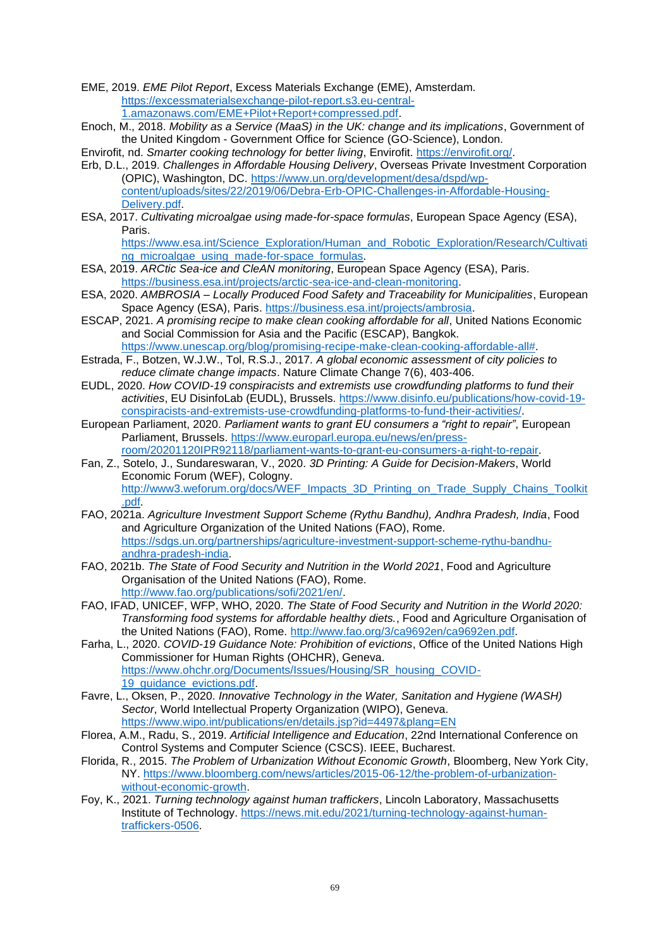EME, 2019. *EME Pilot Report*, Excess Materials Exchange (EME), Amsterdam. [https://excessmaterialsexchange-pilot-report.s3.eu-central-](https://excessmaterialsexchange-pilot-report.s3.eu-central-1.amazonaws.com/EME+Pilot+Report+compressed.pdf)[1.amazonaws.com/EME+Pilot+Report+compressed.pdf.](https://excessmaterialsexchange-pilot-report.s3.eu-central-1.amazonaws.com/EME+Pilot+Report+compressed.pdf)

Enoch, M., 2018. *Mobility as a Service (MaaS) in the UK: change and its implications*, Government of the United Kingdom - Government Office for Science (GO-Science), London.

Envirofit, nd. *Smarter cooking technology for better living*, Envirofit. [https://envirofit.org/.](https://envirofit.org/)

- Erb, D.L., 2019. *Challenges in Affordable Housing Delivery*, Overseas Private Investment Corporation (OPIC), Washington, DC. [https://www.un.org/development/desa/dspd/wp](https://www.un.org/development/desa/dspd/wp-content/uploads/sites/22/2019/06/Debra-Erb-OPIC-Challenges-in-Affordable-Housing-Delivery.pdf)[content/uploads/sites/22/2019/06/Debra-Erb-OPIC-Challenges-in-Affordable-Housing-](https://www.un.org/development/desa/dspd/wp-content/uploads/sites/22/2019/06/Debra-Erb-OPIC-Challenges-in-Affordable-Housing-Delivery.pdf)[Delivery.pdf.](https://www.un.org/development/desa/dspd/wp-content/uploads/sites/22/2019/06/Debra-Erb-OPIC-Challenges-in-Affordable-Housing-Delivery.pdf)
- ESA, 2017. *Cultivating microalgae using made-for-space formulas*, European Space Agency (ESA), Paris.

[https://www.esa.int/Science\\_Exploration/Human\\_and\\_Robotic\\_Exploration/Research/Cultivati](https://www.esa.int/Science_Exploration/Human_and_Robotic_Exploration/Research/Cultivating_microalgae_using_made-for-space_formulas) ng microalgae using made-for-space formulas.

- ESA, 2019. *ARCtic Sea-ice and CleAN monitoring*, European Space Agency (ESA), Paris. [https://business.esa.int/projects/arctic-sea-ice-and-clean-monitoring.](https://business.esa.int/projects/arctic-sea-ice-and-clean-monitoring)
- ESA, 2020. *AMBROSIA – Locally Produced Food Safety and Traceability for Municipalities*, European Space Agency (ESA), Paris. [https://business.esa.int/projects/ambrosia.](https://business.esa.int/projects/ambrosia)
- ESCAP, 2021. *A promising recipe to make clean cooking affordable for all*, United Nations Economic and Social Commission for Asia and the Pacific (ESCAP), Bangkok. [https://www.unescap.org/blog/promising-recipe-make-clean-cooking-affordable-all#.](https://www.unescap.org/blog/promising-recipe-make-clean-cooking-affordable-all)
- Estrada, F., Botzen, W.J.W., Tol, R.S.J., 2017. *A global economic assessment of city policies to reduce climate change impacts*. Nature Climate Change 7(6), 403-406.
- EUDL, 2020. *How COVID-19 conspiracists and extremists use crowdfunding platforms to fund their activities*, EU DisinfoLab (EUDL), Brussels. [https://www.disinfo.eu/publications/how-covid-19](https://www.disinfo.eu/publications/how-covid-19-conspiracists-and-extremists-use-crowdfunding-platforms-to-fund-their-activities/) [conspiracists-and-extremists-use-crowdfunding-platforms-to-fund-their-activities/.](https://www.disinfo.eu/publications/how-covid-19-conspiracists-and-extremists-use-crowdfunding-platforms-to-fund-their-activities/)
- European Parliament, 2020. *Parliament wants to grant EU consumers a "right to repair"*, European Parliament, Brussels. [https://www.europarl.europa.eu/news/en/press](https://www.europarl.europa.eu/news/en/press-room/20201120IPR92118/parliament-wants-to-grant-eu-consumers-a-right-to-repair)[room/20201120IPR92118/parliament-wants-to-grant-eu-consumers-a-right-to-repair.](https://www.europarl.europa.eu/news/en/press-room/20201120IPR92118/parliament-wants-to-grant-eu-consumers-a-right-to-repair)
- Fan, Z., Sotelo, J., Sundareswaran, V., 2020. *3D Printing: A Guide for Decision-Makers*, World Economic Forum (WEF), Cologny. [http://www3.weforum.org/docs/WEF\\_Impacts\\_3D\\_Printing\\_on\\_Trade\\_Supply\\_Chains\\_Toolkit](http://www3.weforum.org/docs/WEF_Impacts_3D_Printing_on_Trade_Supply_Chains_Toolkit.pdf) [.pdf.](http://www3.weforum.org/docs/WEF_Impacts_3D_Printing_on_Trade_Supply_Chains_Toolkit.pdf)
- FAO, 2021a. *Agriculture Investment Support Scheme (Rythu Bandhu), Andhra Pradesh, India*, Food and Agriculture Organization of the United Nations (FAO), Rome. [https://sdgs.un.org/partnerships/agriculture-investment-support-scheme-rythu-bandhu](https://sdgs.un.org/partnerships/agriculture-investment-support-scheme-rythu-bandhu-andhra-pradesh-india)[andhra-pradesh-india.](https://sdgs.un.org/partnerships/agriculture-investment-support-scheme-rythu-bandhu-andhra-pradesh-india)
- FAO, 2021b. *The State of Food Security and Nutrition in the World 2021*, Food and Agriculture Organisation of the United Nations (FAO), Rome. [http://www.fao.org/publications/sofi/2021/en/.](http://www.fao.org/publications/sofi/2021/en/)
- FAO, IFAD, UNICEF, WFP, WHO, 2020. *The State of Food Security and Nutrition in the World 2020: Transforming food systems for affordable healthy diets.*, Food and Agriculture Organisation of the United Nations (FAO), Rome. [http://www.fao.org/3/ca9692en/ca9692en.pdf.](http://www.fao.org/3/ca9692en/ca9692en.pdf)
- Farha, L., 2020. *COVID-19 Guidance Note: Prohibition of evictions*, Office of the United Nations High Commissioner for Human Rights (OHCHR), Geneva. [https://www.ohchr.org/Documents/Issues/Housing/SR\\_housing\\_COVID-](https://www.ohchr.org/Documents/Issues/Housing/SR_housing_COVID-19_guidance_evictions.pdf)[19\\_guidance\\_evictions.pdf.](https://www.ohchr.org/Documents/Issues/Housing/SR_housing_COVID-19_guidance_evictions.pdf)
- Favre, L., Oksen, P., 2020. *Innovative Technology in the Water, Sanitation and Hygiene (WASH) Sector*, World Intellectual Property Organization (WIPO), Geneva. <https://www.wipo.int/publications/en/details.jsp?id=4497&plang=EN>
- Florea, A.M., Radu, S., 2019. *Artificial Intelligence and Education*, 22nd International Conference on Control Systems and Computer Science (CSCS). IEEE, Bucharest.
- Florida, R., 2015. *The Problem of Urbanization Without Economic Growth*, Bloomberg, New York City, NY. [https://www.bloomberg.com/news/articles/2015-06-12/the-problem-of-urbanization](https://www.bloomberg.com/news/articles/2015-06-12/the-problem-of-urbanization-without-economic-growth)[without-economic-growth.](https://www.bloomberg.com/news/articles/2015-06-12/the-problem-of-urbanization-without-economic-growth)
- Foy, K., 2021. *Turning technology against human traffickers*, Lincoln Laboratory, Massachusetts Institute of Technology. [https://news.mit.edu/2021/turning-technology-against-human](https://news.mit.edu/2021/turning-technology-against-human-traffickers-0506)[traffickers-0506.](https://news.mit.edu/2021/turning-technology-against-human-traffickers-0506)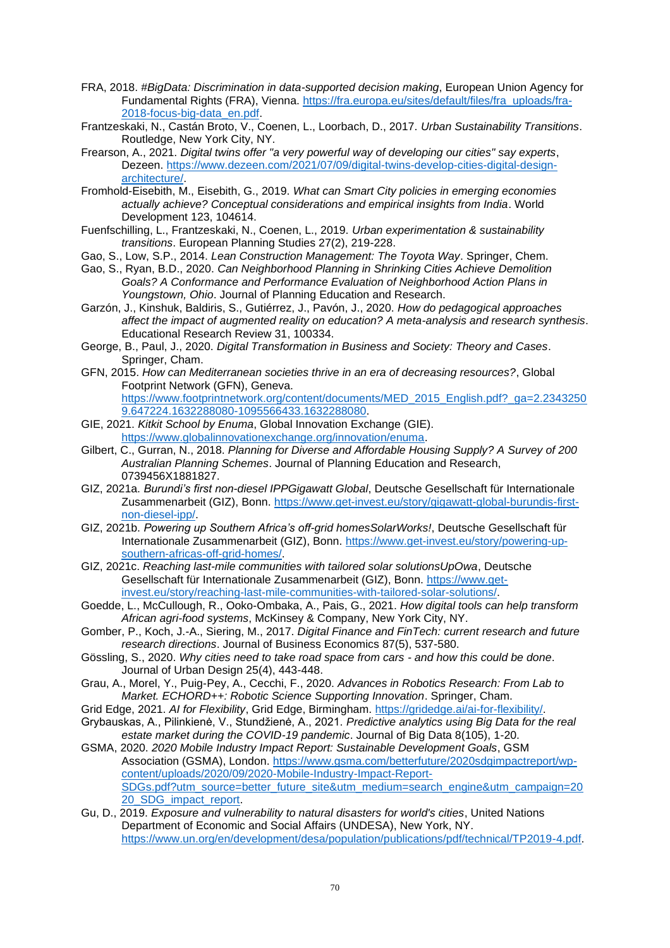- FRA, 2018. *#BigData: Discrimination in data-supported decision making*, European Union Agency for Fundamental Rights (FRA), Vienna. [https://fra.europa.eu/sites/default/files/fra\\_uploads/fra-](https://fra.europa.eu/sites/default/files/fra_uploads/fra-2018-focus-big-data_en.pdf)[2018-focus-big-data\\_en.pdf.](https://fra.europa.eu/sites/default/files/fra_uploads/fra-2018-focus-big-data_en.pdf)
- Frantzeskaki, N., Castán Broto, V., Coenen, L., Loorbach, D., 2017. *Urban Sustainability Transitions*. Routledge, New York City, NY.
- Frearson, A., 2021. *Digital twins offer "a very powerful way of developing our cities" say experts*, Dezeen. [https://www.dezeen.com/2021/07/09/digital-twins-develop-cities-digital-design](https://www.dezeen.com/2021/07/09/digital-twins-develop-cities-digital-design-architecture/)[architecture/.](https://www.dezeen.com/2021/07/09/digital-twins-develop-cities-digital-design-architecture/)
- Fromhold-Eisebith, M., Eisebith, G., 2019. *What can Smart City policies in emerging economies actually achieve? Conceptual considerations and empirical insights from India*. World Development 123, 104614.
- Fuenfschilling, L., Frantzeskaki, N., Coenen, L., 2019. *Urban experimentation & sustainability transitions*. European Planning Studies 27(2), 219-228.
- Gao, S., Low, S.P., 2014. *Lean Construction Management: The Toyota Way*. Springer, Chem.
- Gao, S., Ryan, B.D., 2020. *Can Neighborhood Planning in Shrinking Cities Achieve Demolition Goals? A Conformance and Performance Evaluation of Neighborhood Action Plans in Youngstown, Ohio*. Journal of Planning Education and Research.
- Garzón, J., Kinshuk, Baldiris, S., Gutiérrez, J., Pavón, J., 2020. *How do pedagogical approaches affect the impact of augmented reality on education? A meta-analysis and research synthesis*. Educational Research Review 31, 100334.
- George, B., Paul, J., 2020. *Digital Transformation in Business and Society: Theory and Cases*. Springer, Cham.
- GFN, 2015. *How can Mediterranean societies thrive in an era of decreasing resources?*, Global Footprint Network (GFN), Geneva.
	- [https://www.footprintnetwork.org/content/documents/MED\\_2015\\_English.pdf?\\_ga=2.2343250](https://www.footprintnetwork.org/content/documents/MED_2015_English.pdf?_ga=2.23432509.647224.1632288080-1095566433.1632288080) [9.647224.1632288080-1095566433.1632288080.](https://www.footprintnetwork.org/content/documents/MED_2015_English.pdf?_ga=2.23432509.647224.1632288080-1095566433.1632288080)
- GIE, 2021. *Kitkit School by Enuma*, Global Innovation Exchange (GIE). [https://www.globalinnovationexchange.org/innovation/enuma.](https://www.globalinnovationexchange.org/innovation/enuma)
- Gilbert, C., Gurran, N., 2018. *Planning for Diverse and Affordable Housing Supply? A Survey of 200 Australian Planning Schemes*. Journal of Planning Education and Research, 0739456X1881827.
- GIZ, 2021a. *Burundi's first non-diesel IPPGigawatt Global*, Deutsche Gesellschaft für Internationale Zusammenarbeit (GIZ), Bonn. [https://www.get-invest.eu/story/gigawatt-global-burundis-first](https://www.get-invest.eu/story/gigawatt-global-burundis-first-non-diesel-ipp/)[non-diesel-ipp/.](https://www.get-invest.eu/story/gigawatt-global-burundis-first-non-diesel-ipp/)
- GIZ, 2021b. *Powering up Southern Africa's off-grid homesSolarWorks!*, Deutsche Gesellschaft für Internationale Zusammenarbeit (GIZ), Bonn. [https://www.get-invest.eu/story/powering-up](https://www.get-invest.eu/story/powering-up-southern-africas-off-grid-homes/)[southern-africas-off-grid-homes/.](https://www.get-invest.eu/story/powering-up-southern-africas-off-grid-homes/)
- GIZ, 2021c. *Reaching last-mile communities with tailored solar solutionsUpOwa*, Deutsche Gesellschaft für Internationale Zusammenarbeit (GIZ), Bonn. [https://www.get](https://www.get-invest.eu/story/reaching-last-mile-communities-with-tailored-solar-solutions/)[invest.eu/story/reaching-last-mile-communities-with-tailored-solar-solutions/.](https://www.get-invest.eu/story/reaching-last-mile-communities-with-tailored-solar-solutions/)
- Goedde, L., McCullough, R., Ooko-Ombaka, A., Pais, G., 2021. *How digital tools can help transform African agri-food systems*, McKinsey & Company, New York City, NY.
- Gomber, P., Koch, J.-A., Siering, M., 2017. *Digital Finance and FinTech: current research and future research directions*. Journal of Business Economics 87(5), 537-580.
- Gössling, S., 2020. *Why cities need to take road space from cars - and how this could be done*. Journal of Urban Design 25(4), 443-448.
- Grau, A., Morel, Y., Puig-Pey, A., Cecchi, F., 2020. *Advances in Robotics Research: From Lab to Market. ECHORD++: Robotic Science Supporting Innovation*. Springer, Cham.
- Grid Edge, 2021. *AI for Flexibility*, Grid Edge, Birmingham. [https://gridedge.ai/ai-for-flexibility/.](https://gridedge.ai/ai-for-flexibility/)
- Grybauskas, A., Pilinkienė, V., Stundžienė, A., 2021. *Predictive analytics using Big Data for the real estate market during the COVID-19 pandemic*. Journal of Big Data 8(105), 1-20.
- GSMA, 2020. *2020 Mobile Industry Impact Report: Sustainable Development Goals*, GSM Association (GSMA), London. [https://www.gsma.com/betterfuture/2020sdgimpactreport/wp](https://www.gsma.com/betterfuture/2020sdgimpactreport/wp-content/uploads/2020/09/2020-Mobile-Industry-Impact-Report-SDGs.pdf?utm_source=better_future_site&utm_medium=search_engine&utm_campaign=2020_SDG_impact_report)[content/uploads/2020/09/2020-Mobile-Industry-Impact-Report-](https://www.gsma.com/betterfuture/2020sdgimpactreport/wp-content/uploads/2020/09/2020-Mobile-Industry-Impact-Report-SDGs.pdf?utm_source=better_future_site&utm_medium=search_engine&utm_campaign=2020_SDG_impact_report)[SDGs.pdf?utm\\_source=better\\_future\\_site&utm\\_medium=search\\_engine&utm\\_campaign=20](https://www.gsma.com/betterfuture/2020sdgimpactreport/wp-content/uploads/2020/09/2020-Mobile-Industry-Impact-Report-SDGs.pdf?utm_source=better_future_site&utm_medium=search_engine&utm_campaign=2020_SDG_impact_report) [20\\_SDG\\_impact\\_report.](https://www.gsma.com/betterfuture/2020sdgimpactreport/wp-content/uploads/2020/09/2020-Mobile-Industry-Impact-Report-SDGs.pdf?utm_source=better_future_site&utm_medium=search_engine&utm_campaign=2020_SDG_impact_report)
- Gu, D., 2019. *Exposure and vulnerability to natural disasters for world's cities*, United Nations Department of Economic and Social Affairs (UNDESA), New York, NY. [https://www.un.org/en/development/desa/population/publications/pdf/technical/TP2019-4.pdf.](https://www.un.org/en/development/desa/population/publications/pdf/technical/TP2019-4.pdf)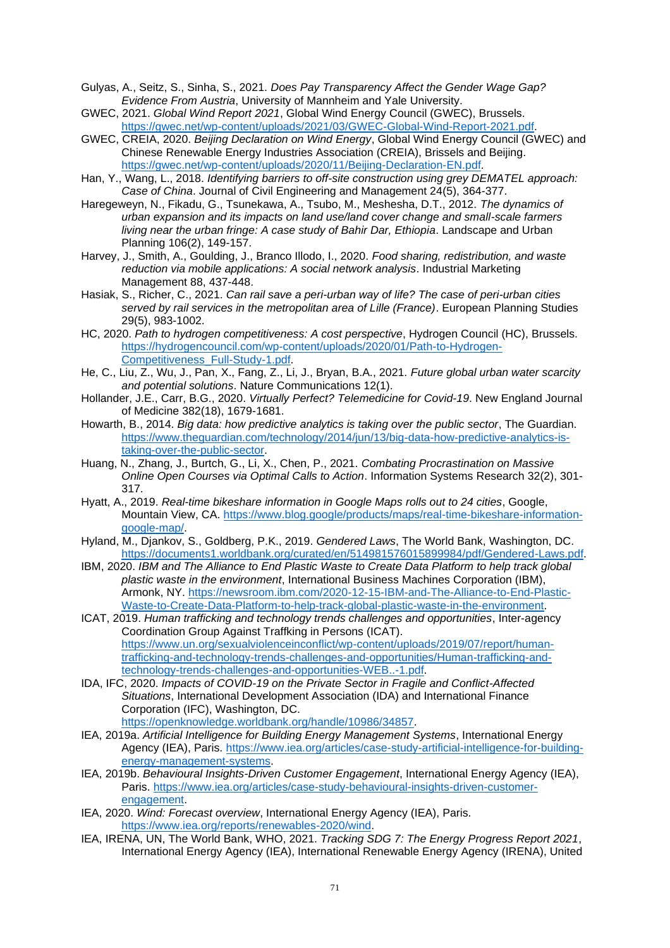- Gulyas, A., Seitz, S., Sinha, S., 2021. *Does Pay Transparency Affect the Gender Wage Gap? Evidence From Austria*, University of Mannheim and Yale University.
- GWEC, 2021. *Global Wind Report 2021*, Global Wind Energy Council (GWEC), Brussels. [https://gwec.net/wp-content/uploads/2021/03/GWEC-Global-Wind-Report-2021.pdf.](https://gwec.net/wp-content/uploads/2021/03/GWEC-Global-Wind-Report-2021.pdf)
- GWEC, CREIA, 2020. *Beijing Declaration on Wind Energy*, Global Wind Energy Council (GWEC) and Chinese Renewable Energy Industries Association (CREIA), Brissels and Beijing. [https://gwec.net/wp-content/uploads/2020/11/Beijing-Declaration-EN.pdf.](https://gwec.net/wp-content/uploads/2020/11/Beijing-Declaration-EN.pdf)
- Han, Y., Wang, L., 2018. *Identifying barriers to off-site construction using grey DEMATEL approach: Case of China*. Journal of Civil Engineering and Management 24(5), 364-377.
- Haregeweyn, N., Fikadu, G., Tsunekawa, A., Tsubo, M., Meshesha, D.T., 2012. *The dynamics of urban expansion and its impacts on land use/land cover change and small-scale farmers living near the urban fringe: A case study of Bahir Dar, Ethiopia*. Landscape and Urban Planning 106(2), 149-157.
- Harvey, J., Smith, A., Goulding, J., Branco Illodo, I., 2020. *Food sharing, redistribution, and waste reduction via mobile applications: A social network analysis*. Industrial Marketing Management 88, 437-448.
- Hasiak, S., Richer, C., 2021. *Can rail save a peri-urban way of life? The case of peri-urban cities served by rail services in the metropolitan area of Lille (France)*. European Planning Studies 29(5), 983-1002.
- HC, 2020. *Path to hydrogen competitiveness: A cost perspective*, Hydrogen Council (HC), Brussels. [https://hydrogencouncil.com/wp-content/uploads/2020/01/Path-to-Hydrogen-](https://hydrogencouncil.com/wp-content/uploads/2020/01/Path-to-Hydrogen-Competitiveness_Full-Study-1.pdf)[Competitiveness\\_Full-Study-1.pdf.](https://hydrogencouncil.com/wp-content/uploads/2020/01/Path-to-Hydrogen-Competitiveness_Full-Study-1.pdf)
- He, C., Liu, Z., Wu, J., Pan, X., Fang, Z., Li, J., Bryan, B.A., 2021. *Future global urban water scarcity and potential solutions*. Nature Communications 12(1).
- Hollander, J.E., Carr, B.G., 2020. *Virtually Perfect? Telemedicine for Covid-19*. New England Journal of Medicine 382(18), 1679-1681.
- Howarth, B., 2014. *Big data: how predictive analytics is taking over the public sector*, The Guardian. [https://www.theguardian.com/technology/2014/jun/13/big-data-how-predictive-analytics-is](https://www.theguardian.com/technology/2014/jun/13/big-data-how-predictive-analytics-is-taking-over-the-public-sector)[taking-over-the-public-sector.](https://www.theguardian.com/technology/2014/jun/13/big-data-how-predictive-analytics-is-taking-over-the-public-sector)
- Huang, N., Zhang, J., Burtch, G., Li, X., Chen, P., 2021. *Combating Procrastination on Massive Online Open Courses via Optimal Calls to Action*. Information Systems Research 32(2), 301- 317.
- Hyatt, A., 2019. *Real-time bikeshare information in Google Maps rolls out to 24 cities*, Google, Mountain View, CA. [https://www.blog.google/products/maps/real-time-bikeshare-information](https://www.blog.google/products/maps/real-time-bikeshare-information-google-map/)[google-map/.](https://www.blog.google/products/maps/real-time-bikeshare-information-google-map/)
- Hyland, M., Djankov, S., Goldberg, P.K., 2019. *Gendered Laws*, The World Bank, Washington, DC. [https://documents1.worldbank.org/curated/en/514981576015899984/pdf/Gendered-Laws.pdf.](https://documents1.worldbank.org/curated/en/514981576015899984/pdf/Gendered-Laws.pdf)
- IBM, 2020. *IBM and The Alliance to End Plastic Waste to Create Data Platform to help track global plastic waste in the environment*, International Business Machines Corporation (IBM), Armonk, NY. [https://newsroom.ibm.com/2020-12-15-IBM-and-The-Alliance-to-End-Plastic-](https://newsroom.ibm.com/2020-12-15-IBM-and-The-Alliance-to-End-Plastic-Waste-to-Create-Data-Platform-to-help-track-global-plastic-waste-in-the-environment)[Waste-to-Create-Data-Platform-to-help-track-global-plastic-waste-in-the-environment.](https://newsroom.ibm.com/2020-12-15-IBM-and-The-Alliance-to-End-Plastic-Waste-to-Create-Data-Platform-to-help-track-global-plastic-waste-in-the-environment)
- ICAT, 2019. *Human trafficking and technology trends challenges and opportunities*, Inter-agency Coordination Group Against Traffking in Persons (ICAT). [https://www.un.org/sexualviolenceinconflict/wp-content/uploads/2019/07/report/human](https://www.un.org/sexualviolenceinconflict/wp-content/uploads/2019/07/report/human-trafficking-and-technology-trends-challenges-and-opportunities/Human-trafficking-and-technology-trends-challenges-and-opportunities-WEB...-1.pdf)[trafficking-and-technology-trends-challenges-and-opportunities/Human-trafficking-and](https://www.un.org/sexualviolenceinconflict/wp-content/uploads/2019/07/report/human-trafficking-and-technology-trends-challenges-and-opportunities/Human-trafficking-and-technology-trends-challenges-and-opportunities-WEB...-1.pdf)[technology-trends-challenges-and-opportunities-WEB..-1.pdf.](https://www.un.org/sexualviolenceinconflict/wp-content/uploads/2019/07/report/human-trafficking-and-technology-trends-challenges-and-opportunities/Human-trafficking-and-technology-trends-challenges-and-opportunities-WEB...-1.pdf)
- IDA, IFC, 2020. *Impacts of COVID-19 on the Private Sector in Fragile and Conflict-Affected Situations*, International Development Association (IDA) and International Finance Corporation (IFC), Washington, DC.
	- [https://openknowledge.worldbank.org/handle/10986/34857.](https://openknowledge.worldbank.org/handle/10986/34857)
- IEA, 2019a. *Artificial Intelligence for Building Energy Management Systems*, International Energy Agency (IEA), Paris. [https://www.iea.org/articles/case-study-artificial-intelligence-for-building](https://www.iea.org/articles/case-study-artificial-intelligence-for-building-energy-management-systems)[energy-management-systems.](https://www.iea.org/articles/case-study-artificial-intelligence-for-building-energy-management-systems)
- IEA, 2019b. *Behavioural Insights-Driven Customer Engagement*, International Energy Agency (IEA), Paris. [https://www.iea.org/articles/case-study-behavioural-insights-driven-customer](https://www.iea.org/articles/case-study-behavioural-insights-driven-customer-engagement)[engagement.](https://www.iea.org/articles/case-study-behavioural-insights-driven-customer-engagement)
- IEA, 2020. *Wind: Forecast overview*, International Energy Agency (IEA), Paris. [https://www.iea.org/reports/renewables-2020/wind.](https://www.iea.org/reports/renewables-2020/wind)
- IEA, IRENA, UN, The World Bank, WHO, 2021. *Tracking SDG 7: The Energy Progress Report 2021*, International Energy Agency (IEA), International Renewable Energy Agency (IRENA), United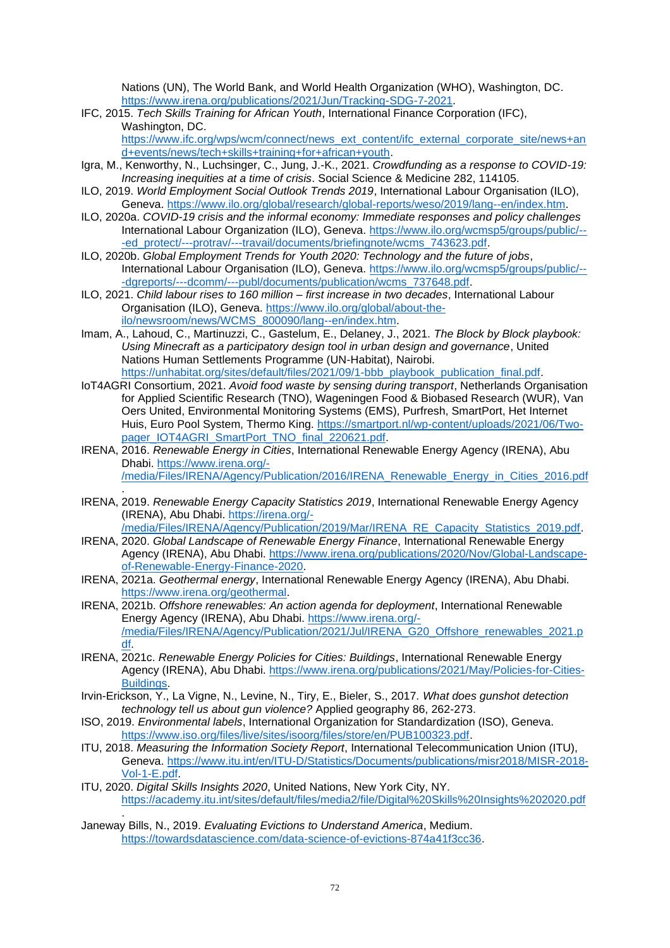Nations (UN), The World Bank, and World Health Organization (WHO), Washington, DC. [https://www.irena.org/publications/2021/Jun/Tracking-SDG-7-2021.](https://www.irena.org/publications/2021/Jun/Tracking-SDG-7-2021)

- IFC, 2015. *Tech Skills Training for African Youth*, International Finance Corporation (IFC), Washington, DC. [https://www.ifc.org/wps/wcm/connect/news\\_ext\\_content/ifc\\_external\\_corporate\\_site/news+an](https://www.ifc.org/wps/wcm/connect/news_ext_content/ifc_external_corporate_site/news+and+events/news/tech+skills+training+for+african+youth)
- [d+events/news/tech+skills+training+for+african+youth.](https://www.ifc.org/wps/wcm/connect/news_ext_content/ifc_external_corporate_site/news+and+events/news/tech+skills+training+for+african+youth) Igra, M., Kenworthy, N., Luchsinger, C., Jung, J.-K., 2021. *Crowdfunding as a response to COVID-19: Increasing inequities at a time of crisis*. Social Science & Medicine 282, 114105.
- ILO, 2019. *World Employment Social Outlook Trends 2019*, International Labour Organisation (ILO), Geneva. [https://www.ilo.org/global/research/global-reports/weso/2019/lang--en/index.htm.](https://www.ilo.org/global/research/global-reports/weso/2019/lang--en/index.htm)
- ILO, 2020a. *COVID-19 crisis and the informal economy: Immediate responses and policy challenges*  International Labour Organization (ILO), Geneva. [https://www.ilo.org/wcmsp5/groups/public/--](https://www.ilo.org/wcmsp5/groups/public/---ed_protect/---protrav/---travail/documents/briefingnote/wcms_743623.pdf) [-ed\\_protect/---protrav/---travail/documents/briefingnote/wcms\\_743623.pdf.](https://www.ilo.org/wcmsp5/groups/public/---ed_protect/---protrav/---travail/documents/briefingnote/wcms_743623.pdf)
- ILO, 2020b. *Global Employment Trends for Youth 2020: Technology and the future of jobs*, International Labour Organisation (ILO), Geneva. [https://www.ilo.org/wcmsp5/groups/public/--](https://www.ilo.org/wcmsp5/groups/public/---dgreports/---dcomm/---publ/documents/publication/wcms_737648.pdf) [-dgreports/---dcomm/---publ/documents/publication/wcms\\_737648.pdf.](https://www.ilo.org/wcmsp5/groups/public/---dgreports/---dcomm/---publ/documents/publication/wcms_737648.pdf)
- ILO, 2021. *Child labour rises to 160 million – first increase in two decades*, International Labour Organisation (ILO), Geneva. [https://www.ilo.org/global/about-the](https://www.ilo.org/global/about-the-ilo/newsroom/news/WCMS_800090/lang--en/index.htm)[ilo/newsroom/news/WCMS\\_800090/lang--en/index.htm.](https://www.ilo.org/global/about-the-ilo/newsroom/news/WCMS_800090/lang--en/index.htm)
- Imam, A., Lahoud, C., Martinuzzi, C., Gastelum, E., Delaney, J., 2021. *The Block by Block playbook: Using Minecraft as a participatory design tool in urban design and governance*, United Nations Human Settlements Programme (UN-Habitat), Nairobi. [https://unhabitat.org/sites/default/files/2021/09/1-bbb\\_playbook\\_publication\\_final.pdf.](https://unhabitat.org/sites/default/files/2021/09/1-bbb_playbook_publication_final.pdf)
- IoT4AGRI Consortium, 2021. *Avoid food waste by sensing during transport*, Netherlands Organisation for Applied Scientific Research (TNO), Wageningen Food & Biobased Research (WUR), Van Oers United, Environmental Monitoring Systems (EMS), Purfresh, SmartPort, Het Internet Huis, Euro Pool System, Thermo King. [https://smartport.nl/wp-content/uploads/2021/06/Two](https://smartport.nl/wp-content/uploads/2021/06/Two-pager_IOT4AGRI_SmartPort_TNO_final_220621.pdf)[pager\\_IOT4AGRI\\_SmartPort\\_TNO\\_final\\_220621.pdf.](https://smartport.nl/wp-content/uploads/2021/06/Two-pager_IOT4AGRI_SmartPort_TNO_final_220621.pdf)
- IRENA, 2016. *Renewable Energy in Cities*, International Renewable Energy Agency (IRENA), Abu Dhabi. [https://www.irena.org/-](https://www.irena.org/-/media/Files/IRENA/Agency/Publication/2016/IRENA_Renewable_Energy_in_Cities_2016.pdf) [/media/Files/IRENA/Agency/Publication/2016/IRENA\\_Renewable\\_Energy\\_in\\_Cities\\_2016.pdf](https://www.irena.org/-/media/Files/IRENA/Agency/Publication/2016/IRENA_Renewable_Energy_in_Cities_2016.pdf)
- . IRENA, 2019. *Renewable Energy Capacity Statistics 2019*, International Renewable Energy Agency (IRENA), Abu Dhabi. [https://irena.org/-](https://irena.org/-/media/Files/IRENA/Agency/Publication/2019/Mar/IRENA_RE_Capacity_Statistics_2019.pdf)

[/media/Files/IRENA/Agency/Publication/2019/Mar/IRENA\\_RE\\_Capacity\\_Statistics\\_2019.pdf.](https://irena.org/-/media/Files/IRENA/Agency/Publication/2019/Mar/IRENA_RE_Capacity_Statistics_2019.pdf)

- IRENA, 2020. *Global Landscape of Renewable Energy Finance*, International Renewable Energy Agency (IRENA), Abu Dhabi. [https://www.irena.org/publications/2020/Nov/Global-Landscape](https://www.irena.org/publications/2020/Nov/Global-Landscape-of-Renewable-Energy-Finance-2020)[of-Renewable-Energy-Finance-2020.](https://www.irena.org/publications/2020/Nov/Global-Landscape-of-Renewable-Energy-Finance-2020)
- IRENA, 2021a. *Geothermal energy*, International Renewable Energy Agency (IRENA), Abu Dhabi. [https://www.irena.org/geothermal.](https://www.irena.org/geothermal)
- IRENA, 2021b. *Offshore renewables: An action agenda for deployment*, International Renewable Energy Agency (IRENA), Abu Dhabi. [https://www.irena.org/-](https://www.irena.org/-/media/Files/IRENA/Agency/Publication/2021/Jul/IRENA_G20_Offshore_renewables_2021.pdf) [/media/Files/IRENA/Agency/Publication/2021/Jul/IRENA\\_G20\\_Offshore\\_renewables\\_2021.p](https://www.irena.org/-/media/Files/IRENA/Agency/Publication/2021/Jul/IRENA_G20_Offshore_renewables_2021.pdf) [df.](https://www.irena.org/-/media/Files/IRENA/Agency/Publication/2021/Jul/IRENA_G20_Offshore_renewables_2021.pdf)
- IRENA, 2021c. *Renewable Energy Policies for Cities: Buildings*, International Renewable Energy Agency (IRENA), Abu Dhabi. [https://www.irena.org/publications/2021/May/Policies-for-Cities-](https://www.irena.org/publications/2021/May/Policies-for-Cities-Buildings)[Buildings.](https://www.irena.org/publications/2021/May/Policies-for-Cities-Buildings)
- Irvin-Erickson, Y., La Vigne, N., Levine, N., Tiry, E., Bieler, S., 2017. *What does gunshot detection technology tell us about gun violence?* Applied geography 86, 262-273.
- ISO, 2019. *Environmental labels*, International Organization for Standardization (ISO), Geneva. [https://www.iso.org/files/live/sites/isoorg/files/store/en/PUB100323.pdf.](https://www.iso.org/files/live/sites/isoorg/files/store/en/PUB100323.pdf)
- ITU, 2018. *Measuring the Information Society Report*, International Telecommunication Union (ITU), Geneva. [https://www.itu.int/en/ITU-D/Statistics/Documents/publications/misr2018/MISR-2018-](https://www.itu.int/en/ITU-D/Statistics/Documents/publications/misr2018/MISR-2018-Vol-1-E.pdf) [Vol-1-E.pdf.](https://www.itu.int/en/ITU-D/Statistics/Documents/publications/misr2018/MISR-2018-Vol-1-E.pdf)
- ITU, 2020. *Digital Skills Insights 2020*, United Nations, New York City, NY. <https://academy.itu.int/sites/default/files/media2/file/Digital%20Skills%20Insights%202020.pdf> .
- Janeway Bills, N., 2019. *Evaluating Evictions to Understand America*, Medium. [https://towardsdatascience.com/data-science-of-evictions-874a41f3cc36.](https://towardsdatascience.com/data-science-of-evictions-874a41f3cc36)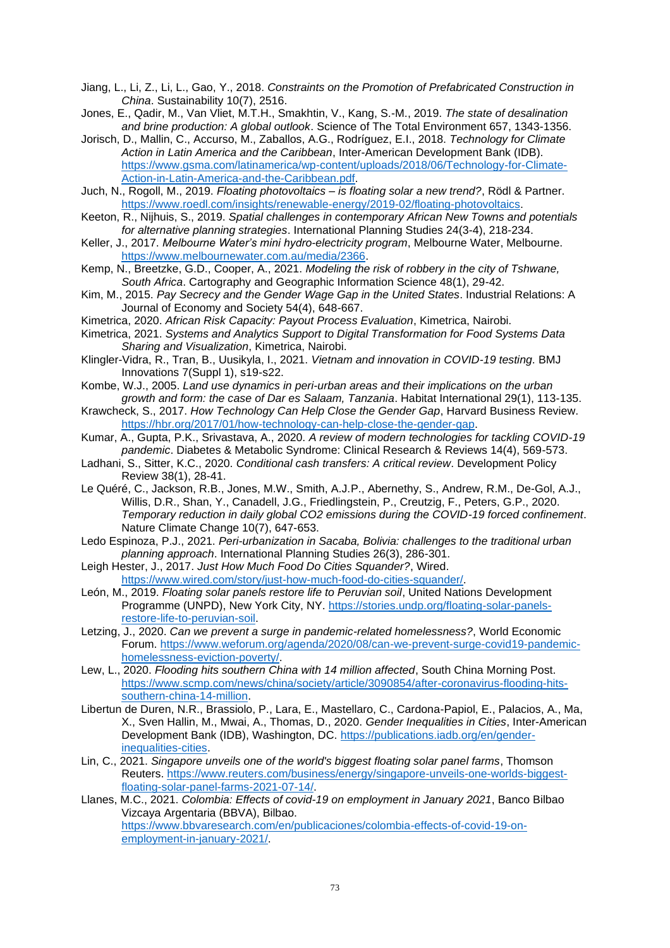Jiang, L., Li, Z., Li, L., Gao, Y., 2018. *Constraints on the Promotion of Prefabricated Construction in China*. Sustainability 10(7), 2516.

- Jones, E., Qadir, M., Van Vliet, M.T.H., Smakhtin, V., Kang, S.-M., 2019. *The state of desalination and brine production: A global outlook*. Science of The Total Environment 657, 1343-1356.
- Jorisch, D., Mallin, C., Accurso, M., Zaballos, A.G., Rodríguez, E.I., 2018. *Technology for Climate Action in Latin America and the Caribbean*, Inter-American Development Bank (IDB). [https://www.gsma.com/latinamerica/wp-content/uploads/2018/06/Technology-for-Climate-](https://www.gsma.com/latinamerica/wp-content/uploads/2018/06/Technology-for-Climate-Action-in-Latin-America-and-the-Caribbean.pdf)[Action-in-Latin-America-and-the-Caribbean.pdf.](https://www.gsma.com/latinamerica/wp-content/uploads/2018/06/Technology-for-Climate-Action-in-Latin-America-and-the-Caribbean.pdf)
- Juch, N., Rogoll, M., 2019. *Floating photovoltaics – is floating solar a new trend?*, Rödl & Partner. [https://www.roedl.com/insights/renewable-energy/2019-02/floating-photovoltaics.](https://www.roedl.com/insights/renewable-energy/2019-02/floating-photovoltaics)
- Keeton, R., Nijhuis, S., 2019. *Spatial challenges in contemporary African New Towns and potentials for alternative planning strategies*. International Planning Studies 24(3-4), 218-234.
- Keller, J., 2017. *Melbourne Water's mini hydro-electricity program*, Melbourne Water, Melbourne. [https://www.melbournewater.com.au/media/2366.](https://www.melbournewater.com.au/media/2366)
- Kemp, N., Breetzke, G.D., Cooper, A., 2021. *Modeling the risk of robbery in the city of Tshwane, South Africa*. Cartography and Geographic Information Science 48(1), 29-42.
- Kim, M., 2015. *Pay Secrecy and the Gender Wage Gap in the United States*. Industrial Relations: A Journal of Economy and Society 54(4), 648-667.
- Kimetrica, 2020. *African Risk Capacity: Payout Process Evaluation*, Kimetrica, Nairobi.
- Kimetrica, 2021. *Systems and Analytics Support to Digital Transformation for Food Systems Data Sharing and Visualization*, Kimetrica, Nairobi.
- Klingler-Vidra, R., Tran, B., Uusikyla, I., 2021. *Vietnam and innovation in COVID-19 testing*. BMJ Innovations 7(Suppl 1), s19-s22.
- Kombe, W.J., 2005. *Land use dynamics in peri-urban areas and their implications on the urban growth and form: the case of Dar es Salaam, Tanzania*. Habitat International 29(1), 113-135.
- Krawcheck, S., 2017. *How Technology Can Help Close the Gender Gap*, Harvard Business Review. [https://hbr.org/2017/01/how-technology-can-help-close-the-gender-gap.](https://hbr.org/2017/01/how-technology-can-help-close-the-gender-gap)
- Kumar, A., Gupta, P.K., Srivastava, A., 2020. *A review of modern technologies for tackling COVID-19 pandemic*. Diabetes & Metabolic Syndrome: Clinical Research & Reviews 14(4), 569-573.
- Ladhani, S., Sitter, K.C., 2020. *Conditional cash transfers: A critical review*. Development Policy Review 38(1), 28-41.
- Le Quéré, C., Jackson, R.B., Jones, M.W., Smith, A.J.P., Abernethy, S., Andrew, R.M., De-Gol, A.J., Willis, D.R., Shan, Y., Canadell, J.G., Friedlingstein, P., Creutzig, F., Peters, G.P., 2020. *Temporary reduction in daily global CO2 emissions during the COVID-19 forced confinement*. Nature Climate Change 10(7), 647-653.
- Ledo Espinoza, P.J., 2021. *Peri-urbanization in Sacaba, Bolivia: challenges to the traditional urban planning approach*. International Planning Studies 26(3), 286-301.
- Leigh Hester, J., 2017. *Just How Much Food Do Cities Squander?*, Wired. [https://www.wired.com/story/just-how-much-food-do-cities-squander/.](https://www.wired.com/story/just-how-much-food-do-cities-squander/)
- León, M., 2019. *Floating solar panels restore life to Peruvian soil*, United Nations Development Programme (UNPD), New York City, NY. [https://stories.undp.org/floating-solar-panels](https://stories.undp.org/floating-solar-panels-restore-life-to-peruvian-soil)[restore-life-to-peruvian-soil.](https://stories.undp.org/floating-solar-panels-restore-life-to-peruvian-soil)
- Letzing, J., 2020. *Can we prevent a surge in pandemic-related homelessness?*, World Economic Forum. [https://www.weforum.org/agenda/2020/08/can-we-prevent-surge-covid19-pandemic](https://www.weforum.org/agenda/2020/08/can-we-prevent-surge-covid19-pandemic-homelessness-eviction-poverty/)[homelessness-eviction-poverty/.](https://www.weforum.org/agenda/2020/08/can-we-prevent-surge-covid19-pandemic-homelessness-eviction-poverty/)
- Lew, L., 2020. *Flooding hits southern China with 14 million affected*, South China Morning Post. [https://www.scmp.com/news/china/society/article/3090854/after-coronavirus-flooding-hits](https://www.scmp.com/news/china/society/article/3090854/after-coronavirus-flooding-hits-southern-china-14-million)[southern-china-14-million.](https://www.scmp.com/news/china/society/article/3090854/after-coronavirus-flooding-hits-southern-china-14-million)
- Libertun de Duren, N.R., Brassiolo, P., Lara, E., Mastellaro, C., Cardona-Papiol, E., Palacios, A., Ma, X., Sven Hallin, M., Mwai, A., Thomas, D., 2020. *Gender Inequalities in Cities*, Inter-American Development Bank (IDB), Washington, DC. [https://publications.iadb.org/en/gender](https://publications.iadb.org/en/gender-inequalities-cities)[inequalities-cities.](https://publications.iadb.org/en/gender-inequalities-cities)
- Lin, C., 2021. *Singapore unveils one of the world's biggest floating solar panel farms*, Thomson Reuters. [https://www.reuters.com/business/energy/singapore-unveils-one-worlds-biggest](https://www.reuters.com/business/energy/singapore-unveils-one-worlds-biggest-floating-solar-panel-farms-2021-07-14/)[floating-solar-panel-farms-2021-07-14/.](https://www.reuters.com/business/energy/singapore-unveils-one-worlds-biggest-floating-solar-panel-farms-2021-07-14/)
- Llanes, M.C., 2021. *Colombia: Effects of covid-19 on employment in January 2021*, Banco Bilbao Vizcaya Argentaria (BBVA), Bilbao. [https://www.bbvaresearch.com/en/publicaciones/colombia-effects-of-covid-19-on](https://www.bbvaresearch.com/en/publicaciones/colombia-effects-of-covid-19-on-employment-in-january-2021/)[employment-in-january-2021/.](https://www.bbvaresearch.com/en/publicaciones/colombia-effects-of-covid-19-on-employment-in-january-2021/)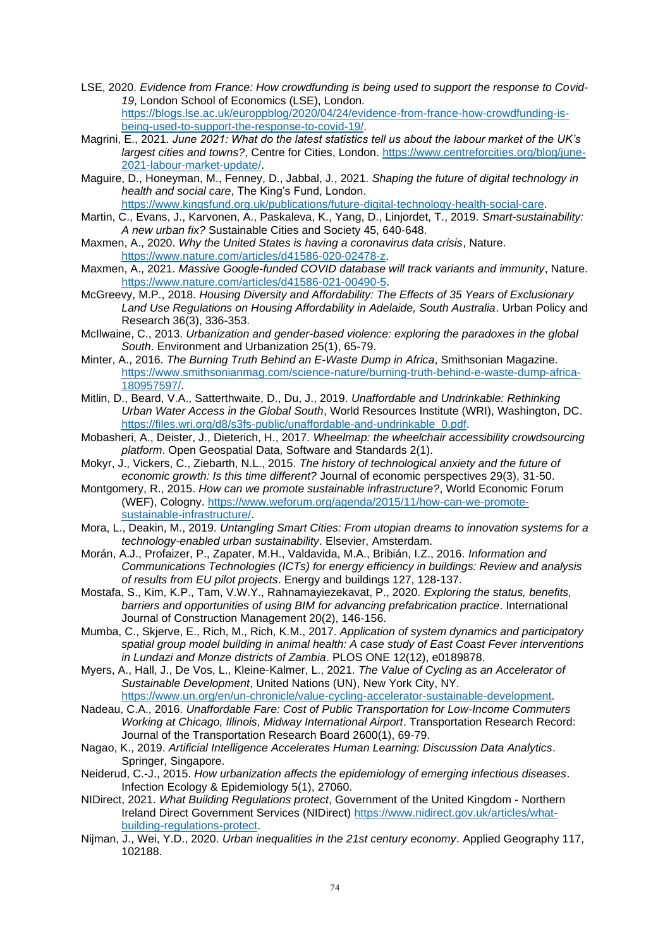- LSE, 2020. *Evidence from France: How crowdfunding is being used to support the response to Covid-19*, London School of Economics (LSE), London. [https://blogs.lse.ac.uk/europpblog/2020/04/24/evidence-from-france-how-crowdfunding-is](https://blogs.lse.ac.uk/europpblog/2020/04/24/evidence-from-france-how-crowdfunding-is-being-used-to-support-the-response-to-covid-19/)[being-used-to-support-the-response-to-covid-19/.](https://blogs.lse.ac.uk/europpblog/2020/04/24/evidence-from-france-how-crowdfunding-is-being-used-to-support-the-response-to-covid-19/)
- Magrini, E., 2021. *June 2021: What do the latest statistics tell us about the labour market of the UK's largest cities and towns?*, Centre for Cities, London. [https://www.centreforcities.org/blog/june-](https://www.centreforcities.org/blog/june-2021-labour-market-update/)[2021-labour-market-update/.](https://www.centreforcities.org/blog/june-2021-labour-market-update/)
- Maguire, D., Honeyman, M., Fenney, D., Jabbal, J., 2021. *Shaping the future of digital technology in health and social care*, The King's Fund, London. [https://www.kingsfund.org.uk/publications/future-digital-technology-health-social-care.](https://www.kingsfund.org.uk/publications/future-digital-technology-health-social-care)
- Martin, C., Evans, J., Karvonen, A., Paskaleva, K., Yang, D., Linjordet, T., 2019. *Smart-sustainability: A new urban fix?* Sustainable Cities and Society 45, 640-648.
- Maxmen, A., 2020. *Why the United States is having a coronavirus data crisis*, Nature. [https://www.nature.com/articles/d41586-020-02478-z.](https://www.nature.com/articles/d41586-020-02478-z)
- Maxmen, A., 2021. *Massive Google-funded COVID database will track variants and immunity*, Nature. [https://www.nature.com/articles/d41586-021-00490-5.](https://www.nature.com/articles/d41586-021-00490-5)
- McGreevy, M.P., 2018. *Housing Diversity and Affordability: The Effects of 35 Years of Exclusionary Land Use Regulations on Housing Affordability in Adelaide, South Australia*. Urban Policy and Research 36(3), 336-353.
- McIlwaine, C., 2013. *Urbanization and gender-based violence: exploring the paradoxes in the global South*. Environment and Urbanization 25(1), 65-79.
- Minter, A., 2016. *The Burning Truth Behind an E-Waste Dump in Africa*, Smithsonian Magazine. [https://www.smithsonianmag.com/science-nature/burning-truth-behind-e-waste-dump-africa-](https://www.smithsonianmag.com/science-nature/burning-truth-behind-e-waste-dump-africa-180957597/)[180957597/.](https://www.smithsonianmag.com/science-nature/burning-truth-behind-e-waste-dump-africa-180957597/)
- Mitlin, D., Beard, V.A., Satterthwaite, D., Du, J., 2019. *Unaffordable and Undrinkable: Rethinking Urban Water Access in the Global South*, World Resources Institute (WRI), Washington, DC. [https://files.wri.org/d8/s3fs-public/unaffordable-and-undrinkable\\_0.pdf.](https://files.wri.org/d8/s3fs-public/unaffordable-and-undrinkable_0.pdf)
- Mobasheri, A., Deister, J., Dieterich, H., 2017. *Wheelmap: the wheelchair accessibility crowdsourcing platform*. Open Geospatial Data, Software and Standards 2(1).
- Mokyr, J., Vickers, C., Ziebarth, N.L., 2015. *The history of technological anxiety and the future of economic growth: Is this time different?* Journal of economic perspectives 29(3), 31-50.
- Montgomery, R., 2015. *How can we promote sustainable infrastructure?*, World Economic Forum (WEF), Cologny. [https://www.weforum.org/agenda/2015/11/how-can-we-promote](https://www.weforum.org/agenda/2015/11/how-can-we-promote-sustainable-infrastructure/)[sustainable-infrastructure/.](https://www.weforum.org/agenda/2015/11/how-can-we-promote-sustainable-infrastructure/)
- Mora, L., Deakin, M., 2019. *Untangling Smart Cities: From utopian dreams to innovation systems for a technology-enabled urban sustainability*. Elsevier, Amsterdam.
- Morán, A.J., Profaizer, P., Zapater, M.H., Valdavida, M.A., Bribián, I.Z., 2016. *Information and Communications Technologies (ICTs) for energy efficiency in buildings: Review and analysis of results from EU pilot projects*. Energy and buildings 127, 128-137.
- Mostafa, S., Kim, K.P., Tam, V.W.Y., Rahnamayiezekavat, P., 2020. *Exploring the status, benefits, barriers and opportunities of using BIM for advancing prefabrication practice*. International Journal of Construction Management 20(2), 146-156.
- Mumba, C., Skjerve, E., Rich, M., Rich, K.M., 2017. *Application of system dynamics and participatory spatial group model building in animal health: A case study of East Coast Fever interventions in Lundazi and Monze districts of Zambia*. PLOS ONE 12(12), e0189878.
- Myers, A., Hall, J., De Vos, L., Kleine-Kalmer, L., 2021. *The Value of Cycling as an Accelerator of Sustainable Development*, United Nations (UN), New York City, NY. [https://www.un.org/en/un-chronicle/value-cycling-accelerator-sustainable-development.](https://www.un.org/en/un-chronicle/value-cycling-accelerator-sustainable-development)
- Nadeau, C.A., 2016. *Unaffordable Fare: Cost of Public Transportation for Low-Income Commuters Working at Chicago, Illinois, Midway International Airport*. Transportation Research Record: Journal of the Transportation Research Board 2600(1), 69-79.
- Nagao, K., 2019. *Artificial Intelligence Accelerates Human Learning: Discussion Data Analytics*. Springer, Singapore.
- Neiderud, C.-J., 2015. *How urbanization affects the epidemiology of emerging infectious diseases*. Infection Ecology & Epidemiology 5(1), 27060.
- NIDirect, 2021. *What Building Regulations protect*, Government of the United Kingdom Northern Ireland Direct Government Services (NIDirect) [https://www.nidirect.gov.uk/articles/what](https://www.nidirect.gov.uk/articles/what-building-regulations-protect)[building-regulations-protect.](https://www.nidirect.gov.uk/articles/what-building-regulations-protect)
- Nijman, J., Wei, Y.D., 2020. *Urban inequalities in the 21st century economy*. Applied Geography 117, 102188.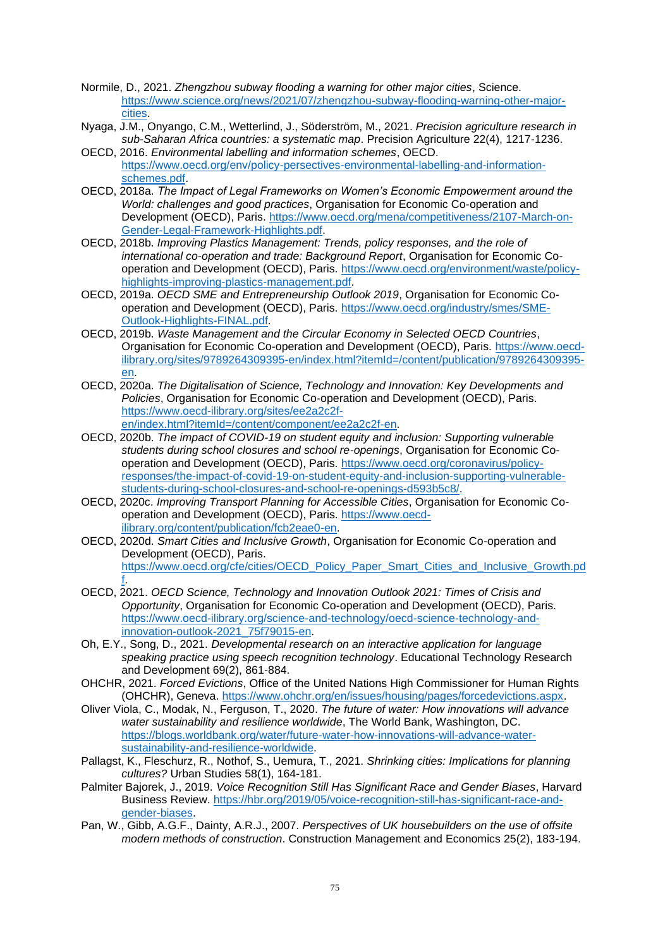- Normile, D., 2021. *Zhengzhou subway flooding a warning for other major cities*, Science. [https://www.science.org/news/2021/07/zhengzhou-subway-flooding-warning-other-major](https://www.science.org/news/2021/07/zhengzhou-subway-flooding-warning-other-major-cities)[cities.](https://www.science.org/news/2021/07/zhengzhou-subway-flooding-warning-other-major-cities)
- Nyaga, J.M., Onyango, C.M., Wetterlind, J., Söderström, M., 2021. *Precision agriculture research in sub-Saharan Africa countries: a systematic map*. Precision Agriculture 22(4), 1217-1236.
- OECD, 2016. *Environmental labelling and information schemes*, OECD. [https://www.oecd.org/env/policy-persectives-environmental-labelling-and-information](https://www.oecd.org/env/policy-persectives-environmental-labelling-and-information-schemes.pdf)[schemes.pdf.](https://www.oecd.org/env/policy-persectives-environmental-labelling-and-information-schemes.pdf)
- OECD, 2018a. *The Impact of Legal Frameworks on Women's Economic Empowerment around the World: challenges and good practices*, Organisation for Economic Co-operation and Development (OECD), Paris. [https://www.oecd.org/mena/competitiveness/2107-March-on-](https://www.oecd.org/mena/competitiveness/2107-March-on-Gender-Legal-Framework-Highlights.pdf)[Gender-Legal-Framework-Highlights.pdf.](https://www.oecd.org/mena/competitiveness/2107-March-on-Gender-Legal-Framework-Highlights.pdf)
- OECD, 2018b. *Improving Plastics Management: Trends, policy responses, and the role of international co-operation and trade: Background Report*, Organisation for Economic Cooperation and Development (OECD), Paris. [https://www.oecd.org/environment/waste/policy](https://www.oecd.org/environment/waste/policy-highlights-improving-plastics-management.pdf)[highlights-improving-plastics-management.pdf.](https://www.oecd.org/environment/waste/policy-highlights-improving-plastics-management.pdf)
- OECD, 2019a. *OECD SME and Entrepreneurship Outlook 2019*, Organisation for Economic Cooperation and Development (OECD), Paris. [https://www.oecd.org/industry/smes/SME-](https://www.oecd.org/industry/smes/SME-Outlook-Highlights-FINAL.pdf)[Outlook-Highlights-FINAL.pdf.](https://www.oecd.org/industry/smes/SME-Outlook-Highlights-FINAL.pdf)
- OECD, 2019b. *Waste Management and the Circular Economy in Selected OECD Countries*, Organisation for Economic Co-operation and Development (OECD), Paris. [https://www.oecd](https://www.oecd-ilibrary.org/sites/9789264309395-en/index.html?itemId=/content/publication/9789264309395-en)[ilibrary.org/sites/9789264309395-en/index.html?itemId=/content/publication/9789264309395](https://www.oecd-ilibrary.org/sites/9789264309395-en/index.html?itemId=/content/publication/9789264309395-en) [en.](https://www.oecd-ilibrary.org/sites/9789264309395-en/index.html?itemId=/content/publication/9789264309395-en)
- OECD, 2020a. *The Digitalisation of Science, Technology and Innovation: Key Developments and Policies*, Organisation for Economic Co-operation and Development (OECD), Paris. [https://www.oecd-ilibrary.org/sites/ee2a2c2f](https://www.oecd-ilibrary.org/sites/ee2a2c2f-en/index.html?itemId=/content/component/ee2a2c2f-en)[en/index.html?itemId=/content/component/ee2a2c2f-en.](https://www.oecd-ilibrary.org/sites/ee2a2c2f-en/index.html?itemId=/content/component/ee2a2c2f-en)
- OECD, 2020b. *The impact of COVID-19 on student equity and inclusion: Supporting vulnerable students during school closures and school re-openings*, Organisation for Economic Cooperation and Development (OECD), Paris. [https://www.oecd.org/coronavirus/policy](https://www.oecd.org/coronavirus/policy-responses/the-impact-of-covid-19-on-student-equity-and-inclusion-supporting-vulnerable-students-during-school-closures-and-school-re-openings-d593b5c8/)[responses/the-impact-of-covid-19-on-student-equity-and-inclusion-supporting-vulnerable](https://www.oecd.org/coronavirus/policy-responses/the-impact-of-covid-19-on-student-equity-and-inclusion-supporting-vulnerable-students-during-school-closures-and-school-re-openings-d593b5c8/)[students-during-school-closures-and-school-re-openings-d593b5c8/.](https://www.oecd.org/coronavirus/policy-responses/the-impact-of-covid-19-on-student-equity-and-inclusion-supporting-vulnerable-students-during-school-closures-and-school-re-openings-d593b5c8/)
- OECD, 2020c. *Improving Transport Planning for Accessible Cities*, Organisation for Economic Cooperation and Development (OECD), Paris. [https://www.oecd](https://www.oecd-ilibrary.org/content/publication/fcb2eae0-en)[ilibrary.org/content/publication/fcb2eae0-en.](https://www.oecd-ilibrary.org/content/publication/fcb2eae0-en)
- OECD, 2020d. *Smart Cities and Inclusive Growth*, Organisation for Economic Co-operation and Development (OECD), Paris. [https://www.oecd.org/cfe/cities/OECD\\_Policy\\_Paper\\_Smart\\_Cities\\_and\\_Inclusive\\_Growth.pd](https://www.oecd.org/cfe/cities/OECD_Policy_Paper_Smart_Cities_and_Inclusive_Growth.pdf) [f.](https://www.oecd.org/cfe/cities/OECD_Policy_Paper_Smart_Cities_and_Inclusive_Growth.pdf)
- OECD, 2021. *OECD Science, Technology and Innovation Outlook 2021: Times of Crisis and Opportunity*, Organisation for Economic Co-operation and Development (OECD), Paris. [https://www.oecd-ilibrary.org/science-and-technology/oecd-science-technology-and](https://www.oecd-ilibrary.org/science-and-technology/oecd-science-technology-and-innovation-outlook-2021_75f79015-en)[innovation-outlook-2021\\_75f79015-en.](https://www.oecd-ilibrary.org/science-and-technology/oecd-science-technology-and-innovation-outlook-2021_75f79015-en)
- Oh, E.Y., Song, D., 2021. *Developmental research on an interactive application for language speaking practice using speech recognition technology*. Educational Technology Research and Development 69(2), 861-884.
- OHCHR, 2021. *Forced Evictions*, Office of the United Nations High Commissioner for Human Rights (OHCHR), Geneva. [https://www.ohchr.org/en/issues/housing/pages/forcedevictions.aspx.](https://www.ohchr.org/en/issues/housing/pages/forcedevictions.aspx)
- Oliver Viola, C., Modak, N., Ferguson, T., 2020. *The future of water: How innovations will advance water sustainability and resilience worldwide*, The World Bank, Washington, DC. [https://blogs.worldbank.org/water/future-water-how-innovations-will-advance-water](https://blogs.worldbank.org/water/future-water-how-innovations-will-advance-water-sustainability-and-resilience-worldwide)[sustainability-and-resilience-worldwide.](https://blogs.worldbank.org/water/future-water-how-innovations-will-advance-water-sustainability-and-resilience-worldwide)
- Pallagst, K., Fleschurz, R., Nothof, S., Uemura, T., 2021. *Shrinking cities: Implications for planning cultures?* Urban Studies 58(1), 164-181.
- Palmiter Bajorek, J., 2019. *Voice Recognition Still Has Significant Race and Gender Biases*, Harvard Business Review. [https://hbr.org/2019/05/voice-recognition-still-has-significant-race-and](https://hbr.org/2019/05/voice-recognition-still-has-significant-race-and-gender-biases)[gender-biases.](https://hbr.org/2019/05/voice-recognition-still-has-significant-race-and-gender-biases)
- Pan, W., Gibb, A.G.F., Dainty, A.R.J., 2007. *Perspectives of UK housebuilders on the use of offsite modern methods of construction*. Construction Management and Economics 25(2), 183-194.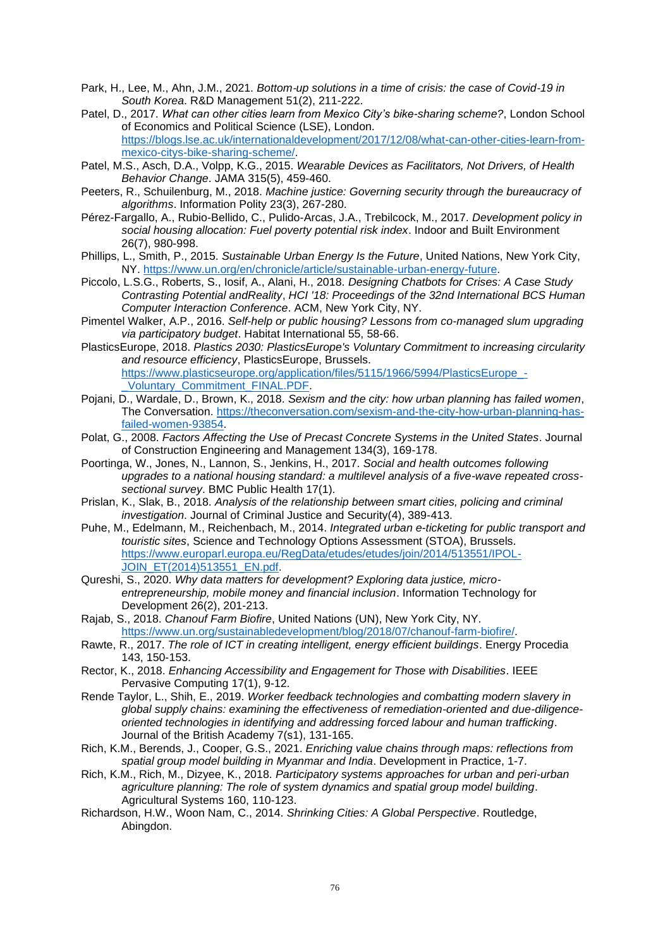- Park, H., Lee, M., Ahn, J.M., 2021. *Bottom*‐*up solutions in a time of crisis: the case of Covid*‐*19 in South Korea*. R&D Management 51(2), 211-222.
- Patel, D., 2017. *What can other cities learn from Mexico City's bike-sharing scheme?*, London School of Economics and Political Science (LSE), London. [https://blogs.lse.ac.uk/internationaldevelopment/2017/12/08/what-can-other-cities-learn-from](https://blogs.lse.ac.uk/internationaldevelopment/2017/12/08/what-can-other-cities-learn-from-mexico-citys-bike-sharing-scheme/)[mexico-citys-bike-sharing-scheme/.](https://blogs.lse.ac.uk/internationaldevelopment/2017/12/08/what-can-other-cities-learn-from-mexico-citys-bike-sharing-scheme/)
- Patel, M.S., Asch, D.A., Volpp, K.G., 2015. *Wearable Devices as Facilitators, Not Drivers, of Health Behavior Change*. JAMA 315(5), 459-460.
- Peeters, R., Schuilenburg, M., 2018. *Machine justice: Governing security through the bureaucracy of algorithms*. Information Polity 23(3), 267-280.
- Pérez-Fargallo, A., Rubio-Bellido, C., Pulido-Arcas, J.A., Trebilcock, M., 2017. *Development policy in social housing allocation: Fuel poverty potential risk index*. Indoor and Built Environment 26(7), 980-998.
- Phillips, L., Smith, P., 2015. *Sustainable Urban Energy Is the Future*, United Nations, New York City, NY. [https://www.un.org/en/chronicle/article/sustainable-urban-energy-future.](https://www.un.org/en/chronicle/article/sustainable-urban-energy-future)
- Piccolo, L.S.G., Roberts, S., Iosif, A., Alani, H., 2018. *Designing Chatbots for Crises: A Case Study Contrasting Potential andReality*, *HCI '18: Proceedings of the 32nd International BCS Human Computer Interaction Conference*. ACM, New York City, NY.
- Pimentel Walker, A.P., 2016. *Self-help or public housing? Lessons from co-managed slum upgrading via participatory budget*. Habitat International 55, 58-66.
- PlasticsEurope, 2018. *Plastics 2030: PlasticsEurope's Voluntary Commitment to increasing circularity and resource efficiency*, PlasticsEurope, Brussels. [https://www.plasticseurope.org/application/files/5115/1966/5994/PlasticsEurope\\_-](https://www.plasticseurope.org/application/files/5115/1966/5994/PlasticsEurope_-_Voluntary_Commitment_FINAL.PDF) [\\_Voluntary\\_Commitment\\_FINAL.PDF.](https://www.plasticseurope.org/application/files/5115/1966/5994/PlasticsEurope_-_Voluntary_Commitment_FINAL.PDF)
- Pojani, D., Wardale, D., Brown, K., 2018. *Sexism and the city: how urban planning has failed women*, The Conversation. [https://theconversation.com/sexism-and-the-city-how-urban-planning-has](https://theconversation.com/sexism-and-the-city-how-urban-planning-has-failed-women-93854)[failed-women-93854.](https://theconversation.com/sexism-and-the-city-how-urban-planning-has-failed-women-93854)
- Polat, G., 2008. *Factors Affecting the Use of Precast Concrete Systems in the United States*. Journal of Construction Engineering and Management 134(3), 169-178.
- Poortinga, W., Jones, N., Lannon, S., Jenkins, H., 2017. *Social and health outcomes following upgrades to a national housing standard: a multilevel analysis of a five-wave repeated crosssectional survey*. BMC Public Health 17(1).
- Prislan, K., Slak, B., 2018. *Analysis of the relationship between smart cities, policing and criminal investigation*. Journal of Criminal Justice and Security(4), 389-413.
- Puhe, M., Edelmann, M., Reichenbach, M., 2014. *Integrated urban e-ticketing for public transport and touristic sites*, Science and Technology Options Assessment (STOA), Brussels. [https://www.europarl.europa.eu/RegData/etudes/etudes/join/2014/513551/IPOL-](https://www.europarl.europa.eu/RegData/etudes/etudes/join/2014/513551/IPOL-JOIN_ET(2014)513551_EN.pdf)[JOIN\\_ET\(2014\)513551\\_EN.pdf.](https://www.europarl.europa.eu/RegData/etudes/etudes/join/2014/513551/IPOL-JOIN_ET(2014)513551_EN.pdf)
- Qureshi, S., 2020. *Why data matters for development? Exploring data justice, microentrepreneurship, mobile money and financial inclusion*. Information Technology for Development 26(2), 201-213.
- Rajab, S., 2018. *Chanouf Farm Biofire*, United Nations (UN), New York City, NY. [https://www.un.org/sustainabledevelopment/blog/2018/07/chanouf-farm-biofire/.](https://www.un.org/sustainabledevelopment/blog/2018/07/chanouf-farm-biofire/)
- Rawte, R., 2017. *The role of ICT in creating intelligent, energy efficient buildings*. Energy Procedia 143, 150-153.
- Rector, K., 2018. *Enhancing Accessibility and Engagement for Those with Disabilities*. IEEE Pervasive Computing 17(1), 9-12.
- Rende Taylor, L., Shih, E., 2019. *Worker feedback technologies and combatting modern slavery in global supply chains: examining the effectiveness of remediation-oriented and due-diligenceoriented technologies in identifying and addressing forced labour and human trafficking*. Journal of the British Academy 7(s1), 131-165.
- Rich, K.M., Berends, J., Cooper, G.S., 2021. *Enriching value chains through maps: reflections from spatial group model building in Myanmar and India*. Development in Practice, 1-7.
- Rich, K.M., Rich, M., Dizyee, K., 2018. *Participatory systems approaches for urban and peri-urban agriculture planning: The role of system dynamics and spatial group model building*. Agricultural Systems 160, 110-123.
- Richardson, H.W., Woon Nam, C., 2014. *Shrinking Cities: A Global Perspective*. Routledge, Abingdon.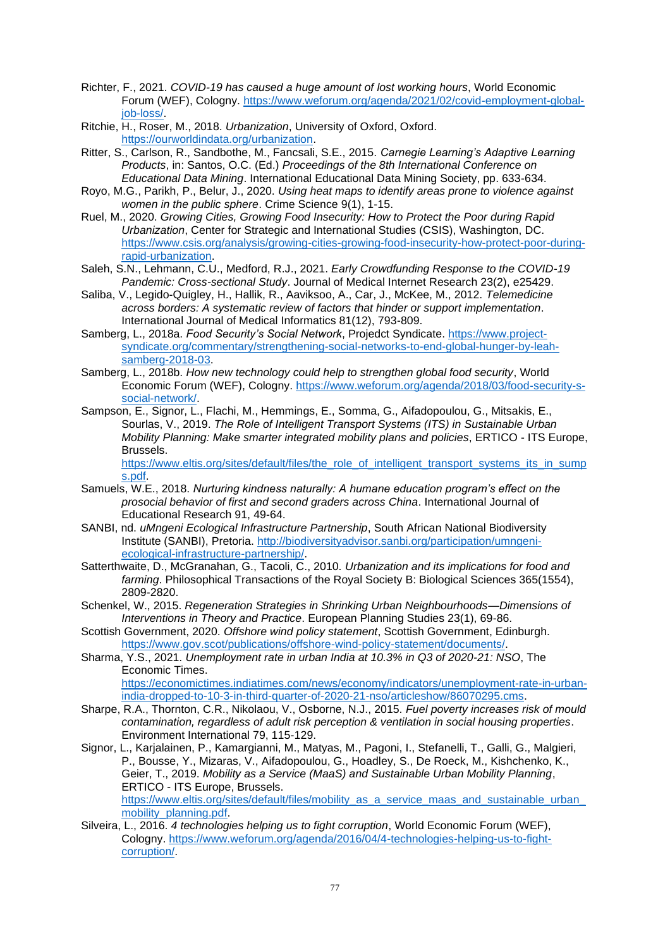- Richter, F., 2021. *COVID-19 has caused a huge amount of lost working hours*, World Economic Forum (WEF), Cologny. [https://www.weforum.org/agenda/2021/02/covid-employment-global](https://www.weforum.org/agenda/2021/02/covid-employment-global-job-loss/)[job-loss/.](https://www.weforum.org/agenda/2021/02/covid-employment-global-job-loss/)
- Ritchie, H., Roser, M., 2018. *Urbanization*, University of Oxford, Oxford. [https://ourworldindata.org/urbanization.](https://ourworldindata.org/urbanization)
- Ritter, S., Carlson, R., Sandbothe, M., Fancsali, S.E., 2015. *Carnegie Learning's Adaptive Learning Products*, in: Santos, O.C. (Ed.) *Proceedings of the 8th International Conference on Educational Data Mining*. International Educational Data Mining Society, pp. 633-634.
- Royo, M.G., Parikh, P., Belur, J., 2020. *Using heat maps to identify areas prone to violence against women in the public sphere*. Crime Science 9(1), 1-15.
- Ruel, M., 2020. *Growing Cities, Growing Food Insecurity: How to Protect the Poor during Rapid Urbanization*, Center for Strategic and International Studies (CSIS), Washington, DC. [https://www.csis.org/analysis/growing-cities-growing-food-insecurity-how-protect-poor-during](https://www.csis.org/analysis/growing-cities-growing-food-insecurity-how-protect-poor-during-rapid-urbanization)[rapid-urbanization.](https://www.csis.org/analysis/growing-cities-growing-food-insecurity-how-protect-poor-during-rapid-urbanization)
- Saleh, S.N., Lehmann, C.U., Medford, R.J., 2021. *Early Crowdfunding Response to the COVID-19 Pandemic: Cross-sectional Study*. Journal of Medical Internet Research 23(2), e25429.
- Saliba, V., Legido-Quigley, H., Hallik, R., Aaviksoo, A., Car, J., McKee, M., 2012. *Telemedicine across borders: A systematic review of factors that hinder or support implementation*. International Journal of Medical Informatics 81(12), 793-809.
- Samberg, L., 2018a. *Food Security's Social Network*, Projedct Syndicate. [https://www.project](https://www.project-syndicate.org/commentary/strengthening-social-networks-to-end-global-hunger-by-leah-samberg-2018-03)[syndicate.org/commentary/strengthening-social-networks-to-end-global-hunger-by-leah](https://www.project-syndicate.org/commentary/strengthening-social-networks-to-end-global-hunger-by-leah-samberg-2018-03)[samberg-2018-03.](https://www.project-syndicate.org/commentary/strengthening-social-networks-to-end-global-hunger-by-leah-samberg-2018-03)
- Samberg, L., 2018b. *How new technology could help to strengthen global food security*, World Economic Forum (WEF), Cologny. [https://www.weforum.org/agenda/2018/03/food-security-s](https://www.weforum.org/agenda/2018/03/food-security-s-social-network/)[social-network/.](https://www.weforum.org/agenda/2018/03/food-security-s-social-network/)
- Sampson, E., Signor, L., Flachi, M., Hemmings, E., Somma, G., Aifadopoulou, G., Mitsakis, E., Sourlas, V., 2019. *The Role of Intelligent Transport Systems (ITS) in Sustainable Urban Mobility Planning: Make smarter integrated mobility plans and policies*, ERTICO - ITS Europe, Brussels.

[https://www.eltis.org/sites/default/files/the\\_role\\_of\\_intelligent\\_transport\\_systems\\_its\\_in\\_sump](https://www.eltis.org/sites/default/files/the_role_of_intelligent_transport_systems_its_in_sumps.pdf) [s.pdf.](https://www.eltis.org/sites/default/files/the_role_of_intelligent_transport_systems_its_in_sumps.pdf)

- Samuels, W.E., 2018. *Nurturing kindness naturally: A humane education program's effect on the prosocial behavior of first and second graders across China*. International Journal of Educational Research 91, 49-64.
- SANBI, nd. *uMngeni Ecological Infrastructure Partnership*, South African National Biodiversity Institute (SANBI), Pretoria. [http://biodiversityadvisor.sanbi.org/participation/umngeni](http://biodiversityadvisor.sanbi.org/participation/umngeni-ecological-infrastructure-partnership/)[ecological-infrastructure-partnership/.](http://biodiversityadvisor.sanbi.org/participation/umngeni-ecological-infrastructure-partnership/)
- Satterthwaite, D., McGranahan, G., Tacoli, C., 2010. *Urbanization and its implications for food and farming*. Philosophical Transactions of the Royal Society B: Biological Sciences 365(1554), 2809-2820.
- Schenkel, W., 2015. *Regeneration Strategies in Shrinking Urban Neighbourhoods—Dimensions of Interventions in Theory and Practice*. European Planning Studies 23(1), 69-86.
- Scottish Government, 2020. *Offshore wind policy statement*, Scottish Government, Edinburgh. [https://www.gov.scot/publications/offshore-wind-policy-statement/documents/.](https://www.gov.scot/publications/offshore-wind-policy-statement/documents/)
- Sharma, Y.S., 2021. *Unemployment rate in urban India at 10.3% in Q3 of 2020-21: NSO*, The Economic Times. [https://economictimes.indiatimes.com/news/economy/indicators/unemployment-rate-in-urban](https://economictimes.indiatimes.com/news/economy/indicators/unemployment-rate-in-urban-india-dropped-to-10-3-in-third-quarter-of-2020-21-nso/articleshow/86070295.cms)[india-dropped-to-10-3-in-third-quarter-of-2020-21-nso/articleshow/86070295.cms.](https://economictimes.indiatimes.com/news/economy/indicators/unemployment-rate-in-urban-india-dropped-to-10-3-in-third-quarter-of-2020-21-nso/articleshow/86070295.cms)
- Sharpe, R.A., Thornton, C.R., Nikolaou, V., Osborne, N.J., 2015. *Fuel poverty increases risk of mould contamination, regardless of adult risk perception & ventilation in social housing properties*. Environment International 79, 115-129.
- Signor, L., Karjalainen, P., Kamargianni, M., Matyas, M., Pagoni, I., Stefanelli, T., Galli, G., Malgieri, P., Bousse, Y., Mizaras, V., Aifadopoulou, G., Hoadley, S., De Roeck, M., Kishchenko, K., Geier, T., 2019. *Mobility as a Service (MaaS) and Sustainable Urban Mobility Planning*, ERTICO - ITS Europe, Brussels. [https://www.eltis.org/sites/default/files/mobility\\_as\\_a\\_service\\_maas\\_and\\_sustainable\\_urban\\_](https://www.eltis.org/sites/default/files/mobility_as_a_service_maas_and_sustainable_urban_mobility_planning.pdf) [mobility\\_planning.pdf.](https://www.eltis.org/sites/default/files/mobility_as_a_service_maas_and_sustainable_urban_mobility_planning.pdf)
- Silveira, L., 2016. *4 technologies helping us to fight corruption*, World Economic Forum (WEF), Cologny. [https://www.weforum.org/agenda/2016/04/4-technologies-helping-us-to-fight](https://www.weforum.org/agenda/2016/04/4-technologies-helping-us-to-fight-corruption/)[corruption/.](https://www.weforum.org/agenda/2016/04/4-technologies-helping-us-to-fight-corruption/)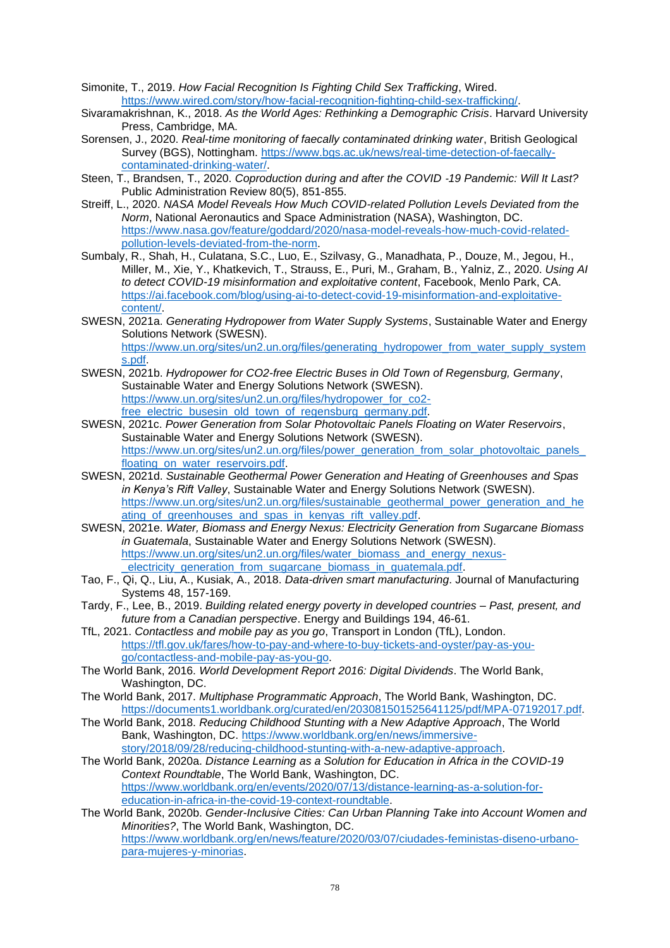- Simonite, T., 2019. *How Facial Recognition Is Fighting Child Sex Trafficking*, Wired. [https://www.wired.com/story/how-facial-recognition-fighting-child-sex-trafficking/.](https://www.wired.com/story/how-facial-recognition-fighting-child-sex-trafficking/)
- Sivaramakrishnan, K., 2018. *As the World Ages: Rethinking a Demographic Crisis*. Harvard University Press, Cambridge, MA.
- Sorensen, J., 2020. *Real-time monitoring of faecally contaminated drinking water*, British Geological Survey (BGS), Nottingham. [https://www.bgs.ac.uk/news/real-time-detection-of-faecally](https://www.bgs.ac.uk/news/real-time-detection-of-faecally-contaminated-drinking-water/)[contaminated-drinking-water/.](https://www.bgs.ac.uk/news/real-time-detection-of-faecally-contaminated-drinking-water/)
- Steen, T., Brandsen, T., 2020. *Coproduction during and after the COVID* ‐*19 Pandemic: Will It Last?* Public Administration Review 80(5), 851-855.
- Streiff, L., 2020. *NASA Model Reveals How Much COVID-related Pollution Levels Deviated from the Norm*, National Aeronautics and Space Administration (NASA), Washington, DC. [https://www.nasa.gov/feature/goddard/2020/nasa-model-reveals-how-much-covid-related](https://www.nasa.gov/feature/goddard/2020/nasa-model-reveals-how-much-covid-related-pollution-levels-deviated-from-the-norm)[pollution-levels-deviated-from-the-norm.](https://www.nasa.gov/feature/goddard/2020/nasa-model-reveals-how-much-covid-related-pollution-levels-deviated-from-the-norm)
- Sumbaly, R., Shah, H., Culatana, S.C., Luo, E., Szilvasy, G., Manadhata, P., Douze, M., Jegou, H., Miller, M., Xie, Y., Khatkevich, T., Strauss, E., Puri, M., Graham, B., Yalniz, Z., 2020. *Using AI to detect COVID-19 misinformation and exploitative content*, Facebook, Menlo Park, CA. [https://ai.facebook.com/blog/using-ai-to-detect-covid-19-misinformation-and-exploitative](https://ai.facebook.com/blog/using-ai-to-detect-covid-19-misinformation-and-exploitative-content/)[content/.](https://ai.facebook.com/blog/using-ai-to-detect-covid-19-misinformation-and-exploitative-content/)
- SWESN, 2021a. *Generating Hydropower from Water Supply Systems*, Sustainable Water and Energy Solutions Network (SWESN).

[https://www.un.org/sites/un2.un.org/files/generating\\_hydropower\\_from\\_water\\_supply\\_system](https://www.un.org/sites/un2.un.org/files/generating_hydropower_from_water_supply_systems.pdf) [s.pdf.](https://www.un.org/sites/un2.un.org/files/generating_hydropower_from_water_supply_systems.pdf)

- SWESN, 2021b. *Hydropower for CO2-free Electric Buses in Old Town of Regensburg, Germany*, Sustainable Water and Energy Solutions Network (SWESN). [https://www.un.org/sites/un2.un.org/files/hydropower\\_for\\_co2](https://www.un.org/sites/un2.un.org/files/hydropower_for_co2-free_electric_busesin_old_town_of_regensburg_germany.pdf) [free\\_electric\\_busesin\\_old\\_town\\_of\\_regensburg\\_germany.pdf.](https://www.un.org/sites/un2.un.org/files/hydropower_for_co2-free_electric_busesin_old_town_of_regensburg_germany.pdf)
- SWESN, 2021c. *Power Generation from Solar Photovoltaic Panels Floating on Water Reservoirs*, Sustainable Water and Energy Solutions Network (SWESN). https://www.un.org/sites/un2.un.org/files/power\_generation\_from\_solar\_photovoltaic\_panels [floating\\_on\\_water\\_reservoirs.pdf.](https://www.un.org/sites/un2.un.org/files/power_generation_from_solar_photovoltaic_panels_floating_on_water_reservoirs.pdf)
- SWESN, 2021d. *Sustainable Geothermal Power Generation and Heating of Greenhouses and Spas in Kenya's Rift Valley*, Sustainable Water and Energy Solutions Network (SWESN). [https://www.un.org/sites/un2.un.org/files/sustainable\\_geothermal\\_power\\_generation\\_and\\_he](https://www.un.org/sites/un2.un.org/files/sustainable_geothermal_power_generation_and_heating_of_greenhouses_and_spas_in_kenyas_rift_valley.pdf) ating of greenhouses and spas in kenyas rift valley.pdf.
- SWESN, 2021e. *Water, Biomass and Energy Nexus: Electricity Generation from Sugarcane Biomass in Guatemala*, Sustainable Water and Energy Solutions Network (SWESN). [https://www.un.org/sites/un2.un.org/files/water\\_biomass\\_and\\_energy\\_nexus](https://www.un.org/sites/un2.un.org/files/water_biomass_and_energy_nexus-_electricity_generation_from_sugarcane_biomass_in_guatemala.pdf) electricity\_generation\_from\_sugarcane\_biomass\_in\_guatemala.pdf
- Tao, F., Qi, Q., Liu, A., Kusiak, A., 2018. *Data-driven smart manufacturing*. Journal of Manufacturing Systems 48, 157-169.
- Tardy, F., Lee, B., 2019. *Building related energy poverty in developed countries – Past, present, and future from a Canadian perspective*. Energy and Buildings 194, 46-61.
- TfL, 2021. *Contactless and mobile pay as you go*, Transport in London (TfL), London. [https://tfl.gov.uk/fares/how-to-pay-and-where-to-buy-tickets-and-oyster/pay-as-you](https://tfl.gov.uk/fares/how-to-pay-and-where-to-buy-tickets-and-oyster/pay-as-you-go/contactless-and-mobile-pay-as-you-go)[go/contactless-and-mobile-pay-as-you-go.](https://tfl.gov.uk/fares/how-to-pay-and-where-to-buy-tickets-and-oyster/pay-as-you-go/contactless-and-mobile-pay-as-you-go)
- The World Bank, 2016. *World Development Report 2016: Digital Dividends*. The World Bank, Washington, DC.
- The World Bank, 2017. *Multiphase Programmatic Approach*, The World Bank, Washington, DC. [https://documents1.worldbank.org/curated/en/203081501525641125/pdf/MPA-07192017.pdf.](https://documents1.worldbank.org/curated/en/203081501525641125/pdf/MPA-07192017.pdf)
- The World Bank, 2018. *Reducing Childhood Stunting with a New Adaptive Approach*, The World Bank, Washington, DC. [https://www.worldbank.org/en/news/immersive](https://www.worldbank.org/en/news/immersive-story/2018/09/28/reducing-childhood-stunting-with-a-new-adaptive-approach)[story/2018/09/28/reducing-childhood-stunting-with-a-new-adaptive-approach.](https://www.worldbank.org/en/news/immersive-story/2018/09/28/reducing-childhood-stunting-with-a-new-adaptive-approach)
- The World Bank, 2020a. *Distance Learning as a Solution for Education in Africa in the COVID-19 Context Roundtable*, The World Bank, Washington, DC. [https://www.worldbank.org/en/events/2020/07/13/distance-learning-as-a-solution-for](https://www.worldbank.org/en/events/2020/07/13/distance-learning-as-a-solution-for-education-in-africa-in-the-covid-19-context-roundtable)[education-in-africa-in-the-covid-19-context-roundtable.](https://www.worldbank.org/en/events/2020/07/13/distance-learning-as-a-solution-for-education-in-africa-in-the-covid-19-context-roundtable)
- The World Bank, 2020b. *Gender-Inclusive Cities: Can Urban Planning Take into Account Women and Minorities?*, The World Bank, Washington, DC. [https://www.worldbank.org/en/news/feature/2020/03/07/ciudades-feministas-diseno-urbano](https://www.worldbank.org/en/news/feature/2020/03/07/ciudades-feministas-diseno-urbano-para-mujeres-y-minorias)[para-mujeres-y-minorias.](https://www.worldbank.org/en/news/feature/2020/03/07/ciudades-feministas-diseno-urbano-para-mujeres-y-minorias)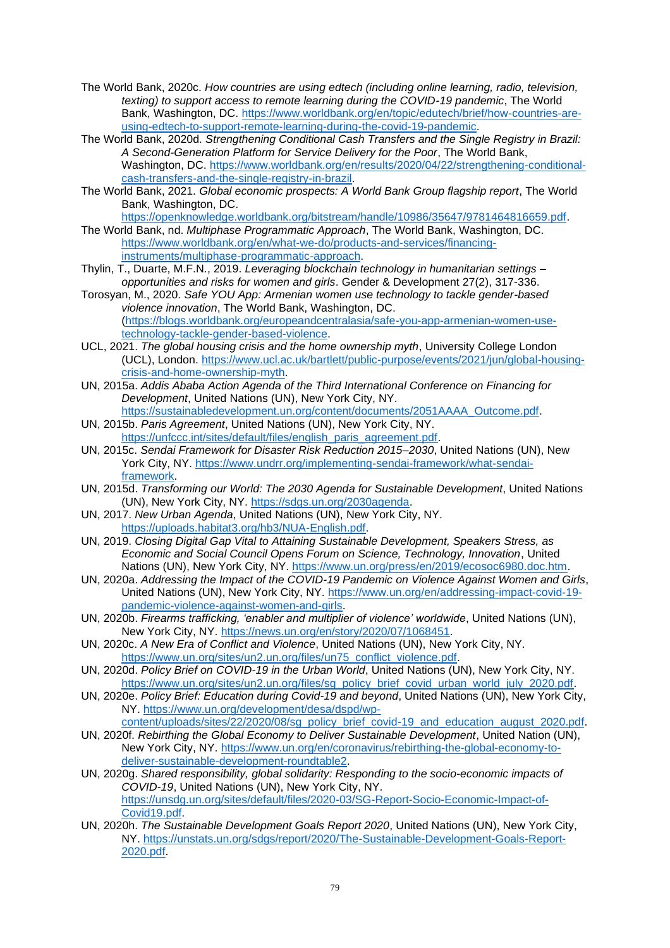- The World Bank, 2020c. *How countries are using edtech (including online learning, radio, television, texting) to support access to remote learning during the COVID-19 pandemic*, The World Bank, Washington, DC. [https://www.worldbank.org/en/topic/edutech/brief/how-countries-are](https://www.worldbank.org/en/topic/edutech/brief/how-countries-are-using-edtech-to-support-remote-learning-during-the-covid-19-pandemic)[using-edtech-to-support-remote-learning-during-the-covid-19-pandemic.](https://www.worldbank.org/en/topic/edutech/brief/how-countries-are-using-edtech-to-support-remote-learning-during-the-covid-19-pandemic)
- The World Bank, 2020d. *Strengthening Conditional Cash Transfers and the Single Registry in Brazil: A Second-Generation Platform for Service Delivery for the Poor*, The World Bank, Washington, DC. [https://www.worldbank.org/en/results/2020/04/22/strengthening-conditional](https://www.worldbank.org/en/results/2020/04/22/strengthening-conditional-cash-transfers-and-the-single-registry-in-brazil)[cash-transfers-and-the-single-registry-in-brazil.](https://www.worldbank.org/en/results/2020/04/22/strengthening-conditional-cash-transfers-and-the-single-registry-in-brazil)
- The World Bank, 2021. *Global economic prospects: A World Bank Group flagship report*, The World Bank, Washington, DC.

[https://openknowledge.worldbank.org/bitstream/handle/10986/35647/9781464816659.pdf.](https://openknowledge.worldbank.org/bitstream/handle/10986/35647/9781464816659.pdf) The World Bank, nd. *Multiphase Programmatic Approach*, The World Bank, Washington, DC. [https://www.worldbank.org/en/what-we-do/products-and-services/financing](https://www.worldbank.org/en/what-we-do/products-and-services/financing-instruments/multiphase-programmatic-approach)[instruments/multiphase-programmatic-approach.](https://www.worldbank.org/en/what-we-do/products-and-services/financing-instruments/multiphase-programmatic-approach)

- Thylin, T., Duarte, M.F.N., 2019. *Leveraging blockchain technology in humanitarian settings – opportunities and risks for women and girls*. Gender & Development 27(2), 317-336.
- Torosyan, M., 2020. *Safe YOU App: Armenian women use technology to tackle gender-based violence innovation*, The World Bank, Washington, DC. [\(https://blogs.worldbank.org/europeandcentralasia/safe-you-app-armenian-women-use](https://blogs.worldbank.org/europeandcentralasia/safe-you-app-armenian-women-use-technology-tackle-gender-based-violence)[technology-tackle-gender-based-violence.](https://blogs.worldbank.org/europeandcentralasia/safe-you-app-armenian-women-use-technology-tackle-gender-based-violence)
- UCL, 2021. *The global housing crisis and the home ownership myth*, University College London (UCL), London. [https://www.ucl.ac.uk/bartlett/public-purpose/events/2021/jun/global-housing](https://www.ucl.ac.uk/bartlett/public-purpose/events/2021/jun/global-housing-crisis-and-home-ownership-myth)[crisis-and-home-ownership-myth.](https://www.ucl.ac.uk/bartlett/public-purpose/events/2021/jun/global-housing-crisis-and-home-ownership-myth)
- UN, 2015a. *Addis Ababa Action Agenda of the Third International Conference on Financing for Development*, United Nations (UN), New York City, NY.
- [https://sustainabledevelopment.un.org/content/documents/2051AAAA\\_Outcome.pdf.](https://sustainabledevelopment.un.org/content/documents/2051AAAA_Outcome.pdf) UN, 2015b. *Paris Agreement*, United Nations (UN), New York City, NY.

[https://unfccc.int/sites/default/files/english\\_paris\\_agreement.pdf.](https://unfccc.int/sites/default/files/english_paris_agreement.pdf)

- UN, 2015c. *Sendai Framework for Disaster Risk Reduction 2015–2030*, United Nations (UN), New York City, NY. [https://www.undrr.org/implementing-sendai-framework/what-sendai](https://www.undrr.org/implementing-sendai-framework/what-sendai-framework)[framework.](https://www.undrr.org/implementing-sendai-framework/what-sendai-framework)
- UN, 2015d. *Transforming our World: The 2030 Agenda for Sustainable Development*, United Nations (UN), New York City, NY. [https://sdgs.un.org/2030agenda.](https://sdgs.un.org/2030agenda)
- UN, 2017. *New Urban Agenda*, United Nations (UN), New York City, NY. [https://uploads.habitat3.org/hb3/NUA-English.pdf.](https://uploads.habitat3.org/hb3/NUA-English.pdf)
- UN, 2019. *Closing Digital Gap Vital to Attaining Sustainable Development, Speakers Stress, as Economic and Social Council Opens Forum on Science, Technology, Innovation*, United Nations (UN), New York City, NY. [https://www.un.org/press/en/2019/ecosoc6980.doc.htm.](https://www.un.org/press/en/2019/ecosoc6980.doc.htm)
- UN, 2020a. *Addressing the Impact of the COVID-19 Pandemic on Violence Against Women and Girls*, United Nations (UN), New York City, NY. [https://www.un.org/en/addressing-impact-covid-19](https://www.un.org/en/addressing-impact-covid-19-pandemic-violence-against-women-and-girls) [pandemic-violence-against-women-and-girls.](https://www.un.org/en/addressing-impact-covid-19-pandemic-violence-against-women-and-girls)
- UN, 2020b. *Firearms trafficking, 'enabler and multiplier of violence' worldwide*, United Nations (UN), New York City, NY. [https://news.un.org/en/story/2020/07/1068451.](https://news.un.org/en/story/2020/07/1068451)
- UN, 2020c. *A New Era of Conflict and Violence*, United Nations (UN), New York City, NY. [https://www.un.org/sites/un2.un.org/files/un75\\_conflict\\_violence.pdf.](https://www.un.org/sites/un2.un.org/files/un75_conflict_violence.pdf)
- UN, 2020d. *Policy Brief on COVID-19 in the Urban World*, United Nations (UN), New York City, NY. [https://www.un.org/sites/un2.un.org/files/sg\\_policy\\_brief\\_covid\\_urban\\_world\\_july\\_2020.pdf.](https://www.un.org/sites/un2.un.org/files/sg_policy_brief_covid_urban_world_july_2020.pdf)
- UN, 2020e. *Policy Brief: Education during Covid-19 and beyond*, United Nations (UN), New York City, NY. [https://www.un.org/development/desa/dspd/wp-](https://www.un.org/development/desa/dspd/wp-content/uploads/sites/22/2020/08/sg_policy_brief_covid-19_and_education_august_2020.pdf)
- [content/uploads/sites/22/2020/08/sg\\_policy\\_brief\\_covid-19\\_and\\_education\\_august\\_2020.pdf.](https://www.un.org/development/desa/dspd/wp-content/uploads/sites/22/2020/08/sg_policy_brief_covid-19_and_education_august_2020.pdf) UN, 2020f. *Rebirthing the Global Economy to Deliver Sustainable Development*, United Nation (UN),
- New York City, NY. [https://www.un.org/en/coronavirus/rebirthing-the-global-economy-to](https://www.un.org/en/coronavirus/rebirthing-the-global-economy-to-deliver-sustainable-development-roundtable2)[deliver-sustainable-development-roundtable2.](https://www.un.org/en/coronavirus/rebirthing-the-global-economy-to-deliver-sustainable-development-roundtable2) UN, 2020g. *Shared responsibility, global solidarity: Responding to the socio-economic impacts of*
- *COVID-19*, United Nations (UN), New York City, NY. [https://unsdg.un.org/sites/default/files/2020-03/SG-Report-Socio-Economic-Impact-of-](https://unsdg.un.org/sites/default/files/2020-03/SG-Report-Socio-Economic-Impact-of-Covid19.pdf)[Covid19.pdf.](https://unsdg.un.org/sites/default/files/2020-03/SG-Report-Socio-Economic-Impact-of-Covid19.pdf)
- UN, 2020h. *The Sustainable Development Goals Report 2020*, United Nations (UN), New York City, NY. [https://unstats.un.org/sdgs/report/2020/The-Sustainable-Development-Goals-Report-](https://unstats.un.org/sdgs/report/2020/The-Sustainable-Development-Goals-Report-2020.pdf)[2020.pdf.](https://unstats.un.org/sdgs/report/2020/The-Sustainable-Development-Goals-Report-2020.pdf)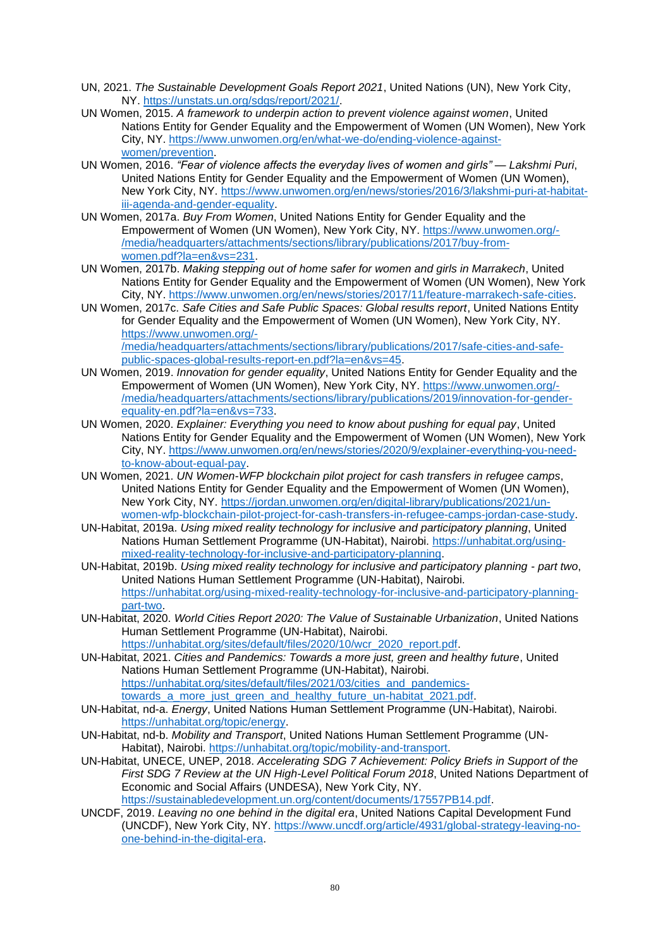- UN, 2021. *The Sustainable Development Goals Report 2021*, United Nations (UN), New York City, NY. [https://unstats.un.org/sdgs/report/2021/.](https://unstats.un.org/sdgs/report/2021/)
- UN Women, 2015. *A framework to underpin action to prevent violence against women*, United Nations Entity for Gender Equality and the Empowerment of Women (UN Women), New York City, NY. [https://www.unwomen.org/en/what-we-do/ending-violence-against](https://www.unwomen.org/en/what-we-do/ending-violence-against-women/prevention)[women/prevention.](https://www.unwomen.org/en/what-we-do/ending-violence-against-women/prevention)
- UN Women, 2016. *"Fear of violence affects the everyday lives of women and girls" — Lakshmi Puri*, United Nations Entity for Gender Equality and the Empowerment of Women (UN Women), New York City, NY. [https://www.unwomen.org/en/news/stories/2016/3/lakshmi-puri-at-habitat](https://www.unwomen.org/en/news/stories/2016/3/lakshmi-puri-at-habitat-iii-agenda-and-gender-equality)[iii-agenda-and-gender-equality.](https://www.unwomen.org/en/news/stories/2016/3/lakshmi-puri-at-habitat-iii-agenda-and-gender-equality)
- UN Women, 2017a. *Buy From Women*, United Nations Entity for Gender Equality and the Empowerment of Women (UN Women), New York City, NY. [https://www.unwomen.org/-](https://www.unwomen.org/-/media/headquarters/attachments/sections/library/publications/2017/buy-from-women.pdf?la=en&vs=231) [/media/headquarters/attachments/sections/library/publications/2017/buy-from](https://www.unwomen.org/-/media/headquarters/attachments/sections/library/publications/2017/buy-from-women.pdf?la=en&vs=231)[women.pdf?la=en&vs=231.](https://www.unwomen.org/-/media/headquarters/attachments/sections/library/publications/2017/buy-from-women.pdf?la=en&vs=231)
- UN Women, 2017b. *Making stepping out of home safer for women and girls in Marrakech*, United Nations Entity for Gender Equality and the Empowerment of Women (UN Women), New York City, NY. [https://www.unwomen.org/en/news/stories/2017/11/feature-marrakech-safe-cities.](https://www.unwomen.org/en/news/stories/2017/11/feature-marrakech-safe-cities)
- UN Women, 2017c. *Safe Cities and Safe Public Spaces: Global results report*, United Nations Entity for Gender Equality and the Empowerment of Women (UN Women), New York City, NY. [https://www.unwomen.org/-](https://www.unwomen.org/-/media/headquarters/attachments/sections/library/publications/2017/safe-cities-and-safe-public-spaces-global-results-report-en.pdf?la=en&vs=45)

[/media/headquarters/attachments/sections/library/publications/2017/safe-cities-and-safe](https://www.unwomen.org/-/media/headquarters/attachments/sections/library/publications/2017/safe-cities-and-safe-public-spaces-global-results-report-en.pdf?la=en&vs=45)[public-spaces-global-results-report-en.pdf?la=en&vs=45.](https://www.unwomen.org/-/media/headquarters/attachments/sections/library/publications/2017/safe-cities-and-safe-public-spaces-global-results-report-en.pdf?la=en&vs=45)

- UN Women, 2019. *Innovation for gender equality*, United Nations Entity for Gender Equality and the Empowerment of Women (UN Women), New York City, NY. [https://www.unwomen.org/-](https://www.unwomen.org/-/media/headquarters/attachments/sections/library/publications/2019/innovation-for-gender-equality-en.pdf?la=en&vs=733) [/media/headquarters/attachments/sections/library/publications/2019/innovation-for-gender](https://www.unwomen.org/-/media/headquarters/attachments/sections/library/publications/2019/innovation-for-gender-equality-en.pdf?la=en&vs=733)[equality-en.pdf?la=en&vs=733.](https://www.unwomen.org/-/media/headquarters/attachments/sections/library/publications/2019/innovation-for-gender-equality-en.pdf?la=en&vs=733)
- UN Women, 2020. *Explainer: Everything you need to know about pushing for equal pay*, United Nations Entity for Gender Equality and the Empowerment of Women (UN Women), New York City, NY. [https://www.unwomen.org/en/news/stories/2020/9/explainer-everything-you-need](https://www.unwomen.org/en/news/stories/2020/9/explainer-everything-you-need-to-know-about-equal-pay)[to-know-about-equal-pay.](https://www.unwomen.org/en/news/stories/2020/9/explainer-everything-you-need-to-know-about-equal-pay)
- UN Women, 2021. *UN Women-WFP blockchain pilot project for cash transfers in refugee camps*, United Nations Entity for Gender Equality and the Empowerment of Women (UN Women), New York City, NY. [https://jordan.unwomen.org/en/digital-library/publications/2021/un](https://jordan.unwomen.org/en/digital-library/publications/2021/un-women-wfp-blockchain-pilot-project-for-cash-transfers-in-refugee-camps-jordan-case-study)[women-wfp-blockchain-pilot-project-for-cash-transfers-in-refugee-camps-jordan-case-study.](https://jordan.unwomen.org/en/digital-library/publications/2021/un-women-wfp-blockchain-pilot-project-for-cash-transfers-in-refugee-camps-jordan-case-study)
- UN-Habitat, 2019a. *Using mixed reality technology for inclusive and participatory planning*, United Nations Human Settlement Programme (UN-Habitat), Nairobi. [https://unhabitat.org/using](https://unhabitat.org/using-mixed-reality-technology-for-inclusive-and-participatory-planning)[mixed-reality-technology-for-inclusive-and-participatory-planning.](https://unhabitat.org/using-mixed-reality-technology-for-inclusive-and-participatory-planning)
- UN-Habitat, 2019b. *Using mixed reality technology for inclusive and participatory planning - part two*, United Nations Human Settlement Programme (UN-Habitat), Nairobi. [https://unhabitat.org/using-mixed-reality-technology-for-inclusive-and-participatory-planning](https://unhabitat.org/using-mixed-reality-technology-for-inclusive-and-participatory-planning-part-two)[part-two.](https://unhabitat.org/using-mixed-reality-technology-for-inclusive-and-participatory-planning-part-two)
- UN-Habitat, 2020. *World Cities Report 2020: The Value of Sustainable Urbanization*, United Nations Human Settlement Programme (UN-Habitat), Nairobi. [https://unhabitat.org/sites/default/files/2020/10/wcr\\_2020\\_report.pdf.](https://unhabitat.org/sites/default/files/2020/10/wcr_2020_report.pdf)

UN-Habitat, 2021. *Cities and Pandemics: Towards a more just, green and healthy future*, United Nations Human Settlement Programme (UN-Habitat), Nairobi. [https://unhabitat.org/sites/default/files/2021/03/cities\\_and\\_pandemics](https://unhabitat.org/sites/default/files/2021/03/cities_and_pandemics-towards_a_more_just_green_and_healthy_future_un-habitat_2021.pdf)[towards\\_a\\_more\\_just\\_green\\_and\\_healthy\\_future\\_un-habitat\\_2021.pdf.](https://unhabitat.org/sites/default/files/2021/03/cities_and_pandemics-towards_a_more_just_green_and_healthy_future_un-habitat_2021.pdf)

- UN-Habitat, nd-a. *Energy*, United Nations Human Settlement Programme (UN-Habitat), Nairobi. [https://unhabitat.org/topic/energy.](https://unhabitat.org/topic/energy)
- UN-Habitat, nd-b. *Mobility and Transport*, United Nations Human Settlement Programme (UN-Habitat), Nairobi. [https://unhabitat.org/topic/mobility-and-transport.](https://unhabitat.org/topic/mobility-and-transport)
- UN-Habitat, UNECE, UNEP, 2018. *Accelerating SDG 7 Achievement: Policy Briefs in Support of the First SDG 7 Review at the UN High-Level Political Forum 2018*, United Nations Department of Economic and Social Affairs (UNDESA), New York City, NY. [https://sustainabledevelopment.un.org/content/documents/17557PB14.pdf.](https://sustainabledevelopment.un.org/content/documents/17557PB14.pdf)
- UNCDF, 2019. *Leaving no one behind in the digital era*, United Nations Capital Development Fund (UNCDF), New York City, NY. [https://www.uncdf.org/article/4931/global-strategy-leaving-no](https://www.uncdf.org/article/4931/global-strategy-leaving-no-one-behind-in-the-digital-era)[one-behind-in-the-digital-era.](https://www.uncdf.org/article/4931/global-strategy-leaving-no-one-behind-in-the-digital-era)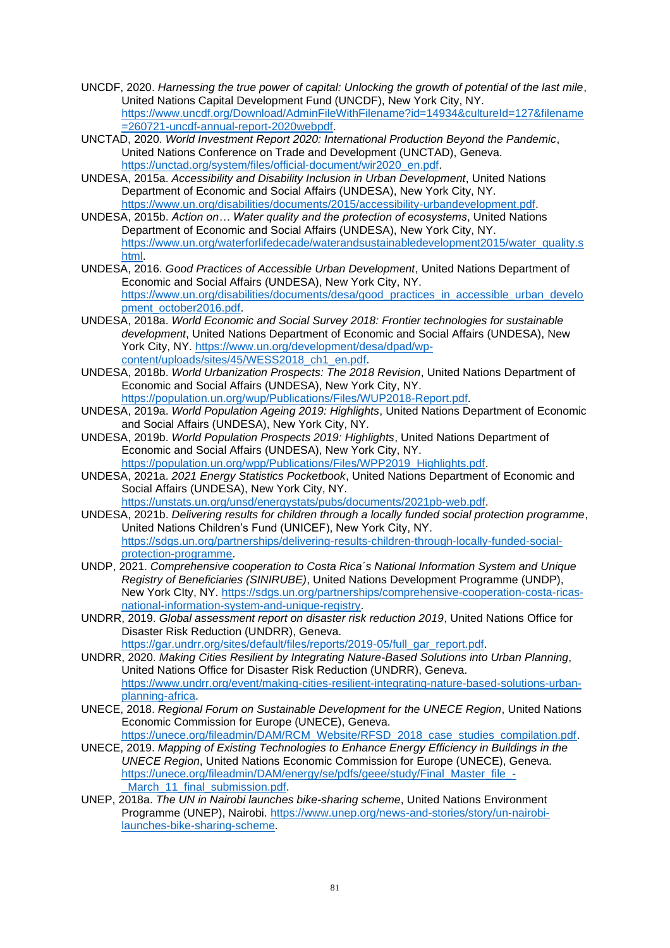- UNCDF, 2020. *Harnessing the true power of capital: Unlocking the growth of potential of the last mile*, United Nations Capital Development Fund (UNCDF), New York City, NY. [https://www.uncdf.org/Download/AdminFileWithFilename?id=14934&cultureId=127&filename](https://www.uncdf.org/Download/AdminFileWithFilename?id=14934&cultureId=127&filename=260721-uncdf-annual-report-2020webpdf) [=260721-uncdf-annual-report-2020webpdf.](https://www.uncdf.org/Download/AdminFileWithFilename?id=14934&cultureId=127&filename=260721-uncdf-annual-report-2020webpdf)
- UNCTAD, 2020. *World Investment Report 2020: International Production Beyond the Pandemic*, United Nations Conference on Trade and Development (UNCTAD), Geneva. [https://unctad.org/system/files/official-document/wir2020\\_en.pdf.](https://unctad.org/system/files/official-document/wir2020_en.pdf)
- UNDESA, 2015a. *Accessibility and Disability Inclusion in Urban Development*, United Nations Department of Economic and Social Affairs (UNDESA), New York City, NY. [https://www.un.org/disabilities/documents/2015/accessibility-urbandevelopment.pdf.](https://www.un.org/disabilities/documents/2015/accessibility-urbandevelopment.pdf)
- UNDESA, 2015b. *Action on… Water quality and the protection of ecosystems*, United Nations Department of Economic and Social Affairs (UNDESA), New York City, NY. [https://www.un.org/waterforlifedecade/waterandsustainabledevelopment2015/water\\_quality.s](https://www.un.org/waterforlifedecade/waterandsustainabledevelopment2015/water_quality.shtml) [html.](https://www.un.org/waterforlifedecade/waterandsustainabledevelopment2015/water_quality.shtml)
- UNDESA, 2016. *Good Practices of Accessible Urban Development*, United Nations Department of Economic and Social Affairs (UNDESA), New York City, NY. [https://www.un.org/disabilities/documents/desa/good\\_practices\\_in\\_accessible\\_urban\\_develo](https://www.un.org/disabilities/documents/desa/good_practices_in_accessible_urban_development_october2016.pdf) [pment\\_october2016.pdf.](https://www.un.org/disabilities/documents/desa/good_practices_in_accessible_urban_development_october2016.pdf)
- UNDESA, 2018a. *World Economic and Social Survey 2018: Frontier technologies for sustainable development*, United Nations Department of Economic and Social Affairs (UNDESA), New York City, NY. [https://www.un.org/development/desa/dpad/wp](https://www.un.org/development/desa/dpad/wp-content/uploads/sites/45/WESS2018_ch1_en.pdf)[content/uploads/sites/45/WESS2018\\_ch1\\_en.pdf.](https://www.un.org/development/desa/dpad/wp-content/uploads/sites/45/WESS2018_ch1_en.pdf)
- UNDESA, 2018b. *World Urbanization Prospects: The 2018 Revision*, United Nations Department of Economic and Social Affairs (UNDESA), New York City, NY. [https://population.un.org/wup/Publications/Files/WUP2018-Report.pdf.](https://population.un.org/wup/Publications/Files/WUP2018-Report.pdf)
- UNDESA, 2019a. *World Population Ageing 2019: Highlights*, United Nations Department of Economic and Social Affairs (UNDESA), New York City, NY.
- UNDESA, 2019b. *World Population Prospects 2019: Highlights*, United Nations Department of Economic and Social Affairs (UNDESA), New York City, NY. [https://population.un.org/wpp/Publications/Files/WPP2019\\_Highlights.pdf.](https://population.un.org/wpp/Publications/Files/WPP2019_Highlights.pdf)
- UNDESA, 2021a. *2021 Energy Statistics Pocketbook*, United Nations Department of Economic and Social Affairs (UNDESA), New York City, NY. [https://unstats.un.org/unsd/energystats/pubs/documents/2021pb-web.pdf.](https://unstats.un.org/unsd/energystats/pubs/documents/2021pb-web.pdf)
- UNDESA, 2021b. *Delivering results for children through a locally funded social protection programme*, United Nations Children's Fund (UNICEF), New York City, NY. [https://sdgs.un.org/partnerships/delivering-results-children-through-locally-funded-social](https://sdgs.un.org/partnerships/delivering-results-children-through-locally-funded-social-protection-programme)[protection-programme.](https://sdgs.un.org/partnerships/delivering-results-children-through-locally-funded-social-protection-programme)
- UNDP, 2021. *Comprehensive cooperation to Costa Rica´s National Information System and Unique Registry of Beneficiaries (SINIRUBE)*, United Nations Development Programme (UNDP), New York CIty, NY. [https://sdgs.un.org/partnerships/comprehensive-cooperation-costa-ricas](https://sdgs.un.org/partnerships/comprehensive-cooperation-costa-ricas-national-information-system-and-unique-registry)[national-information-system-and-unique-registry.](https://sdgs.un.org/partnerships/comprehensive-cooperation-costa-ricas-national-information-system-and-unique-registry)
- UNDRR, 2019. *Global assessment report on disaster risk reduction 2019*, United Nations Office for Disaster Risk Reduction (UNDRR), Geneva. [https://gar.undrr.org/sites/default/files/reports/2019-05/full\\_gar\\_report.pdf.](https://gar.undrr.org/sites/default/files/reports/2019-05/full_gar_report.pdf)
- UNDRR, 2020. *Making Cities Resilient by Integrating Nature-Based Solutions into Urban Planning*, United Nations Office for Disaster Risk Reduction (UNDRR), Geneva. [https://www.undrr.org/event/making-cities-resilient-integrating-nature-based-solutions-urban](https://www.undrr.org/event/making-cities-resilient-integrating-nature-based-solutions-urban-planning-africa)[planning-africa.](https://www.undrr.org/event/making-cities-resilient-integrating-nature-based-solutions-urban-planning-africa)
- UNECE, 2018. *Regional Forum on Sustainable Development for the UNECE Region*, United Nations Economic Commission for Europe (UNECE), Geneva. [https://unece.org/fileadmin/DAM/RCM\\_Website/RFSD\\_2018\\_case\\_studies\\_compilation.pdf.](https://unece.org/fileadmin/DAM/RCM_Website/RFSD_2018_case_studies_compilation.pdf)
- UNECE, 2019. *Mapping of Existing Technologies to Enhance Energy Efficiency in Buildings in the UNECE Region*, United Nations Economic Commission for Europe (UNECE), Geneva. [https://unece.org/fileadmin/DAM/energy/se/pdfs/geee/study/Final\\_Master\\_file\\_-](https://unece.org/fileadmin/DAM/energy/se/pdfs/geee/study/Final_Master_file_-_March_11_final_submission.pdf) March 11 final submission.pdf.
- UNEP, 2018a. *The UN in Nairobi launches bike-sharing scheme*, United Nations Environment Programme (UNEP), Nairobi. [https://www.unep.org/news-and-stories/story/un-nairobi](https://www.unep.org/news-and-stories/story/un-nairobi-launches-bike-sharing-scheme)[launches-bike-sharing-scheme.](https://www.unep.org/news-and-stories/story/un-nairobi-launches-bike-sharing-scheme)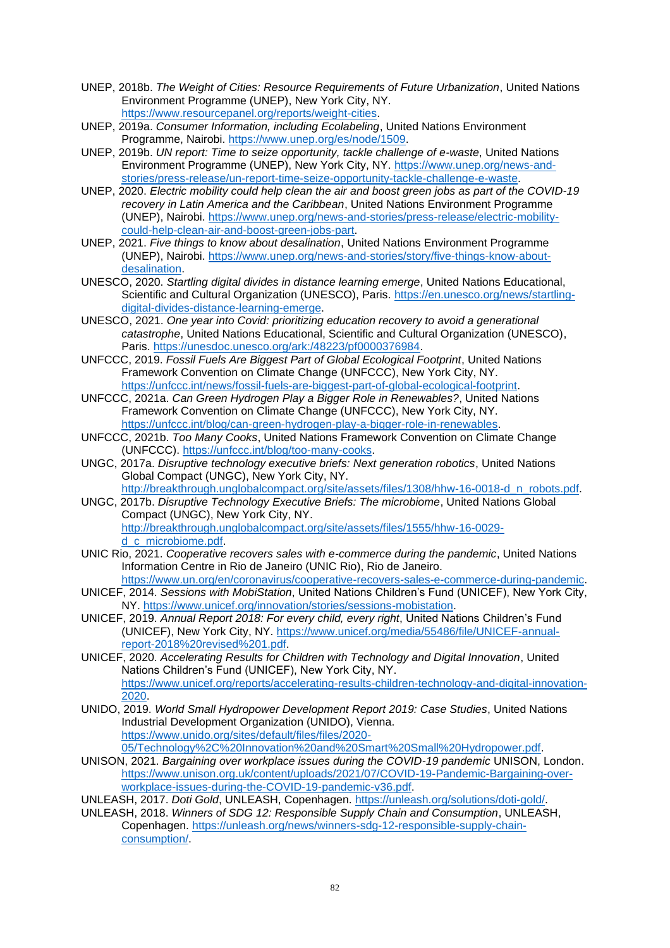- UNEP, 2018b. *The Weight of Cities: Resource Requirements of Future Urbanization*, United Nations Environment Programme (UNEP), New York City, NY. [https://www.resourcepanel.org/reports/weight-cities.](https://www.resourcepanel.org/reports/weight-cities)
- UNEP, 2019a. *Consumer Information, including Ecolabeling*, United Nations Environment Programme, Nairobi. [https://www.unep.org/es/node/1509.](https://www.unep.org/es/node/1509)
- UNEP, 2019b. *UN report: Time to seize opportunity, tackle challenge of e-waste*, United Nations Environment Programme (UNEP), New York City, NY. [https://www.unep.org/news-and](https://www.unep.org/news-and-stories/press-release/un-report-time-seize-opportunity-tackle-challenge-e-waste)[stories/press-release/un-report-time-seize-opportunity-tackle-challenge-e-waste.](https://www.unep.org/news-and-stories/press-release/un-report-time-seize-opportunity-tackle-challenge-e-waste)
- UNEP, 2020. *Electric mobility could help clean the air and boost green jobs as part of the COVID-19 recovery in Latin America and the Caribbean*, United Nations Environment Programme (UNEP), Nairobi. [https://www.unep.org/news-and-stories/press-release/electric-mobility](https://www.unep.org/news-and-stories/press-release/electric-mobility-could-help-clean-air-and-boost-green-jobs-part)[could-help-clean-air-and-boost-green-jobs-part.](https://www.unep.org/news-and-stories/press-release/electric-mobility-could-help-clean-air-and-boost-green-jobs-part)
- UNEP, 2021. *Five things to know about desalination*, United Nations Environment Programme (UNEP), Nairobi. [https://www.unep.org/news-and-stories/story/five-things-know-about](https://www.unep.org/news-and-stories/story/five-things-know-about-desalination)[desalination.](https://www.unep.org/news-and-stories/story/five-things-know-about-desalination)
- UNESCO, 2020. *Startling digital divides in distance learning emerge*, United Nations Educational, Scientific and Cultural Organization (UNESCO), Paris. [https://en.unesco.org/news/startling](https://en.unesco.org/news/startling-digital-divides-distance-learning-emerge)[digital-divides-distance-learning-emerge.](https://en.unesco.org/news/startling-digital-divides-distance-learning-emerge)
- UNESCO, 2021. *One year into Covid: prioritizing education recovery to avoid a generational catastrophe*, United Nations Educational, Scientific and Cultural Organization (UNESCO), Paris. [https://unesdoc.unesco.org/ark:/48223/pf0000376984.](https://unesdoc.unesco.org/ark:/48223/pf0000376984)
- UNFCCC, 2019. *Fossil Fuels Are Biggest Part of Global Ecological Footprint*, United Nations Framework Convention on Climate Change (UNFCCC), New York City, NY. [https://unfccc.int/news/fossil-fuels-are-biggest-part-of-global-ecological-footprint.](https://unfccc.int/news/fossil-fuels-are-biggest-part-of-global-ecological-footprint)
- UNFCCC, 2021a. *Can Green Hydrogen Play a Bigger Role in Renewables?*, United Nations Framework Convention on Climate Change (UNFCCC), New York City, NY. [https://unfccc.int/blog/can-green-hydrogen-play-a-bigger-role-in-renewables.](https://unfccc.int/blog/can-green-hydrogen-play-a-bigger-role-in-renewables)
- UNFCCC, 2021b. *Too Many Cooks*, United Nations Framework Convention on Climate Change (UNFCCC). [https://unfccc.int/blog/too-many-cooks.](https://unfccc.int/blog/too-many-cooks)
- UNGC, 2017a. *Disruptive technology executive briefs: Next generation robotics*, United Nations Global Compact (UNGC), New York City, NY. [http://breakthrough.unglobalcompact.org/site/assets/files/1308/hhw-16-0018-d\\_n\\_robots.pdf.](http://breakthrough.unglobalcompact.org/site/assets/files/1308/hhw-16-0018-d_n_robots.pdf)
- UNGC, 2017b. *Disruptive Technology Executive Briefs: The microbiome*, United Nations Global Compact (UNGC), New York City, NY. [http://breakthrough.unglobalcompact.org/site/assets/files/1555/hhw-16-0029](http://breakthrough.unglobalcompact.org/site/assets/files/1555/hhw-16-0029-d_c_microbiome.pdf) [d\\_c\\_microbiome.pdf.](http://breakthrough.unglobalcompact.org/site/assets/files/1555/hhw-16-0029-d_c_microbiome.pdf)
- UNIC Rio, 2021. *Cooperative recovers sales with e-commerce during the pandemic*, United Nations Information Centre in Rio de Janeiro (UNIC Rio), Rio de Janeiro. [https://www.un.org/en/coronavirus/cooperative-recovers-sales-e-commerce-during-pandemic.](https://www.un.org/en/coronavirus/cooperative-recovers-sales-e-commerce-during-pandemic)
- UNICEF, 2014. *Sessions with MobiStation*, United Nations Children's Fund (UNICEF), New York City, NY. [https://www.unicef.org/innovation/stories/sessions-mobistation.](https://www.unicef.org/innovation/stories/sessions-mobistation)
- UNICEF, 2019. *Annual Report 2018: For every child, every right*, United Nations Children's Fund (UNICEF), New York City, NY. [https://www.unicef.org/media/55486/file/UNICEF-annual](https://www.unicef.org/media/55486/file/UNICEF-annual-report-2018%20revised%201.pdf)[report-2018%20revised%201.pdf.](https://www.unicef.org/media/55486/file/UNICEF-annual-report-2018%20revised%201.pdf)
- UNICEF, 2020. *Accelerating Results for Children with Technology and Digital Innovation*, United Nations Children's Fund (UNICEF), New York City, NY. [https://www.unicef.org/reports/accelerating-results-children-technology-and-digital-innovation-](https://www.unicef.org/reports/accelerating-results-children-technology-and-digital-innovation-2020)[2020.](https://www.unicef.org/reports/accelerating-results-children-technology-and-digital-innovation-2020)
- UNIDO, 2019. *World Small Hydropower Development Report 2019: Case Studies*, United Nations Industrial Development Organization (UNIDO), Vienna. [https://www.unido.org/sites/default/files/files/2020-](https://www.unido.org/sites/default/files/files/2020-05/Technology%2C%20Innovation%20and%20Smart%20Small%20Hydropower.pdf) [05/Technology%2C%20Innovation%20and%20Smart%20Small%20Hydropower.pdf.](https://www.unido.org/sites/default/files/files/2020-05/Technology%2C%20Innovation%20and%20Smart%20Small%20Hydropower.pdf)
- UNISON, 2021. *Bargaining over workplace issues during the COVID-19 pandemic* UNISON, London. [https://www.unison.org.uk/content/uploads/2021/07/COVID-19-Pandemic-Bargaining-over](https://www.unison.org.uk/content/uploads/2021/07/COVID-19-Pandemic-Bargaining-over-workplace-issues-during-the-COVID-19-pandemic-v36.pdf)[workplace-issues-during-the-COVID-19-pandemic-v36.pdf.](https://www.unison.org.uk/content/uploads/2021/07/COVID-19-Pandemic-Bargaining-over-workplace-issues-during-the-COVID-19-pandemic-v36.pdf)
- UNLEASH, 2017. *Doti Gold*, UNLEASH, Copenhagen. [https://unleash.org/solutions/doti-gold/.](https://unleash.org/solutions/doti-gold/)
- UNLEASH, 2018. *Winners of SDG 12: Responsible Supply Chain and Consumption*, UNLEASH, Copenhagen. [https://unleash.org/news/winners-sdg-12-responsible-supply-chain](https://unleash.org/news/winners-sdg-12-responsible-supply-chain-consumption/)[consumption/.](https://unleash.org/news/winners-sdg-12-responsible-supply-chain-consumption/)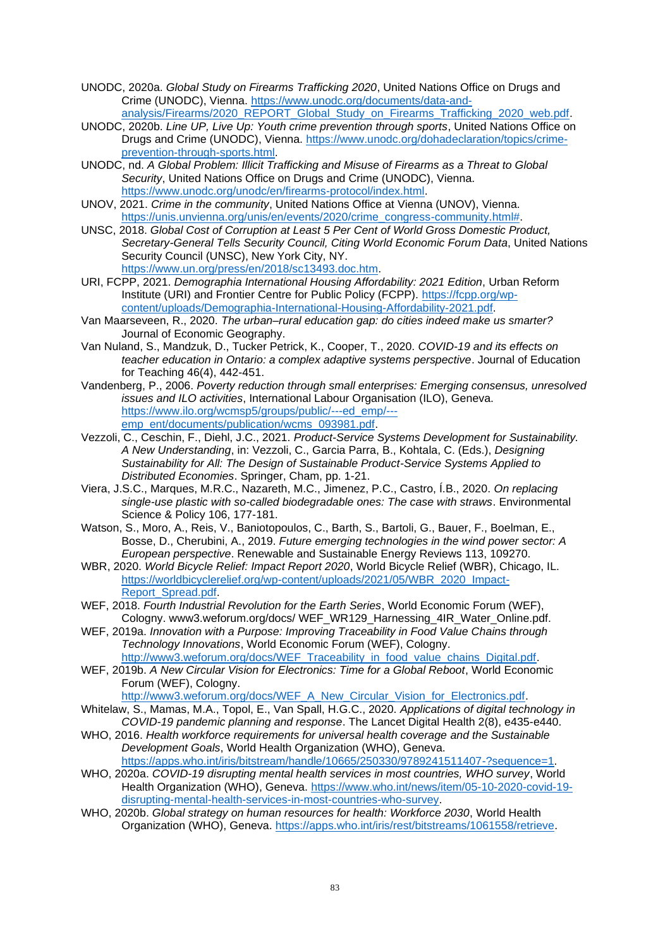- UNODC, 2020a. *Global Study on Firearms Trafficking 2020*, United Nations Office on Drugs and Crime (UNODC), Vienna. [https://www.unodc.org/documents/data-and](https://www.unodc.org/documents/data-and-analysis/Firearms/2020_REPORT_Global_Study_on_Firearms_Trafficking_2020_web.pdf)[analysis/Firearms/2020\\_REPORT\\_Global\\_Study\\_on\\_Firearms\\_Trafficking\\_2020\\_web.pdf.](https://www.unodc.org/documents/data-and-analysis/Firearms/2020_REPORT_Global_Study_on_Firearms_Trafficking_2020_web.pdf)
- UNODC, 2020b. *Line UP, Live Up: Youth crime prevention through sports*, United Nations Office on Drugs and Crime (UNODC), Vienna. [https://www.unodc.org/dohadeclaration/topics/crime](https://www.unodc.org/dohadeclaration/topics/crime-prevention-through-sports.html)[prevention-through-sports.html.](https://www.unodc.org/dohadeclaration/topics/crime-prevention-through-sports.html)
- UNODC, nd. *A Global Problem: Illicit Trafficking and Misuse of Firearms as a Threat to Global Security*, United Nations Office on Drugs and Crime (UNODC), Vienna. [https://www.unodc.org/unodc/en/firearms-protocol/index.html.](https://www.unodc.org/unodc/en/firearms-protocol/index.html)
- UNOV, 2021. *Crime in the community*, United Nations Office at Vienna (UNOV), Vienna. [https://unis.unvienna.org/unis/en/events/2020/crime\\_congress-community.html#.](https://unis.unvienna.org/unis/en/events/2020/crime_congress-community.html)
- UNSC, 2018. *Global Cost of Corruption at Least 5 Per Cent of World Gross Domestic Product, Secretary-General Tells Security Council, Citing World Economic Forum Data*, United Nations Security Council (UNSC), New York City, NY. [https://www.un.org/press/en/2018/sc13493.doc.htm.](https://www.un.org/press/en/2018/sc13493.doc.htm)
- URI, FCPP, 2021. *Demographia International Housing Affordability: 2021 Edition*, Urban Reform Institute (URI) and Frontier Centre for Public Policy (FCPP). [https://fcpp.org/wp](https://fcpp.org/wp-content/uploads/Demographia-International-Housing-Affordability-2021.pdf)[content/uploads/Demographia-International-Housing-Affordability-2021.pdf.](https://fcpp.org/wp-content/uploads/Demographia-International-Housing-Affordability-2021.pdf)
- Van Maarseveen, R., 2020. *The urban–rural education gap: do cities indeed make us smarter?* Journal of Economic Geography.
- Van Nuland, S., Mandzuk, D., Tucker Petrick, K., Cooper, T., 2020. *COVID-19 and its effects on teacher education in Ontario: a complex adaptive systems perspective*. Journal of Education for Teaching 46(4), 442-451.
- Vandenberg, P., 2006. *Poverty reduction through small enterprises: Emerging consensus, unresolved issues and ILO activities*, International Labour Organisation (ILO), Geneva. [https://www.ilo.org/wcmsp5/groups/public/---ed\\_emp/--](https://www.ilo.org/wcmsp5/groups/public/---ed_emp/---emp_ent/documents/publication/wcms_093981.pdf) [emp\\_ent/documents/publication/wcms\\_093981.pdf.](https://www.ilo.org/wcmsp5/groups/public/---ed_emp/---emp_ent/documents/publication/wcms_093981.pdf)
- Vezzoli, C., Ceschin, F., Diehl, J.C., 2021. *Product-Service Systems Development for Sustainability. A New Understanding*, in: Vezzoli, C., Garcia Parra, B., Kohtala, C. (Eds.), *Designing Sustainability for All: The Design of Sustainable Product-Service Systems Applied to Distributed Economies*. Springer, Cham, pp. 1-21.
- Viera, J.S.C., Marques, M.R.C., Nazareth, M.C., Jimenez, P.C., Castro, Í.B., 2020. *On replacing single-use plastic with so-called biodegradable ones: The case with straws*. Environmental Science & Policy 106, 177-181.
- Watson, S., Moro, A., Reis, V., Baniotopoulos, C., Barth, S., Bartoli, G., Bauer, F., Boelman, E., Bosse, D., Cherubini, A., 2019. *Future emerging technologies in the wind power sector: A European perspective*. Renewable and Sustainable Energy Reviews 113, 109270.
- WBR, 2020. *World Bicycle Relief: Impact Report 2020*, World Bicycle Relief (WBR), Chicago, IL. [https://worldbicyclerelief.org/wp-content/uploads/2021/05/WBR\\_2020\\_Impact-](https://worldbicyclerelief.org/wp-content/uploads/2021/05/WBR_2020_Impact-Report_Spread.pdf)[Report\\_Spread.pdf.](https://worldbicyclerelief.org/wp-content/uploads/2021/05/WBR_2020_Impact-Report_Spread.pdf)
- WEF, 2018. *Fourth Industrial Revolution for the Earth Series*, World Economic Forum (WEF), Cologny. www3.weforum.org/docs/ WEF\_WR129\_Harnessing\_4IR\_Water\_Online.pdf.
- WEF, 2019a. *Innovation with a Purpose: Improving Traceability in Food Value Chains through Technology Innovations*, World Economic Forum (WEF), Cologny. [http://www3.weforum.org/docs/WEF\\_Traceability\\_in\\_food\\_value\\_chains\\_Digital.pdf.](http://www3.weforum.org/docs/WEF_Traceability_in_food_value_chains_Digital.pdf)
- WEF, 2019b. *A New Circular Vision for Electronics: Time for a Global Reboot*, World Economic Forum (WEF), Cologny.
	- [http://www3.weforum.org/docs/WEF\\_A\\_New\\_Circular\\_Vision\\_for\\_Electronics.pdf.](http://www3.weforum.org/docs/WEF_A_New_Circular_Vision_for_Electronics.pdf)
- Whitelaw, S., Mamas, M.A., Topol, E., Van Spall, H.G.C., 2020. *Applications of digital technology in COVID-19 pandemic planning and response*. The Lancet Digital Health 2(8), e435-e440.
- WHO, 2016. *Health workforce requirements for universal health coverage and the Sustainable Development Goals*, World Health Organization (WHO), Geneva. [https://apps.who.int/iris/bitstream/handle/10665/250330/9789241511407-?sequence=1.](https://apps.who.int/iris/bitstream/handle/10665/250330/9789241511407-?sequence=1)
- WHO, 2020a. *COVID-19 disrupting mental health services in most countries, WHO survey*, World Health Organization (WHO), Geneva. [https://www.who.int/news/item/05-10-2020-covid-19](https://www.who.int/news/item/05-10-2020-covid-19-disrupting-mental-health-services-in-most-countries-who-survey) [disrupting-mental-health-services-in-most-countries-who-survey.](https://www.who.int/news/item/05-10-2020-covid-19-disrupting-mental-health-services-in-most-countries-who-survey)
- WHO, 2020b. *Global strategy on human resources for health: Workforce 2030*, World Health Organization (WHO), Geneva. [https://apps.who.int/iris/rest/bitstreams/1061558/retrieve.](https://apps.who.int/iris/rest/bitstreams/1061558/retrieve)